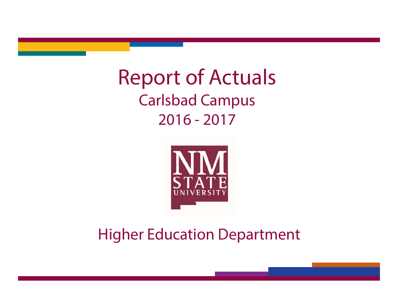Report of Actuals Carlsbad Campus 2016 - 2017



Higher Education Department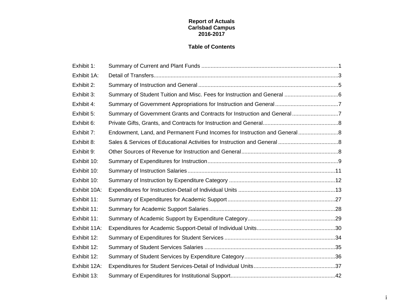### **Report of Actuals Carlsbad Campus 2016-2017**

### **Table of Contents**

| Exhibit 1:   |                                                                           |  |
|--------------|---------------------------------------------------------------------------|--|
| Exhibit 1A:  |                                                                           |  |
| Exhibit 2:   |                                                                           |  |
| Exhibit 3:   |                                                                           |  |
| Exhibit 4:   |                                                                           |  |
| Exhibit 5:   | Summary of Government Grants and Contracts for Instruction and General7   |  |
| Exhibit 6:   |                                                                           |  |
| Exhibit 7:   | Endowment, Land, and Permanent Fund Incomes for Instruction and General 8 |  |
| Exhibit 8:   |                                                                           |  |
| Exhibit 9:   |                                                                           |  |
| Exhibit 10:  |                                                                           |  |
| Exhibit 10:  |                                                                           |  |
| Exhibit 10:  |                                                                           |  |
| Exhibit 10A: |                                                                           |  |
| Exhibit 11:  |                                                                           |  |
| Exhibit 11:  |                                                                           |  |
| Exhibit 11:  |                                                                           |  |
| Exhibit 11A: |                                                                           |  |
| Exhibit 12:  |                                                                           |  |
| Exhibit 12:  |                                                                           |  |
| Exhibit 12:  |                                                                           |  |
| Exhibit 12A: |                                                                           |  |
| Exhibit 13:  |                                                                           |  |

i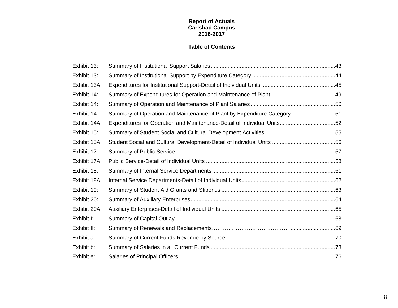### **Report of Actuals Carlsbad Campus 2016-2017**

### **Table of Contents**

| Exhibit 13:  |                                                                          |  |
|--------------|--------------------------------------------------------------------------|--|
| Exhibit 13:  |                                                                          |  |
| Exhibit 13A: |                                                                          |  |
| Exhibit 14:  |                                                                          |  |
| Exhibit 14:  |                                                                          |  |
| Exhibit 14:  | Summary of Operation and Maintenance of Plant by Expenditure Category 51 |  |
| Exhibit 14A: | Expenditures for Operation and Maintenance-Detail of Individual Units52  |  |
| Exhibit 15:  |                                                                          |  |
| Exhibit 15A: |                                                                          |  |
| Exhibit 17:  |                                                                          |  |
| Exhibit 17A: |                                                                          |  |
| Exhibit 18:  |                                                                          |  |
| Exhibit 18A: |                                                                          |  |
| Exhibit 19:  |                                                                          |  |
| Exhibit 20:  |                                                                          |  |
| Exhibit 20A: |                                                                          |  |
| Exhibit I:   |                                                                          |  |
| Exhibit II:  |                                                                          |  |
| Exhibit a:   |                                                                          |  |
| Exhibit b:   |                                                                          |  |
| Exhibit e:   |                                                                          |  |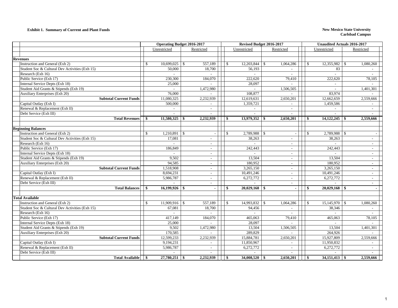#### **Exhibit 1. Summary of Current and Plant Funds New Mexico State University**

|                                                | <b>Operating Budget 2016-2017</b> |                 |              |                          | Revised Budget 2016-2017 |                 |              |                          |               | <b>Unaudited Actuals 2016-2017</b> |               |                          |
|------------------------------------------------|-----------------------------------|-----------------|--------------|--------------------------|--------------------------|-----------------|--------------|--------------------------|---------------|------------------------------------|---------------|--------------------------|
|                                                | Unrestricted<br>Restricted        |                 |              |                          |                          | Unrestricted    |              | Restricted               |               | Unrestricted                       |               | Restricted               |
|                                                |                                   |                 |              |                          |                          |                 |              |                          |               |                                    |               |                          |
| <b>Revenues</b>                                |                                   |                 |              |                          |                          |                 |              |                          |               |                                    |               |                          |
| Instruction and General (Exh 2)                | \$.                               | 10,699,025      | $\mathbf{s}$ | 557,189                  | $\mathcal{S}$            | 12,203,844      | $\mathbb{S}$ | 1,064,286                | $\mathbb{S}$  | 12,355,982                         | $\mathcal{S}$ | 1,080,260                |
| Student Soc & Cultural Dev Activities (Exh 15) |                                   | 50,000          |              | 18,700                   |                          | 56,193          |              | $\sim$                   |               | 83                                 |               | $\sim$                   |
| Research (Exh 16)                              |                                   |                 |              |                          |                          |                 |              |                          |               |                                    |               |                          |
| Public Service (Exh 17)                        |                                   | 230,300         |              | 184,070                  |                          | 222,620         |              | 79,410                   |               | 222,620                            |               | 78,105                   |
| Internal Service Depts (Exh 18)                |                                   | 25,000          |              |                          |                          | 28,097          |              |                          |               | $\overline{a}$                     |               |                          |
| Student Aid Grants & Stipends (Exh 19)         |                                   |                 |              | 1,472,980                |                          | $\sim$          |              | 1,506,505                |               |                                    |               | 1,401,301                |
| <b>Auxiliary Enterprises (Exh 20)</b>          |                                   | 76,000          |              | $\overline{\phantom{a}}$ |                          | 108,877         |              | $\sim$                   |               | 83,974                             |               |                          |
| <b>Subtotal Current Funds</b>                  |                                   | 11,080,325      |              | 2,232,939                |                          | 12,619,631      |              | 2,650,201                |               | 12,662,659                         |               | 2,559,666                |
| Capital Outlay (Exh I)                         |                                   | 500,000         |              | $\overline{\phantom{a}}$ |                          | 1,359,721       |              | $\sim$                   |               | 1,459,586                          |               |                          |
| Renewal & Replacement (Exh II)                 |                                   | $\sim$          |              | $\sim$                   |                          | $\sim$          |              | $\sim$                   |               | $\sim$                             |               | $\overline{\phantom{a}}$ |
| Debt Service (Exh III)                         |                                   |                 |              |                          |                          |                 |              |                          |               |                                    |               |                          |
| <b>Total Revenues</b>                          | <b>S</b>                          | $11,580,325$ \$ |              | 2,232,939                | <b>S</b>                 |                 |              | 2,650,201                | <b>S</b>      | 14, 122, 245                       | - \$          | 2,559,666                |
|                                                |                                   |                 |              |                          |                          |                 |              |                          |               |                                    |               |                          |
| <b>Beginning Balances</b>                      |                                   |                 |              |                          |                          |                 |              |                          |               |                                    |               |                          |
| Instruction and General (Exh 2)                | $\mathbf{s}$                      | $1,210,891$ \$  |              |                          | $\mathcal{S}$            | 2,789,988       | $\mathbf{s}$ |                          | <sup>\$</sup> | 2,789,988                          | - \$          |                          |
| Student Soc & Cultural Dev Activities (Exh 15) |                                   | 17,081          |              | $\overline{\phantom{a}}$ |                          | 38,263          |              | $\overline{\phantom{a}}$ |               | 38,263                             |               | $\sim$                   |
| Research (Exh 16)                              |                                   |                 |              | $\overline{\phantom{a}}$ |                          |                 |              | $\overline{\phantom{a}}$ |               |                                    |               | $\overline{\phantom{a}}$ |
| Public Service (Exh 17)                        |                                   | 186,849         |              | $\sim$                   |                          | 242,443         |              | $\overline{\phantom{a}}$ |               | 242,443                            |               | $\sim$                   |
| Internal Service Depts (Exh 18)                |                                   |                 |              | $\sim$                   |                          |                 |              | $\overline{\phantom{a}}$ |               |                                    |               | $\overline{\phantom{a}}$ |
| Student Aid Grants & Stipends (Exh 19)         |                                   | 9.502           |              | $\sim$                   |                          | 13,504          |              | $\sim$                   |               | 13.504                             |               | $\sim$                   |
| Auxiliary Enterprises (Exh 20)                 |                                   | 94,585          |              | $\overline{\phantom{a}}$ |                          | 180,952         |              |                          |               | 180,952                            |               |                          |
| <b>Subtotal Current Funds</b>                  |                                   | 1,518,908       |              | $\sim$                   |                          | 3,265,150       |              | $\sim$                   |               | 3,265,150                          |               | $\sim$                   |
| Capital Outlay (Exh I)                         |                                   | 8,694,231       |              | $\sim$                   |                          | 10,491,246      |              | $\sim$                   |               | 10,491,246                         |               | $\sim$                   |
| Renewal & Replacement (Exh II)                 |                                   | 5,986,787       |              | $\sim$                   |                          | 6,272,772       |              |                          |               | 6,272,772                          |               | $\sim$                   |
| Debt Service (Exh III)                         |                                   |                 |              | $\sim$                   |                          |                 |              | $\overline{\phantom{a}}$ |               |                                    |               | $\overline{\phantom{a}}$ |
| <b>Total Balances</b>                          | - \$                              | $16,199,926$ \$ |              | $\blacksquare$           | - \$                     |                 |              | $\sim$                   | -S            | $20,029,168$ \$                    |               | $\sim$                   |
|                                                |                                   |                 |              |                          |                          |                 |              |                          |               |                                    |               |                          |
| <b>Total Available</b>                         |                                   |                 |              |                          |                          |                 |              |                          |               |                                    |               |                          |
| Instruction and General (Exh 2)                | \$.                               | $11,909,916$ \$ |              | 557,189                  | <sup>\$</sup>            | 14,993,832      | -\$          | 1,064,286                | <sup>\$</sup> | 15,145,970                         | - \$          | 1,080,260                |
| Student Soc & Cultural Dev Activities (Exh 15) |                                   | 67,081          |              | 18,700                   |                          | 94,456          |              | $\sim$                   |               | 38,346                             |               | $\overline{\phantom{a}}$ |
| Research (Exh 16)                              |                                   |                 |              |                          |                          |                 |              |                          |               |                                    |               |                          |
| Public Service (Exh 17)                        |                                   | 417,149         |              | 184,070                  |                          | 465,063         |              | 79,410                   |               | 465,063                            |               | 78,105                   |
| Internal Service Depts (Exh 18)                |                                   | 25,000          |              | $\sim$                   |                          | 28,097          |              | $\sim$                   |               | $\sim$                             |               |                          |
| Student Aid Grants & Stipends (Exh 19)         |                                   | 9,502           |              | $\overline{1,}472,980$   |                          | 13,504          |              | 1,506,505                |               | 13,504                             |               | 1,401,301                |
| Auxiliary Enterprises (Exh 20)                 |                                   | 170,585         |              |                          |                          | 289,829         |              |                          |               | 264,926                            |               |                          |
| <b>Subtotal Current Funds</b>                  |                                   | 12,599,233      |              | 2,232,939                |                          | 15,884,781      |              | 2,650,201                |               | 15,927,809                         |               | 2,559,666                |
| Capital Outlay (Exh I)                         |                                   | 9,194,231       |              |                          |                          | 11,850,967      |              |                          |               | 11,950,832                         |               |                          |
| Renewal & Replacement (Exh II)                 |                                   | 5,986,787       |              | $\sim$                   |                          | 6,272,772       |              | $\sim$                   |               | 6,272,772                          |               | $\sim$                   |
| Debt Service (Exh III)                         |                                   |                 |              |                          |                          |                 |              |                          |               |                                    |               |                          |
| <b>Total Available</b>                         | \$                                | $27,780,251$ \$ |              | 2,232,939                | $\sim$                   | $34,008,520$ \$ |              | 2,650,201                | $\sqrt{3}$    | $34,151,413$ \$                    |               | 2,559,666                |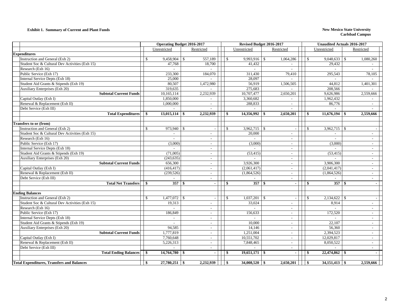#### **Exhibit 1. Summary of Current and Plant Funds New Mexico State University**

|                                                   | <b>Operating Budget 2016-2017</b> |                 |  |                          |              | Revised Budget 2016-2017        |              |                                    |               |                  | <b>Unaudited Actuals 2016-2017</b> |                                    |  |
|---------------------------------------------------|-----------------------------------|-----------------|--|--------------------------|--------------|---------------------------------|--------------|------------------------------------|---------------|------------------|------------------------------------|------------------------------------|--|
|                                                   |                                   | Unrestricted    |  | Restricted               |              | Unrestricted                    |              | Restricted                         |               | Unrestricted     |                                    | Restricted                         |  |
| <b>Expenditures</b>                               |                                   |                 |  |                          |              |                                 |              |                                    |               |                  |                                    |                                    |  |
| Instruction and General (Exh 2)                   | <sup>\$</sup>                     | 9,458,904 \$    |  | 557,189                  | $\mathbb{S}$ | $9,993,916$ \$                  |              | 1,064,286                          | -S            |                  |                                    | 1,080,260                          |  |
| Student Soc & Cultural Dev Activities (Exh 15)    |                                   | 47,768          |  | 18,700                   |              | 41,432                          |              |                                    |               | 29,432           |                                    |                                    |  |
| Research (Exh 16)                                 |                                   |                 |  |                          |              |                                 |              |                                    |               |                  |                                    |                                    |  |
| Public Service (Exh 17)                           |                                   | 233,300         |  | 184,070                  |              | 311,430                         |              | 79,410                             |               | 295.543          |                                    | 78,105                             |  |
| Internal Service Depts (Exh 18)                   |                                   | 25,000          |  |                          |              | 28,097                          |              |                                    |               |                  |                                    |                                    |  |
| Student Aid Grants & Stipends (Exh 19)            |                                   | 80,507          |  | 1,472,980                |              | 56,919                          |              | 1,506,505                          |               | 44,812           |                                    | 1,401,301                          |  |
| Auxiliary Enterprises (Exh 20)                    |                                   | 319,635         |  |                          |              | 275,683                         |              | $\overline{\phantom{a}}$           |               | 208,566          |                                    |                                    |  |
| <b>Subtotal Current Funds</b>                     |                                   | 10,165,114      |  | 2,232,939                |              | 10,707,477                      |              | 2,650,201                          |               | 9,626,986        |                                    | 2,559,666                          |  |
| Capital Outlay (Exh I)                            |                                   | 1,850,000       |  | $\overline{\phantom{a}}$ |              | 3,360,682                       |              |                                    |               | 1,962,432        |                                    |                                    |  |
| Renewal & Replacement (Exh II)                    |                                   | 1,000,000       |  | $\sim$                   |              | 288,833                         |              |                                    |               | 86,776           |                                    |                                    |  |
| Debt Service (Exh III)                            |                                   |                 |  | $\sim$                   |              | ÷                               |              | $\sim$                             |               |                  |                                    | $\sim$                             |  |
| <b>Total Expenditures</b>                         | - \$                              | $13,015,114$ \$ |  | 2,232,939                | - \$         | 14,356,992                      | -\$          | 2,650,201                          | -\$           | 11,676,194       |                                    | 2,559,666                          |  |
| Transfers to or (from)                            |                                   |                 |  |                          |              |                                 |              |                                    |               |                  |                                    |                                    |  |
| Instruction and General (Exh 2)                   | <sup>\$</sup>                     | 973,940 \$      |  | $\overline{\phantom{a}}$ | $\mathbb{S}$ | $3,962,715$ \$                  |              | $\overline{\phantom{a}}$           | <sup>\$</sup> | 3,962,715        | $\mathbf{s}$                       |                                    |  |
| Student Soc & Cultural Dev Activities (Exh 15)    |                                   |                 |  | $\overline{\phantom{a}}$ |              | 20,000                          |              |                                    |               |                  |                                    |                                    |  |
| Research (Exh 16)                                 |                                   | $\sim$          |  | $\sim$                   |              | $\sim$                          |              | $\sim$                             |               | $\sim$           |                                    | $\sim$                             |  |
| Public Service (Exh 17)                           |                                   | (3,000)         |  | $\sim$                   |              | (3,000)                         |              | $\sim$                             |               | (3,000)          |                                    | $\sim$                             |  |
| Internal Service Depts (Exh 18)                   |                                   |                 |  | $\sim$                   |              |                                 |              | $\overline{\phantom{a}}$           |               |                  |                                    |                                    |  |
| Student Aid Grants & Stipends (Exh 19)            |                                   | (71,005)        |  |                          |              | (53, 415)                       |              |                                    |               | (53, 415)        |                                    |                                    |  |
| Auxiliary Enterprises (Exh 20)                    |                                   | (243, 635)      |  | $\sim$<br>$\sim$         |              |                                 |              | $\sim$<br>$\overline{\phantom{a}}$ |               |                  |                                    | $\sim$<br>$\overline{\phantom{a}}$ |  |
| <b>Subtotal Current Funds</b>                     |                                   | 656,300         |  | $\sim$                   |              | 3,926,300                       |              |                                    |               | 3,906,300        |                                    | $\overline{\phantom{a}}$           |  |
| Capital Outlay (Exh I)                            |                                   | (416, 417)      |  |                          |              | (2,061,417)                     |              |                                    |               | (2,041,417)      |                                    |                                    |  |
| Renewal & Replacement (Exh II)                    |                                   | (239, 526)      |  | $\sim$<br>$\sim$         |              | (1,864,526)                     |              | $\sim$<br>$\sim$                   |               | (1,864,526)      |                                    | $\sim$<br>$\sim$                   |  |
| Debt Service (Exh III)                            |                                   |                 |  | $\sim$                   |              |                                 |              |                                    |               |                  |                                    | $\sim$                             |  |
|                                                   |                                   | 357S            |  |                          |              |                                 |              |                                    |               |                  |                                    |                                    |  |
| <b>Total Net Transfers</b>                        | <b>S</b>                          |                 |  | $\blacksquare$           | \$           | $357 \overline{\smash{\big)}\}$ |              | $\sim$                             | -\$           | 357              | - \$                               | $\sim$                             |  |
| <b>Ending Balances</b>                            |                                   |                 |  |                          |              |                                 |              |                                    |               |                  |                                    |                                    |  |
| Instruction and General (Exh 2)                   | $\mathbb{S}$                      | $1,477,072$ \$  |  | $\overline{\phantom{a}}$ | $\mathbb{S}$ | 1,037,201                       | $\mathbb{S}$ | $\overline{\phantom{a}}$           | $\mathbb{S}$  | $2,134,622$ \$   |                                    | $\overline{\phantom{a}}$           |  |
| Student Soc & Cultural Dev Activities (Exh 15)    |                                   | 19,313          |  | $\sim$                   |              | 33,024                          |              | $\sim$                             |               | 8,914            |                                    | $\sim$                             |  |
| Research (Exh 16)                                 |                                   |                 |  | $\sim$                   |              |                                 |              | $\overline{\phantom{a}}$           |               |                  |                                    | $\sim$                             |  |
| Public Service (Exh 17)                           |                                   | 186,849         |  | $\overline{a}$           |              | 156,633                         |              | $\sim$                             |               | 172,520          |                                    | $\sim$                             |  |
| Internal Service Depts (Exh 18)                   |                                   | $\overline{a}$  |  | $\sim$                   |              |                                 |              | $\sim$                             |               |                  |                                    | $\sim$                             |  |
| Student Aid Grants & Stipends (Exh 19)            |                                   | $\sim$          |  | $\sim$                   |              | 10,000                          |              | $\sim$                             |               | 22,107           |                                    | $\sim$                             |  |
| Auxiliary Enterprises (Exh 20)                    |                                   | 94,585          |  | $\overline{\phantom{a}}$ |              | 14,146                          |              | $\overline{\phantom{a}}$           |               | 56,360           |                                    |                                    |  |
| <b>Subtotal Current Funds</b>                     |                                   | 1,777,819       |  | $\overline{\phantom{a}}$ |              | 1,251,004                       |              | $\overline{\phantom{a}}$           |               | 2,394,523        |                                    | $\overline{\phantom{0}}$           |  |
| Capital Outlay (Exh I)                            |                                   | 7,760,648       |  | $\sim$                   |              | 10,551,702                      |              | $\sim$                             |               | 12,029,817       |                                    | $\sim$                             |  |
| Renewal & Replacement (Exh II)                    |                                   | 5,226,313       |  | $\sim$                   |              | 7,848,465                       |              | $\sim$                             |               | 8,050,522        |                                    | $\sim$                             |  |
| Debt Service (Exh III)                            |                                   |                 |  |                          |              |                                 |              |                                    |               |                  |                                    | $\sim$                             |  |
| <b>Total Ending Balances</b>                      | \$                                | $14,764,780$ \$ |  | $\sim$                   | -S           | 19,651,171                      | - \$         | $\sim$                             | - \$          | 22,474,862       | - \$                               |                                    |  |
|                                                   | \$                                |                 |  |                          |              |                                 |              |                                    | $\mathbf{\$}$ |                  |                                    |                                    |  |
| <b>Total Expenditures, Transfers and Balances</b> |                                   | $27,780,251$ \$ |  | 2,232,939                | \$           | $34,008,520$ \$                 |              | 2,650,201                          |               | $34,151,413$ \\$ |                                    | 2,559,666                          |  |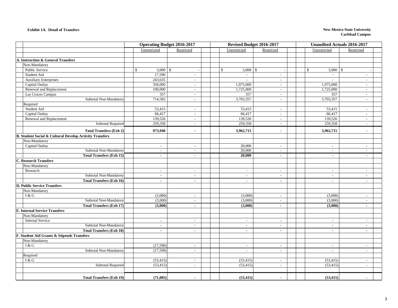#### **Exhibit 1A. Detail of Transfers**

#### **New Mexico State University Carlsbad Campus**

|                                                                    |                            | <b>Operating Budget 2016-2017</b> |                              | Revised Budget 2016-2017 | <b>Unaudited Actuals 2016-2017</b> |                          |  |  |  |
|--------------------------------------------------------------------|----------------------------|-----------------------------------|------------------------------|--------------------------|------------------------------------|--------------------------|--|--|--|
|                                                                    | Unrestricted               | Restricted                        | Unrestricted                 | Restricted               | Unrestricted                       | Restricted               |  |  |  |
|                                                                    |                            |                                   |                              |                          |                                    |                          |  |  |  |
| A. Instruction & General Transfers                                 |                            |                                   |                              |                          |                                    |                          |  |  |  |
| Non-Mandatory                                                      |                            |                                   |                              |                          |                                    |                          |  |  |  |
| Public Service                                                     | $\mathbb{S}$<br>$3,000$ \$ |                                   | $\mathbb{S}$<br>$3,000$ \ \$ |                          | $\mathbb{S}$<br>$3,000$ \$         |                          |  |  |  |
| Student Aid                                                        | 17,590                     | $\sim$                            | $\sim$                       | $\sim$                   | $\sim$                             | $\sim$                   |  |  |  |
| <b>Auxiliary Enterprises</b>                                       | 243,635                    | $\sim$                            | $\sim$                       | $\sim$                   | $\sim$                             | $\overline{\phantom{a}}$ |  |  |  |
| Capital Outlay                                                     | 350,000                    | $\sim$                            | 1,975,000                    | $\sim$                   | 1,975,000                          | $\overline{\phantom{a}}$ |  |  |  |
| Renewal and Replacement                                            | 100,000                    | $\overline{\phantom{a}}$          | 1,725,000                    | $\sim$                   | 1,725,000                          | $\sim$                   |  |  |  |
| Las Cruces Campus                                                  | 357                        | $\sim$                            | 357                          | $\sim$                   | 357                                | $\sim$                   |  |  |  |
| Subtotal Non-Mandatory                                             | 714,582                    | $\sim$                            | 3,703,357                    | $\overline{\phantom{a}}$ | 3,703,357                          | $\overline{\phantom{a}}$ |  |  |  |
| Required                                                           |                            |                                   |                              |                          |                                    |                          |  |  |  |
| Student Aid                                                        | 53,415                     | $\sim$                            | 53,415                       | $\sim$                   | 53,415                             | $\sim$                   |  |  |  |
| Capital Outlay                                                     | 66,417                     | $\sim$                            | 66,417                       | $\sim$                   | 66,417                             | $\sim$                   |  |  |  |
| Renewal and Replacement                                            | 139,526                    | $\sim$                            | 139,526                      | $\sim$                   | 139,526                            | $\overline{\phantom{a}}$ |  |  |  |
| <b>Subtotal Required</b>                                           | 259,358                    | $\sim$                            | 259,358                      | $\sim$                   | 259,358                            | $\sim$                   |  |  |  |
| <b>Total Transfers (Exh 2)</b>                                     | 973,940                    | $\blacksquare$                    | 3,962,715                    | $\blacksquare$           | 3,962,715                          | $\blacksquare$           |  |  |  |
| <b>B. Student Social &amp; Cultural Develop Activity Transfers</b> |                            |                                   |                              |                          |                                    |                          |  |  |  |
| Non-Mandatory                                                      |                            |                                   |                              |                          |                                    |                          |  |  |  |
| Capital Outlay                                                     | $\sim$                     | $\overline{\phantom{a}}$          | 20,000                       | $\sim$                   | $\sim$                             | $\sim$                   |  |  |  |
| Subtotal Non-Mandatory                                             | $\sim$                     | $\overline{\phantom{a}}$          | 20,000                       | $\overline{\phantom{a}}$ | $\sim$                             | $\overline{\phantom{a}}$ |  |  |  |
| <b>Total Transfers (Exh 15)</b>                                    | $\sim$                     | $\blacksquare$                    | 20,000                       | $\sim$                   | $\sim$                             | $\blacksquare$           |  |  |  |
| <b>C. Research Transfers</b>                                       |                            |                                   |                              |                          |                                    |                          |  |  |  |
| Non-Mandatory                                                      |                            |                                   |                              |                          |                                    |                          |  |  |  |
| Research                                                           | $\sim$                     | $\sim$                            | $\sim$                       | $\sim$                   | $\sim$                             | $\overline{\phantom{a}}$ |  |  |  |
| Subtotal Non-Mandatory                                             | $\overline{a}$             |                                   | $\sim$                       |                          | $\sim$                             |                          |  |  |  |
| <b>Total Transfers (Exh 16)</b>                                    | $\sim$                     | $\blacksquare$                    | $\sim$                       | $\sim$                   | $\blacksquare$                     | $\sim$                   |  |  |  |
| <b>D. Public Service Transfers</b>                                 |                            |                                   |                              |                          |                                    |                          |  |  |  |
| Non-Mandatory                                                      |                            |                                   |                              |                          |                                    |                          |  |  |  |
| I & G                                                              | (3,000)                    | $\overline{\phantom{a}}$          | (3,000)                      | $\sim$                   | (3,000)                            | $\overline{a}$           |  |  |  |
| Subtotal Non-Mandatory                                             | (3,000)                    | $\sim$                            | (3,000)                      | $\sim$                   | (3,000)                            | $\overline{a}$           |  |  |  |
| <b>Total Transfers (Exh 17)</b>                                    | (3,000)                    | $\blacksquare$                    | (3,000)                      | $\blacksquare$           | (3,000)                            | $\blacksquare$           |  |  |  |
| <b>E. Internal Service Transfers</b>                               |                            |                                   |                              |                          |                                    |                          |  |  |  |
| Non-Mandatory                                                      |                            |                                   |                              |                          |                                    |                          |  |  |  |
| <b>Internal Service</b>                                            | $\overline{\phantom{a}}$   | $\overline{\phantom{a}}$          | $\sim$                       | $\overline{\phantom{a}}$ | $\sim$                             |                          |  |  |  |
| Subtotal Non-Mandatory                                             | $\sim$                     | $\blacksquare$                    | $\sim$                       | $\overline{\phantom{a}}$ | $\sim$                             | $\sim$                   |  |  |  |
| <b>Total Transfers (Exh 18)</b>                                    | $\blacksquare$             | $\blacksquare$                    | $\blacksquare$               | $\sim$                   | $\blacksquare$                     | $\blacksquare$           |  |  |  |
| F. Student Aid Grants & Stipends Transfers                         |                            |                                   |                              |                          |                                    |                          |  |  |  |
| Non-Mandatory                                                      |                            |                                   |                              |                          |                                    |                          |  |  |  |
| I & G                                                              | (17,590)                   | $\overline{a}$                    | $\sim$                       | $\sim$                   | $\sim$                             | $\sim$                   |  |  |  |
| Subtotal Non-Mandatory                                             | (17,590)                   | $\sim$                            | $\sim$                       | $\sim$                   | $\sim$                             | $\overline{a}$           |  |  |  |
|                                                                    |                            |                                   |                              |                          |                                    |                          |  |  |  |
| Required<br>I & G                                                  | (53, 415)                  |                                   | (53, 415)                    |                          |                                    |                          |  |  |  |
|                                                                    |                            | $\overline{\phantom{a}}$          |                              | $\sim$                   | (53, 415)                          | $\overline{\phantom{a}}$ |  |  |  |
| <b>Subtotal Required</b>                                           | (53, 415)                  | $\overline{\phantom{a}}$          | (53, 415)                    | $\overline{\phantom{a}}$ | (53, 415)                          | $\overline{\phantom{a}}$ |  |  |  |
| <b>Total Transfers (Exh 19)</b>                                    | (71,005)                   | $\overline{a}$                    | (53, 415)                    | $\overline{a}$           | (53, 415)                          |                          |  |  |  |
|                                                                    |                            |                                   |                              |                          |                                    |                          |  |  |  |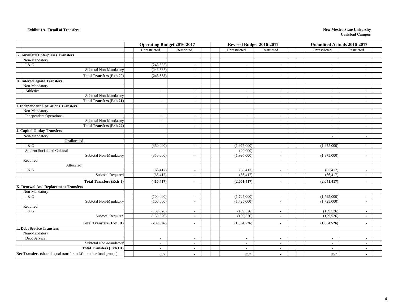#### **Exhibit 1A. Detail of Transfers**

#### **New Mexico State University Carlsbad Campus**

|                                                                  | <b>Operating Budget 2016-2017</b> |                          | Revised Budget 2016-2017 |                          | <b>Unaudited Actuals 2016-2017</b> |                          |  |  |
|------------------------------------------------------------------|-----------------------------------|--------------------------|--------------------------|--------------------------|------------------------------------|--------------------------|--|--|
|                                                                  | Unrestricted                      | Restricted               | Unrestricted             | Restricted               | Unrestricted                       | Restricted               |  |  |
| <b>G. Auxiliary Enterprises Transfers</b>                        |                                   |                          |                          |                          |                                    |                          |  |  |
| Non-Mandatory                                                    |                                   |                          |                          |                          |                                    |                          |  |  |
| I & G                                                            | (243, 635)                        | $\overline{\phantom{a}}$ | $\overline{\phantom{a}}$ | $\overline{\phantom{a}}$ | $\overline{\phantom{a}}$           |                          |  |  |
| Subtotal Non-Mandatory                                           | (243, 635)                        | $\overline{\phantom{a}}$ | $\overline{\phantom{a}}$ | $\overline{\phantom{a}}$ | $\overline{\phantom{a}}$           |                          |  |  |
| <b>Total Transfers (Exh 20)</b>                                  | (243, 635)                        | ٠                        | $\blacksquare$           | $\blacksquare$           | $\blacksquare$                     |                          |  |  |
| H. Intercollegiate Transfers                                     |                                   |                          |                          |                          |                                    |                          |  |  |
| Non-Mandatory                                                    |                                   |                          |                          |                          |                                    |                          |  |  |
| Athletics                                                        | $\overline{\phantom{a}}$          | $\overline{\phantom{a}}$ | $\sim$                   | $\overline{\phantom{a}}$ | $\sim$                             | $\overline{\phantom{a}}$ |  |  |
| Subtotal Non-Mandatory                                           | $\overline{a}$                    | $\overline{\phantom{a}}$ | $\overline{\phantom{a}}$ | $\overline{\phantom{a}}$ | $\overline{\phantom{a}}$           |                          |  |  |
| <b>Total Transfers (Exh 21)</b>                                  | $\blacksquare$                    | $\overline{\phantom{a}}$ | $\blacksquare$           | $\sim$                   | $\blacksquare$                     | $\overline{\phantom{a}}$ |  |  |
| <b>I. Independent Operations Transfers</b>                       |                                   |                          |                          |                          |                                    |                          |  |  |
| Non-Mandatory                                                    |                                   |                          |                          |                          |                                    |                          |  |  |
| <b>Independent Operations</b>                                    |                                   | $\overline{\phantom{a}}$ | $\overline{\phantom{a}}$ | $\overline{\phantom{a}}$ | $\overline{\phantom{a}}$           |                          |  |  |
| Subtotal Non-Mandatory                                           | $\overline{\phantom{a}}$          | $\sim$                   | $\sim$                   | $\sim$                   | $\sim$                             | $\overline{\phantom{a}}$ |  |  |
| <b>Total Transfers (Exh 22)</b>                                  | $\blacksquare$                    | $\overline{\phantom{a}}$ | $\sim$                   | $\sim$                   | $\blacksquare$                     | $\blacksquare$           |  |  |
| <b>J. Capital Outlay Transfers</b>                               |                                   |                          |                          |                          |                                    |                          |  |  |
| Non-Mandatory                                                    |                                   |                          |                          |                          | $\overline{\phantom{a}}$           | $\overline{a}$           |  |  |
| Unallocated                                                      |                                   |                          |                          |                          |                                    |                          |  |  |
| I & G                                                            | (350,000)                         | $\overline{\phantom{a}}$ | (1,975,000)              | $\sim$                   | (1,975,000)                        | $\overline{\phantom{a}}$ |  |  |
| Student Social and Cultural                                      |                                   | $\overline{\phantom{a}}$ | (20,000)                 | $\overline{\phantom{a}}$ |                                    |                          |  |  |
| Subtotal Non-Mandatory                                           | (350,000)                         | $\sim$                   | (1,995,000)              | $\sim$                   | (1,975,000)                        | $\overline{a}$           |  |  |
| Required                                                         |                                   |                          | $\mathbb{L}^2$           | $\overline{\phantom{a}}$ |                                    |                          |  |  |
| Allocated                                                        |                                   |                          |                          |                          |                                    |                          |  |  |
| I & G                                                            | (66, 417)                         | $\sim$                   | (66, 417)                | $\sim$                   | (66, 417)                          | $\overline{a}$           |  |  |
| <b>Subtotal Required</b>                                         | (66, 417)                         | $\overline{\phantom{a}}$ | (66, 417)                | $\overline{\phantom{a}}$ | (66, 417)                          | $\overline{a}$           |  |  |
| Total Transfers (Exh I)                                          | (416, 417)                        | $\blacksquare$           | (2,061,417)              | $\sim$                   | (2,041,417)                        | $\overline{\phantom{a}}$ |  |  |
| K. Renewal And Replacement Transfers                             |                                   |                          |                          |                          |                                    |                          |  |  |
| Non-Mandatory                                                    |                                   |                          |                          |                          |                                    |                          |  |  |
| I & G                                                            | (100,000)                         | $\overline{\phantom{a}}$ | (1,725,000)              | $\overline{\phantom{a}}$ | (1,725,000)                        |                          |  |  |
| Subtotal Non-Mandatory                                           | (100,000)                         | $\sim$                   | (1,725,000)              | $\sim$                   | (1,725,000)                        | $\overline{\phantom{a}}$ |  |  |
| Required                                                         |                                   |                          |                          |                          |                                    |                          |  |  |
| I & G                                                            | (139, 526)                        | $\overline{\phantom{a}}$ | (139, 526)               | $\sim$                   | (139, 526)                         |                          |  |  |
| <b>Subtotal Required</b>                                         | (139, 526)                        | $\overline{\phantom{a}}$ | (139, 526)               | $\sim$                   | (139, 526)                         | $\overline{\phantom{a}}$ |  |  |
| <b>Total Transfers (Exh II)</b>                                  | (239, 526)                        | $\overline{\phantom{a}}$ | (1,864,526)              | $\blacksquare$           | (1,864,526)                        | $\blacksquare$           |  |  |
| <b>L. Debt Service Transfers</b>                                 |                                   |                          |                          |                          |                                    |                          |  |  |
| Non-Mandatory                                                    |                                   |                          |                          |                          |                                    |                          |  |  |
| Debt Service                                                     | $\sim$                            | $\overline{\phantom{a}}$ | $\sim$                   | $\sim$                   | $\overline{\phantom{a}}$           | $\overline{\phantom{a}}$ |  |  |
| Subtotal Non-Mandatory                                           | $\overline{a}$                    | $\overline{\phantom{a}}$ | $\overline{a}$           | $\sim$                   | $\overline{\phantom{a}}$           |                          |  |  |
| <b>Total Transfers (Exh III)</b>                                 | $\blacksquare$                    | $\blacksquare$           | $\sim$                   | $\sim$                   | $\blacksquare$                     |                          |  |  |
| Net Transfers (should equal transfer to LC or other fund groups) | 357                               | $\sim$                   | 357                      | $\sim$                   | 357                                | $\overline{a}$           |  |  |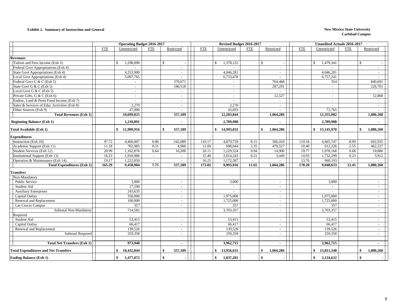#### **Exhibit 2. Summary of Instruction and General New Mexico State University**

|                                             | <b>Operating Budget 2016-2017</b> |                           |            |                            |            | Revised Budget 2016-2017  |            |                 |            |                  | <b>Unaudited Actuals 2016-2017</b> |            |  |  |
|---------------------------------------------|-----------------------------------|---------------------------|------------|----------------------------|------------|---------------------------|------------|-----------------|------------|------------------|------------------------------------|------------|--|--|
|                                             | <b>FTE</b>                        | Unrestricted              | <b>FTE</b> | Restricted                 | <b>FTE</b> | Unrestricted              | <b>FTE</b> | Restricted      | <b>FTE</b> | Unrestricted     | <b>FTE</b>                         | Restricted |  |  |
|                                             |                                   |                           |            |                            |            |                           |            |                 |            |                  |                                    |            |  |  |
| <b>Revenues</b>                             |                                   |                           |            |                            |            |                           |            |                 |            |                  |                                    |            |  |  |
| Tuition and Fees Income (Exh 3)             |                                   | $\mathbb{S}$<br>1,298,090 |            | $\mathbb{S}$               |            | $\mathbb{S}$<br>1,378,122 |            | $\mathbb{S}$    |            | \$<br>1,479,341  | $\mathbf{\hat{S}}$                 |            |  |  |
| Federal Govt Appropriations (Exh 4)         |                                   | $\sim$                    |            | $\sim$                     |            | $\sim$                    |            | $\sim$          |            | $\sim$           |                                    | $\sim$     |  |  |
| State Govt Appropriations (Exh 4)           |                                   | 4,253,900                 |            | $\sim$                     |            | 4,046,281                 |            | $\sim$          |            | 4,046,281        |                                    | $\sim$     |  |  |
| Local Govt Appropriations (Exh 4)           |                                   | 5,097,765                 |            | $\mathbf{r}$               |            | 6,733,478                 |            | $\sim$          |            | 6,757,241        |                                    | $\sim$     |  |  |
| Federal Govt G & C (Exh 5)                  |                                   |                           |            | 370,671                    |            |                           |            | 764,468         |            | 354              |                                    | 840.691    |  |  |
| State Govt G & C (Exh 5)                    |                                   | $\sim$                    |            | 186,518                    |            | $\sim$                    |            | 287,291         |            | $\sim$           |                                    | 226,701    |  |  |
| Local Govt G & C (Exh 5)                    |                                   | $\sim$                    |            | $\sim$                     |            | $\sim$                    |            | $\sim$          |            | $\sim$           |                                    | $\sim$     |  |  |
| Private Gifts, G & C (Exh 6)                |                                   | $\sim$                    |            | $\sim$                     |            | $\sim$                    |            | 12,527          |            | $\sim$           |                                    | 12,868     |  |  |
| Endow, Land & Perm Fund Income (Exh 7)      |                                   | $\sim$                    |            | $\sim$                     |            |                           |            | $\sim$          |            | $\sim$           |                                    | $\sim$     |  |  |
| Sales & Services of Educ Activities (Exh 8) |                                   | 2,270                     |            | $\sim$                     |            | 2,270                     |            | $\sim$          |            |                  |                                    | $\sim$     |  |  |
| Other Sources (Exh 9)                       |                                   | 47,000                    |            | $\sim$                     |            | 43,693                    |            | $\blacksquare$  |            | 72,765           |                                    | $\sim$     |  |  |
| <b>Total Revenues (Exh 1)</b>               |                                   | 10,699,025                |            | 557,189                    |            | 12,203,844                |            | 1,064,286       |            | 12,355,982       |                                    | 1,080,260  |  |  |
| <b>Beginning Balance (Exh 1)</b>            |                                   | 1,210,891                 |            | ٠                          |            | 2,789,988                 |            |                 |            | 2,789,988        |                                    |            |  |  |
| Total Available (Exh 1)                     |                                   | \$<br>11,909,916          |            | $\ddot{\bm{x}}$<br>557,189 |            | \$14,993,832              |            | 1,064,286<br>\$ |            | \$<br>15,145,970 | \$                                 | 1,080,260  |  |  |
| <b>Expenditures</b>                         |                                   |                           |            |                            |            |                           |            |                 |            |                  |                                    |            |  |  |
| Instruction (Exh 10)                        | 97.72                             | 4,460,007                 | 6.80       | 542,089                    | 110.17     | 4,879,718                 | 8.15       | 566,410         | 119.34     | 4,665,747        | 8.99                               | 602,935    |  |  |
| Academic Support (Exh 11)                   | 11.18                             | 702,985                   | 0.31       | 4.900                      | 11.09      | 698,044                   | 2.35       | 479.527         | 10.40      | 612,226          | 2.55                               | 462,527    |  |  |
| Student Services (Exh 12)                   | 20.99                             | 1,162,876                 | 0.64       | 10,200                     | 20.11      | 1,229,524                 | 0.94       | 14,900          | 19.77      | 1,078,168        | 0.68                               | 10,886     |  |  |
| Institutional Support (Exh 13)              | 16.23                             | 1,910,986                 | $\sim$     | $\sim$                     | 15.40      | 2,014,243                 | 0.21       | 3,449           | 14.93      | 1,732,299        | 0.23                               | 3,912      |  |  |
| Operation & Maintenance (Exh 14)            | 19.17                             | 1,222,050                 | $\sim$     | $\overline{a}$             | 16.25      | 1,172,387                 | $\sim$     |                 | 13.76      | 960,193          | $\sim$                             |            |  |  |
| <b>Total Expenditures (Exh 1)</b>           | 165.29                            | 9,458,904                 | 7.75       | 557,189                    | 173.02     | 9,993,916                 | 11.65      | 1,064,286       | 178.20     | 9,048,633        | 12.45                              | 1,080,260  |  |  |
|                                             |                                   |                           |            |                            |            |                           |            |                 |            |                  |                                    |            |  |  |
| <b>Transfers</b>                            |                                   |                           |            |                            |            |                           |            |                 |            |                  |                                    |            |  |  |
| Non-Mandatory                               |                                   |                           |            |                            |            |                           |            |                 |            |                  |                                    |            |  |  |
| <b>Public Service</b>                       |                                   | 3.000                     |            | $\sim$                     |            | 3,000                     |            | $\sim$          |            | 3,000            |                                    |            |  |  |
| Student Aid                                 |                                   | 17.590                    |            | $\sim$                     |            | $\sim$                    |            | $\sim$          |            | $\sim$           |                                    | $\sim$     |  |  |
| <b>Auxiliary Enterprises</b>                |                                   | 243,635                   |            | $\sim$                     |            | $\sim$                    |            | $\sim$          |            | $\sim$           |                                    | $\sim$     |  |  |
| Capital Outlay                              |                                   | 350,000                   |            | $\sim$                     |            | 1,975,000                 |            | $\sim$          |            | 1.975,000        |                                    | $\sim$     |  |  |
| Renewal and Replacement                     |                                   | 100,000                   |            | $\sim$                     |            | 1,725,000                 |            | $\sim$          |            | 1,725,000        |                                    | $\sim$     |  |  |
| Las Cruces Campus                           |                                   | 357                       |            | $\sim$                     |            | 357                       |            | $\sim$          |            | 357              |                                    | $\sim$     |  |  |
| Subtotal Non-Mandatory                      |                                   | 714,582                   |            | $\omega$                   |            | 3,703,357                 |            | $\sim$          |            | 3,703,357        |                                    | $\sim$     |  |  |
| Required                                    |                                   |                           |            |                            |            |                           |            |                 |            |                  |                                    |            |  |  |
| Student Aid                                 |                                   | 53,415                    |            | $\sim$                     |            | 53,415                    |            | $\blacksquare$  |            | 53,415           |                                    | $\sim$     |  |  |
| Capital Outlay                              |                                   | 66,417                    |            | $\sim$                     |            | 66,417                    |            | $\sim$          |            | 66,417           |                                    | $\sim$     |  |  |
| Renewal and Replacement                     |                                   | 139,526                   |            | $\sim$                     |            | 139,526                   |            | $\sim$          |            | 139,526          |                                    | $\sim$     |  |  |
| <b>Subtotal Required</b>                    |                                   | 259,358                   |            | $\sim$                     |            | 259,358                   |            | $\sim$          |            | 259,358          |                                    | $\sim$     |  |  |
|                                             |                                   |                           |            |                            |            |                           |            |                 |            |                  |                                    |            |  |  |
| <b>Total Net Transfers (Exh 1)</b>          |                                   | 973,940                   |            | $\sim$                     |            | 3,962,715                 |            | ÷               |            | 3,962,715        |                                    | $\sim$     |  |  |
| <b>Total Expenditures and Net Transfers</b> |                                   | 10,432,844<br>\$          |            | 557,189<br>\$              |            | \$13,956,631              |            | 1,064,286<br>\$ |            | \$<br>13,011,348 | -\$                                | 1,080,260  |  |  |
| <b>Ending Balance (Exh 1)</b>               |                                   | 1,477,072<br>\$           |            | \$                         |            | 1,037,201<br>\$           |            | \$              |            | \$<br>2,134,622  |                                    |            |  |  |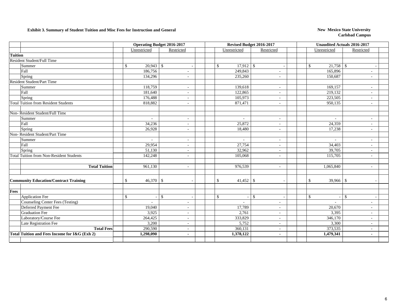### **Exhibit 3. Summary of Student Tuition and Misc Fees for Instruction and General New Mexico State University**

|                                                 | <b>Operating Budget 2016-2017</b> |                              |              |                          |              |              | Revised Budget 2016-2017                 | <b>Unaudited Actuals 2016-2017</b> |                          |  |  |
|-------------------------------------------------|-----------------------------------|------------------------------|--------------|--------------------------|--------------|--------------|------------------------------------------|------------------------------------|--------------------------|--|--|
|                                                 |                                   | Unrestricted                 |              | Restricted               |              | Unrestricted | Restricted                               | Unrestricted                       | Restricted               |  |  |
| <b>Tuition</b>                                  |                                   |                              |              |                          |              |              |                                          |                                    |                          |  |  |
| Resident Student/Full Time                      |                                   |                              |              |                          |              |              |                                          |                                    |                          |  |  |
| Summer                                          |                                   | $20,943$ \$<br>$\mathcal{S}$ |              |                          | $\mathbb{S}$ |              |                                          | $\mathbb{S}$                       |                          |  |  |
| Fall                                            |                                   | 186,756                      |              |                          |              | 249,843      |                                          | 165,896                            |                          |  |  |
| Spring                                          |                                   | 134,296                      |              | $\sim$                   |              | 235,260      | $\sim$                                   | 150,687                            | ÷.                       |  |  |
| Resident Student/Part Time                      |                                   |                              |              |                          |              |              |                                          |                                    |                          |  |  |
| Summer                                          |                                   | 118,759                      |              | $\sim$                   |              | 139,618      | $\sim$                                   | 169,157                            | ÷.                       |  |  |
| Fall                                            |                                   | 181,640                      |              | ٠                        |              | 122,865      |                                          | 219,132                            | ÷,                       |  |  |
| Spring                                          |                                   | 176,488                      |              | ٠                        |              | 105,973      |                                          | 223,505                            |                          |  |  |
| <b>Total Tuition from Resident Students</b>     |                                   | 818,882                      |              | ä,                       |              | 871,471      |                                          | 950,135                            | ÷,                       |  |  |
|                                                 |                                   |                              |              |                          |              |              |                                          |                                    |                          |  |  |
| Non-Resident Student/Full Time                  |                                   |                              |              |                          |              |              |                                          |                                    |                          |  |  |
| Summer                                          |                                   | $\sim$                       |              | $\sim$                   |              | ÷,           | $\sim$                                   | $\sim$                             | ÷.                       |  |  |
| Fall                                            |                                   | 34,236                       |              | $\overline{\phantom{a}}$ |              | 25,872       |                                          | 24,359                             |                          |  |  |
| Spring                                          |                                   | 26,928                       |              | $\sim$                   |              | 18,480       | $\sim$                                   | 17,238                             | ÷.                       |  |  |
| Non-Resident Student/Part Time                  |                                   |                              |              |                          |              |              |                                          |                                    |                          |  |  |
| Summer                                          |                                   | $\sim$                       |              | $\overline{\phantom{a}}$ |              | ÷,           | $\overline{\phantom{a}}$                 | $\sim$                             | ٠                        |  |  |
| Fall                                            |                                   | 29,954                       |              | $\sim$                   |              | 27,754       |                                          | 34,403                             | $\overline{\phantom{a}}$ |  |  |
| Spring                                          |                                   | 51,130                       |              | $\sim$                   |              | 32,962       | $\sim$                                   | 39,705                             | ٠                        |  |  |
| <b>Total Tuition from Non-Resident Students</b> |                                   | 142,248                      |              | ÷.                       |              | 105,068      | $\sim$                                   | 115,705                            | $\sim$                   |  |  |
| <b>Total Tuition</b>                            |                                   | 961,130                      |              | ÷.                       |              | 976,539      | $\sim$                                   | 1,065,840                          | ÷.                       |  |  |
| <b>Community Education/Contract Training</b>    |                                   | $\mathcal{S}$                |              |                          | \$           | 41,452       | <sup>\$</sup>                            | $\mathbb{S}$<br>$39,966$ \$        |                          |  |  |
| Fees                                            |                                   |                              |              |                          |              |              |                                          |                                    |                          |  |  |
| <b>Application Fee</b>                          |                                   | $\mathbb{S}$                 | $\mathbb{S}$ |                          | $\mathbb{S}$ |              | $\mathbb{S}$<br>$\overline{\phantom{a}}$ | $\mathbb{S}$                       | $-1$ \$                  |  |  |
| <b>Counseling Center Fees (Testing)</b>         |                                   | $\sim$                       |              | ä,                       |              | ÷.           |                                          |                                    | ÷.                       |  |  |
| Deferred Payment Fee                            |                                   | 19,040                       |              | ä,                       |              | 17,789       |                                          | 20,670                             | ÷.                       |  |  |
| <b>Graduation Fee</b>                           |                                   | 3,925                        |              | ٠                        |              | 2,761        |                                          | 3,395                              | ٠                        |  |  |
| Laboratory/Course Fee                           |                                   | 264,425                      |              | $\qquad \qquad -$        |              | 333,829      |                                          | 346,170                            | $\overline{\phantom{a}}$ |  |  |
| Late Registration Fee                           |                                   | 3,200                        |              | ä,                       |              | 5,752        | $\overline{\phantom{a}}$                 | 3,300                              | ٠                        |  |  |
| <b>Total Fees</b>                               |                                   | 290,590                      |              | $\overline{\phantom{a}}$ |              | 360,131      | $\sim$                                   | 373,535                            | $\overline{\phantom{a}}$ |  |  |
| Total Tuition and Fees Income for I&G (Exh 2)   |                                   | 1,298,090                    |              | $\blacksquare$           |              | 1,378,122    | $\blacksquare$                           | 1,479,341                          | $\blacksquare$           |  |  |
|                                                 |                                   |                              |              |                          |              |              |                                          |                                    |                          |  |  |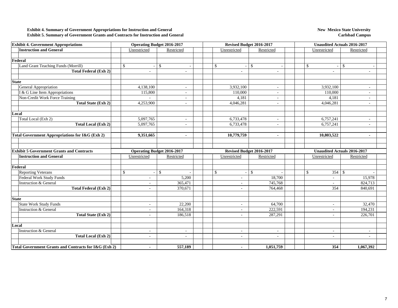#### **Exhibit 4. Summary of Government Appropriations for Instruction and General Exhibit 5. Summary of Government Grants and Contracts for Instruction and General**

| <b>Exhibit 4. Government Appropriations</b>           |                                | <b>Operating Budget 2016-2017</b> |  | Revised Budget 2016-2017 |                          |              | <b>Unaudited Actuals 2016-2017</b> |  |                                    |               |                                                                                                                                                                                 |  |
|-------------------------------------------------------|--------------------------------|-----------------------------------|--|--------------------------|--------------------------|--------------|------------------------------------|--|------------------------------------|---------------|---------------------------------------------------------------------------------------------------------------------------------------------------------------------------------|--|
| <b>Instruction and General</b>                        | Unrestricted                   | Restricted                        |  |                          | Unrestricted             |              | Restricted                         |  | Unrestricted                       |               | Restricted                                                                                                                                                                      |  |
|                                                       |                                |                                   |  |                          |                          |              |                                    |  |                                    |               |                                                                                                                                                                                 |  |
| Federal                                               |                                |                                   |  |                          |                          |              |                                    |  |                                    |               |                                                                                                                                                                                 |  |
| Land Grant Teaching Funds (Morrill)                   | \$                             | <sup>\$</sup>                     |  |                          | $\mathbb{S}$             | $\mathbb{S}$ |                                    |  | $\mathbb{S}$                       | $\mathcal{S}$ |                                                                                                                                                                                 |  |
| <b>Total Federal (Exh 2)</b>                          |                                | $\sim$                            |  |                          | $\sim$                   |              | $\sim$                             |  | $\sim$                             |               | ÷.<br>$\sim$<br>$\overline{\phantom{a}}$<br>$\frac{1}{2}$<br>$\frac{1}{2}$<br>٠<br>$\blacksquare$<br>Restricted<br>15,978<br>824,713<br>840,691<br>32,470<br>194,231<br>226,701 |  |
|                                                       |                                |                                   |  |                          |                          |              |                                    |  |                                    |               |                                                                                                                                                                                 |  |
| <b>State</b>                                          |                                |                                   |  |                          |                          |              |                                    |  |                                    |               |                                                                                                                                                                                 |  |
| General Appropriation                                 | 4,138,100                      | $\blacksquare$                    |  |                          | 3,932,100                |              | $\sim$                             |  | 3,932,100                          |               |                                                                                                                                                                                 |  |
| I & G Line Item Appropriations                        | 115,800                        | $\blacksquare$                    |  |                          | 110,000                  |              | $\overline{\phantom{a}}$           |  | 110,000                            |               |                                                                                                                                                                                 |  |
| Non-Credit Work Force Training                        |                                | ÷.                                |  |                          | 4,181                    |              |                                    |  | 4,181                              |               |                                                                                                                                                                                 |  |
| <b>Total State (Exh 2)</b>                            | 4,253,900                      | ÷.                                |  |                          | 4,046,281                |              | $\sim$                             |  | 4,046,281                          |               |                                                                                                                                                                                 |  |
|                                                       |                                |                                   |  |                          |                          |              |                                    |  |                                    |               |                                                                                                                                                                                 |  |
| Local                                                 |                                |                                   |  |                          |                          |              |                                    |  |                                    |               |                                                                                                                                                                                 |  |
| Total Local (Exh 2)                                   | 5,097,765                      |                                   |  |                          | 6,733,478                |              |                                    |  | 6,757,241                          |               |                                                                                                                                                                                 |  |
| <b>Total Local (Exh 2)</b>                            | 5,097,765                      |                                   |  |                          | 6,733,478                |              |                                    |  | 6,757,241                          |               |                                                                                                                                                                                 |  |
| Total Government Appropriations for I&G (Exh 2)       | 9,351,665                      |                                   |  |                          | 10,779,759               |              |                                    |  | 10,803,522                         |               |                                                                                                                                                                                 |  |
|                                                       |                                |                                   |  |                          |                          |              |                                    |  |                                    |               |                                                                                                                                                                                 |  |
| <b>Exhibit 5 Government Grants and Contracts</b>      |                                | <b>Operating Budget 2016-2017</b> |  |                          | Revised Budget 2016-2017 |              |                                    |  | <b>Unaudited Actuals 2016-2017</b> |               |                                                                                                                                                                                 |  |
| <b>Instruction and General</b>                        | Unrestricted                   | Restricted                        |  |                          | Unrestricted             |              | Restricted                         |  | Unrestricted                       |               |                                                                                                                                                                                 |  |
|                                                       |                                |                                   |  |                          |                          |              |                                    |  |                                    |               |                                                                                                                                                                                 |  |
| Federal                                               |                                |                                   |  |                          |                          |              |                                    |  |                                    |               |                                                                                                                                                                                 |  |
| <b>Reporting Veterans</b>                             | \$<br>$\overline{\phantom{a}}$ | <sup>\$</sup>                     |  |                          | $\mathbb{S}$             | $\mathbb{S}$ |                                    |  | \$<br>$354 \text{ }$ \$            |               |                                                                                                                                                                                 |  |
| Federal Work Study Funds                              |                                | 5,200                             |  |                          | $\sim$                   |              | 18,700                             |  | $\sim$                             |               |                                                                                                                                                                                 |  |
| Instruction & General                                 | $\overline{\phantom{a}}$       | 365,471                           |  |                          | $\sim$                   |              | 745,768                            |  | $\blacksquare$                     |               |                                                                                                                                                                                 |  |
| <b>Total Federal (Exh 2)</b>                          |                                | 370,671                           |  |                          | $\sim$                   |              | 764,468                            |  | 354                                |               |                                                                                                                                                                                 |  |
| <b>State</b>                                          |                                |                                   |  |                          |                          |              |                                    |  |                                    |               |                                                                                                                                                                                 |  |
| <b>State Work Study Funds</b>                         |                                | 22,200                            |  |                          | $\sim$                   |              | 64,700                             |  | $\sim$                             |               |                                                                                                                                                                                 |  |
| <b>Instruction &amp; General</b>                      | $\sim$                         | 164,318                           |  |                          | $\sim$                   |              | 222,591                            |  | $\sim$                             |               |                                                                                                                                                                                 |  |
| <b>Total State (Exh 2)</b>                            | $\sim$                         | 186,518                           |  |                          | $\sim$                   |              | 287,291                            |  | $\sim$                             |               |                                                                                                                                                                                 |  |
|                                                       |                                |                                   |  |                          |                          |              |                                    |  |                                    |               |                                                                                                                                                                                 |  |
| Local                                                 |                                |                                   |  |                          |                          |              |                                    |  |                                    |               |                                                                                                                                                                                 |  |
| <b>Instruction &amp; General</b>                      | $\overline{\phantom{a}}$       | $\overline{\phantom{a}}$          |  |                          | $\sim$                   |              |                                    |  | $\overline{\phantom{a}}$           |               | $\overline{\phantom{a}}$                                                                                                                                                        |  |
| <b>Total Local (Exh 2)</b>                            | $\sim$                         | ÷                                 |  |                          | $\sim$                   |              | $\sim$                             |  | $\sim$                             |               | ÷.                                                                                                                                                                              |  |
| Total Government Grants and Contracts for I&G (Exh 2) | 557,189                        |                                   |  |                          | $\blacksquare$           |              | 1,051,759                          |  | 354                                |               | 1,067,392                                                                                                                                                                       |  |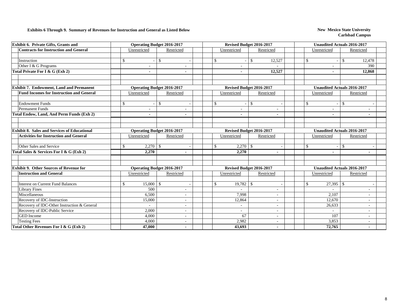### **Exhibits 6 Through 9. Summary of Revenues for Instruction and General as Listed Below New Mexico State University**

| Exhibit 6. Private Gifts, Grants and                |                                   | <b>Operating Budget 2016-2017</b> |  |                             | Revised Budget 2016-2017 | <b>Unaudited Actuals 2016-2017</b> |                                    |  |  |  |  |
|-----------------------------------------------------|-----------------------------------|-----------------------------------|--|-----------------------------|--------------------------|------------------------------------|------------------------------------|--|--|--|--|
| <b>Contracts for Instruction and General</b>        | Unrestricted                      | Restricted                        |  | Unrestricted                | Restricted               | Unrestricted                       | Restricted                         |  |  |  |  |
|                                                     |                                   |                                   |  |                             |                          |                                    |                                    |  |  |  |  |
| Instruction                                         | \$                                | $\mathbb{S}$                      |  | $\mathcal{S}$               | $\mathbb{S}$<br>12,527   | $\mathbf S$                        | 12,478<br><sup>\$</sup>            |  |  |  |  |
| Other I & G Programs                                |                                   |                                   |  |                             |                          |                                    | 390                                |  |  |  |  |
| Total Private For I & G (Exh 2)                     |                                   |                                   |  | $\blacksquare$              | 12,527                   | $\blacksquare$                     | 12,868                             |  |  |  |  |
|                                                     |                                   |                                   |  |                             |                          |                                    |                                    |  |  |  |  |
| <b>Exhibit 7. Endowment, Land and Permanent</b>     |                                   | <b>Operating Budget 2016-2017</b> |  |                             | Revised Budget 2016-2017 |                                    | <b>Unaudited Actuals 2016-2017</b> |  |  |  |  |
| <b>Fund Incomes for Instruction and General</b>     | Unrestricted                      | Restricted                        |  | Unrestricted                | Restricted               | Unrestricted                       | Restricted                         |  |  |  |  |
| <b>Endowment Funds</b>                              | \$                                | <sup>\$</sup>                     |  | $\mathcal{S}$               | $\mathbb{S}$             | $\mathbb{S}$                       | $\mathbb{S}$                       |  |  |  |  |
| Permanent Funds                                     |                                   |                                   |  |                             |                          |                                    |                                    |  |  |  |  |
| Total Endow, Land, And Perm Funds (Exh 2)           |                                   |                                   |  | $\blacksquare$              |                          |                                    |                                    |  |  |  |  |
|                                                     |                                   |                                   |  |                             |                          |                                    |                                    |  |  |  |  |
|                                                     |                                   |                                   |  |                             |                          |                                    |                                    |  |  |  |  |
| <b>Exhibit 8. Sales and Services of Educational</b> |                                   | <b>Operating Budget 2016-2017</b> |  |                             | Revised Budget 2016-2017 |                                    | <b>Unaudited Actuals 2016-2017</b> |  |  |  |  |
| <b>Activities for Instruction and General</b>       | Unrestricted                      | Restricted                        |  | Unrestricted                | Restricted               | Unrestricted                       | Restricted                         |  |  |  |  |
| Other Sales and Service                             | \$<br>$2,270$ \$                  |                                   |  | $\mathcal{S}$<br>$2,270$ \$ |                          | $\mathbb{S}$                       | $\boldsymbol{\mathsf{S}}$          |  |  |  |  |
| Total Sales & Services For I & G (Exh 2)            | 2,270                             |                                   |  | 2,270                       |                          |                                    |                                    |  |  |  |  |
|                                                     |                                   |                                   |  |                             |                          |                                    |                                    |  |  |  |  |
| <b>Exhibit 9. Other Sources of Revenue for</b>      |                                   | <b>Operating Budget 2016-2017</b> |  |                             | Revised Budget 2016-2017 |                                    | <b>Unaudited Actuals 2016-2017</b> |  |  |  |  |
| <b>Instruction and General</b>                      | Unrestricted                      | Restricted                        |  | Unrestricted                | Restricted               | Unrestricted                       | Restricted                         |  |  |  |  |
|                                                     |                                   |                                   |  |                             |                          |                                    |                                    |  |  |  |  |
| <b>Interest on Current Fund Balances</b>            | \$<br>$15,000$ \ \$               |                                   |  | $19,782$ \$<br>\$           |                          | $\mathbb{S}$<br>$27,395$ \$        |                                    |  |  |  |  |
| <b>Library Fines</b>                                | 500                               |                                   |  |                             | ٠                        |                                    |                                    |  |  |  |  |
| Miscellaneous                                       | 6,500                             |                                   |  | 7,998                       | $\overline{\phantom{a}}$ | 2,107                              |                                    |  |  |  |  |
| Recovery of IDC-Instruction                         | 15,000                            | $\overline{a}$                    |  | 12,864                      | $\overline{a}$           | 12,670                             |                                    |  |  |  |  |
| Recovery of IDC-Other Instruction & General         |                                   | ٠                                 |  | $\sim$                      | ٠                        | 26,633                             |                                    |  |  |  |  |
| Recovery of IDC-Public Service                      | 2,000                             | ٠                                 |  | $\sim$                      |                          |                                    |                                    |  |  |  |  |
| <b>GED</b> Income                                   | 4,000                             | $\overline{\phantom{a}}$          |  | 67<br>2,982                 | ٠                        | 107                                | $\overline{\phantom{a}}$           |  |  |  |  |
| <b>Testing Fees</b>                                 | 4,000<br>$\overline{\phantom{a}}$ |                                   |  |                             | $\sim$                   | 3,853                              | $\overline{\phantom{a}}$           |  |  |  |  |
| Total Other Revenues For I & G (Exh 2)              | 47,000                            | -                                 |  | 43,693                      | $\blacksquare$           | 72,765                             |                                    |  |  |  |  |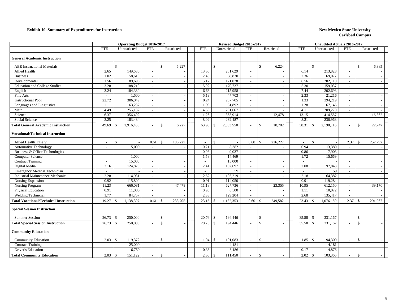#### **Exhibit 10. Summary of Expenditures for Instruction New Mexico State University**

|                                               |                          | <b>Operating Budget 2016-2017</b> |                             |                               |            | <b>Revised Budget 2016-2017</b> |                          |                          | <b>Unaudited Actuals 2016-2017</b> |                                 |                          |                    |         |  |
|-----------------------------------------------|--------------------------|-----------------------------------|-----------------------------|-------------------------------|------------|---------------------------------|--------------------------|--------------------------|------------------------------------|---------------------------------|--------------------------|--------------------|---------|--|
|                                               | <b>FTE</b>               | Unrestricted                      | <b>FTE</b>                  | Restricted                    | <b>FTE</b> | Unrestricted                    | <b>FTE</b>               | Restricted               | <b>FTE</b>                         | Unrestricted                    | <b>FTE</b>               | Restricted         |         |  |
| <b>General Academic Instruction</b>           |                          |                                   |                             |                               |            |                                 |                          |                          |                                    |                                 |                          |                    |         |  |
| <b>ABE</b> Instructional Materials            | $\overline{\phantom{a}}$ | \$                                | $\overline{\phantom{a}}$    | $\mathcal{S}$<br>6,227        |            | $\mathcal{S}$                   |                          | \$<br>6,224              | $\overline{\phantom{a}}$           | $\mathcal{S}$                   |                          | $\mathcal{S}$      | 6,385   |  |
| Allied Health                                 | 2.65                     | 149,636                           | $\sim$                      |                               | 13.36      | 251,629                         |                          |                          | 6.14                               | 213,828                         | $\sim$                   |                    |         |  |
| <b>Business</b>                               | 1.02                     | 58,610                            | $\sim$                      |                               | 2.45       | 68,830                          | $\sim$                   |                          | 2.36                               | 69,077                          | $\sim$                   |                    |         |  |
| Developmental                                 | 1.56                     | 89,696                            | $\sim$                      |                               | 5.17       | 121,028                         | $\sim$                   | $\overline{\phantom{a}}$ | 6.56                               | 202,110                         | $\sim$                   |                    |         |  |
| <b>Education and College Studies</b>          | 3.28                     | 188,219                           | $\mathcal{L}_{\mathcal{A}}$ |                               | 5.92       | 170,737                         | $\sim$                   |                          | 5.30                               | 159,037                         | $\sim$                   |                    |         |  |
| English                                       | 3.24                     | 184,380                           | $\sim$                      |                               | 6.66       | 215,958                         | $\sim$                   | $\overline{a}$           | 7.44                               | 202,693                         | $\sim$                   |                    |         |  |
| Fine Arts                                     | $\sim$                   | 1,500                             | $\sim$                      |                               | 5.19       | 47,703                          | $\sim$                   |                          | 2.33                               | 21,216                          | $\overline{\phantom{a}}$ |                    |         |  |
| <b>Instructional Pool</b>                     | 22.72                    | 386,049                           | $\mathcal{L}_{\mathcal{A}}$ |                               | 0.24       | 287,705                         | $\sim$                   |                          | 1.33                               | 394,219                         | $\sim$                   |                    |         |  |
| Languages and Linguistics                     | 1.11                     | 63,237                            | $\overline{\phantom{a}}$    |                               | 1.09       | 61.892                          | $\sim$                   |                          | 1.28                               | 67.146                          | $\sim$                   |                    |         |  |
| Math                                          | 4.49                     | 255,132                           | $\sim$                      |                               | 4.60       | 261,667                         | $\overline{\phantom{a}}$ |                          | 4.11                               | 209,270                         | $\overline{\phantom{a}}$ |                    |         |  |
| Science                                       | 6.37                     | 356,492                           | $\sim$                      |                               | 11.26      | 363,914                         | $\sim$                   | 12,478                   | 13.15                              | 414,557                         | $\sim$                   |                    | 16,362  |  |
| Social Science                                | 3.25                     | 183,484                           | $\overline{\phantom{a}}$    |                               | 8.02       | 232,487                         |                          |                          | 8.31                               | 236,963                         | $\overline{\phantom{a}}$ |                    |         |  |
| <b>Total General Academic Instruction</b>     | 49.69                    | 1,916,435<br>-\$                  | $\overline{\phantom{a}}$    | $\mathbf{\hat{S}}$<br>6,227   | 63.96      | 2,083,550<br>£.                 |                          | $\mathcal{S}$<br>18,702  | 58.31                              | $\mathbf{\hat{S}}$<br>2,190,116 | $\sim$                   | -\$                | 22,747  |  |
| Vocational/Technical Instruction              |                          |                                   |                             |                               |            |                                 |                          |                          |                                    |                                 |                          |                    |         |  |
| Allied Health Title V                         | $\sim$                   | $\mathcal{S}$                     | 0.61                        | 186,227<br>$\mathbf{\hat{S}}$ |            | \$                              | 0.60                     | 226,227<br>$\mathcal{S}$ | $\overline{\phantom{a}}$           | $\mathcal{S}$                   | 2.37                     | $\mathbf{s}$       | 252,797 |  |
| <b>Automotive Technology</b>                  | $\sim$                   | 5,000                             | $\sim$                      |                               | 0.21       | 8,382                           |                          |                          | 0.94                               | 13,380                          | $\sim$                   |                    |         |  |
| Business & Office Technologies                | $\overline{\phantom{a}}$ |                                   | $\sim$                      |                               | 0.98       | 9,037                           | $\sim$                   | $\sim$                   | 0.86                               | 7,903                           | $\sim$                   |                    |         |  |
| Computer Science                              | $\sim$                   | 1,000                             | $\sim$                      |                               | 1.58       | 14,469                          | $\sim$                   | $\overline{\phantom{a}}$ | 1.72                               | 15,669                          | $\sim$                   |                    |         |  |
| <b>Contract Training</b>                      | $\sim$                   | 15,000                            | $\sim$                      |                               |            | 15,000                          | $\sim$                   |                          | $\sim$                             |                                 | $\sim$                   |                    |         |  |
| Digital Media                                 | 2.16                     | 124,828                           | $\sim$                      |                               | 2.41       | 102,697                         | $\sim$                   | $\overline{\phantom{a}}$ | 2.08                               | 97,843                          | $\sim$                   |                    |         |  |
| <b>Emergency Medical Technician</b>           | $\sim$                   |                                   | $\sim$                      |                               | $\sim$     | 59                              | $\sim$                   | $\overline{\phantom{a}}$ | $\sim$                             | 59                              | $\sim$                   |                    |         |  |
| <b>Industrial Maintenance Mechanic</b>        | 2.28                     | 114,931                           | $\mathcal{L}_{\mathcal{A}}$ |                               | 2.62       | 103.219                         | $\sim$                   |                          | 2.18                               | 64,382                          | $\sim$                   |                    |         |  |
| Nursing Expansion                             | 0.92                     | 115,800                           | $\sim$                      |                               | 0.91       | 114,050                         | $\sim$                   |                          | 0.91                               | 119,284                         | $\sim$                   |                    |         |  |
| Nursing Program                               | 11.23                    | 666,081                           | $\sim$                      | 47,478                        | 11.18      | 627,736                         | $\sim$                   | 23,355                   | 10.95                              | 612,150                         | $\sim$                   |                    | 39,170  |  |
| <b>Physical Education</b>                     | 0.91                     | 11,000                            | $\sim$                      |                               | 0.93       | 8,500                           | $\sim$                   |                          | 1.11                               | 10,072                          | $\sim$                   |                    |         |  |
| Welding Technician                            | 1.77                     | 84,757                            | $\overline{\phantom{a}}$    |                               | 2.33       | 129,204                         |                          |                          | 2.68                               | 135,417                         | $\sim$                   |                    |         |  |
| <b>Total Vocational/Technical Instruction</b> | 19.27                    | 1,138,397<br>-\$                  | 0.61                        | $\mathcal{S}$<br>233,705      | 23.15      | 1,132,353<br>£.                 | 0.60                     | 249.582<br>-8            | 23.43                              | 1,076,159<br>$\mathbf{\hat{S}}$ | 2.37                     | -\$                | 291.967 |  |
| <b>Special Session Instruction</b>            |                          |                                   |                             |                               |            |                                 |                          |                          |                                    |                                 |                          |                    |         |  |
| <b>Summer Session</b>                         | 26.73                    | \$<br>250,000                     | $\sim$                      | $\mathcal{S}$                 | 20.76      | $\mathcal{S}$<br>194,446        |                          | $\mathcal{S}$            | 35.58                              | $\mathcal{S}$<br>331,167        | $\sim$                   | $\mathbf{s}$       |         |  |
| <b>Total Special Session Instruction</b>      | 26.73                    | $\mathbf{\hat{s}}$<br>250,000     |                             | $\mathbf{\hat{S}}$            | 20.76      | 194,446<br>$\mathcal{S}$        |                          | $\mathbf{\hat{S}}$       | 35.58                              | $\mathcal{S}$<br>331.167        |                          | $\mathbf{\hat{S}}$ |         |  |
| <b>Community Education</b>                    |                          |                                   |                             |                               |            |                                 |                          |                          |                                    |                                 |                          |                    |         |  |
| <b>Community Education</b>                    | 2.03                     | \$<br>119,372                     | $\overline{\phantom{a}}$    | $\mathbf{\hat{S}}$            | 1.94       | 101,083<br>-S                   |                          | $\mathcal{S}$            | 1.85                               | $\mathbf{\hat{S}}$<br>94,309    | $\sim$                   | -\$                |         |  |
| <b>Contract Training</b>                      | $\sim$                   | 25,000                            | $\sim$                      |                               |            | 4,181                           | $\sim$                   | $\sim$                   | $\sim$                             | 4,181                           | $\sim$                   |                    |         |  |
| Driver's Education                            |                          | 6,750                             | $\sim$                      |                               | 0.36       | 6,186                           |                          |                          | 0.17                               | 4,876                           | $\sim$                   |                    |         |  |
| <b>Total Community Education</b>              | 2.03                     | 151,122<br>\$                     |                             | $\mathbf{\hat{S}}$            | 2.30       | 111,450<br>$\mathcal{S}$        |                          | $\mathcal{S}$            | 2.02                               | $\mathcal{S}$<br>103,366        |                          | $\mathcal{S}$      |         |  |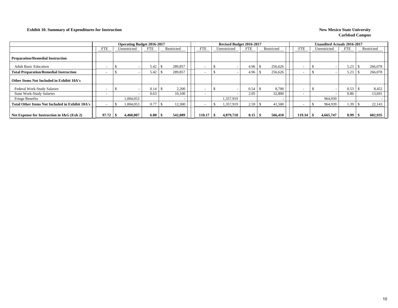#### **Exhibit 10. Summary of Expenditures for Instruction New Mexico State University**

|                                                        |       |    | <b>Operating Budget 2016-2017</b> |            |            |            | Revised Budget 2016-2017 |              |            |  |            |  |                          | <b>Unaudited Actuals 2016-2017</b> |              |            |      |            |  |
|--------------------------------------------------------|-------|----|-----------------------------------|------------|------------|------------|--------------------------|--------------|------------|--|------------|--|--------------------------|------------------------------------|--------------|------------|------|------------|--|
|                                                        | FTE   |    | Unrestricted                      | <b>FTE</b> | Restricted | <b>FTE</b> |                          | Unrestricted | <b>FTE</b> |  | Restricted |  | <b>FTE</b>               |                                    | Unrestricted | <b>FTE</b> |      | Restricted |  |
| <b>Preparation/Remedial Instruction</b>                |       |    |                                   |            |            |            |                          |              |            |  |            |  |                          |                                    |              |            |      |            |  |
| <b>Adult Basic Education</b>                           |       |    |                                   | 5.42       | 289,857    |            |                          |              | 4.96       |  | 256,626    |  | <b>.</b>                 |                                    |              | 5.23       |      | 266,078    |  |
| <b>Total Preparation/Remedial Instruction</b>          |       |    |                                   | 5.42       | 289,857    |            |                          |              | 4.96       |  | 256,626    |  |                          |                                    |              | 5.23       |      | 266,078    |  |
| Other Items Not Included in Exhibit 10A's              |       |    |                                   |            |            |            |                          |              |            |  |            |  |                          |                                    |              |            |      |            |  |
| Federal Work-Study Salaries                            |       |    |                                   | 0.14       | 2,200      |            |                          |              | 0.54       |  | 8,700      |  |                          |                                    |              | 0.53       |      | 8,452      |  |
| <b>State Work-Study Salaries</b>                       |       |    |                                   | 0.63       | 10,100     |            |                          |              | 2.05       |  | 32,800     |  | $\overline{\phantom{0}}$ |                                    |              | 0.86       |      | 13,691     |  |
| <b>Fringe Benefits</b>                                 |       |    | 1.004.053                         |            |            |            |                          | 1.357.919    |            |  |            |  |                          |                                    | 964,939      |            |      |            |  |
| <b>Total Other Items Not Included in Exhibit 10A's</b> |       |    | 1,004,053                         | 0.77       | 12,300     |            |                          | 1,357,919    | 2.59       |  | 41,500     |  | $\overline{\phantom{0}}$ |                                    | 964,939      | 1.39       |      | 22,143     |  |
| Net Expense for Instruction in $I\&G$ (Exh 2)          | 97.72 | 'N | 4,460,007                         | 6.80       | 542,089    | 110.17     |                          | 4,879,718    | 8.15       |  | 566,410    |  | 119.34                   |                                    | 4,665,747    | 8.99       | - 71 | 602,935    |  |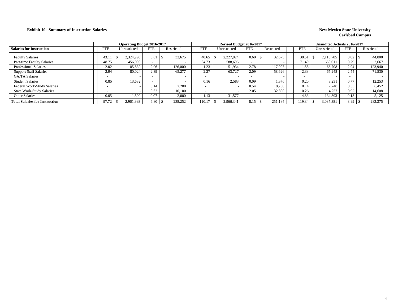#### **Exhibit 10. Summary of Instruction Salaries** New Mexico State University

|                                       |                          | <b>Operating Budget 2016-2017</b> |                          |                |            | Revised Budget 2016-2017 |            |            |                          | <b>Unaudited Actuals 2016-2017</b> |                          |            |
|---------------------------------------|--------------------------|-----------------------------------|--------------------------|----------------|------------|--------------------------|------------|------------|--------------------------|------------------------------------|--------------------------|------------|
| <b>Salaries for Instruction</b>       | FTE                      | Unrestricted                      | <b>FTE</b>               | Restricted     | <b>FTE</b> | Unrestricted             | <b>FTE</b> | Restricted | <b>FTE</b>               | Unrestricted                       | <b>FTE</b>               | Restricted |
| <b>Faculty Salaries</b>               | 43.1                     | 2.324.998                         | 0.61                     | 32,675<br>- 75 | 40.65      | 2.227.824                | 0.60       | 32,675     | 38.51                    | 2.110.785                          | 0.82                     | 44,800     |
| Part-time Faculty Salaries            | 48.75                    | 456,000                           | $\overline{\phantom{0}}$ |                | 64.73      | 588.696                  |            |            | 71.49                    | 650.011                            | 0.29                     | 2,667      |
| <b>Professional Salaries</b>          | 2.02                     | 85,839                            | 2.96                     | 126,000        | 1.23       | 51,934                   | 2.78       | 117,007    | 1.58                     | 66,708                             | 2.94                     | 123,940    |
| <b>Support Staff Salaries</b>         | 2.94                     | 80,024                            | 2.39                     | 65,277         | 2.27       | 63,727                   | 2.09       | 58,626     | 2.33                     | 65,248                             | 2.54                     | 71,530     |
| <b>GA/TA Salaries</b>                 | $\overline{\phantom{0}}$ |                                   | $\overline{\phantom{0}}$ |                |            |                          |            |            | $\overline{\phantom{0}}$ |                                    | $\overline{\phantom{0}}$ |            |
| <b>Student Salaries</b>               | 0.85                     | 13.632                            |                          |                | 0.16       | 2,583                    | 0.09       | 1,376      | 0.20                     | 3.231                              | 0.77                     | 12,253     |
| Federal Work-Study Salaries           | $\overline{\phantom{0}}$ |                                   | 0.14                     | 2.200          |            |                          | 0.54       | 8.700      | 0.14                     | 2,248                              | 0.53                     | 8,452      |
| <b>State Work-Study Salaries</b>      | $\overline{\phantom{0}}$ |                                   | 0.63                     | 10.100         |            |                          | 2.05       | 32.800     | 0.26                     | 4.257                              | 0.92                     | 14,608     |
| <b>Other Salaries</b>                 | 0.05                     | 1,500                             | 0.07                     | 2,000          | 1.13       | 31,577                   |            |            | 4.83                     | 134.893                            | 0.18                     | 5,125      |
| <b>Total Salaries for Instruction</b> | 97.72                    | 2,961,993                         | 6.80                     | 238,252        | 110.1      | 2,966,341                | 8.15       | 251,184    | 19.34                    | 3,037,381                          | 8.99                     | 283,375    |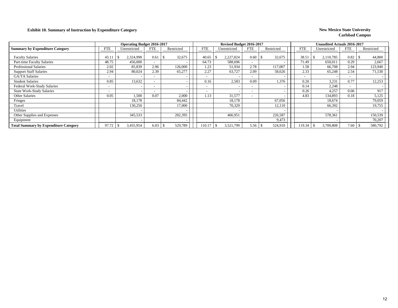### **Exhibit 10. Summary of Instruction by Expenditure Category New Mexico State University**

|                                              |            | <b>Operating Budget 2016-2017</b> |            |            |            | Revised Budget 2016-2017 |                          |                          |                          | <b>Unaudited Actuals 2016-2017</b> |                          |            |
|----------------------------------------------|------------|-----------------------------------|------------|------------|------------|--------------------------|--------------------------|--------------------------|--------------------------|------------------------------------|--------------------------|------------|
| <b>Summary by Expenditure Category</b>       | <b>FTE</b> | Unrestricted                      | <b>FTE</b> | Restricted | <b>FTE</b> | Unrestricted             | <b>FTE</b>               | Restricted               | <b>FTE</b>               | Unrestricted                       | <b>FTE</b>               | Restricted |
| <b>Faculty Salaries</b>                      | 43.1'      | 2,324,998                         | 0.61       | 32,675     | 40.65      | 2,227,824                | 0.60                     | 32,675                   | 38.51                    | 2,110,785                          | 0.82                     | 44,800     |
| Part-time Faculty Salaries                   | 48.75      | 456,000                           |            |            | 64.73      | 588,696                  | $\overline{\phantom{a}}$ |                          | 71.49                    | 650,011                            | 0.29                     | 2,667      |
| <b>Professional Salaries</b>                 | 2.02       | 85,839                            | 2.96       | 126,000    | 1.23       | 51,934                   | 2.78                     | 117,007                  | 1.58                     | 66,708                             | 2.94                     | 123,940    |
| <b>Support Staff Salaries</b>                | 2.94       | 80,024                            | 2.39       | 65,277     | 2.27       | 63,727                   | 2.09                     | 58,626                   | 2.33                     | 65,248                             | 2.54                     | 71,530     |
| GA/TA Salaries                               |            |                                   |            |            |            |                          | $\overline{\phantom{a}}$ |                          | $\overline{\phantom{a}}$ |                                    | $\overline{\phantom{0}}$ |            |
| <b>Student Salaries</b>                      | 0.85       | 13,632                            |            |            | 0.16       | 2,583                    | 0.09                     | 1,376                    | 0.20                     | 3,231                              | 0.77                     | 12,253     |
| Federal Work-Study Salaries                  |            |                                   |            |            |            |                          | $\sim$                   |                          | 0.14                     | 2,248                              | $\overline{\phantom{0}}$ |            |
| <b>State Work-Study Salaries</b>             |            |                                   |            |            |            |                          | $\overline{\phantom{0}}$ |                          | 0.26                     | 4,257                              | 0.06                     | 917        |
| <b>Other Salaries</b>                        | 0.05       | 1,500                             | 0.07       | 2,000      | 1.13       | 31,577                   | $\sim$                   |                          | 4.83                     | 134,893                            | 0.18                     | 5,125      |
| Fringes                                      |            | 18,178                            |            | 84,442     |            | 18,178                   |                          | 67,056                   |                          | 18,674                             |                          | 79,059     |
| Travel                                       |            | 130,250                           |            | 17,000     |            | 70,329                   |                          | 12,110                   |                          | 66,392                             |                          | 19,755     |
| <b>Utilities</b>                             |            |                                   |            |            |            |                          |                          | $\overline{\phantom{0}}$ |                          |                                    |                          |            |
| Other Supplies and Expenses                  |            | 345,533                           |            | 202,395    |            | 466,951                  |                          | 226,587                  |                          | 578,361                            |                          | 150,539    |
| Equipment                                    |            |                                   |            |            |            |                          |                          | 9,473                    |                          |                                    |                          | 70,207     |
| <b>Total Summary by Expenditure Category</b> | 97.72      | 3,455,954                         | 6.03       | 529,789    | 110.17     | 3,521,799                | 5.56                     | 524,910                  | 119.34                   | 3,700,808                          | 7.60                     | 580,792    |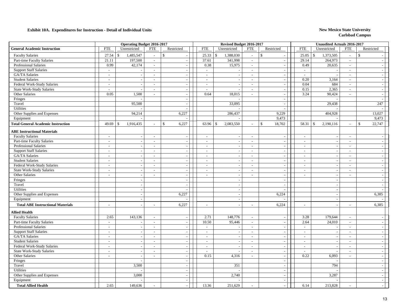|                                           |                          | <b>Operating Budget 2016-2017</b> |                             |                          |                          | Revised Budget 2016-2017 |                          |                          |                          | <b>Unaudited Actuals 2016-2017</b> |                          |                          |
|-------------------------------------------|--------------------------|-----------------------------------|-----------------------------|--------------------------|--------------------------|--------------------------|--------------------------|--------------------------|--------------------------|------------------------------------|--------------------------|--------------------------|
| <b>General Academic Instruction</b>       | <b>FTE</b>               | Unrestricted                      | <b>FTE</b>                  | Restricted               | <b>FTE</b>               | Unrestricted             | <b>FTE</b>               | Restricted               | <b>FTE</b>               | Unrestricted                       | ${\rm FTE}$              | Restricted               |
| <b>Faculty Salaries</b>                   | 27.54                    | 1,485,547<br>$\mathbb{S}$         | $\overline{a}$              | $\mathbb{S}$             | 25.33<br>$\mathcal{S}$   | 1,388,030                | $\omega$                 | $\mathbf S$              | 25.05                    | 1,373,505<br>$\mathbf{\hat{S}}$    | $\sim$                   | $\mathbb{S}$             |
| Part-time Faculty Salaries                | 21.11                    | 197,500                           | $\sim$                      | $\overline{\phantom{a}}$ | 37.61                    | 341,998                  | $\sim$                   | $\sim$                   | 29.14                    | 264,973                            | $\sim$                   |                          |
| <b>Professional Salaries</b>              | 0.99                     | 42,174                            | $\overline{\phantom{a}}$    | $\overline{\phantom{a}}$ | 0.38                     | 15,975                   | $\sim$                   | $\overline{\phantom{a}}$ | 0.49                     | 20,635                             | $\sim$                   |                          |
| <b>Support Staff Salaries</b>             | $\sim$                   |                                   | $\mathcal{L}_{\mathcal{A}}$ | $\sim$                   | $\sim$                   |                          | $\sim$                   | $\overline{\phantom{a}}$ | $\sim$                   |                                    | $\sim$                   |                          |
| GA/TA Salaries                            | $\sim$                   | $\sim$                            | $\overline{\phantom{a}}$    | $\sim$                   | $\overline{\phantom{a}}$ |                          | $\sim$                   | $\sim$                   | $\sim$                   |                                    | $\sim$                   |                          |
| <b>Student Salaries</b>                   | $\sim$                   | $\sim$                            | $\overline{\phantom{a}}$    | $\overline{\phantom{a}}$ | $\sim$                   | $\sim$                   | $\sim$                   | $\sim$                   | 0.20                     | 3,164                              | $\sim$                   | $\sim$                   |
| Federal Work-Study Salaries               | $\sim$                   | $\overline{\phantom{a}}$          | $\blacksquare$              | $\overline{\phantom{a}}$ | $\sim$                   | $\overline{\phantom{a}}$ | $\sim$                   | $\overline{\phantom{a}}$ | 0.04                     | 684                                | $\overline{\phantom{a}}$ | $\sim$                   |
| <b>State Work-Study Salaries</b>          | $\sim$                   | $\overline{\phantom{a}}$          | $\overline{\phantom{a}}$    | $\sim$                   | $\sim$                   | $\overline{\phantom{a}}$ | $\sim$                   | $\overline{\phantom{a}}$ | 0.15                     | 2,365                              | $\mathcal{L}$            | $\sim$                   |
| Other Salaries                            | 0.05                     | 1,500                             | $\overline{\phantom{a}}$    | $\overline{a}$           | 0.64                     | 18,015                   | $\sim$                   | $\overline{\phantom{a}}$ | 3.24                     | 90,424                             | $\sim$                   |                          |
| Fringes                                   |                          |                                   |                             | $\overline{\phantom{a}}$ |                          |                          |                          | $\overline{\phantom{a}}$ |                          |                                    |                          |                          |
| Travel                                    |                          | 95,500                            |                             | $\sim$                   |                          | 33,095                   |                          | $\overline{\phantom{a}}$ |                          | 29,438                             |                          | 247                      |
| Utilities                                 |                          |                                   |                             | $\sim$                   |                          |                          |                          | $\sim$                   |                          |                                    |                          |                          |
| Other Supplies and Expenses               |                          | 94,214                            |                             | 6,227                    |                          | 286,437                  |                          | 9,229                    |                          | 404,928                            |                          | 13,027                   |
| Equipment                                 |                          |                                   |                             |                          |                          |                          |                          | 9,473                    |                          |                                    |                          | 9,473                    |
| <b>Total General Academic Instruction</b> | 49.69                    | 1,916,435<br>-\$                  |                             | $\mathbb{S}$<br>6,227    | 63.96<br>\$              | 2,083,550                | $\sim$                   | 18,702<br>$\mathcal{S}$  | 58.31                    | 2,190,116<br>$\mathbb{S}$          | $\sim$                   | $\mathbb{S}$<br>22,747   |
| <b>ABE Instructional Materials</b>        |                          |                                   |                             |                          |                          |                          |                          |                          |                          |                                    |                          |                          |
| <b>Faculty Salaries</b>                   | $\sim$                   | $\sim$                            | $\mathcal{L}_{\mathcal{A}}$ | $\overline{a}$           | $\sim$                   | $\sim$                   | $\sim$                   | $\sim$                   | $\sim$                   | $\sim$                             | $\sim$                   |                          |
| Part-time Faculty Salaries                | $\sim$                   | $\sim$                            | $\sim$                      | $\overline{a}$           | $\sim$                   |                          | $\sim$                   | $\sim$                   | $\sim$                   | $\sim$                             | $\sim$                   |                          |
| Professional Salaries                     | $\sim$                   | $\sim$                            | $\sim$                      | $\overline{\phantom{a}}$ | $\overline{\phantom{a}}$ | $\sim$                   | $\sim$                   | $\sim$                   | $\sim$                   | $\sim$                             | $\sim$                   | $\overline{\phantom{a}}$ |
| <b>Support Staff Salaries</b>             | $\sim$                   | $\sim$                            | $\overline{a}$              | $\sim$                   | $\sim$                   | $\overline{a}$           | $\sim$                   | $\blacksquare$           | $\sim$                   | $\sim$                             | $\sim$                   | $\sim$                   |
| <b>GA/TA</b> Salaries                     | $\sim$                   | $\sim$                            | $\blacksquare$              | $\sim$                   | $\sim$                   | $\overline{\phantom{a}}$ | $\sim$                   | $\sim$                   | $\sim$                   | $\sim$                             | $\sim$                   | $\overline{\phantom{a}}$ |
| <b>Student Salaries</b>                   | $\sim$                   | $\overline{\phantom{a}}$          | $\blacksquare$              | $\sim$                   | $\overline{\phantom{a}}$ |                          | $\sim$                   | $\sim$                   | $\sim$                   | $\sim$                             | $\sim$                   | $\overline{\phantom{a}}$ |
| Federal Work-Study Salaries               | $\sim$                   | $\sim$                            | $\overline{a}$              | $\overline{\phantom{a}}$ | $\overline{\phantom{a}}$ | $\sim$                   | $\sim$                   | $\blacksquare$           | $\sim$                   | $\overline{\phantom{a}}$           | $\sim$                   | $\sim$                   |
| <b>State Work-Study Salaries</b>          | $\sim$                   |                                   | $\blacksquare$              |                          |                          |                          | $\sim$                   | $\sim$                   | $\overline{\phantom{a}}$ |                                    |                          |                          |
| Other Salaries                            | $\overline{\phantom{a}}$ | $\sim$                            | $\overline{\phantom{a}}$    | $\overline{\phantom{a}}$ | $\sim$                   |                          | $\sim$                   | $\overline{\phantom{a}}$ | $\frac{1}{2}$            | $\overline{\phantom{a}}$           | $\sim$                   |                          |
| Fringes                                   |                          | $\sim$                            |                             | $\sim$                   |                          | $\overline{\phantom{a}}$ |                          | $\overline{\phantom{a}}$ |                          | $\overline{\phantom{a}}$           |                          | $\overline{\phantom{a}}$ |
| Travel                                    |                          | $\sim$                            |                             | $\sim$                   |                          | $\overline{\phantom{a}}$ |                          | $\overline{\phantom{a}}$ |                          | $\overline{\phantom{a}}$           |                          |                          |
| Utilities                                 |                          | $\sim$                            |                             |                          |                          | $\overline{a}$           |                          | $\overline{\phantom{a}}$ |                          | $\sim$                             |                          |                          |
| Other Supplies and Expenses               |                          | $\sim$                            |                             | 6,227                    |                          |                          |                          | 6,224                    |                          | $\overline{\phantom{a}}$           |                          | 6,385                    |
| Equipment                                 |                          | $\sim$                            |                             |                          |                          | $\sim$                   |                          |                          |                          | $\sim$                             |                          |                          |
| <b>Total ABE Instructional Materials</b>  | $\sim$                   |                                   | $\blacksquare$              | 6,227                    |                          | $\overline{a}$           | $\overline{\phantom{a}}$ | 6,224                    | $\overline{\phantom{a}}$ |                                    | $\sim$                   | 6,385                    |
| <b>Allied Health</b>                      |                          |                                   |                             |                          |                          |                          |                          |                          |                          |                                    |                          |                          |
| <b>Faculty Salaries</b>                   | 2.65                     | 143,136                           | $\sim$                      | $\overline{\phantom{a}}$ | 2.71                     | 148,776                  | $\sim$                   | $\overline{\phantom{a}}$ | 3.28                     | 179,644                            | $\overline{\phantom{a}}$ |                          |
| Part-time Faculty Salaries                | $\sim$                   |                                   | $\sim$                      | $\overline{\phantom{a}}$ | 10.50                    | 95,446                   | $\sim$                   | $\overline{\phantom{a}}$ | 2.64                     | 24,010                             | $\sim$                   | $\overline{\phantom{a}}$ |
| <b>Professional Salaries</b>              | $\sim$                   |                                   | $\overline{a}$              | $\sim$                   | $\sim$                   |                          | $\sim$                   | $\sim$                   | $\overline{\phantom{a}}$ | $\overline{\phantom{a}}$           | $\overline{\phantom{a}}$ |                          |
| <b>Support Staff Salaries</b>             | $\sim$                   | $\overline{\phantom{a}}$          | $\sim$                      | $\overline{\phantom{a}}$ | $\sim$                   | $\overline{\phantom{a}}$ | $\sim$                   | $\overline{\phantom{a}}$ | $\sim$                   | $\overline{\phantom{a}}$           | $\sim$                   | $\overline{\phantom{a}}$ |
| GA/TA Salaries                            | $\overline{\phantom{a}}$ |                                   | $\blacksquare$              |                          | $\sim$                   |                          | $\overline{\phantom{a}}$ | $\overline{\phantom{a}}$ | $\sim$                   |                                    | $\sim$                   |                          |
| <b>Student Salaries</b>                   | $\overline{\phantom{a}}$ | $\sim$                            | $\sim$                      | $\sim$                   | $\overline{a}$           | $\sim$                   | $\sim$                   | $\mathbb{L}$             | $\overline{a}$           | $\sim$                             | $\sim$                   |                          |
| Federal Work-Study Salaries               | $\sim$                   | $\overline{\phantom{a}}$          | $\sim$                      | $\sim$                   | $\sim$                   |                          | $\sim$                   | $\overline{\phantom{a}}$ | $\overline{\phantom{a}}$ | $\overline{\phantom{a}}$           | $\sim$                   |                          |
| <b>State Work-Study Salaries</b>          | $\sim$                   | $\overline{\phantom{a}}$          | $\sim$                      | $\overline{\phantom{a}}$ | $\sim$                   |                          | $\sim$                   | $\overline{\phantom{a}}$ | $\overline{a}$           | $\overline{\phantom{a}}$           | $\sim$                   | $\sim$                   |
| Other Salaries                            | $\sim$                   | $\sim$                            | $\sim$                      | $\sim$                   | 0.15                     | 4,316                    | $\sim$                   | $\sim$                   | 0.22                     | 6,093                              | $\sim$                   |                          |
| Fringes                                   |                          | $\sim$                            |                             | $\sim$                   |                          |                          |                          | $\overline{\phantom{a}}$ |                          |                                    |                          |                          |
| Travel                                    |                          | 3,500                             |                             | $\sim$                   |                          | 351                      |                          | $\overline{a}$           |                          | 794                                |                          |                          |
| Utilities                                 |                          |                                   |                             | $\sim$                   |                          |                          |                          | $\overline{\phantom{a}}$ |                          |                                    |                          | $\overline{\phantom{a}}$ |
| Other Supplies and Expenses               |                          | 3,000                             |                             | $\overline{\phantom{a}}$ |                          | 2,740                    |                          | $\overline{\phantom{a}}$ |                          | 3,287                              |                          | $\sim$                   |
| Equipment                                 |                          |                                   |                             | $\overline{\phantom{a}}$ |                          |                          |                          | $\sim$                   |                          |                                    |                          | $\overline{\phantom{a}}$ |
| <b>Total Allied Health</b>                | 2.65                     | 149,636                           | $\overline{a}$              |                          | 13.36                    | 251,629                  |                          |                          | 6.14                     | 213,828                            | $\overline{a}$           |                          |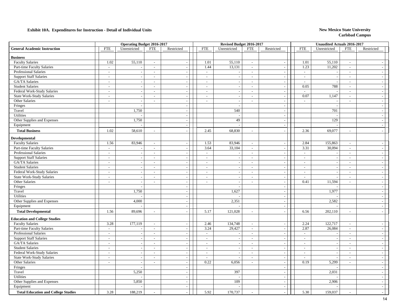|                                            |                          | <b>Operating Budget 2016-2017</b> |                          |                          |                | Revised Budget 2016-2017 |                             |                          |                          | <b>Unaudited Actuals 2016-2017</b> |                          |                |
|--------------------------------------------|--------------------------|-----------------------------------|--------------------------|--------------------------|----------------|--------------------------|-----------------------------|--------------------------|--------------------------|------------------------------------|--------------------------|----------------|
| <b>General Academic Instruction</b>        | <b>FTE</b>               | Unrestricted                      | <b>FTE</b>               | Restricted               | <b>FTE</b>     | Unrestricted             | <b>FTE</b>                  | Restricted               | <b>FTE</b>               | Unrestricted                       | <b>FTE</b>               | Restricted     |
| <b>Business</b>                            |                          |                                   |                          |                          |                |                          |                             |                          |                          |                                    |                          |                |
| <b>Faculty Salaries</b>                    | 1.02                     | 55,110                            | $\sim$                   | $\sim$                   | 1.01           | 55,110                   | $\sim$                      | $\overline{\phantom{a}}$ | 1.01                     | 55,110                             | $\overline{\phantom{a}}$ | $\sim$         |
| Part-time Faculty Salaries                 | $\sim$                   |                                   | $\overline{\phantom{a}}$ | $\mathbb{L}$             | 1.44           | 13,131                   | $\mathbb{L}$                | $\overline{\phantom{a}}$ | 1.23                     | 11,202                             | $\sim$                   | $\sim$         |
| Professional Salaries                      | $\overline{\phantom{a}}$ |                                   | $\sim$                   | $\sim$                   | $\sim$         |                          | $\sim$                      |                          | $\sim$                   |                                    | $\overline{a}$           | $\sim$         |
| <b>Support Staff Salaries</b>              | $\sim$                   | $\sim$                            | $\sim$                   | $\sim$                   | $\sim$         | $\sim$                   | $\sim$                      | $\overline{\phantom{a}}$ | $\overline{\phantom{a}}$ | $\overline{\phantom{a}}$           | $\overline{\phantom{a}}$ | $\sim$         |
| GA/TA Salaries                             | $\sim$                   |                                   | $\overline{\phantom{a}}$ | $\sim$                   | $\sim$         | $\sim$                   | $\sim$                      | $\sim$                   | $\sim$                   | $\overline{\phantom{a}}$           | $\sim$                   | $-1$           |
| <b>Student Salaries</b>                    | $\overline{\phantom{a}}$ | $\overline{\phantom{a}}$          | $\sim$                   | $\sim$                   | $\sim$         |                          | $\sim$                      | $\overline{\phantom{a}}$ | 0.05                     | 788                                | $\overline{\phantom{a}}$ | $=$            |
| Federal Work-Study Salaries                | $\sim$                   |                                   | $\blacksquare$           | $\sim$                   | $\blacksquare$ |                          | $\mathcal{L}_{\mathcal{A}}$ | $\blacksquare$           | $\blacksquare$           |                                    | $\sim$                   | $-1$           |
| <b>State Work-Study Salaries</b>           | $\sim$                   | $\overline{\phantom{a}}$          | $\sim$                   | $\overline{\phantom{a}}$ | $\sim$         | $\overline{a}$           | $\sim$                      | $\overline{\phantom{a}}$ | 0.07                     | 1,147                              | $\overline{\phantom{a}}$ | $=$            |
| Other Salaries                             | $\overline{\phantom{a}}$ | $\overline{a}$                    | $\sim$                   | $\sim$                   | $\sim$         | $\sim$                   | $\sim$                      | $\overline{\phantom{a}}$ | $\sim$                   | $\overline{\phantom{a}}$           | $\sim$                   | $\sim$         |
| Fringes                                    |                          |                                   |                          | $\sim$                   |                |                          |                             | $\overline{\phantom{a}}$ |                          | ÷.                                 |                          | $\sim$         |
| Travel                                     |                          | 1,750                             |                          | $\overline{\phantom{a}}$ |                | 540                      |                             | $\overline{\phantom{a}}$ |                          | 701                                |                          | $-$            |
| Utilities                                  |                          |                                   |                          | $\sim$                   |                | $\overline{a}$           |                             | $\sim$                   |                          | $\sim$                             |                          | $\sim$         |
| Other Supplies and Expenses                |                          | 1,750                             |                          | $\sim$                   |                | 49                       |                             | $\sim$                   |                          | 129                                |                          | $=$            |
| Equipment                                  |                          |                                   |                          | $\sim$                   |                |                          |                             | $\overline{\phantom{a}}$ |                          |                                    |                          | $=$            |
| <b>Total Business</b>                      | 1.02                     | 58,610                            | $\sim$                   |                          | 2.45           | 68,830                   | $\sim$                      | $\overline{a}$           | 2.36                     | 69,077                             | $\sim$                   |                |
| Developmental                              |                          |                                   |                          |                          |                |                          |                             |                          |                          |                                    |                          |                |
| <b>Faculty Salaries</b>                    | 1.56                     | 83,946                            | $\overline{\phantom{a}}$ | $\overline{\phantom{a}}$ | 1.53           | 83,946                   | $\sim$                      | $\overline{\phantom{a}}$ | 2.84                     | 155,863                            | $\sim$                   | $\sim$         |
| Part-time Faculty Salaries                 | $\mathbb{L}$             |                                   | $\overline{\phantom{a}}$ | $\overline{\phantom{a}}$ | 3.64           | 33,104                   | $\mathbb{Z}^2$              | $\overline{\phantom{a}}$ | 3.31                     | 30,094                             | $\overline{\phantom{a}}$ | $-1$           |
| <b>Professional Salaries</b>               | $\sim$                   | $\overline{\phantom{a}}$          | $\mathcal{L}$            | $\sim$                   | $\sim$         |                          | $\mathcal{L}$               | $\overline{\phantom{a}}$ | $\mathcal{L}$            |                                    | $\sim$                   | $\overline{a}$ |
| <b>Support Staff Salaries</b>              | $\sim$                   | $\overline{a}$                    | $\sim$                   | $\overline{a}$           | $\overline{a}$ |                          | $\sim$                      | $\sim$                   | $\overline{a}$           | $\sim$                             | $\sim$                   | $\overline{a}$ |
| GA/TA Salaries                             | $\overline{\phantom{a}}$ |                                   | $\sim$                   | $\sim$                   | $\sim$         |                          | $\sim$                      | $\sim$                   | $\sim$                   | $\sim$                             | $\sim$                   | $\sim$ 1       |
| <b>Student Salaries</b>                    | $\overline{\phantom{a}}$ | $\sim$                            | $\sim$                   | $\sim$                   | $\sim$         |                          | $\sim$                      | $\overline{\phantom{a}}$ | $\overline{\phantom{a}}$ | $\overline{\phantom{a}}$           | $\sim$                   | $-1$           |
| Federal Work-Study Salaries                | $\sim$                   | $\overline{\phantom{a}}$          | $\overline{\phantom{a}}$ | $\mathcal{L}$            | $\sim$         | $\sim$                   | $\sim$                      | $\mathbb{Z}^2$           | $\sim$                   | $\overline{\phantom{a}}$           | $\sim$                   | $-1$           |
| <b>State Work-Study Salaries</b>           | $\sim$                   |                                   | $\sim$                   | $\overline{a}$           | $\sim$         |                          | $\sim$                      | $\sim$                   | $\overline{a}$           |                                    | $\sim$                   | $\sim$         |
| Other Salaries                             | $\sim$                   | $\sim$                            | $\sim$                   | $\overline{\phantom{a}}$ | $\sim$         | $\sim$                   | $\sim$                      | $\overline{\phantom{a}}$ | 0.41                     | 11,594                             | $\overline{\phantom{a}}$ | $-1$           |
| Fringes                                    |                          |                                   |                          | $\overline{\phantom{a}}$ |                |                          |                             | $\overline{\phantom{a}}$ |                          |                                    |                          | $\sim$         |
| Travel                                     |                          | 1,750                             |                          | $\sim$                   |                | 1,627                    |                             | $\sim$                   |                          | 1,977                              |                          | $\sim$ 1       |
| Utilities                                  |                          |                                   |                          | $\sim$                   |                |                          |                             | $\sim$                   |                          |                                    |                          | $-$            |
| Other Supplies and Expenses                |                          | 4,000                             |                          | $\sim$                   |                | 2,351                    |                             | $\sim$                   |                          | 2,582                              |                          | $\sim$ 1       |
| Equipment                                  |                          |                                   |                          | $\sim$                   |                |                          |                             | $\sim$                   |                          |                                    |                          | $\sim$         |
| <b>Total Developmental</b>                 | 1.56                     | 89,696                            | $\sim$                   |                          | 5.17           | 121,028                  | $\sim$                      | $\overline{\phantom{a}}$ | 6.56                     | 202,110                            | $\overline{a}$           |                |
| <b>Education and College Studies</b>       |                          |                                   |                          |                          |                |                          |                             |                          |                          |                                    |                          |                |
| <b>Faculty Salaries</b>                    | 3.28                     | 177,119                           | $\sim$                   | $\sim$                   | 2.46           | 134,748                  | $\sim$                      | $\sim$                   | 2.24                     | 122,717                            | $\sim$                   | $\sim$         |
| Part-time Faculty Salaries                 | $\sim$                   |                                   | $\sim$                   | $\sim$                   | 3.24           | 29,427                   | $\sim$                      | $\overline{\phantom{a}}$ | 2.87                     | 26,084                             | $\sim$                   | $\sim$         |
| Professional Salaries                      | $\sim$                   | $\overline{\phantom{a}}$          | $\sim$                   | $\sim$                   | $\sim$         |                          | $\sim$                      | $\sim$                   | $\sim$                   |                                    | $\overline{\phantom{a}}$ | $\sim$         |
| <b>Support Staff Salaries</b>              | $\overline{\phantom{a}}$ | $\sim$                            | $\sim$                   | $\sim$                   | $\sim$         |                          | $\sim$                      | $\sim$                   | $\overline{\phantom{a}}$ | $\overline{\phantom{a}}$           | $\sim$                   | $-1$           |
| GA/TA Salaries                             | $\sim$                   | $\overline{\phantom{a}}$          | $\sim$                   | $\overline{\phantom{a}}$ | $\sim$         | $\sim$                   | $\sim$                      | $\blacksquare$           | $\sim$                   | $\overline{\phantom{a}}$           | $\sim$                   | $\sim$ 1       |
| <b>Student Salaries</b>                    | $\sim$                   |                                   | $\overline{\phantom{a}}$ | $\overline{\phantom{a}}$ | $\sim$         |                          | $\sim$                      | $\overline{\phantom{a}}$ | $\sim$                   | $\sim$                             | $\sim$                   | $\sim$         |
| Federal Work-Study Salaries                | $\overline{\phantom{a}}$ | $\overline{\phantom{a}}$          | $\overline{\phantom{a}}$ | $\sim$                   | $\sim$         |                          | $\sim$                      | $\bar{\phantom{a}}$      | $\overline{\phantom{a}}$ | $\sim$                             | $\frac{1}{2}$            | $\sim$         |
| <b>State Work-Study Salaries</b>           | $\sim$                   | $\overline{a}$                    | $\sim$                   | $\sim$                   | $\sim$         |                          | $\sim$                      | $\sim$                   | $\overline{a}$           |                                    | $\sim$                   | $\sim$         |
| Other Salaries                             | $\sim$                   | $\overline{a}$                    | $\sim$                   | $\sim$                   | 0.22           | 6,056                    | $\sim$                      | $\sim$                   | 0.19                     | 5,299                              | $\sim$                   | $\sim$ 1       |
| Fringes                                    |                          |                                   |                          | $\sim$                   |                |                          |                             | $\overline{\phantom{a}}$ |                          |                                    |                          | $\sim$ 1       |
| Travel                                     |                          | 5,250                             |                          | $\sim$                   |                | 397                      |                             | $\overline{\phantom{a}}$ |                          | 2,031                              |                          | $-1$           |
| Utilities                                  |                          |                                   |                          | $\mathcal{L}$            |                |                          |                             | $\sim$                   |                          |                                    |                          | $-1$           |
| Other Supplies and Expenses                |                          | 5,850                             |                          | $\overline{\phantom{a}}$ |                | 109                      |                             | $\overline{\phantom{a}}$ |                          | 2,906                              |                          | $\sim$         |
| Equipment                                  |                          |                                   |                          | $\sim$                   |                |                          |                             | $\overline{\phantom{a}}$ |                          |                                    |                          | $\sim$         |
| <b>Total Education and College Studies</b> | 3.28                     | 188,219                           |                          |                          | 5.92           | 170,737                  |                             |                          | 5.30                     | 159,037                            |                          | $\sim$         |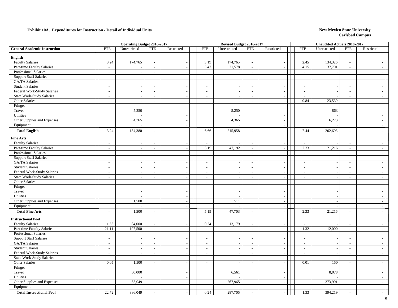|                                                    |                          | <b>Operating Budget 2016-2017</b> |                             |                          |                          | Revised Budget 2016-2017 |                             |                                    |                          | Unaudited Actuals 2016-2017                          |                                  |                             |
|----------------------------------------------------|--------------------------|-----------------------------------|-----------------------------|--------------------------|--------------------------|--------------------------|-----------------------------|------------------------------------|--------------------------|------------------------------------------------------|----------------------------------|-----------------------------|
| <b>General Academic Instruction</b>                | <b>FTE</b>               | Unrestricted                      | <b>FTE</b>                  | Restricted               | <b>FTE</b>               | Unrestricted             | <b>FTE</b>                  | Restricted                         | <b>FTE</b>               | Unrestricted                                         | <b>FTE</b>                       | Restricted                  |
| English                                            |                          |                                   |                             |                          |                          |                          |                             |                                    |                          |                                                      |                                  |                             |
| <b>Faculty Salaries</b>                            | 3.24                     | 174,765                           | $\sim$                      | $\overline{a}$           | 3.19                     | 174,765                  | $\sim$                      | $\sim$                             | 2.45                     | 134,326                                              | $\sim$                           |                             |
| Part-time Faculty Salaries                         | $\sim$                   |                                   | $\sim$                      | $\sim$                   | 3.47                     | 31,578                   | $\sim$                      | $\sim$                             | 4.15                     | 37,701                                               | $\sim$                           | $\sim$                      |
| Professional Salaries                              | $\sim$                   |                                   | $\overline{\phantom{a}}$    | $\sim$                   | $\sim$                   |                          | $\sim$                      | $\overline{\phantom{a}}$           | $\overline{\phantom{a}}$ |                                                      | $\blacksquare$                   | $\overline{\phantom{a}}$    |
| <b>Support Staff Salaries</b>                      | $\sim$                   |                                   | $\overline{\phantom{a}}$    | $\overline{a}$           | $\mathbb{Z}^2$           | $\overline{a}$           | $\blacksquare$              | $\overline{\phantom{a}}$           | $\bar{\phantom{a}}$      | $\overline{\phantom{a}}$                             | $\overline{a}$                   | $\sim$                      |
| GA/TA Salaries                                     | $\sim$                   |                                   | $\sim$                      | $\overline{a}$           | $\sim$                   |                          | $\sim$                      | $\sim$                             | $\overline{a}$           | $\sim$                                               | $\sim$                           | $\sim$                      |
| <b>Student Salaries</b>                            | $\sim$                   |                                   | $\sim$                      | $\sim$                   | $\sim$                   |                          | $\sim$                      | $\overline{\phantom{a}}$           | $\sim$                   | $\sim$                                               | $\sim$                           | $\sim$                      |
| Federal Work-Study Salaries                        | $\sim$                   |                                   | $\sim$                      | $\sim$                   | $\sim$                   |                          | $\overline{\phantom{a}}$    | $\sim$                             | $\sim$                   |                                                      | $\sim$                           | $\overline{a}$              |
| <b>State Work-Study Salaries</b>                   | $\sim$                   | $\overline{\phantom{a}}$          | $\sim$                      | $\sim$                   | $\sim$                   |                          | $\sim$                      | $\sim$                             | $\overline{\phantom{a}}$ |                                                      | $\sim$                           | $\sim$                      |
| Other Salaries                                     | $\sim$                   | $\overline{a}$                    | $\sim$                      | $\sim$                   | $\sim$                   | $\sim$                   | $\sim$                      | $\mathbb{L}$                       | 0.84                     | 23,530                                               | $\sim$                           | $\sim$                      |
| Fringes                                            |                          |                                   |                             | $\bar{a}$                |                          |                          |                             | $\sim$                             |                          |                                                      |                                  | $\sim$                      |
| Travel                                             |                          | 5,250                             |                             | $\sim$                   |                          | 5,250                    |                             | $\blacksquare$                     |                          | 863                                                  |                                  | $\sim$                      |
| Utilities                                          |                          |                                   |                             | $\sim$                   |                          |                          |                             | $\sim$                             |                          |                                                      |                                  | $\sim$                      |
| Other Supplies and Expenses                        |                          | 4,365                             |                             | $\sim$                   |                          | 4,365                    |                             | $\blacksquare$                     |                          | 6,273                                                |                                  | $\sim$                      |
| Equipment                                          |                          |                                   |                             | $\overline{\phantom{a}}$ |                          |                          |                             | $\blacksquare$                     |                          |                                                      |                                  | $\sim$                      |
| <b>Total English</b>                               | 3.24                     | 184,380                           | $\overline{\phantom{a}}$    |                          | 6.66                     | 215,958                  | $\sim$                      | $\overline{\phantom{a}}$           | 7.44                     | 202,693                                              | $\bar{a}$                        | $\sim$                      |
| <b>Fine Arts</b>                                   |                          |                                   |                             |                          |                          |                          |                             |                                    |                          |                                                      |                                  |                             |
| <b>Faculty Salaries</b>                            | $\sim$                   |                                   | $\overline{\phantom{a}}$    | $\sim$                   | $\sim$                   |                          | $\sim$                      | $\overline{\phantom{a}}$           | $\overline{a}$           |                                                      | $\overline{\phantom{a}}$         | $\sim$                      |
| Part-time Faculty Salaries                         | $\sim$                   |                                   | $\overline{\phantom{a}}$    | $\overline{\phantom{a}}$ | 5.19                     | 47,192                   | $\mathbb{L}$                | $\overline{\phantom{a}}$           | 2.33                     | 21,216                                               | $\overline{\phantom{a}}$         | $\sim$                      |
| <b>Professional Salaries</b>                       | $\sim$                   | $\overline{\phantom{a}}$          | $\sim$                      | $\sim$                   | $\sim$                   |                          | $\sim$                      | $\overline{\phantom{a}}$           | $\mathcal{L}$            |                                                      | $\overline{a}$                   | $\mathcal{L}_{\mathcal{A}}$ |
| <b>Support Staff Salaries</b>                      | $\sim$                   | $\overline{\phantom{a}}$          | $\sim$                      | $\sim$                   | $\sim$                   |                          | $\sim$                      | $\sim$                             | $\overline{a}$           | $\overline{\phantom{a}}$                             | $\sim$                           | $\sim$                      |
| GA/TA Salaries                                     | $\overline{\phantom{a}}$ |                                   | $\sim$                      | $\sim$                   | $\sim$                   |                          | $\sim$                      | $\sim$                             | $\sim$                   |                                                      | $\sim$                           | $\sim$                      |
| <b>Student Salaries</b>                            | $\overline{\phantom{a}}$ | $\overline{\phantom{a}}$          | $\blacksquare$              | $\sim$                   | $\sim$                   |                          | $\sim$                      | $\overline{\phantom{a}}$           | $\overline{\phantom{a}}$ | $\overline{\phantom{a}}$                             | $\bar{a}$                        | $\overline{a}$              |
| Federal Work-Study Salaries                        | $\sim$                   | $\overline{\phantom{a}}$          | $\sim$                      | $\sim$                   | $\sim$                   | $\overline{\phantom{a}}$ | $\sim$                      | $\blacksquare$                     | $\sim$                   | $\sim$                                               | $\overline{\phantom{a}}$         | $\sim$                      |
| <b>State Work-Study Salaries</b>                   | $\sim$                   |                                   | $\overline{\phantom{a}}$    | $\sim$                   | $\sim$                   |                          | $\sim$                      | $\overline{\phantom{a}}$           | $\overline{a}$           |                                                      | $\sim$                           | $\sim$                      |
| Other Salaries                                     | $\sim$                   | $\sim$                            | $\sim$                      | $\sim$<br>$\sim$         | $\sim$                   | $\sim$                   | $\mathcal{L}$               | $\blacksquare$                     | $\overline{a}$           | $\overline{\phantom{a}}$<br>$\overline{\phantom{a}}$ | $\overline{a}$                   | $\sim$<br>$\sim$            |
| Fringes<br>Travel                                  |                          |                                   |                             | $\sim$                   |                          | $\overline{\phantom{a}}$ |                             | $\sim$<br>$\sim$                   |                          |                                                      |                                  | $\overline{\phantom{a}}$    |
| Utilities                                          |                          |                                   |                             | $\sim$                   |                          | $\sim$                   |                             | $\overline{\phantom{a}}$           |                          | $\sim$                                               |                                  | $\sim$                      |
| Other Supplies and Expenses                        |                          | 1,500                             |                             | $\sim$                   |                          | 511                      |                             | $\sim$                             |                          | $\sim$                                               |                                  | $\sim$                      |
| Equipment                                          |                          |                                   |                             | $\sim$                   |                          | ÷.                       |                             | $\overline{\phantom{a}}$           |                          |                                                      |                                  | $\sim$                      |
| <b>Total Fine Arts</b>                             | $\sim$                   | 1,500                             | $\sim$                      |                          | 5.19                     | 47,703                   | $\overline{a}$              |                                    | 2.33                     | 21,216                                               | $\overline{a}$                   | $\overline{a}$              |
|                                                    |                          |                                   |                             |                          |                          |                          |                             |                                    |                          |                                                      |                                  |                             |
| <b>Instructional Pool</b>                          |                          |                                   |                             |                          |                          |                          |                             |                                    |                          |                                                      |                                  |                             |
| <b>Faculty Salaries</b>                            | 1.56                     | 84,000                            | $\overline{\phantom{a}}$    | $\overline{\phantom{a}}$ | 0.24                     | 13,179                   | $\mathcal{L}_{\mathcal{A}}$ | $\overline{\phantom{a}}$           | $\sim$                   |                                                      | $\sim$                           | $\overline{\phantom{a}}$    |
| Part-time Faculty Salaries                         | 21.11                    | 197,500                           | $\sim$                      | $\sim$                   | $\sim$                   |                          | $\mathbb{Z}^2$              | $\sim$                             | 1.32                     | 12,000                                               | $\overline{a}$                   | $\sim$                      |
| Professional Salaries                              | $\sim$                   |                                   | $\mathcal{L}$               | $\overline{a}$           | $\sim$                   | $\overline{\phantom{a}}$ | $\sim$                      | $\overline{\phantom{a}}$           | $\overline{\phantom{a}}$ |                                                      | $\sim$                           | $\sim$                      |
| <b>Support Staff Salaries</b>                      | $\overline{\phantom{a}}$ |                                   | $\overline{\phantom{a}}$    | $\sim$                   | $\sim$                   |                          | $\sim$                      | $\overline{\phantom{a}}$           | $\overline{\phantom{a}}$ | $\sim$                                               | $\overline{a}$                   | $\sim$                      |
| GA/TA Salaries<br><b>Student Salaries</b>          | $\sim$                   | $\overline{\phantom{a}}$          | $\sim$                      | $\sim$                   | $\sim$                   | $\overline{\phantom{a}}$ | $\sim$                      | $\overline{\phantom{a}}$           | $\sim$                   | $\overline{\phantom{a}}$                             | $\sim$                           | $\sim$                      |
| Federal Work-Study Salaries                        | $\sim$<br>$\sim$         |                                   | $\sim$<br>$\sim$            | $\sim$<br>$\overline{a}$ | $\sim$<br>$\overline{a}$ |                          | $\sim$<br>$\sim$            | $\sim$<br>$\overline{\phantom{a}}$ | $\sim$<br>$\overline{a}$ |                                                      | $\blacksquare$<br>$\overline{a}$ | $\sim$<br>$\sim$            |
|                                                    | $\overline{a}$           |                                   | $\mathcal{L}$               | $\sim$                   | $\sim$                   |                          | $\sim$                      | $\sim$                             | $\overline{a}$           |                                                      | $\overline{a}$                   |                             |
| <b>State Work-Study Salaries</b><br>Other Salaries | 0.05                     | 1,500                             | $\mathcal{L}_{\mathcal{A}}$ | $\sim$                   | $\sim$                   | $\sim$                   | $\sim$                      | $\sim$                             | 0.01                     | 150                                                  | $\sim$                           | $\mathbb{L}$<br>$\sim$      |
| Fringes                                            |                          |                                   |                             | $\sim$                   |                          |                          |                             | $\sim$                             |                          |                                                      |                                  | $\overline{a}$              |
| Travel                                             |                          | 50,000                            |                             | $\overline{\phantom{a}}$ |                          | 6,561                    |                             | $\overline{\phantom{a}}$           |                          | 8,078                                                |                                  | $\sim$                      |
| Utilities                                          |                          |                                   |                             | $\sim$                   |                          |                          |                             | $\blacksquare$                     |                          |                                                      |                                  | $\sim$                      |
| Other Supplies and Expenses                        |                          | 53,049                            |                             | $\sim$                   |                          | 267,965                  |                             | $\sim$                             |                          | 373,991                                              |                                  | $\sim$                      |
| Equipment                                          |                          |                                   |                             | $\overline{\phantom{a}}$ |                          |                          |                             | $\overline{\phantom{a}}$           |                          |                                                      |                                  | $\sim$                      |
| <b>Total Instructional Pool</b>                    | 22.72                    | 386,049                           |                             |                          | 0.24                     | 287,705                  |                             |                                    | 1.33                     | 394,219                                              |                                  |                             |
|                                                    |                          |                                   |                             |                          |                          |                          |                             |                                    |                          |                                                      |                                  |                             |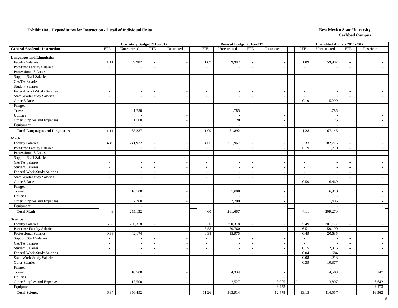|                                        |                          | <b>Operating Budget 2016-2017</b> |                          |                          |                          | Revised Budget 2016-2017 |                             |                          |                          | Unaudited Actuals 2016-2017 |                          |                             |
|----------------------------------------|--------------------------|-----------------------------------|--------------------------|--------------------------|--------------------------|--------------------------|-----------------------------|--------------------------|--------------------------|-----------------------------|--------------------------|-----------------------------|
| <b>General Academic Instruction</b>    | <b>FTE</b>               | Unrestricted                      | <b>FTE</b>               | Restricted               | <b>FTE</b>               | Unrestricted             | <b>FTE</b>                  | Restricted               | <b>FTE</b>               | Unrestricted                | <b>FTE</b>               | Restricted                  |
| <b>Languages and Linguistics</b>       |                          |                                   |                          |                          |                          |                          |                             |                          |                          |                             |                          |                             |
| <b>Faculty Salaries</b>                | 1.11                     | 59,987                            | $\blacksquare$           | $\sim$                   | 1.09                     | 59,987                   | $\sim$                      | $\overline{\phantom{a}}$ | 1.09                     | 59,987                      | $\overline{\phantom{a}}$ |                             |
| Part-time Faculty Salaries             | $\sim$                   | $\overline{\phantom{a}}$          | $\sim$                   | $\sim$                   | $\sim$                   | $\overline{\phantom{a}}$ | $\sim$                      | $\overline{\phantom{a}}$ | $\sim$                   | $\overline{\phantom{a}}$    | $\sim$                   | $\sim$                      |
| Professional Salaries                  | $\sim$                   |                                   | $\sim$                   | $\overline{\phantom{a}}$ | $\sim$                   |                          | $\sim$                      | $\overline{\phantom{a}}$ | $\sim$                   |                             | $\overline{\phantom{a}}$ | $\overline{\phantom{a}}$    |
| <b>Support Staff Salaries</b>          | $\sim$                   | $\sim$                            | $\sim$                   | $\overline{a}$           | $\sim$                   |                          | $\sim$                      | $\blacksquare$           | $\blacksquare$           | $\sim$                      | $\overline{\phantom{a}}$ | $\sim$                      |
| GA/TA Salaries                         | $\sim$                   | $\sim$                            | $\sim$                   | ÷,                       | $\mathcal{L}$            |                          | $\omega$                    | $\overline{\phantom{a}}$ | $\mathcal{L}$            | $\sim$                      | $\sim$                   | $\sim$                      |
| <b>Student Salaries</b>                | $\sim$                   | $\overline{\phantom{a}}$          | $\sim$                   | $\sim$                   | $\sim$                   |                          | $\overline{\phantom{a}}$    | $\overline{\phantom{a}}$ | $\overline{\phantom{a}}$ |                             | $\blacksquare$           | $\sim$                      |
| Federal Work-Study Salaries            | $\overline{\phantom{a}}$ | $\overline{\phantom{a}}$          | $\overline{\phantom{a}}$ | $\overline{\phantom{a}}$ | $\blacksquare$           |                          | $\mathbb{L}$                | $\overline{\phantom{a}}$ | $\blacksquare$           |                             | $\overline{\phantom{a}}$ | $\sim$                      |
| <b>State Work-Study Salaries</b>       | $\sim$                   | $\overline{\phantom{a}}$          | $\sim$                   | $\overline{\phantom{a}}$ | $\sim$                   |                          | $\overline{a}$              | $\overline{\phantom{a}}$ | $\sim$                   |                             | $\sim$                   | $\sim$                      |
| Other Salaries                         | $\sim$                   | $\overline{a}$                    | $\sim$                   | $\sim$                   | $\sim$                   | $\sim$                   | $\sim$                      | $\sim$                   | 0.19                     | 5,299                       | $\overline{a}$           | $\sim$                      |
| Fringes                                |                          | ÷,                                |                          | $\sim$                   |                          |                          |                             | $\overline{a}$           |                          |                             |                          | $\sim$                      |
| Travel                                 |                          | 1,750                             |                          | $\sim$                   |                          | 1,785                    |                             | $\overline{\phantom{a}}$ |                          | 1,785                       |                          | $\sim$                      |
| Utilities                              |                          |                                   |                          | $\sim$                   |                          |                          |                             | $\sim$                   |                          |                             |                          | $\sim$                      |
| Other Supplies and Expenses            |                          | 1,500                             |                          | $\bar{\phantom{a}}$      |                          | 120                      |                             | $\blacksquare$           |                          | 75                          |                          | $\sim$                      |
| Equipment                              |                          |                                   |                          | $\sim$                   |                          |                          |                             | $\overline{\phantom{a}}$ |                          |                             |                          | $\overline{a}$              |
| <b>Total Languages and Linguistics</b> | 1.11                     | 63,237                            | $\sim$                   |                          | 1.09                     | 61,892                   | $\sim$                      |                          | 1.28                     | 67,146                      | $\overline{a}$           |                             |
| Math                                   |                          |                                   |                          |                          |                          |                          |                             |                          |                          |                             |                          |                             |
| <b>Faculty Salaries</b>                | 4.49                     | 241,932                           | $\sim$                   |                          | 4.60                     | 251,967                  | $\sim$                      | $\overline{\phantom{a}}$ | 3.33                     | 182,775                     | $\blacksquare$           |                             |
| Part-time Faculty Salaries             | $\sim$                   |                                   | $\sim$                   | $\overline{\phantom{a}}$ | $\sim$                   |                          | $\sim$                      | $\overline{a}$           | 0.19                     | 1,710                       | $\sim$                   | $\sim$                      |
| <b>Professional Salaries</b>           | $\sim$                   | $\sim$                            | $\sim$                   | $\sim$                   | $\sim$                   | $\sim$                   | $\mathcal{L}$               | $\sim$                   | $\mathbb{Z}^2$           |                             | $\sim$                   | $\sim$                      |
| <b>Support Staff Salaries</b>          | $\sim$                   | $\overline{\phantom{a}}$          | $\blacksquare$           | $\sim$                   | $\sim$                   |                          | $\sim$                      | $\blacksquare$           | $\sim$                   | $\overline{\phantom{a}}$    | $\sim$                   | $\sim$                      |
| GA/TA Salaries                         | $\sim$                   | $\sim$                            | $\sim$                   | $\overline{\phantom{a}}$ | $\sim$                   | $\sim$                   | $\sim$                      | $\blacksquare$           | $\sim$                   | $\sim$                      | $\overline{\phantom{a}}$ | $\sim$                      |
| <b>Student Salaries</b>                | $\overline{a}$           | $\overline{\phantom{a}}$          | $\sim$                   | $\sim$                   | $\sim$                   |                          | $\sim$                      | $\sim$                   | $\sim$                   | $\overline{\phantom{a}}$    | $\sim$                   | $\sim$                      |
| Federal Work-Study Salaries            | $\sim$                   |                                   | $\sim$                   | $\sim$                   | $\sim$                   |                          | $\sim$                      | $\overline{\phantom{a}}$ | $\overline{a}$           |                             | $\overline{a}$           | $\sim$                      |
| <b>State Work-Study Salaries</b>       | $\sim$                   | $\sim$                            | $\sim$                   | $\sim$                   | $\sim$                   |                          | $\sim$                      | $\overline{a}$           | $\overline{a}$           |                             | $\sim$                   | $\sim$                      |
| Other Salaries                         | $\sim$                   | $\sim$                            | $\sim$                   | $\sim$                   | $\sim$                   | $\overline{a}$           | $\sim$                      | $\overline{\phantom{a}}$ | 0.59                     | 16,469                      | $\sim$                   | $\sim$                      |
| Fringes                                |                          |                                   |                          | $\sim$                   |                          |                          |                             | $\blacksquare$           |                          |                             |                          | $\sim$                      |
| Travel                                 |                          | 10,500                            |                          | $\overline{\phantom{a}}$ |                          | 7,000                    |                             | $\blacksquare$           |                          | 6,910                       |                          | $\sim$                      |
| Utilities                              |                          |                                   |                          | $\sim$                   |                          |                          |                             | $\sim$                   |                          |                             |                          | $\sim$                      |
| Other Supplies and Expenses            |                          | 2,700                             |                          | $\sim$                   |                          | 2,700                    |                             | $\sim$                   |                          | 1,406                       |                          | $\sim$                      |
| Equipment                              |                          |                                   |                          | $\sim$                   |                          |                          |                             | $\overline{\phantom{a}}$ |                          |                             |                          | $\sim$                      |
| <b>Total Math</b>                      | 4.49                     | 255,132                           | $\overline{a}$           | $\overline{a}$           | 4.60                     | 261,667                  | $\sim$                      | $\overline{a}$           | 4.11                     | 209,270                     |                          | $\sim$                      |
| <b>Science</b>                         |                          |                                   |                          |                          |                          |                          |                             |                          |                          |                             |                          |                             |
| <b>Faculty Salaries</b>                | 5.38                     | 290,318                           | $\mathbb{Z}^2$           | $\sim$                   | 5.30                     | 290,318                  | $\sim$                      | $\overline{\phantom{a}}$ | 5.49                     | 301,172                     | $\sim$                   | $\overline{\phantom{a}}$    |
| Part-time Faculty Salaries             | $\blacksquare$           |                                   | $\blacksquare$           | $\sim$                   | 5.58                     | 50,760                   | $\mathcal{L}_{\mathcal{A}}$ | $\blacksquare$           | 6.51                     | 59,190                      | $\blacksquare$           | $\sim$                      |
| Professional Salaries                  | 0.99                     | 42,174                            | $\overline{\phantom{a}}$ | $\sim$                   | 0.38                     | 15,975                   | $\mathcal{L}_{\mathcal{A}}$ | $\overline{\phantom{a}}$ | 0.49                     | 20,635                      | $\sim$                   | $\sim$                      |
| <b>Support Staff Salaries</b>          | $\overline{\phantom{a}}$ |                                   | $\sim$                   | $\sim$                   | $\sim$                   |                          | $\sim$                      | $\blacksquare$           | $\sim$                   |                             | $\sim$                   | $\sim$                      |
| GA/TA Salaries                         | $\sim$                   |                                   | $\sim$                   | $\overline{\phantom{a}}$ | $\sim$                   |                          | $\overline{\phantom{a}}$    | $\overline{\phantom{a}}$ | $\overline{a}$           |                             | $\sim$                   | $\sim$                      |
| <b>Student Salaries</b>                | $\overline{\phantom{a}}$ |                                   | $\overline{\phantom{a}}$ | $\overline{a}$           | $\overline{\phantom{a}}$ |                          | $\sim$                      | $\blacksquare$           | 0.15                     | 2,376                       | $\frac{1}{2}$            | $\sim$                      |
| Federal Work-Study Salaries            | $\sim$                   | $\sim$                            | $\sim$                   | $\sim$                   | $\overline{a}$           |                          | $\sim$                      | $\sim$                   | 0.04                     | 684                         | $\sim$                   | $\mathcal{L}_{\mathcal{A}}$ |
| <b>State Work-Study Salaries</b>       | $\sim$                   | $\overline{\phantom{a}}$          | $\mathcal{L}$            | $\sim$                   | $\sim$                   |                          | $\sim$                      | $\blacksquare$           | 0.08                     | 1,218                       | $\sim$                   | $\sim$                      |
| Other Salaries                         | $\sim$                   | $\sim$                            | $\sim$                   | $\sim$                   | $\sim$                   | $\overline{a}$           | $\sim$                      | $\overline{\phantom{a}}$ | 0.39                     | 10,877                      | $\sim$                   | $\overline{\phantom{a}}$    |
| Fringes                                |                          |                                   |                          | $\overline{\phantom{a}}$ |                          | $\overline{a}$           |                             | $\sim$                   |                          |                             |                          | $\sim$                      |
| Travel                                 |                          | 10,500                            |                          | $\sim$                   |                          | 4,334                    |                             | $\overline{\phantom{a}}$ |                          | 4,508                       |                          | 247                         |
| Utilities                              |                          |                                   |                          | $\sim$                   |                          |                          |                             |                          |                          |                             |                          |                             |
| Other Supplies and Expenses            |                          | 13,500                            |                          | $\overline{\phantom{a}}$ |                          | 2,527                    |                             | 3,005                    |                          | 13,897                      |                          | 6,642                       |
| Equipment                              |                          |                                   |                          | $\sim$                   |                          |                          |                             | 9,473                    |                          |                             |                          | 9,473                       |
| <b>Total Science</b>                   | 6.37                     | 356,492                           |                          |                          | 11.26                    | 363,914                  | $\sim$                      | 12,478                   | 13.15                    | 414,557                     | $\sim$                   | 16,362                      |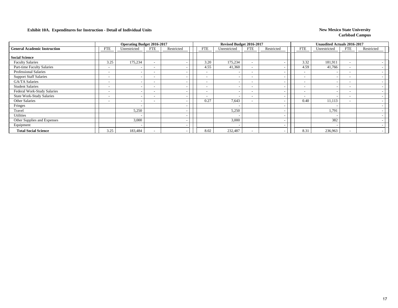|                                     |                          | <b>Operating Budget 2016-2017</b> |                          |            |                          | Revised Budget 2016-2017 |                          |                          |                          | <b>Unaudited Actuals 2016-2017</b> |                          |            |
|-------------------------------------|--------------------------|-----------------------------------|--------------------------|------------|--------------------------|--------------------------|--------------------------|--------------------------|--------------------------|------------------------------------|--------------------------|------------|
| <b>General Academic Instruction</b> | <b>FTE</b>               | Unrestricted                      | <b>FTE</b>               | Restricted | FTE                      | Unrestricted             | <b>FTE</b>               | Restricted               | <b>FTE</b>               | Unrestricted                       | <b>FTE</b>               | Restricted |
| <b>Social Science</b>               |                          |                                   |                          |            |                          |                          |                          |                          |                          |                                    |                          |            |
| <b>Faculty Salaries</b>             | 3.25                     | 175,234                           | $\overline{\phantom{0}}$ |            | 3.20                     | 175,234                  | $\overline{\phantom{a}}$ |                          | 3.32                     | 181,911                            | $\overline{\phantom{a}}$ |            |
| Part-time Faculty Salaries          |                          |                                   | . .                      |            | 4.55                     | 41,360                   | $\overline{\phantom{a}}$ |                          | 4.59                     | 41,766                             | $\overline{\phantom{a}}$ |            |
| Professional Salaries               |                          |                                   |                          |            | $\overline{\phantom{a}}$ |                          | $\overline{\phantom{0}}$ | $\overline{\phantom{a}}$ | ۰                        |                                    | $\overline{\phantom{a}}$ |            |
| <b>Support Staff Salaries</b>       |                          |                                   |                          |            | $\overline{\phantom{0}}$ |                          | $\sim$                   | $\overline{\phantom{0}}$ | $\overline{\phantom{a}}$ |                                    | $\overline{\phantom{a}}$ |            |
| GA/TA Salaries                      |                          |                                   | $\overline{\phantom{a}}$ |            | $\overline{\phantom{0}}$ |                          | $\sim$                   | $\overline{\phantom{0}}$ | $\overline{\phantom{a}}$ |                                    | $\overline{\phantom{a}}$ |            |
| <b>Student Salaries</b>             |                          |                                   |                          |            | $\overline{\phantom{a}}$ |                          | $\sim$                   |                          | $\overline{\phantom{a}}$ |                                    | $\overline{\phantom{a}}$ |            |
| Federal Work-Study Salaries         |                          |                                   | $\overline{\phantom{0}}$ |            | $\overline{\phantom{a}}$ |                          | $\overline{\phantom{a}}$ | $\overline{\phantom{a}}$ | $\overline{\phantom{a}}$ |                                    | $\overline{\phantom{a}}$ |            |
| <b>State Work-Study Salaries</b>    | -                        |                                   | $\overline{\phantom{0}}$ |            | $\overline{\phantom{a}}$ | $\overline{\phantom{a}}$ | $\overline{\phantom{0}}$ | $\overline{\phantom{a}}$ | $\overline{\phantom{a}}$ |                                    | $\overline{\phantom{a}}$ |            |
| Other Salaries                      | $\overline{\phantom{0}}$ |                                   | $\overline{\phantom{0}}$ |            | 0.27                     | 7,643                    | $\overline{\phantom{0}}$ | $\overline{\phantom{0}}$ | 0.40                     | 11,113                             | $\overline{\phantom{a}}$ |            |
| Fringes                             |                          |                                   |                          |            |                          |                          |                          | $\overline{\phantom{a}}$ |                          |                                    |                          |            |
| Travel                              |                          | 5,250                             |                          |            |                          | 5,250                    |                          | $\overline{\phantom{a}}$ |                          | 1,791                              |                          |            |
| <b>Utilities</b>                    |                          |                                   |                          |            |                          |                          |                          | $\overline{\phantom{a}}$ |                          |                                    |                          |            |
| Other Supplies and Expenses         |                          | 3,000                             |                          |            |                          | 3,000                    |                          | $\overline{\phantom{0}}$ |                          | 382                                |                          |            |
| Equipment                           |                          |                                   |                          |            |                          |                          |                          | $\overline{\phantom{a}}$ |                          |                                    |                          |            |
| <b>Total Social Science</b>         | 3.25                     | 183,484                           |                          |            | 8.02                     | 232,487                  | $\overline{\phantom{0}}$ |                          | 8.31                     | 236,963                            | $\overline{\phantom{a}}$ |            |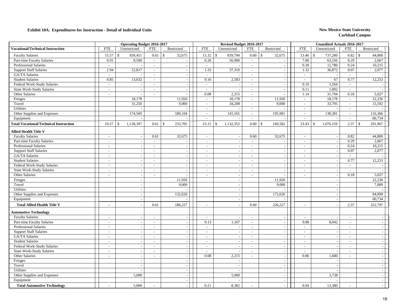|                                               |                          | <b>Operating Budget 2016-2017</b> |                          |                               |                          | Revised Budget 2016-2017 |                          |                               |                             | <b>Unaudited Actuals 2016-2017</b> |                             |                               |
|-----------------------------------------------|--------------------------|-----------------------------------|--------------------------|-------------------------------|--------------------------|--------------------------|--------------------------|-------------------------------|-----------------------------|------------------------------------|-----------------------------|-------------------------------|
| <b>Vocational/Technical Instruction</b>       | <b>FTE</b>               | Unrestricted                      | ${\rm FTE}$              | Restricted                    | ${\rm FTE}$              | Unrestricted             | <b>FTE</b>               | Restricted                    | ${\rm FTE}$                 | Unrestricted                       | <b>FTE</b>                  | Restricted                    |
| <b>Faculty Salaries</b>                       | 15.57                    | $\mathcal{S}$<br>839,451          | 0.61                     | 32,675<br>$\mathbb{S}$        | 15.32                    | \$<br>839,794            | 0.60                     | $\mathcal{S}$<br>32,675       | 13.46                       | 737,280<br>$\mathbf{\hat{S}}$      | 0.82                        | $\mathcal{S}$<br>44,800       |
| Part-time Faculty Salaries                    | 0.91                     | 8,500                             | $\sim$                   |                               | 6.26                     | 56,900                   | $\sim$                   | $\sim$                        | 7.00                        | 63,556                             | 0.29                        | 2,667                         |
| <b>Professional Salaries</b>                  | $\overline{\phantom{a}}$ |                                   | $\sim$                   |                               | $\sim$                   |                          | $\sim$                   |                               | 0.30                        | 12,780                             | 0.24                        | 10,215                        |
| <b>Support Staff Salaries</b>                 | 1.94                     | 52,817                            | $\overline{\phantom{a}}$ | $\sim$                        | 1.33                     | 37,310                   | $\sim$                   | $\mathcal{L}$                 | 1.32                        | 36,872                             | 0.07                        | 2,077                         |
| GA/TA Salaries                                | $\overline{\phantom{a}}$ |                                   | $\sim$                   | $\sim$                        | $\sim$                   |                          | $\sim$                   | $\sim$                        | $\sim$                      |                                    | $\overline{a}$              |                               |
| <b>Student Salaries</b>                       | 0.85                     | 13,632                            | $\sim$                   | $\sim$                        | 0.16                     | 2,583                    | $\sim$                   | $\overline{\phantom{a}}$      | $\mathcal{L}_{\mathcal{A}}$ | 67                                 | 0.77                        | 12,253                        |
| Federal Work-Study Salaries                   | $\sim$                   |                                   | $\sim$                   |                               | $\sim$                   |                          | $\sim$                   | $\sim$                        | 0.10                        | 1,564                              | $\sim$                      |                               |
| <b>State Work-Study Salaries</b>              | $\sim$                   |                                   | $\sim$                   |                               | $\mathcal{L}$            | $\overline{\phantom{a}}$ | $\overline{\phantom{a}}$ | $\overline{\phantom{a}}$      | 0.11                        | 1,892                              | $\overline{\phantom{a}}$    |                               |
| Other Salaries                                | $\overline{\phantom{a}}$ |                                   | $\overline{\phantom{a}}$ |                               | 0.08                     | 2,215                    | $\sim$                   |                               | 1.14                        | 31,794                             | 0.18                        | 5,027                         |
| Fringes                                       |                          | 18,178                            |                          | 11,926                        | $\mathbb{Z}^2$           | 18,178                   | $\overline{\phantom{a}}$ | 11,926                        | $\mathbf{r}$                | 18,178                             | $\sim$                      | 22,236                        |
| Travel                                        |                          | 31,250                            |                          | 9,000                         | $\sim$                   | 34,208                   | $\sim$                   | 9,000                         | $\mathcal{L}$               | 33,795                             | $\mathcal{L}_{\mathcal{A}}$ | 15,592                        |
| Utilities                                     |                          |                                   |                          |                               | $\sim$                   |                          | $\sim$                   |                               | $\sim$                      |                                    | $\overline{\phantom{a}}$    |                               |
| Other Supplies and Expenses                   |                          | 174,569                           |                          | 180,104                       | $\sim$                   | 141,165                  | $\sim$                   | 195,981                       | $\mathcal{L}$               | 138,381                            | $\sim$                      | 116,366                       |
| Equipment                                     |                          |                                   |                          |                               | $\sim$                   |                          | $\sim$                   |                               | $\overline{\phantom{a}}$    |                                    | $\sim$                      | 60,734                        |
| <b>Total Vocational/Technical Instruction</b> | 19.27                    | 1,138,397<br>-\$                  | 0.61                     | $\mathbf{\hat{S}}$<br>233,705 | 23.15                    | 1,132,353<br>\$          | 0.60                     | $\mathbf{\hat{S}}$<br>249,582 | 23.43                       | 1,076,159<br>$\mathcal{S}$         | 2.37                        | 291,967<br>$\mathbf{\hat{S}}$ |
| Allied Health Title V                         |                          |                                   |                          |                               |                          |                          |                          |                               |                             |                                    |                             |                               |
| <b>Faculty Salaries</b>                       | $\sim$                   | $\sim$                            | 0.61                     | 32,675                        | $\sim$                   | $\overline{\phantom{a}}$ | 0.60                     | 32,675                        | $\mathcal{L}$               | $\sim$                             | 0.82                        | 44,800                        |
| Part-time Faculty Salaries                    | $\overline{\phantom{a}}$ |                                   | $\sim$                   |                               | $\overline{\phantom{a}}$ | $\sim$                   | $\sim$                   |                               | $\sim$                      |                                    | 0.29                        | 2,667                         |
| <b>Professional Salaries</b>                  | $\overline{\phantom{a}}$ | $\overline{\phantom{a}}$          | $\sim$                   | $\sim$                        | $\mathbb{L}$             | $\sim$                   | $\sim$                   | $\bar{\phantom{a}}$           | $\sim$                      | $\sim$                             | 0.24                        | 10,215                        |
| <b>Support Staff Salaries</b>                 | $\sim$                   | $\sim$                            | $\sim$                   | $\overline{\phantom{a}}$      | $\overline{\phantom{a}}$ | $\overline{\phantom{a}}$ | $\sim$                   | $\sim$                        | $\sim$                      | $\overline{\phantom{a}}$           | 0.07                        | 2,077                         |
| GA/TA Salaries                                | $\sim$                   | $\overline{\phantom{a}}$          | $\sim$                   | $\overline{\phantom{a}}$      | $\sim$                   | $\overline{\phantom{a}}$ | $\sim$                   | $\overline{\phantom{a}}$      | $\overline{\phantom{a}}$    | $\sim$                             | $\sim$                      |                               |
| <b>Student Salaries</b>                       | $\sim$                   |                                   | $\sim$                   |                               | $\sim$                   | $\sim$                   | $\sim$                   | $\sim$                        | $\overline{a}$              |                                    | 0.77                        | 12,253                        |
| Federal Work-Study Salaries                   | $\sim$                   |                                   | $\sim$                   |                               | $\sim$                   | $\sim$                   | $\sim$                   | $\overline{\phantom{a}}$      | $\overline{\phantom{a}}$    |                                    | $\sim$                      |                               |
| <b>State Work-Study Salaries</b>              | $\sim$                   |                                   | $\sim$                   |                               | $\overline{\phantom{a}}$ |                          | $\sim$                   |                               | $\overline{a}$              |                                    | $\overline{a}$              |                               |
| Other Salaries                                | $\sim$                   | $\overline{\phantom{a}}$          | $\overline{\phantom{a}}$ |                               | $\frac{1}{2}$            | $\overline{\phantom{a}}$ | $\overline{\phantom{a}}$ | $\overline{\phantom{a}}$      | $\frac{1}{2}$               | $\overline{\phantom{a}}$           | 0.18                        | 5,027                         |
| Fringes                                       |                          | $\overline{\phantom{a}}$          |                          | 11,926                        |                          | $\sim$                   |                          | 11,926                        |                             |                                    |                             | 22,236                        |
| Travel                                        |                          | $\sim$                            |                          | 9,000                         |                          | $\sim$                   |                          | 9,000                         |                             | $\overline{a}$                     |                             | 7,889                         |
| Utilities                                     |                          | $\overline{a}$                    |                          |                               |                          | $\sim$                   |                          |                               |                             | $\sim$                             |                             |                               |
| Other Supplies and Expenses                   |                          |                                   |                          | 132,626                       |                          | $\overline{a}$           |                          | 172,626                       |                             |                                    |                             | 84,899                        |
| Equipment                                     |                          | $\sim$                            |                          |                               |                          | $\sim$                   |                          |                               |                             | $\overline{\phantom{a}}$           |                             | 60,734                        |
| <b>Total Allied Health Title V</b>            |                          |                                   | 0.61                     | 186,227                       | $\overline{a}$           |                          | 0.60                     | 226,227                       | $\overline{a}$              |                                    | 2.37                        | 252,797                       |
| <b>Automotive Technology</b>                  |                          |                                   |                          |                               |                          |                          |                          |                               |                             |                                    |                             |                               |
| <b>Faculty Salaries</b>                       | $\sim$                   |                                   | $\sim$                   | $\sim$                        | $\sim$                   |                          | $\sim$                   | $\sim$                        | $\sim$                      |                                    | $\bar{a}$                   |                               |
| Part-time Faculty Salaries                    | $\sim$                   | $\sim$                            | $\sim$                   | $\overline{\phantom{a}}$      | 0.13                     | 1,167                    | $\sim$                   | $\sim$                        | 0.88                        | 8,042                              | $\sim$                      | $\sim$                        |
| Professional Salaries                         | $\sim$                   | $\overline{\phantom{a}}$          | $\sim$                   | $\overline{\phantom{a}}$      | $\sim$                   | $\overline{\phantom{a}}$ | $\sim$                   | $\sim$                        | $\overline{\phantom{a}}$    |                                    | $\overline{\phantom{a}}$    | $\overline{a}$                |
| <b>Support Staff Salaries</b>                 | $\sim$                   | $\sim$                            | $\sim$                   | $\overline{a}$                | $\sim$                   | $\sim$                   | $\sim$                   | $\blacksquare$                | $\sim$                      | $\sim$                             | $\overline{a}$              | $\sim$                        |
| GA/TA Salaries                                | $\sim$                   |                                   | $\overline{\phantom{a}}$ |                               | $\sim$                   | $\sim$                   | $\overline{\phantom{a}}$ | $\overline{\phantom{a}}$      | $\sim$                      |                                    | $\bar{a}$                   | $\sim$                        |
| <b>Student Salaries</b>                       | $\sim$                   |                                   |                          |                               | $\overline{\phantom{a}}$ |                          | $\sim$                   | $\overline{\phantom{a}}$      | $\overline{\phantom{a}}$    |                                    | $\overline{a}$              | $\sim$                        |
| Federal Work-Study Salaries                   | $\sim$                   |                                   | $\sim$                   |                               | $\sim$                   | $\overline{\phantom{a}}$ | $\sim$                   | $\bar{\phantom{a}}$           | $\overline{a}$              |                                    | $\overline{a}$              | $\sim$                        |
| <b>State Work-Study Salaries</b>              | $\sim$                   | $\overline{\phantom{a}}$          | $\sim$                   | $\sim$                        | $\overline{\phantom{a}}$ | $\overline{\phantom{a}}$ | $\sim$                   | $\overline{\phantom{a}}$      | $\overline{\phantom{a}}$    |                                    | $\bar{a}$                   | $\sim$                        |
| <b>Other Salaries</b>                         | $\sim$                   | $\overline{\phantom{a}}$          | $\sim$                   | $\sim$                        | 0.08                     | 2,215                    | $\sim$                   | $\sim$                        | 0.06                        | 1,600                              | $\overline{a}$              | $\sim$                        |
| Fringes                                       |                          | $\overline{\phantom{a}}$          |                          | $\overline{\phantom{a}}$      |                          |                          |                          | $\sim$                        |                             |                                    |                             | $\sim$                        |
| Travel                                        |                          |                                   |                          |                               |                          | $\overline{a}$           |                          | $\sim$                        |                             |                                    |                             | $\overline{\phantom{a}}$      |
| Utilities                                     |                          |                                   |                          |                               |                          |                          |                          | $\sim$                        |                             |                                    |                             | $\overline{\phantom{a}}$      |
| Other Supplies and Expenses                   |                          | 5,000                             |                          | $\sim$                        |                          | 5,000                    |                          | $\overline{\phantom{a}}$      |                             | 3,738                              |                             | $\overline{\phantom{a}}$      |
| Equipment                                     |                          |                                   |                          | $\overline{\phantom{a}}$      |                          |                          |                          | $\sim$                        |                             |                                    |                             | $\sim$                        |
| <b>Total Automotive Technology</b>            |                          | 5,000                             |                          |                               | 0.21                     | 8,382                    |                          |                               | 0.94                        | 13,380                             |                             |                               |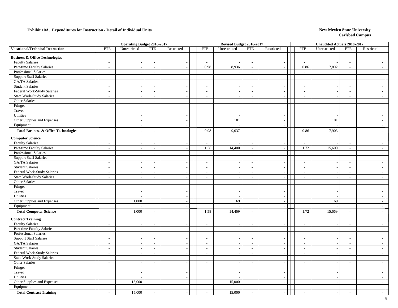|                                                 |                          | <b>Operating Budget 2016-2017</b> |                          |                             |                             | Revised Budget 2016-2017 |                          |                          |                          | <b>Unaudited Actuals 2016-2017</b> |                             |                          |  |
|-------------------------------------------------|--------------------------|-----------------------------------|--------------------------|-----------------------------|-----------------------------|--------------------------|--------------------------|--------------------------|--------------------------|------------------------------------|-----------------------------|--------------------------|--|
| <b>Vocational/Technical Instruction</b>         | <b>FTE</b>               | Unrestricted                      | <b>FTE</b>               | Restricted                  | <b>FTE</b>                  | Unrestricted             | <b>FTE</b>               | Restricted               | <b>FTE</b>               | Unrestricted                       | <b>FTE</b>                  | Restricted               |  |
| <b>Business &amp; Office Technologies</b>       |                          |                                   |                          |                             |                             |                          |                          |                          |                          |                                    |                             |                          |  |
| <b>Faculty Salaries</b>                         | $\overline{\phantom{a}}$ | $\overline{\phantom{a}}$          | $\overline{a}$           | $\sim$                      | $\sim$                      |                          | $\sim$                   | $\overline{\phantom{a}}$ | $\overline{\phantom{a}}$ |                                    | $\sim$                      |                          |  |
| Part-time Faculty Salaries                      | $\overline{\phantom{a}}$ | $\sim$                            | $\sim$                   | $\overline{\phantom{a}}$    | 0.98                        | 8,936                    | $\sim$                   | $\sim$                   | 0.86                     | 7,802                              | $\sim$                      |                          |  |
| Professional Salaries                           | $\overline{\phantom{a}}$ |                                   | $\blacksquare$           | $\overline{\phantom{a}}$    | $\mathcal{L}_{\mathcal{A}}$ |                          | $\sim$                   | $\overline{\phantom{a}}$ | $\sim$                   |                                    | $\sim$                      |                          |  |
| <b>Support Staff Salaries</b>                   | $\sim$                   |                                   |                          |                             | $\sim$                      | $\sim$                   | $\mathcal{L}$            | $\overline{\phantom{a}}$ | $\overline{a}$           |                                    | $\overline{\phantom{a}}$    |                          |  |
| GA/TA Salaries                                  | $\sim$                   |                                   | $\overline{a}$           | $\overline{\phantom{a}}$    | $\sim$                      | $\overline{\phantom{a}}$ | $\sim$                   | $\overline{\phantom{a}}$ | $\sim$                   | $\overline{\phantom{a}}$           | $\sim$                      |                          |  |
| <b>Student Salaries</b>                         | $\sim$                   | $\sim$                            | $\sim$                   | $\sim$                      | $\sim$                      |                          | $\sim$                   | $\sim$                   | $\sim$                   | $\sim$                             | $\sim$                      |                          |  |
| Federal Work-Study Salaries                     | $\sim$                   | $\overline{\phantom{a}}$          | $\blacksquare$           | $\overline{\phantom{a}}$    | $\sim$                      |                          | $\sim$                   | $\sim$                   | $\sim$                   | $\sim$                             | $\sim$                      |                          |  |
| State Work-Study Salaries                       | $\sim$                   | ÷.                                | $\overline{a}$           | $\overline{\phantom{a}}$    | $\sim$                      |                          | $\sim$                   | $\sim$                   | $\sim$                   | $\sim$                             | $\sim$                      | $\overline{a}$           |  |
| Other Salaries                                  | $\sim$                   | $\overline{\phantom{a}}$          | $\sim$                   | $\sim$                      | $\sim$                      | $\sim$                   | $\sim$                   | $\sim$                   | $\sim$                   | $\sim$                             | $\sim$                      | $\overline{a}$           |  |
| Fringes                                         |                          | $\overline{\phantom{a}}$          |                          | $\overline{\phantom{a}}$    |                             |                          |                          | $\overline{\phantom{a}}$ |                          | $\overline{\phantom{a}}$           |                             |                          |  |
| Travel                                          |                          | $\overline{a}$                    |                          | $\sim$                      |                             |                          |                          | $\overline{a}$           |                          | $\overline{\phantom{a}}$           |                             |                          |  |
| Utilities                                       |                          | $\overline{a}$                    |                          | $\sim$                      |                             |                          |                          | $\sim$                   |                          |                                    |                             |                          |  |
| Other Supplies and Expenses                     |                          | $\overline{\phantom{a}}$          |                          | $\sim$                      |                             | 101                      |                          | $\overline{\phantom{a}}$ |                          | 101                                |                             |                          |  |
| Equipment                                       |                          | $\sim$                            |                          | $\overline{\phantom{a}}$    |                             |                          |                          | $\sim$                   |                          |                                    |                             |                          |  |
| <b>Total Business &amp; Office Technologies</b> | $\sim$                   | $\overline{\phantom{a}}$          | $\overline{a}$           | $\sim$                      | 0.98                        | 9,037                    | $\sim$                   | $\overline{\phantom{a}}$ | 0.86                     | 7,903                              | $\sim$                      |                          |  |
| <b>Computer Science</b>                         |                          |                                   |                          |                             |                             |                          |                          |                          |                          |                                    |                             |                          |  |
| <b>Faculty Salaries</b>                         | $\sim$                   | $\overline{\phantom{a}}$          | $\overline{a}$           | $\overline{\phantom{a}}$    | $\sim$                      |                          | $\sim$                   | $\sim$                   | $\sim$                   |                                    | $\overline{\phantom{a}}$    |                          |  |
| Part-time Faculty Salaries                      | $\sim$                   | $\sim$                            | $\overline{a}$           | $\overline{\phantom{a}}$    | 1.58                        | 14,400                   | $\sim$                   | $\blacksquare$           | 1.72                     | 15,600                             | $\sim$                      |                          |  |
| Professional Salaries                           | $\overline{\phantom{a}}$ |                                   | $\overline{a}$           | $\overline{\phantom{a}}$    | $\mathbb{Z}^2$              |                          | $\sim$                   | $\mathbb{Z}$             | $\overline{\phantom{a}}$ |                                    | $\sim$                      |                          |  |
| <b>Support Staff Salaries</b>                   | $\sim$                   | $\sim$                            | $\overline{a}$           | $\overline{a}$              | $\sim$                      |                          | $\sim$                   | $\blacksquare$           | $\sim$                   | $\overline{\phantom{a}}$           | $\sim$                      | $\overline{a}$           |  |
| GA/TA Salaries                                  | $\sim$                   | $\overline{a}$                    | $\overline{a}$           | $\overline{a}$              | $\sim$                      |                          | $\sim$                   | $\sim$                   | $\sim$                   | $\overline{\phantom{a}}$           | $\sim$                      |                          |  |
| <b>Student Salaries</b>                         | $\sim$                   | $\overline{\phantom{a}}$          | $\overline{a}$           | $\sim$                      | $\sim$                      |                          | $\sim$                   | $\sim$                   | $\overline{\phantom{a}}$ |                                    | $\sim$                      |                          |  |
| Federal Work-Study Salaries                     | $\sim$                   | $\overline{\phantom{a}}$          | $\blacksquare$           | $\overline{\phantom{a}}$    | $\overline{\phantom{a}}$    | $\overline{\phantom{a}}$ | $\sim$                   | $\blacksquare$           | $\overline{\phantom{a}}$ | $\sim$                             | $\sim$                      | $\overline{\phantom{a}}$ |  |
| <b>State Work-Study Salaries</b>                | $\sim$                   | $\overline{\phantom{a}}$          | $\sim$                   | $\sim$                      | $\sim$                      |                          | $\sim$                   | $\overline{\phantom{a}}$ | $\sim$                   | $\overline{\phantom{a}}$           | $\overline{\phantom{a}}$    | $\overline{\phantom{a}}$ |  |
| Other Salaries                                  | $\overline{\phantom{a}}$ | $\sim$                            | $\sim$                   | $\sim$                      |                             |                          | $\sim$                   | $\sim$                   | $\overline{\phantom{a}}$ | $\sim$                             | $\sim$                      |                          |  |
| Fringes                                         |                          | $\sim$                            |                          | $\sim$                      |                             |                          |                          | $\sim$                   |                          | $\overline{\phantom{a}}$           |                             | $\sim$                   |  |
| Travel                                          |                          | $\overline{\phantom{a}}$          |                          | $\overline{\phantom{a}}$    |                             | $\overline{\phantom{a}}$ |                          | $\overline{\phantom{a}}$ |                          | $\overline{\phantom{a}}$           |                             |                          |  |
| Utilities                                       |                          |                                   |                          | $\sim$                      |                             | ÷.                       |                          | $\sim$                   |                          | $\overline{a}$                     |                             |                          |  |
| Other Supplies and Expenses                     |                          | 1,000                             |                          | $\sim$                      |                             | 69                       |                          | $\sim$                   |                          | 69                                 |                             |                          |  |
| Equipment                                       |                          |                                   |                          | $\overline{\phantom{a}}$    |                             |                          |                          | $\overline{\phantom{a}}$ |                          |                                    |                             |                          |  |
| <b>Total Computer Science</b>                   | $\overline{a}$           | 1,000                             | $\overline{a}$           |                             | 1.58                        | 14,469                   | $\sim$                   | $\sim$                   | 1.72                     | 15,669                             | $\sim$                      |                          |  |
| <b>Contract Training</b>                        |                          |                                   |                          |                             |                             |                          |                          |                          |                          |                                    |                             |                          |  |
| <b>Faculty Salaries</b>                         | $\overline{\phantom{a}}$ |                                   | $\sim$                   | $\overline{\phantom{a}}$    | $\sim$                      |                          | $\overline{\phantom{a}}$ | $\overline{\phantom{a}}$ | $\mathbb{L}$             | $\overline{\phantom{a}}$           | $\sim$                      |                          |  |
| Part-time Faculty Salaries                      | $\overline{\phantom{a}}$ | $\overline{\phantom{a}}$          | $\overline{a}$           | $\sim$                      | $\sim$                      | $\overline{\phantom{a}}$ | $\sim$                   | $\overline{\phantom{a}}$ | $\overline{\phantom{a}}$ | $\sim$                             | $\sim$                      | $\sim$                   |  |
| Professional Salaries                           | $\sim$                   | $\overline{\phantom{a}}$          | $\sim$                   | $\sim$                      | $\sim$                      |                          | $\sim$                   | $\sim$                   | $\sim$                   | $\overline{\phantom{a}}$           | $\sim$                      |                          |  |
| <b>Support Staff Salaries</b>                   | $\sim$                   | $\sim$                            | $\overline{a}$           | $\sim$                      | $\sim$                      |                          | $\overline{\phantom{a}}$ | $\overline{\phantom{a}}$ | $\overline{\phantom{a}}$ | $\sim$                             | $\sim$                      |                          |  |
| GA/TA Salaries                                  | $\overline{\phantom{a}}$ | $\sim$                            | $\overline{\phantom{a}}$ | $\blacksquare$              | $\overline{\phantom{a}}$    |                          | $\sim$                   | $\overline{\phantom{a}}$ | $\sim$                   | $\overline{\phantom{a}}$           | $\mathcal{L}_{\mathcal{A}}$ | $\sim$                   |  |
| <b>Student Salaries</b>                         | $\sim$                   | $\sim$                            | $\overline{a}$           | $\sim$                      | $\sim$                      |                          | $\sim$                   | $\blacksquare$           | $\sim$                   | $\overline{\phantom{a}}$           | $\sim$                      |                          |  |
| Federal Work-Study Salaries                     | $\overline{\phantom{a}}$ | $\overline{\phantom{a}}$          | $\overline{\phantom{a}}$ | $\overline{\phantom{a}}$    | $\overline{\phantom{a}}$    | $\overline{a}$           | $\sim$                   | $\sim$                   | $\overline{\phantom{a}}$ | $\overline{\phantom{a}}$           | $\overline{\phantom{a}}$    | $\overline{\phantom{a}}$ |  |
| State Work-Study Salaries                       | $\sim$                   |                                   |                          |                             |                             |                          | $\sim$                   | $\overline{\phantom{a}}$ | $\overline{\phantom{a}}$ |                                    | $\sim$                      |                          |  |
| Other Salaries                                  | $\sim$                   | $\overline{\phantom{a}}$          | $\overline{a}$           | $\mathcal{L}_{\mathcal{A}}$ | $\sim$                      |                          | $\sim$                   | $\bar{\phantom{a}}$      | $\overline{a}$           | $\sim$                             | $\sim$                      | $\overline{a}$           |  |
| Fringes                                         |                          | $\overline{\phantom{a}}$          |                          | $\sim$                      |                             |                          |                          | $\sim$                   |                          | $\overline{\phantom{a}}$           |                             |                          |  |
| Travel                                          |                          | $\overline{\phantom{a}}$          |                          | $\sim$                      |                             |                          |                          | $\overline{a}$           |                          | $\overline{\phantom{a}}$           |                             |                          |  |
| Utilities                                       |                          |                                   |                          | $\sim$                      |                             | $\overline{\phantom{a}}$ |                          | $\overline{\phantom{a}}$ |                          | $\sim$                             |                             |                          |  |
| Other Supplies and Expenses                     |                          | 15,000                            |                          | $\overline{\phantom{a}}$    |                             | 15,000                   |                          | $\sim$                   |                          | $\overline{\phantom{a}}$           |                             |                          |  |
| Equipment                                       |                          |                                   |                          | $\sim$                      |                             |                          |                          | $\sim$                   |                          | $\sim$                             |                             |                          |  |
| <b>Total Contract Training</b>                  | $\sim$                   | 15,000                            | $\overline{a}$           | $\sim$                      | $\sim$                      | 15,000                   | $\sim$                   | $\overline{\phantom{a}}$ | $\overline{a}$           | $\sim$                             | $\overline{a}$              |                          |  |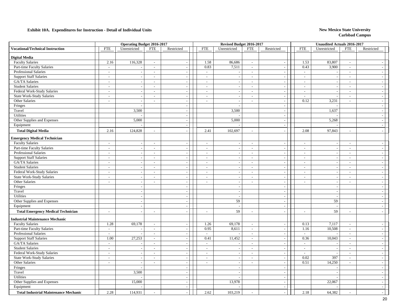|                                              |                          | <b>Operating Budget 2016-2017</b> |                          |                          |                          | Revised Budget 2016-2017 |                             |                             |                             | <b>Unaudited Actuals 2016-2017</b> |                          |                          |
|----------------------------------------------|--------------------------|-----------------------------------|--------------------------|--------------------------|--------------------------|--------------------------|-----------------------------|-----------------------------|-----------------------------|------------------------------------|--------------------------|--------------------------|
| <b>Vocational/Technical Instruction</b>      | <b>FTE</b>               | Unrestricted                      | <b>FTE</b>               | Restricted               | <b>FTE</b>               | Unrestricted             | <b>FTE</b>                  | Restricted                  | <b>FTE</b>                  | Unrestricted                       | <b>FTE</b>               | Restricted               |
| <b>Digital Media</b>                         |                          |                                   |                          |                          |                          |                          |                             |                             |                             |                                    |                          |                          |
| <b>Faculty Salaries</b>                      | 2.16                     | 116,328                           | $\sim$                   | $\sim$                   | 1.58                     | 86,686                   | $\sim$                      | $\overline{\phantom{a}}$    | 1.53                        | 83,807                             | $\overline{\phantom{a}}$ | $\sim$                   |
| Part-time Faculty Salaries                   | $\overline{\phantom{a}}$ |                                   | $\overline{\phantom{a}}$ | $\sim$                   | 0.83                     | 7,511                    | $\sim$                      | $\overline{\phantom{a}}$    | 0.43                        | 3,900                              | $\sim$                   | $\sim$                   |
| Professional Salaries                        | $\overline{\phantom{a}}$ |                                   | $\sim$                   | $\sim$                   | $\mathcal{L}$            |                          | $\sim$                      | $\overline{a}$              | $\sim$                      |                                    | $\overline{a}$           | $\sim$                   |
| <b>Support Staff Salaries</b>                | $\sim$                   | $\sim$                            | $\sim$                   | $\sim$                   | $\sim$                   | $\sim$                   | $\sim$                      | $\overline{\phantom{a}}$    | $\overline{\phantom{a}}$    | $\overline{\phantom{a}}$           | $\overline{\phantom{a}}$ | $\sim$                   |
| GA/TA Salaries                               | $\sim$                   |                                   | $\mathcal{L}$            | $\sim$                   | $\sim$                   | $\sim$                   | $\sim$                      | $\sim$                      | $\sim$                      | $\overline{\phantom{a}}$           | $\sim$                   | $\sim$ 1                 |
| <b>Student Salaries</b>                      | $\overline{\phantom{a}}$ | $\overline{\phantom{a}}$          | $\sim$                   | $\sim$                   | $\sim$                   |                          | $\sim$                      | $\sim$                      | $\sim$                      | $\overline{\phantom{a}}$           | $\sim$                   | $\sim$                   |
| Federal Work-Study Salaries                  | $\overline{\phantom{a}}$ |                                   | $\overline{\phantom{a}}$ | $\sim$                   | $\blacksquare$           |                          | $\sim$                      | $\blacksquare$              | $\blacksquare$              |                                    | $\sim$                   | $-1$                     |
| <b>State Work-Study Salaries</b>             | $\sim$                   | $\overline{\phantom{a}}$          | $\sim$                   | $\overline{\phantom{a}}$ | $\sim$                   | $\overline{\phantom{a}}$ | $\sim$                      | $\overline{\phantom{a}}$    | $\sim$                      |                                    | $\sim$                   | $=$                      |
| Other Salaries                               | $\overline{\phantom{a}}$ |                                   | $\sim$                   | $\sim$                   | $\sim$                   | $\sim$                   | $\sim$                      | $\overline{\phantom{a}}$    | 0.12                        | 3,231                              | $\sim$                   | $-$                      |
| Fringes                                      |                          |                                   |                          | $\overline{a}$           |                          |                          |                             | $\overline{a}$              |                             |                                    |                          | $\sim$                   |
| Travel                                       |                          | 3,500                             |                          | $\overline{\phantom{a}}$ |                          | 3,500                    |                             | $\overline{\phantom{a}}$    |                             | 1,637                              |                          | $\sim$                   |
| Utilities                                    |                          |                                   |                          | $\sim$                   |                          |                          |                             | $\sim$                      |                             |                                    |                          | $\sim$                   |
| Other Supplies and Expenses                  |                          | 5,000                             |                          | $\sim$                   |                          | 5,000                    |                             | $\blacksquare$              |                             | 5,268                              |                          | $\sim$                   |
| Equipment                                    |                          |                                   |                          | $\overline{\phantom{a}}$ |                          |                          |                             | $\overline{\phantom{a}}$    |                             |                                    |                          | $=$                      |
| <b>Total Digital Media</b>                   | 2.16                     | 124,828                           | $\sim$                   |                          | 2.41                     | 102,697                  | $\sim$                      | $\overline{a}$              | 2.08                        | 97,843                             | $\sim$                   |                          |
| <b>Emergency Medical Technician</b>          |                          |                                   |                          |                          |                          |                          |                             |                             |                             |                                    |                          |                          |
| <b>Faculty Salaries</b>                      | $\sim$                   |                                   | $\sim$                   | $\overline{\phantom{a}}$ | $\sim$                   |                          | $\sim$                      | $\overline{\phantom{a}}$    | $\sim$                      |                                    | $\overline{\phantom{a}}$ | $\sim$                   |
| Part-time Faculty Salaries                   | $\sim$                   |                                   | $\overline{\phantom{a}}$ | $\overline{\phantom{a}}$ | $\overline{\phantom{a}}$ |                          | $\mathbb{L}$                | $\overline{\phantom{a}}$    | $\blacksquare$              | $\overline{\phantom{a}}$           | $\bar{\phantom{a}}$      | $\sim$                   |
| <b>Professional Salaries</b>                 | $\sim$                   | $\overline{\phantom{a}}$          | $\sim$                   | $\sim$                   | $\sim$                   |                          | $\sim$                      | $\overline{\phantom{a}}$    | $\overline{\phantom{a}}$    | $\overline{\phantom{a}}$           | $\sim$                   | $\sim$                   |
| <b>Support Staff Salaries</b>                | $\sim$                   | $\overline{a}$                    | $\sim$                   | $\overline{a}$           | $\sim$                   |                          | $\sim$                      | $\sim$                      | $\overline{a}$              | $\sim$                             | $\sim$                   | $\sim$                   |
| GA/TA Salaries                               | $\overline{\phantom{a}}$ |                                   | $\sim$                   | $\sim$                   | $\sim$                   |                          | $\sim$                      | $\sim$                      | $\sim$                      | $\sim$                             | $\sim$                   | $\sim$ 1                 |
| <b>Student Salaries</b>                      | $\overline{\phantom{a}}$ | $\sim$                            | $\sim$                   | $\sim$                   | $\sim$                   |                          | $\sim$                      | $\overline{\phantom{a}}$    | $\overline{\phantom{a}}$    | $\overline{\phantom{a}}$           | $\sim$                   | $=$                      |
| Federal Work-Study Salaries                  | $\sim$                   | $\overline{\phantom{a}}$          | $\sim$                   | $\sim$                   | $\sim$                   | $\overline{\phantom{a}}$ | $\sim$                      | $\mathcal{L}_{\mathcal{A}}$ | $\blacksquare$              | $\overline{\phantom{a}}$           | $\sim$                   | $-1$                     |
| <b>State Work-Study Salaries</b>             | $\sim$                   |                                   | $\sim$                   | $\overline{a}$           | $\sim$                   |                          | $\sim$                      | $\sim$                      | $\overline{a}$              | $\overline{\phantom{a}}$           | $\sim$                   | $\sim$                   |
| Other Salaries                               | $\overline{\phantom{a}}$ | $\overline{\phantom{a}}$          | $\sim$                   | $\overline{\phantom{a}}$ | $\sim$                   | $\sim$                   | $\sim$                      | $\blacksquare$              | $\overline{\phantom{a}}$    | $\overline{\phantom{a}}$           | $\overline{\phantom{a}}$ | $-1$                     |
| Fringes                                      |                          | $\overline{\phantom{a}}$          |                          | $\overline{\phantom{a}}$ |                          |                          |                             | $\overline{\phantom{a}}$    |                             | $\sim$                             |                          | $\sim$                   |
| Travel                                       |                          | $\sim$                            |                          | $\sim$                   |                          | $\overline{\phantom{a}}$ |                             | $\sim$                      |                             | $\overline{\phantom{a}}$           |                          | $\sim$                   |
| Utilities                                    |                          | $\sim$                            |                          | $\sim$                   |                          | $\sim$                   |                             | $\sim$                      |                             |                                    |                          | $\sim$                   |
| Other Supplies and Expenses                  |                          | $\overline{\phantom{a}}$          |                          | $\overline{\phantom{a}}$ |                          | 59                       |                             | $\sim$                      |                             | 59                                 |                          | $\sim$ 1                 |
| Equipment                                    |                          | $\overline{\phantom{a}}$          |                          | $\overline{\phantom{a}}$ |                          | $\sim$                   |                             | $\sim$                      |                             | $\overline{a}$                     |                          | $\sim$                   |
|                                              |                          |                                   |                          |                          | $\sim$                   | 59                       | $\sim$                      |                             | $\overline{a}$              | 59                                 | $\sim$                   |                          |
| <b>Total Emergency Medical Technician</b>    | $\overline{\phantom{a}}$ |                                   | $\sim$                   |                          |                          |                          |                             |                             |                             |                                    |                          |                          |
| <b>Industrial Maintenance Mechanic</b>       |                          |                                   |                          |                          |                          |                          |                             |                             |                             |                                    |                          |                          |
| <b>Faculty Salaries</b>                      | 1.28                     | 69,178                            | $\sim$                   | $\overline{a}$           | 1.26                     | 69,178                   | $\mathcal{L}_{\mathcal{A}}$ | $\sim$                      | 0.13                        | 7,117                              | $\sim$                   | $\overline{\phantom{a}}$ |
| Part-time Faculty Salaries                   | $\sim$                   |                                   | $\sim$                   | $\sim$                   | 0.95                     | 8,611                    | $\sim$                      | $\overline{\phantom{a}}$    | 1.16                        | 10,508                             | $\sim$                   | $\sim$                   |
| <b>Professional Salaries</b>                 | $\sim$                   |                                   | $\sim$                   | $\sim$                   | $\sim$                   |                          | $\sim$                      | $\sim$                      | $\sim$                      |                                    | $\sim$                   | $\sim$                   |
| <b>Support Staff Salaries</b>                | 1.00                     | 27,253                            | $\overline{\phantom{a}}$ | $\mathbb{L}$             | 0.41                     | 11,452                   | $\mathcal{L}_{\mathcal{A}}$ | $\overline{\phantom{a}}$    | 0.36                        | 10,043                             | $\sim$                   | $\sim$                   |
| GA/TA Salaries                               | $\sim$                   |                                   | $\sim$                   | $\overline{\phantom{a}}$ | $\sim$                   |                          | $\sim$                      | $\overline{\phantom{a}}$    | $\mathcal{L}_{\mathcal{A}}$ | $\sim$                             | $\sim$                   | $-1$                     |
| <b>Student Salaries</b>                      | $\sim$                   |                                   | $\sim$                   | $\sim$                   | $\sim$                   |                          | $\sim$                      | $\overline{\phantom{a}}$    | $\overline{\phantom{a}}$    | $\overline{\phantom{a}}$           | $\sim$                   | $\sim$ 1                 |
| Federal Work-Study Salaries                  | $\overline{\phantom{a}}$ |                                   | $\sim$                   | $\sim$                   | $\sim$                   |                          | $\sim$                      | $\overline{\phantom{a}}$    | $\overline{\phantom{a}}$    |                                    | $\sim$                   | $\sim$                   |
| <b>State Work-Study Salaries</b>             | $\blacksquare$           |                                   | $\overline{\phantom{a}}$ | $\overline{a}$           | $\sim$                   |                          | $\sim$                      | $\overline{\phantom{a}}$    | 0.02                        | 397                                | $\frac{1}{2}$            | $\sim$                   |
| Other Salaries                               | $\sim$                   | $\overline{a}$                    | $\sim$                   | $\sim$                   | $\sim$                   | $\overline{a}$           | $\sim$                      | $\sim$                      | 0.51                        | 14,250                             | $\overline{a}$           | $\sim$                   |
| Fringes                                      |                          |                                   |                          | $\sim$                   |                          |                          |                             | $\sim$                      |                             |                                    |                          | $\sim$ 1                 |
| Travel                                       |                          | 3,500                             |                          | $\sim$                   |                          |                          |                             | $\sim$                      |                             |                                    |                          | $\sim$                   |
| Utilities                                    |                          |                                   |                          | $\sim$                   |                          | $\overline{\phantom{a}}$ |                             | $\sim$                      |                             |                                    |                          | $\sim$                   |
| Other Supplies and Expenses                  |                          | 15,000                            |                          | $\overline{\phantom{a}}$ |                          | 13,978                   |                             | $\overline{\phantom{a}}$    |                             | 22,067                             |                          | $\sim$                   |
| Equipment                                    |                          |                                   |                          | $\sim$                   |                          |                          |                             | $\overline{\phantom{a}}$    |                             |                                    |                          | $\sim$                   |
| <b>Total Industrial Maintenance Mechanic</b> | 2.28                     | 114,931                           | $\sim$                   | $\sim$                   | 2.62                     | 103,219                  |                             | $\overline{a}$              | 2.18                        | 64,382                             | $\overline{a}$           | $\sim$                   |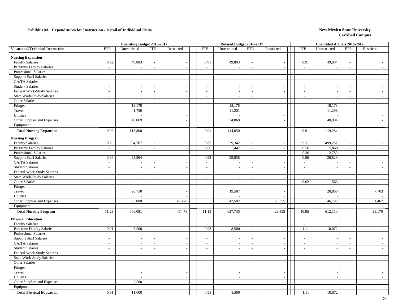|                                         |                          | <b>Operating Budget 2016-2017</b> |                             |                          |                          | Revised Budget 2016-2017 |                             |                             |                          | Unaudited Actuals 2016-2017 |                          |                             |  |
|-----------------------------------------|--------------------------|-----------------------------------|-----------------------------|--------------------------|--------------------------|--------------------------|-----------------------------|-----------------------------|--------------------------|-----------------------------|--------------------------|-----------------------------|--|
| <b>Vocational/Technical Instruction</b> | <b>FTE</b>               | Unrestricted                      | <b>FTE</b>                  | Restricted               | <b>FTE</b>               | Unrestricted             | <b>FTE</b>                  | Restricted                  | <b>FTE</b>               | Unrestricted                | <b>FTE</b>               | Restricted                  |  |
| <b>Nursing Expansion</b>                |                          |                                   |                             |                          |                          |                          |                             |                             |                          |                             |                          |                             |  |
| <b>Faculty Salaries</b>                 | 0.92                     | 49,803                            | $\overline{\phantom{a}}$    | $\sim$                   | 0.91                     | 49,803                   | $\sim$                      | $\sim$                      | 0.91                     | 49,804                      | $\overline{\phantom{a}}$ |                             |  |
| Part-time Faculty Salaries              | $\overline{\phantom{a}}$ | $\overline{\phantom{a}}$          | $\sim$                      | $\overline{\phantom{a}}$ | $\sim$                   | $\sim$                   | $\sim$                      | $\sim$                      | $\sim$                   |                             | $\sim$                   | $\sim$                      |  |
| Professional Salaries                   | $\overline{\phantom{a}}$ |                                   | $\overline{\phantom{a}}$    | $\overline{\phantom{a}}$ | $\sim$                   |                          | $\sim$                      | $\overline{a}$              | $\sim$                   |                             | $\sim$                   | $\sim$                      |  |
| <b>Support Staff Salaries</b>           | $\sim$                   | $\overline{\phantom{a}}$          | $\sim$                      | $\sim$                   | $\sim$                   |                          | $\sim$                      | $\blacksquare$              | $\overline{a}$           | $\sim$                      | $\overline{\phantom{a}}$ | $\sim$                      |  |
| GA/TA Salaries                          | $\sim$                   | $\sim$                            | $\sim$                      | $\overline{\phantom{a}}$ | $\sim$                   |                          | $\sim$                      | $\overline{\phantom{a}}$    | $\sim$                   | $\overline{\phantom{a}}$    | $\sim$                   | $\overline{\phantom{a}}$    |  |
| <b>Student Salaries</b>                 | $\sim$                   | $\sim$                            | $\sim$                      | $\sim$                   | $\sim$                   |                          | $\sim$                      | $\overline{\phantom{a}}$    | $\overline{\phantom{a}}$ | $\overline{\phantom{a}}$    | $\sim$                   | $\overline{\phantom{a}}$    |  |
| Federal Work-Study Salaries             | $\overline{\phantom{a}}$ | $\overline{a}$                    | $\sim$                      | $\sim$                   | $\sim$                   |                          | $\sim$                      | $\blacksquare$              | $\overline{\phantom{a}}$ |                             | $\sim$                   | $\sim$                      |  |
| <b>State Work-Study Salaries</b>        | $\sim$                   | $\overline{\phantom{a}}$          | $\sim$                      | $\sim$                   | $\sim$                   | $\overline{a}$           | $\overline{\phantom{a}}$    | $\blacksquare$              | $\sim$                   | $\overline{\phantom{a}}$    | $\sim$                   | $\sim$                      |  |
| Other Salaries                          | $\sim$                   | $\overline{a}$                    | $\sim$                      | $\sim$                   | $\sim$                   | $\sim$                   | $\sim$                      | $\mathcal{L}_{\mathcal{A}}$ | $\sim$                   | $\overline{\phantom{a}}$    | $\sim$                   | $\sim$                      |  |
| Fringes                                 |                          | 18,178                            |                             | $\overline{\phantom{a}}$ |                          | 18,178                   |                             | $\overline{\phantom{a}}$    |                          | 18,178                      |                          | $\sim$                      |  |
| Travel                                  |                          | 1,750                             |                             | $\overline{\phantom{a}}$ |                          | 11,201                   |                             | $\overline{a}$              |                          | 11,298                      |                          | $\overline{\phantom{a}}$    |  |
| <b>Utilities</b>                        |                          |                                   |                             | $\sim$                   |                          |                          |                             | $\overline{\phantom{a}}$    |                          |                             |                          | $\mathcal{L}_{\mathcal{A}}$ |  |
| Other Supplies and Expenses             |                          | 46,069                            |                             | $\sim$                   |                          | 34,868                   |                             | $\overline{\phantom{a}}$    |                          | 40,004                      |                          | $\sim$                      |  |
| Equipment                               |                          |                                   |                             | $\sim$                   |                          |                          |                             | $\sim$                      |                          |                             |                          | $\overline{a}$              |  |
| <b>Total Nursing Expansion</b>          | 0.92                     | 115,800                           | $\sim$                      |                          | 0.91                     | 114,050                  | $\sim$                      | $\overline{a}$              | 0.91                     | 119,284                     | $\sim$                   | $\overline{\phantom{a}}$    |  |
| <b>Nursing Program</b>                  |                          |                                   |                             |                          |                          |                          |                             |                             |                          |                             |                          |                             |  |
| <b>Faculty Salaries</b>                 | 10.29                    | 554,767                           | $\overline{\phantom{a}}$    | $\overline{\phantom{a}}$ | 9.66                     | 529,342                  | $\sim$                      | $\overline{\phantom{a}}$    | 9.11                     | 499,252                     | $\sim$                   | $\sim$                      |  |
| Part-time Faculty Salaries              | $\overline{\phantom{a}}$ |                                   | $\blacksquare$              | $\overline{\phantom{a}}$ | 0.60                     | 5,447                    | $\mathbb{L}$                | $\overline{\phantom{a}}$    | 0.56                     | 5,068                       | $\sim$                   | $\sim$                      |  |
| Professional Salaries                   | $\overline{\phantom{a}}$ |                                   | $\blacksquare$              | $\overline{a}$           | $\mathbb{Z}^2$           |                          | $\mathbb{Z}^2$              | $\frac{1}{2}$               | 0.30                     | 12,780                      | $\mathbb{Z}$             | $\sim$                      |  |
| <b>Support Staff Salaries</b>           | 0.94                     | 25,564                            | $\sim$                      | $\sim$                   | 0.92                     | 25,858                   | $\mathbb{Z}^2$              | $\blacksquare$              | 0.96                     | 26,829                      | $\overline{a}$           | $\sim$                      |  |
| GA/TA Salaries                          | $\sim$                   |                                   | $\sim$                      | $\sim$                   | $\sim$                   |                          | $\sim$                      | $\sim$                      | $\sim$                   |                             | $\sim$                   | $\sim$                      |  |
| <b>Student Salaries</b>                 | $\sim$                   |                                   | $\sim$                      | $\sim$                   | $\sim$                   |                          | $\sim$                      | $\sim$                      | $\sim$                   |                             | $\overline{\phantom{a}}$ | $\sim$                      |  |
| Federal Work-Study Salaries             | $\sim$                   | $\overline{\phantom{a}}$          | $\overline{\phantom{a}}$    | $\sim$                   | $\sim$                   | $\sim$                   | $\sim$                      | $\overline{\phantom{a}}$    | $\overline{\phantom{a}}$ | $\overline{\phantom{a}}$    | $\overline{\phantom{a}}$ | $\sim$                      |  |
| <b>State Work-Study Salaries</b>        | $\sim$                   |                                   | $\overline{\phantom{a}}$    | $\sim$                   | $\sim$                   |                          | $\sim$                      | $\sim$                      | $\overline{a}$           |                             | $\sim$                   | $\sim$                      |  |
| Other Salaries                          | $\sim$                   | $\overline{\phantom{a}}$          | $\sim$                      | $\sim$                   | $\sim$                   | $\sim$                   | $\sim$                      | $\mathcal{L}$               | 0.02                     | 563                         | $\overline{a}$           | $\sim$                      |  |
| Fringes                                 |                          |                                   |                             | $\overline{\phantom{a}}$ |                          |                          |                             | $\overline{\phantom{a}}$    |                          |                             |                          |                             |  |
| Travel                                  |                          | 20,750                            |                             | $\overline{\phantom{a}}$ |                          | 19,507                   |                             | $\overline{\phantom{a}}$    |                          | 20,860                      |                          | 7,703                       |  |
| Utilities                               |                          |                                   |                             |                          |                          |                          |                             | $\overline{a}$              |                          |                             |                          |                             |  |
| Other Supplies and Expenses             |                          | 65,000                            |                             | 47,478                   |                          | 47,582                   |                             | 23,355                      |                          | 46,798                      |                          | 31,467                      |  |
| Equipment                               |                          |                                   |                             |                          |                          |                          |                             |                             |                          |                             |                          |                             |  |
| <b>Total Nursing Program</b>            | 11.23                    | 666,081                           | $\overline{a}$              | 47,478                   | 11.18                    | 627,736                  |                             | 23,355                      | 10.95                    | 612,150                     | $\sim$                   | 39,170                      |  |
| <b>Physical Education</b>               |                          |                                   |                             |                          |                          |                          |                             |                             |                          |                             |                          |                             |  |
| <b>Faculty Salaries</b>                 |                          |                                   | $\sim$                      |                          |                          |                          | $\sim$                      | $\sim$                      | $\overline{a}$           |                             | $\sim$                   |                             |  |
| Part-time Faculty Salaries              | 0.91                     | 8,500                             | $\mathcal{L}_{\mathcal{A}}$ | $\sim$                   | 0.93                     | 8,500                    | $\mathbb{Z}^2$              | $\overline{a}$              | 1.11                     | 10,072                      | $\sim$                   | $\sim$                      |  |
| Professional Salaries                   | $\sim$                   |                                   | $\sim$                      | $\sim$                   | $\sim$                   |                          | $\sim$                      | $\overline{\phantom{a}}$    | $\mathbf{r}$             |                             | $\sim$                   | $\sim$                      |  |
| <b>Support Staff Salaries</b>           | $\sim$                   | $\sim$                            | $\sim$                      | $\sim$                   | $\sim$                   |                          | $\sim$                      | $\overline{\phantom{a}}$    | $\overline{\phantom{a}}$ |                             | $\sim$                   | $\overline{a}$              |  |
| GA/TA Salaries                          | $\mathbb{L}$             | $\sim$                            | $\blacksquare$              | $\mathbb{L}$             | $\sim$                   |                          | $\mathcal{L}_{\mathcal{A}}$ | $\blacksquare$              | $\blacksquare$           |                             | $\sim$                   | $\sim$                      |  |
| <b>Student Salaries</b>                 | $\overline{\phantom{a}}$ | $\sim$                            | $\sim$                      | $\sim$                   | $\overline{\phantom{a}}$ |                          | $\sim$                      | $\sim$                      | $\sim$                   |                             | $\overline{\phantom{a}}$ | $\sim$                      |  |
| Federal Work-Study Salaries             | $\sim$                   | $\sim$                            | $\overline{\phantom{a}}$    | $\sim$                   | $\sim$                   | $\overline{\phantom{a}}$ | $\sim$                      | $\sim$                      | $\sim$                   | $\overline{\phantom{a}}$    | $\overline{\phantom{a}}$ | $\sim$                      |  |
| <b>State Work-Study Salaries</b>        | $\overline{\phantom{a}}$ | $\overline{\phantom{a}}$          | $\overline{\phantom{a}}$    | $\overline{a}$           | $\blacksquare$           |                          | $\overline{\phantom{a}}$    | $\overline{\phantom{a}}$    | $\sim$                   |                             | $\overline{a}$           | $\sim$                      |  |
| Other Salaries                          | $\sim$                   | $\mathbb{Z}^2$                    | $\sim$                      | $\overline{\phantom{a}}$ | $\sim$                   | $\sim$                   | $\sim$                      | $\overline{\phantom{a}}$    | $\sim$                   | $\overline{\phantom{a}}$    | $\overline{a}$           | $\overline{\phantom{a}}$    |  |
| Fringes                                 |                          | $\overline{a}$                    |                             | $\overline{\phantom{a}}$ |                          |                          |                             | $\sim$                      |                          | $\overline{\phantom{a}}$    |                          | $\sim$                      |  |
| Travel                                  |                          | $\overline{a}$                    |                             | $\sim$                   |                          |                          |                             | $\overline{\phantom{a}}$    |                          |                             |                          | $\sim$                      |  |
| Utilities                               |                          | $\overline{\phantom{a}}$          |                             | $\overline{\phantom{a}}$ |                          | $\sim$                   |                             | $\overline{\phantom{a}}$    |                          | $\overline{\phantom{a}}$    |                          | $\sim$                      |  |
| Other Supplies and Expenses             |                          | 2,500                             |                             | $\overline{a}$           |                          | $\overline{a}$           |                             | $\sim$                      |                          |                             |                          | $\sim$                      |  |
| Equipment                               |                          |                                   |                             | $\sim$                   |                          | $\sim$                   |                             | $\overline{\phantom{a}}$    |                          |                             |                          | $\sim$                      |  |
| <b>Total Physical Education</b>         | 0.91                     | 11,000                            | $\sim$                      | $\sim$                   | 0.93                     | 8,500                    |                             | $\sim$                      | 1.11                     | 10,072                      | $\overline{a}$           | $\sim$                      |  |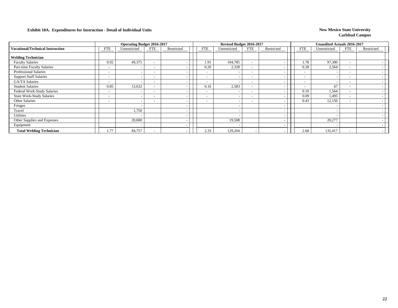|                                         |                          | <b>Operating Budget 2016-2017</b> |                          |            |                          | Revised Budget 2016-2017 |                          |                          |                          | <b>Unaudited Actuals 2016-2017</b> |                          |            |
|-----------------------------------------|--------------------------|-----------------------------------|--------------------------|------------|--------------------------|--------------------------|--------------------------|--------------------------|--------------------------|------------------------------------|--------------------------|------------|
| <b>Vocational/Technical Instruction</b> | <b>FTE</b>               | Unrestricted                      | <b>FTE</b>               | Restricted | <b>FTE</b>               | Unrestricted             | <b>FTE</b>               | Restricted               | <b>FTE</b>               | Unrestricted                       | <b>FTE</b>               | Restricted |
| <b>Welding Technician</b>               |                          |                                   |                          |            |                          |                          |                          |                          |                          |                                    |                          |            |
| <b>Faculty Salaries</b>                 | 0.92                     | 49,375                            |                          |            | 1.91                     | 104,785                  | $\overline{\phantom{a}}$ |                          | 1.78                     | 97,300                             | $\overline{\phantom{a}}$ |            |
| Part-time Faculty Salaries              |                          |                                   |                          |            | 0.26                     | 2,328                    | $\overline{\phantom{a}}$ |                          | 0.28                     | 2,564                              | $\overline{\phantom{a}}$ |            |
| <b>Professional Salaries</b>            |                          |                                   |                          |            | $\overline{\phantom{a}}$ |                          | $\overline{\phantom{0}}$ | $\overline{\phantom{a}}$ |                          |                                    | $\overline{\phantom{a}}$ |            |
| <b>Support Staff Salaries</b>           | $\overline{\phantom{0}}$ |                                   |                          |            | $\overline{\phantom{0}}$ |                          | $\overline{\phantom{a}}$ |                          | $\overline{\phantom{0}}$ |                                    | $\overline{\phantom{a}}$ |            |
| GA/TA Salaries                          |                          |                                   |                          |            | $\overline{\phantom{0}}$ |                          | $\sim$                   |                          | $\overline{\phantom{0}}$ |                                    | $\overline{\phantom{a}}$ |            |
| <b>Student Salaries</b>                 | 0.85                     | 13,632                            |                          |            | 0.16                     | 2,583                    | $\overline{\phantom{a}}$ |                          | $\overline{\phantom{a}}$ | 67                                 | $\overline{\phantom{a}}$ |            |
| Federal Work-Study Salaries             | $\overline{\phantom{0}}$ |                                   |                          |            | $\overline{\phantom{a}}$ |                          | $\overline{\phantom{0}}$ | $\overline{\phantom{a}}$ | 0.10                     | 1,564                              | $\overline{\phantom{a}}$ |            |
| <b>State Work-Study Salaries</b>        | $\overline{\phantom{a}}$ |                                   | $\overline{\phantom{a}}$ |            | $\overline{\phantom{0}}$ |                          | $\overline{\phantom{0}}$ | $\overline{\phantom{a}}$ | 0.09                     | 1,495                              | $\overline{\phantom{a}}$ |            |
| Other Salaries                          | $\overline{\phantom{0}}$ |                                   | $\sim$                   |            | $\overline{\phantom{a}}$ |                          | $\overline{\phantom{0}}$ |                          | 0.43                     | 12,150                             | $\overline{\phantom{a}}$ |            |
| Fringes                                 |                          |                                   |                          |            |                          |                          |                          | $\overline{\phantom{a}}$ |                          |                                    |                          |            |
| Travel                                  |                          | 1,750                             |                          |            |                          |                          |                          | $\overline{\phantom{a}}$ |                          |                                    |                          |            |
| <b>Utilities</b>                        |                          |                                   |                          |            |                          |                          |                          | $\overline{\phantom{a}}$ |                          |                                    |                          |            |
| Other Supplies and Expenses             |                          | 20,000                            |                          |            |                          | 19,508                   |                          | $\overline{\phantom{0}}$ |                          | 20,277                             |                          |            |
| Equipment                               |                          |                                   |                          |            |                          |                          |                          | $\overline{\phantom{a}}$ |                          |                                    |                          |            |
| <b>Total Welding Technician</b>         | .77                      | 84,757                            |                          |            | 2.33                     | 129,204                  |                          |                          | 2.68                     | 135,417                            | $\overline{\phantom{a}}$ |            |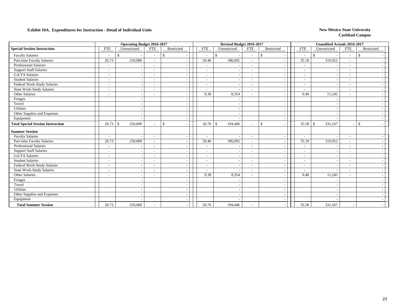|                                          |                          | <b>Operating Budget 2016-2017</b> |                          |               |                          | Revised Budget 2016-2017       |                          |                                                |                          | <b>Unaudited Actuals 2016-2017</b> |                          |               |
|------------------------------------------|--------------------------|-----------------------------------|--------------------------|---------------|--------------------------|--------------------------------|--------------------------|------------------------------------------------|--------------------------|------------------------------------|--------------------------|---------------|
| <b>Special Session Instruction</b>       | <b>FTE</b>               | Unrestricted                      | <b>FTE</b>               | Restricted    | <b>FTE</b>               | Unrestricted                   | <b>FTE</b>               | Restricted                                     | <b>FTE</b>               | Unrestricted                       | <b>FTE</b>               | Restricted    |
| <b>Faculty Salaries</b>                  |                          | <sup>\$</sup>                     | $\overline{\phantom{a}}$ | <sup>\$</sup> | $\sim$                   | \$<br>$\overline{\phantom{a}}$ | $\sim$                   | $\mathbf{\$}$                                  | $\overline{\phantom{a}}$ | \$                                 | $\sim$                   | -\$           |
| Part-time Faculty Salaries               | 26.73                    | 250,000                           |                          |               | 20.46                    | 186,092                        |                          |                                                | 35.18                    | 319,922                            |                          |               |
| Professional Salaries                    |                          |                                   |                          |               |                          |                                | $\overline{\phantom{a}}$ |                                                | $\overline{\phantom{a}}$ |                                    |                          |               |
| <b>Support Staff Salaries</b>            |                          |                                   | $\overline{\phantom{a}}$ |               | $\overline{\phantom{0}}$ | $\overline{\phantom{a}}$       | $\overline{\phantom{0}}$ | $\overline{\phantom{a}}$                       | $\overline{\phantom{a}}$ |                                    | $\overline{\phantom{a}}$ |               |
| <b>GA/TA Salaries</b>                    |                          |                                   |                          |               |                          |                                | $\overline{\phantom{a}}$ |                                                | $\overline{\phantom{a}}$ |                                    |                          |               |
| <b>Student Salaries</b>                  | $\overline{\phantom{0}}$ |                                   | $\overline{\phantom{a}}$ |               |                          |                                | $\sim$                   | $\tilde{\phantom{a}}$                          | $\overline{\phantom{a}}$ |                                    | $\overline{\phantom{a}}$ |               |
| Federal Work-Study Salaries              | $\overline{\phantom{0}}$ |                                   | $\overline{\phantom{a}}$ |               | ٠                        |                                | $\sim$                   | $\overline{a}$                                 | $\overline{\phantom{a}}$ |                                    | $\overline{\phantom{a}}$ |               |
| <b>State Work-Study Salaries</b>         |                          |                                   |                          |               |                          |                                |                          | $\tilde{\phantom{a}}$                          | ۰                        |                                    |                          |               |
| Other Salaries                           | $\overline{\phantom{a}}$ |                                   | $\overline{\phantom{a}}$ |               | 0.30                     | 8,354                          | $\sim$                   |                                                | 0.40                     | 11,245                             | $\overline{\phantom{a}}$ |               |
| Fringes                                  |                          |                                   |                          |               |                          |                                |                          | $\overline{\phantom{a}}$                       |                          |                                    |                          |               |
| Travel                                   |                          |                                   |                          |               |                          |                                |                          | $\overline{\phantom{a}}$                       |                          |                                    |                          |               |
| <b>Utilities</b>                         |                          |                                   |                          |               |                          |                                |                          | $\overline{\phantom{a}}$                       |                          |                                    |                          |               |
| Other Supplies and Expenses              |                          |                                   |                          |               |                          |                                |                          | $\overline{\phantom{a}}$                       |                          |                                    |                          |               |
| Equipment                                |                          |                                   |                          |               |                          |                                |                          |                                                |                          |                                    |                          |               |
| <b>Total Special Session Instruction</b> | 26.73                    | 250,000<br>$\mathcal{S}$          |                          | \$            | 20.76                    | 194,446<br>$\mathbf{s}$        | $\overline{\phantom{a}}$ | $\mathbf{\hat{S}}$<br>$\overline{\phantom{a}}$ | 35.58                    | 331.167<br>-\$                     |                          | $\mathcal{S}$ |
| <b>Summer Session</b>                    |                          |                                   |                          |               |                          |                                |                          |                                                |                          |                                    |                          |               |
| <b>Faculty Salaries</b>                  | $\overline{\phantom{a}}$ |                                   | $\overline{\phantom{a}}$ |               | ٠                        |                                | $\overline{\phantom{a}}$ |                                                | $\blacksquare$           |                                    | $\overline{\phantom{a}}$ |               |
| Part-time Faculty Salaries               | 26.73                    | 250,000                           | $\overline{\phantom{a}}$ |               | 20.46                    | 186,092                        | $\sim$                   | $\overline{\phantom{a}}$                       | 35.18                    | 319,922                            | $\overline{\phantom{a}}$ |               |
| <b>Professional Salaries</b>             |                          |                                   |                          |               |                          |                                |                          | $\tilde{\phantom{a}}$                          | $\overline{a}$           |                                    |                          |               |
| <b>Support Staff Salaries</b>            | $\overline{\phantom{a}}$ |                                   |                          |               |                          |                                | $\sim$                   | $\sim$                                         | $\overline{\phantom{a}}$ |                                    | $\overline{\phantom{a}}$ |               |
| <b>GA/TA Salaries</b>                    | $\overline{\phantom{a}}$ |                                   |                          |               |                          |                                | $\sim$                   | $\overline{\phantom{a}}$                       | $\overline{\phantom{a}}$ |                                    |                          |               |
| <b>Student Salaries</b>                  |                          |                                   | $\overline{\phantom{a}}$ |               |                          |                                | $\overline{\phantom{0}}$ | $\blacksquare$                                 | $\overline{\phantom{a}}$ |                                    | $\overline{\phantom{a}}$ |               |
| Federal Work-Study Salaries              | $\overline{\phantom{a}}$ |                                   | $\overline{\phantom{a}}$ |               |                          | $\overline{\phantom{a}}$       | $\overline{\phantom{a}}$ | $\tilde{\phantom{a}}$                          | $\overline{\phantom{a}}$ |                                    | $\overline{\phantom{a}}$ |               |
| <b>State Work-Study Salaries</b>         |                          |                                   |                          |               |                          |                                | $\overline{\phantom{a}}$ |                                                | $\overline{\phantom{a}}$ |                                    |                          |               |
| Other Salaries                           |                          |                                   | $\overline{\phantom{a}}$ |               | 0.30                     | 8,354                          | $\overline{\phantom{0}}$ | $\tilde{\phantom{a}}$                          | 0.40                     | 11,245                             | $\overline{\phantom{a}}$ |               |
| Fringes                                  |                          |                                   |                          |               |                          |                                |                          |                                                |                          |                                    |                          |               |
| Travel                                   |                          |                                   |                          |               |                          |                                |                          | $\tilde{\phantom{a}}$                          |                          |                                    |                          |               |
| Utilities                                |                          |                                   |                          |               |                          |                                |                          | $\tilde{\phantom{a}}$                          |                          |                                    |                          |               |
| Other Supplies and Expenses              |                          |                                   |                          |               |                          |                                |                          |                                                |                          |                                    |                          |               |
| Equipment                                |                          |                                   |                          |               |                          |                                |                          |                                                |                          |                                    |                          |               |
| <b>Total Summer Session</b>              | 26.73                    | 250,000                           |                          |               | 20.76                    | 194,446                        |                          |                                                | 35.58                    | 331,167                            |                          |               |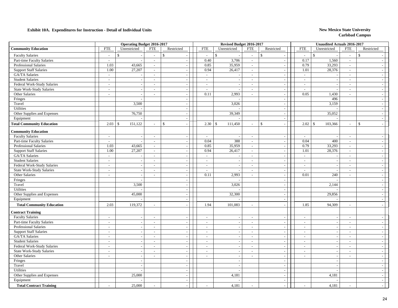|                                  |                          | <b>Operating Budget 2016-2017</b> |                             |                             |               | Revised Budget 2016-2017 |                |                                 |                             | <b>Unaudited Actuals 2016-2017</b> |                          |                          |
|----------------------------------|--------------------------|-----------------------------------|-----------------------------|-----------------------------|---------------|--------------------------|----------------|---------------------------------|-----------------------------|------------------------------------|--------------------------|--------------------------|
| <b>Community Education</b>       | <b>FTE</b>               | Unrestricted                      | <b>FTE</b>                  | Restricted                  | <b>FTE</b>    | Unrestricted             | <b>FTE</b>     | Restricted                      | ${\rm FTE}$                 | Unrestricted                       | <b>FTE</b>               | Restricted               |
| <b>Faculty Salaries</b>          | $\sim$                   | $\mathcal{S}$                     | $\sim$                      | $\mathbf{\hat{S}}$          | $\sim$        | $\mathbb{S}$             | $\overline{a}$ | $\mathbb{S}$                    | $\overline{a}$              | \$                                 | $\sim$                   | $\mathbb{S}$             |
| Part-time Faculty Salaries       | $\sim$                   |                                   | $\sim$                      | $\sim$                      | 0.40          | 3,706                    | $\sim$         | $\sim$                          | 0.17                        | 1,560                              | $\sim$                   | $\sim$                   |
| <b>Professional Salaries</b>     | 1.03                     | 43,665                            | $\overline{\phantom{a}}$    | $\sim$                      | 0.85          | 35,959                   | $\sim$         | $\sim$                          | 0.79                        | 33,293                             | $\sim$                   | $\sim$                   |
| <b>Support Staff Salaries</b>    | 1.00                     | 27,207                            | $\mathcal{L}_{\mathcal{A}}$ | $\sim$                      | 0.94          | 26,417                   | $\sim$         | $\sim$                          | 1.01                        | 28,376                             | $\sim$                   | $\sim$                   |
| GA/TA Salaries                   | $\sim$                   |                                   | $\overline{\phantom{a}}$    | $\sim$                      | $\sim$        |                          | $\sim$         | $\overline{\phantom{a}}$        | $\overline{\phantom{a}}$    |                                    | $\sim$                   | $\overline{\phantom{a}}$ |
| <b>Student Salaries</b>          | $\sim$                   |                                   | $\sim$                      | $\sim$                      | $\sim$        | $\sim$                   | $\sim$         | $\blacksquare$                  | $\mathcal{L}_{\mathcal{A}}$ | $\overline{\phantom{a}}$           | $\overline{\phantom{a}}$ | $\sim$                   |
| Federal Work-Study Salaries      | $\sim$                   | $\overline{\phantom{a}}$          | $\sim$                      | $\sim$                      | $\sim$        |                          | $\sim$         | $\sim$                          | $\sim$                      | $\sim$                             | $\sim$                   | $\sim$                   |
| <b>State Work-Study Salaries</b> | $\sim$                   |                                   | $\sim$                      | $\sim$                      | $\sim$        | $\overline{\phantom{a}}$ | $\sim$         | $\sim$                          | $\overline{a}$              | $\overline{\phantom{a}}$           | $\overline{a}$           | $\sim$                   |
| Other Salaries                   | $\overline{\phantom{a}}$ |                                   | $\overline{\phantom{a}}$    | $\sim$                      | 0.11          | 2,993                    | $\sim$         | $\overline{\phantom{a}}$        | 0.05                        | 1,430                              | $\overline{\phantom{a}}$ | $\sim$                   |
| Fringes                          |                          |                                   |                             | $\sim$                      |               |                          |                | $\overline{\phantom{a}}$        |                             | 496                                |                          | $\sim$                   |
| Travel                           |                          | 3,500                             |                             | $\sim$                      |               | 3,026                    |                | $\overline{a}$                  |                             | 3,159                              |                          | $\sim$                   |
| Utilities                        |                          |                                   |                             | $\overline{a}$              |               |                          |                | $\bar{\phantom{a}}$             |                             |                                    |                          | $\sim$                   |
| Other Supplies and Expenses      |                          | 76,750                            |                             | $\sim$                      |               | 39,349                   |                | $\overline{\phantom{a}}$        |                             | 35,052                             |                          | $\sim$                   |
| Equipment                        |                          |                                   |                             | $\sim$                      |               |                          |                | $\sim$                          |                             |                                    |                          | $\sim$                   |
| <b>Total Community Education</b> | 2.03                     | 151,122<br>$\mathcal{S}$          | $\sim$                      | $\mathbb{S}$                | 2.30          | $\mathbb{S}$<br>111,450  | $\sim$         | $\mathsf{\$}$<br>$\overline{a}$ | 2.02                        | 103,366<br>$\mathbb{S}$            | $\overline{a}$           | \$<br>$\sim$             |
| <b>Community Education</b>       |                          |                                   |                             |                             |               |                          |                |                                 |                             |                                    |                          |                          |
| <b>Faculty Salaries</b>          | $\sim$                   |                                   | $\sim$                      | $\sim$                      | $\sim$        |                          | $\sim$         | $\sim$                          | $\sim$                      |                                    | $\sim$                   | $\sim$                   |
| Part-time Faculty Salaries       | $\sim$                   |                                   | $\sim$                      | $\sim$                      | 0.04          | 388                      | $\sim$         | $\sim$                          | 0.04                        | 400                                | $\overline{a}$           | $\sim$                   |
| Professional Salaries            | 1.03                     | 43,665                            | $\sim$                      | $\sim$                      | 0.85          | 35,959                   | $\sim$         | $\overline{\phantom{a}}$        | 0.79                        | 33,293                             | $\overline{\phantom{a}}$ | $\sim$                   |
| <b>Support Staff Salaries</b>    | 1.00                     | 27,207                            | $\sim$                      | $\sim$                      | 0.94          | 26,417                   | $\sim$         | $\sim$                          | 1.01                        | 28,376                             | $\sim$                   | $\sim$                   |
| GA/TA Salaries                   | $\sim$                   |                                   | $\sim$                      | $\sim$                      | $\sim$        | $\sim$                   | $\sim$         | $\mathcal{L}_{\mathcal{A}}$     | $\sim$                      | $\overline{\phantom{a}}$           | $\overline{\phantom{a}}$ | $\sim$                   |
| <b>Student Salaries</b>          | $\sim$                   | $\sim$                            | $\overline{\phantom{a}}$    | $\sim$                      | $\sim$        | $\overline{\phantom{a}}$ | $\sim$         | $\overline{\phantom{a}}$        | $\sim$                      | $\overline{\phantom{a}}$           | $\sim$                   | $\sim$                   |
| Federal Work-Study Salaries      | $\overline{\phantom{a}}$ | $\sim$                            | $\overline{\phantom{a}}$    | $\sim$                      | $\sim$        | $\sim$                   | $\sim$         | $\overline{\phantom{a}}$        | $\sim$                      | $\overline{\phantom{a}}$           | $\sim$                   | $\sim$                   |
| <b>State Work-Study Salaries</b> | $\sim$                   |                                   | $\blacksquare$              | $\sim$                      | $\sim$        |                          | $\sim$         | $\sim$                          | $\overline{\phantom{a}}$    |                                    | $\sim$                   | $\sim$                   |
| Other Salaries                   | $\sim$                   |                                   | $\overline{\phantom{a}}$    | $\sim$                      | 0.11          | 2,993                    | $\sim$         | $\blacksquare$                  | 0.01                        | 240                                | $\overline{\phantom{a}}$ | $\sim$                   |
| Fringes                          |                          |                                   |                             |                             |               |                          |                |                                 |                             |                                    |                          | $\sim$                   |
| Travel                           |                          | 3,500                             |                             | $\overline{\phantom{a}}$    |               | 3,026                    |                | $\overline{\phantom{a}}$        |                             | 2,144                              |                          | $\sim$                   |
| Utilities                        |                          |                                   |                             | $\sim$                      |               |                          |                | $\overline{\phantom{a}}$        |                             |                                    |                          | $\sim$                   |
| Other Supplies and Expenses      |                          | 45,000                            |                             | $\sim$                      |               | 32,300                   |                | $\sim$                          |                             | 29,856                             |                          | $\sim$                   |
| Equipment                        |                          |                                   |                             | $\sim$                      |               |                          |                | $\mathbb{Z}^2$                  |                             |                                    |                          | $\sim$                   |
| <b>Total Community Education</b> | 2.03                     | 119,372                           | $\sim$                      |                             | 1.94          | 101,083                  | $\sim$         | $\sim$                          | 1.85                        | 94,309                             | $\sim$                   | $\overline{\phantom{a}}$ |
| <b>Contract Training</b>         |                          |                                   |                             |                             |               |                          |                |                                 |                             |                                    |                          |                          |
| <b>Faculty Salaries</b>          | $\sim$                   |                                   | $\sim$                      | $\sim$                      | $\sim$        |                          | $\sim$         | $\sim$                          | $\overline{\phantom{a}}$    | $\overline{\phantom{a}}$           | $\sim$                   | $\overline{\phantom{a}}$ |
| Part-time Faculty Salaries       | $\overline{\phantom{a}}$ |                                   | $\sim$                      | $\sim$                      | $\sim$        |                          | $\sim$         | $\overline{\phantom{a}}$        | $\sim$                      |                                    | $\sim$                   | $\overline{\phantom{a}}$ |
| <b>Professional Salaries</b>     | $\overline{\phantom{a}}$ |                                   | $\sim$                      | $\overline{\phantom{a}}$    | $\mathcal{L}$ |                          | $\sim$         | $\overline{\phantom{a}}$        | $\sim$                      |                                    | $\overline{\phantom{a}}$ | $\sim$                   |
| <b>Support Staff Salaries</b>    | $\overline{\phantom{a}}$ |                                   | $\overline{\phantom{a}}$    | $\sim$                      | $\sim$        | $\sim$                   | $\sim$         | $\overline{\phantom{a}}$        | $\overline{\phantom{a}}$    | $\overline{\phantom{a}}$           | $\sim$                   | $\sim$                   |
| GA/TA Salaries                   | $\sim$                   | $\overline{\phantom{a}}$          | $\overline{\phantom{a}}$    | $\sim$                      | $\sim$        | $\overline{\phantom{a}}$ | $\sim$         | $\overline{\phantom{a}}$        | $\overline{\phantom{a}}$    | $\overline{\phantom{a}}$           | $\overline{\phantom{a}}$ | $\overline{a}$           |
| <b>Student Salaries</b>          | $\sim$                   | $\overline{\phantom{a}}$          | $\sim$                      | $\sim$                      | $\sim$        | $\sim$                   | $\sim$         | $\sim$                          | $\sim$                      | $\sim$                             | $\sim$                   | $\sim$                   |
| Federal Work-Study Salaries      | $\sim$                   |                                   | $\overline{\phantom{a}}$    | $\sim$                      | $\sim$        |                          | $\sim$         | $\sim$                          | $\overline{\phantom{a}}$    |                                    | $\sim$                   | $\sim$                   |
| <b>State Work-Study Salaries</b> | $\overline{\phantom{a}}$ | $\sim$                            | $\sim$                      | $\sim$                      | $\sim$        | $\sim$                   | $\sim$         | $\blacksquare$                  | $\sim$                      | $\overline{\phantom{a}}$           | $\overline{a}$           | $\sim$                   |
| Other Salaries                   | $\sim$                   |                                   | $\overline{\phantom{a}}$    |                             | $\sim$        |                          | $\sim$         | $\overline{\phantom{a}}$        | $\overline{a}$              |                                    | $\overline{\phantom{a}}$ | $\sim$                   |
| Fringes                          |                          | $\sim$                            |                             | $\mathcal{L}_{\mathcal{A}}$ |               | $\sim$                   |                | $\blacksquare$                  |                             | $\sim$                             |                          | $\sim$                   |
| Travel                           |                          |                                   |                             | $\sim$                      |               |                          |                | $\sim$                          |                             |                                    |                          | $\sim$                   |
| Utilities                        |                          |                                   |                             | $\overline{a}$              |               |                          |                | $\sim$                          |                             |                                    |                          | $\sim$                   |
| Other Supplies and Expenses      |                          | 25,000                            |                             | $\overline{a}$              |               | 4,181                    |                | $\overline{a}$                  |                             | 4,181                              |                          | $\sim$                   |
| Equipment                        |                          |                                   |                             | $\overline{\phantom{a}}$    |               |                          |                | $\sim$                          |                             |                                    |                          | $\overline{\phantom{a}}$ |
| <b>Total Contract Training</b>   |                          | 25,000                            |                             |                             |               | 4,181                    |                |                                 |                             | 4,181                              |                          |                          |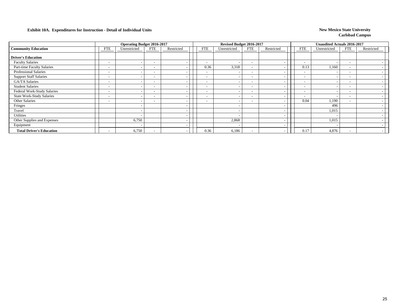|                                  |                          | <b>Operating Budget 2016-2017</b> |                          |            |                          | Revised Budget 2016-2017 |                          |                          |                          | <b>Unaudited Actuals 2016-2017</b> |                          |            |
|----------------------------------|--------------------------|-----------------------------------|--------------------------|------------|--------------------------|--------------------------|--------------------------|--------------------------|--------------------------|------------------------------------|--------------------------|------------|
| <b>Community Education</b>       | <b>FTE</b>               | Unrestricted                      | <b>FTE</b>               | Restricted | FTE                      | Unrestricted             | <b>FTE</b>               | Restricted               | <b>FTE</b>               | Unrestricted                       | <b>FTE</b>               | Restricted |
| <b>Driver's Education</b>        |                          |                                   |                          |            |                          |                          |                          |                          |                          |                                    |                          |            |
| <b>Faculty Salaries</b>          | $\overline{\phantom{0}}$ |                                   | $\overline{\phantom{0}}$ |            | $\overline{\phantom{a}}$ | $\overline{\phantom{0}}$ | $\overline{\phantom{0}}$ | $\overline{\phantom{a}}$ | $\overline{\phantom{a}}$ |                                    | $\overline{\phantom{a}}$ |            |
| Part-time Faculty Salaries       |                          |                                   | $\overline{\phantom{a}}$ |            | 0.36                     | 3,318                    | $\overline{\phantom{0}}$ | $\overline{\phantom{a}}$ | 0.13                     | 1,160                              | $\overline{\phantom{a}}$ |            |
| Professional Salaries            |                          |                                   |                          |            | $\overline{\phantom{a}}$ |                          | $\overline{\phantom{0}}$ | $\overline{\phantom{a}}$ | $\overline{\phantom{0}}$ |                                    | $\overline{\phantom{a}}$ |            |
| <b>Support Staff Salaries</b>    |                          |                                   | . .                      |            | $\overline{\phantom{0}}$ |                          | $\sim$                   | $\overline{\phantom{a}}$ | $\overline{\phantom{0}}$ |                                    | $\overline{\phantom{0}}$ |            |
| GA/TA Salaries                   | $\overline{\phantom{0}}$ |                                   | $\overline{\phantom{a}}$ |            | $\overline{\phantom{0}}$ |                          | $\sim$                   |                          | $\overline{\phantom{a}}$ |                                    | $\overline{\phantom{a}}$ |            |
| <b>Student Salaries</b>          |                          |                                   | . .                      |            | $\overline{\phantom{0}}$ |                          | $\overline{\phantom{0}}$ | $\overline{\phantom{a}}$ | $\overline{\phantom{0}}$ |                                    | $\overline{\phantom{a}}$ |            |
| Federal Work-Study Salaries      | $\overline{\phantom{a}}$ |                                   | $\overline{\phantom{a}}$ |            | $\overline{\phantom{a}}$ |                          | $\overline{\phantom{0}}$ | $\overline{\phantom{0}}$ | $\overline{\phantom{a}}$ |                                    | $\overline{\phantom{a}}$ |            |
| <b>State Work-Study Salaries</b> |                          |                                   | $\overline{\phantom{a}}$ |            | $\overline{\phantom{a}}$ |                          | $\overline{\phantom{0}}$ | $\overline{\phantom{a}}$ | $\overline{\phantom{a}}$ |                                    | $\overline{\phantom{a}}$ |            |
| Other Salaries                   | $\overline{\phantom{0}}$ |                                   | $\overline{\phantom{0}}$ |            | $\overline{\phantom{a}}$ | $\overline{\phantom{a}}$ | $\overline{\phantom{0}}$ | $\overline{\phantom{a}}$ | 0.04                     | 1,190                              | $\overline{\phantom{a}}$ |            |
| Fringes                          |                          |                                   |                          |            |                          |                          |                          |                          |                          | 496                                |                          |            |
| Travel                           |                          |                                   |                          |            |                          |                          |                          | $\overline{\phantom{a}}$ |                          | 1,015                              |                          |            |
| <b>Utilities</b>                 |                          |                                   |                          |            |                          |                          |                          | $\overline{\phantom{a}}$ |                          |                                    |                          |            |
| Other Supplies and Expenses      |                          | 6,750                             |                          |            |                          | 2,868                    |                          | $\overline{\phantom{a}}$ |                          | 1,015                              |                          |            |
| Equipment                        |                          |                                   |                          |            |                          |                          |                          | $\overline{\phantom{a}}$ |                          |                                    |                          |            |
| <b>Total Driver's Education</b>  | $\overline{\phantom{0}}$ | 6,750                             |                          |            | 0.36                     | 6,186                    | $\overline{\phantom{0}}$ |                          | 0.17                     | 4,876                              | $\overline{\phantom{a}}$ |            |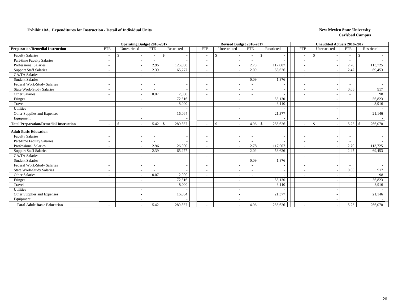|                                               |                          | <b>Operating Budget 2016-2017</b> |                          |               | Revised Budget 2016-2017 |                          |              |                          |                          | <b>Unaudited Actuals 2016-2017</b> |            |                          |                    |                          |                |
|-----------------------------------------------|--------------------------|-----------------------------------|--------------------------|---------------|--------------------------|--------------------------|--------------|--------------------------|--------------------------|------------------------------------|------------|--------------------------|--------------------|--------------------------|----------------|
| <b>Preparation/Remedial Instruction</b>       | <b>FTE</b>               | Unrestricted                      | <b>FTE</b>               | Restricted    |                          | <b>FTE</b>               |              | Unrestricted             | <b>FTE</b>               |                                    | Restricted | <b>FTE</b>               | Unrestricted       | <b>FTE</b>               | Restricted     |
| <b>Faculty Salaries</b>                       |                          | <sup>\$</sup>                     | $\overline{\phantom{a}}$ | <sup>\$</sup> |                          | $\overline{\phantom{a}}$ | $\mathbb{S}$ |                          | $\overline{\phantom{a}}$ | $\mathbf{\$}$                      |            | $\overline{\phantom{a}}$ | $\mathbf{\hat{s}}$ | $\overline{\phantom{a}}$ | -\$            |
| Part-time Faculty Salaries                    |                          |                                   |                          |               |                          |                          |              |                          |                          |                                    |            | $\overline{a}$           |                    |                          |                |
| Professional Salaries                         |                          |                                   | 2.96                     | 126,000       |                          |                          |              |                          | 2.78                     |                                    | 117,007    | $\overline{\phantom{a}}$ |                    | 2.70                     | 113,725        |
| <b>Support Staff Salaries</b>                 |                          |                                   | 2.39                     | 65,277        |                          |                          |              |                          | 2.09                     |                                    | 58,626     | $\overline{\phantom{a}}$ |                    | 2.47                     | 69,453         |
| GA/TA Salaries                                |                          |                                   |                          |               |                          |                          |              |                          | $\sim$                   |                                    |            | $\overline{\phantom{a}}$ |                    |                          |                |
| <b>Student Salaries</b>                       |                          |                                   |                          |               |                          |                          |              |                          | 0.09                     |                                    | 1,376      | $\overline{\phantom{a}}$ |                    |                          |                |
| Federal Work-Study Salaries                   | $\overline{\phantom{a}}$ |                                   | $\overline{\phantom{a}}$ |               |                          |                          |              |                          | $\sim$                   |                                    |            | $\overline{\phantom{a}}$ |                    | $\overline{\phantom{a}}$ |                |
| <b>State Work-Study Salaries</b>              | $\overline{\phantom{a}}$ |                                   |                          |               |                          |                          |              |                          | $\overline{\phantom{0}}$ |                                    |            | $\overline{\phantom{a}}$ |                    | 0.06                     | 917            |
| Other Salaries                                |                          |                                   | 0.07                     | 2,000         |                          |                          |              |                          |                          |                                    |            | $\overline{\phantom{a}}$ |                    |                          | 98             |
| Fringes                                       |                          |                                   |                          | 72,516        |                          |                          |              |                          |                          |                                    | 55,130     |                          |                    |                          | 56,823         |
| Travel                                        |                          |                                   |                          | 8,000         |                          |                          |              |                          |                          |                                    | 3,110      |                          |                    |                          | 3,916          |
| <b>Utilities</b>                              |                          |                                   |                          |               |                          |                          |              |                          |                          |                                    |            |                          |                    |                          |                |
| Other Supplies and Expenses                   |                          |                                   |                          | 16,064        |                          |                          |              |                          |                          |                                    | 21,377     |                          |                    |                          | 21,146         |
| Equipment                                     |                          |                                   |                          |               |                          |                          |              |                          |                          |                                    |            |                          |                    |                          |                |
| <b>Total Preparation/Remedial Instruction</b> |                          | <sup>\$</sup>                     | 5.42                     | 289,857<br>£. |                          |                          | \$           |                          | 4.96                     | <sup>\$</sup>                      | 256,626    | $\overline{\phantom{a}}$ | $\mathbf{s}$       | 5.23                     | -\$<br>266,078 |
| <b>Adult Basic Education</b>                  |                          |                                   |                          |               |                          |                          |              |                          |                          |                                    |            |                          |                    |                          |                |
| <b>Faculty Salaries</b>                       |                          |                                   |                          |               |                          |                          |              |                          |                          |                                    |            | $\overline{a}$           |                    | $\overline{\phantom{a}}$ |                |
| Part-time Faculty Salaries                    |                          |                                   |                          |               |                          |                          |              |                          |                          |                                    |            | $\overline{\phantom{a}}$ |                    |                          |                |
| <b>Professional Salaries</b>                  |                          |                                   | 2.96                     | 126,000       |                          |                          |              |                          | 2.78                     |                                    | 117,007    | $\overline{\phantom{a}}$ |                    | 2.70                     | 113,725        |
| <b>Support Staff Salaries</b>                 |                          |                                   | 2.39                     | 65,277        |                          |                          |              |                          | 2.09                     |                                    | 58,626     | $\sim$                   |                    | 2.47                     | 69,453         |
| <b>GA/TA Salaries</b>                         |                          |                                   |                          |               |                          |                          |              |                          |                          |                                    |            | $\overline{\phantom{a}}$ |                    |                          |                |
| <b>Student Salaries</b>                       |                          |                                   |                          |               |                          |                          |              |                          | 0.09                     |                                    | 1,376      | $\overline{\phantom{a}}$ |                    | $\overline{\phantom{a}}$ |                |
| Federal Work-Study Salaries                   |                          |                                   |                          |               |                          |                          |              |                          | $\overline{\phantom{a}}$ |                                    |            | $\overline{\phantom{a}}$ |                    |                          |                |
| <b>State Work-Study Salaries</b>              |                          |                                   |                          |               |                          |                          |              |                          | $\overline{\phantom{a}}$ |                                    |            | $\overline{\phantom{a}}$ |                    | 0.06                     | 917            |
| Other Salaries                                |                          |                                   | 0.07                     | 2,000         |                          |                          |              | $\overline{\phantom{a}}$ | $\overline{\phantom{0}}$ |                                    |            | $\overline{\phantom{a}}$ |                    | $\overline{\phantom{a}}$ | 98             |
| Fringes                                       |                          |                                   |                          | 72,516        |                          |                          |              |                          |                          |                                    | 55,130     |                          |                    |                          | 56,823         |
| Travel                                        |                          |                                   |                          | 8,000         |                          |                          |              |                          |                          |                                    | 3,110      |                          |                    |                          | 3,916          |
| <b>Utilities</b>                              |                          |                                   |                          |               |                          |                          |              |                          |                          |                                    |            |                          |                    |                          |                |
| Other Supplies and Expenses                   |                          |                                   |                          | 16,064        |                          |                          |              |                          |                          |                                    | 21,377     |                          |                    |                          | 21,146         |
| Equipment                                     |                          |                                   |                          |               |                          |                          |              |                          |                          |                                    |            |                          |                    |                          |                |
| <b>Total Adult Basic Education</b>            |                          |                                   | 5.42                     | 289,857       |                          |                          |              |                          | 4.96                     |                                    | 256,626    |                          |                    | 5.23                     | 266,078        |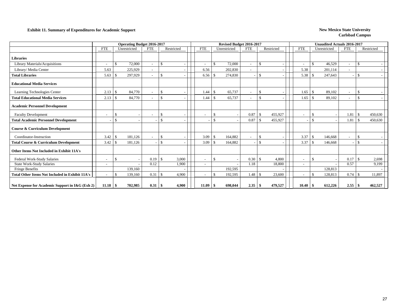### **Exhibit 11. Summary of Expenditures for Academic Support** New Mexico State University

|                                                        |                          | <b>Operating Budget 2016-2017</b> |                                          |            |                          |     | Revised Budget 2016-2017 |            |               |            |                          |                    | <b>Unaudited Actuals 2016-2017</b> |            |               |            |
|--------------------------------------------------------|--------------------------|-----------------------------------|------------------------------------------|------------|--------------------------|-----|--------------------------|------------|---------------|------------|--------------------------|--------------------|------------------------------------|------------|---------------|------------|
|                                                        | <b>FTE</b>               | Unrestricted                      | <b>FTE</b>                               | Restricted | <b>FTE</b>               |     | Unrestricted             | <b>FTE</b> |               | Restricted | <b>FTE</b>               |                    | Unrestricted                       | <b>FTE</b> |               | Restricted |
| <b>Libraries</b>                                       |                          |                                   |                                          |            |                          |     |                          |            |               |            |                          |                    |                                    |            |               |            |
| Library Materials/Acquisitions                         | $\overline{\phantom{a}}$ | 72,000<br><sup>\$</sup>           | $\mathbf{s}$<br>$\overline{\phantom{a}}$ |            |                          | -\$ | 72,000                   |            | -S            |            | $\overline{\phantom{a}}$ | $\mathbf{\$}$      | 46.529                             | $\sim$     | $\mathbf{s}$  |            |
| Library/Media Center                                   | 5.63                     | 225,929                           | $\overline{\phantom{a}}$                 |            | 6.56                     |     | 202,830                  |            |               |            | 5.38                     |                    | 201,114                            |            |               |            |
| <b>Total Libraries</b>                                 | 5.63                     | 297,929                           | $\mathbf{\hat{S}}$<br>$\sim$             |            | 6.56                     | -\$ | 274,830                  |            | \$            |            | 5.38                     | -\$                | 247,643                            |            | \$            |            |
| <b>Educational Media Services</b>                      |                          |                                   |                                          |            |                          |     |                          |            |               |            |                          |                    |                                    |            |               |            |
| Learning Technologies Center                           | 2.13                     | 84,770<br>-S                      | $\mathbf{\hat{S}}$                       |            | 1.44                     | -S  | 65,737                   |            | <sup>\$</sup> |            | 1.65                     | $\mathbf{\$}$      | 89,102                             |            | \$            |            |
| <b>Total Educational Media Services</b>                | 2.13                     | 84,770<br>-\$                     | <sup>\$</sup><br>$\sim$                  |            | 1.44                     | -\$ | 65,737                   |            | -\$           |            | 1.65                     | $\mathbf{\$}$      | 89,102                             | $\sim$     | \$            |            |
| <b>Academic Personnel Development</b>                  |                          |                                   |                                          |            |                          |     |                          |            |               |            |                          |                    |                                    |            |               |            |
| <b>Faculty Development</b>                             | $\overline{\phantom{a}}$ |                                   | -\$                                      |            |                          | -8  |                          | 0.87       | -8            | 455,927    | $\overline{\phantom{a}}$ | £.                 |                                    | 1.81       | -\$           | 450,630    |
| <b>Total Academic Personnel Development</b>            |                          | £.                                | $\mathcal{S}$                            |            |                          | -\$ |                          | 0.87       |               | 455,927    |                          | $\mathcal{S}$      |                                    | 1.81       | -\$           | 450,630    |
| <b>Course &amp; Curriculum Development</b>             |                          |                                   |                                          |            |                          |     |                          |            |               |            |                          |                    |                                    |            |               |            |
| Coordinator-Instruction                                | 3.42                     | 181,126<br>-S                     | $\mathcal{S}$<br>$\sim$                  |            | 3.09                     | -\$ | 164,882                  |            | <sup>\$</sup> |            | 3.37                     | -\$                | 146,668                            |            | \$            |            |
| <b>Total Course &amp; Curriculum Development</b>       | 3.42                     | 181,126<br>-S                     | $\mathbf{s}$                             |            | 3.09                     | -S  | 164,882                  |            | -\$           |            | 3.37                     | $\mathcal{S}$      | 146,668                            |            | $\mathcal{S}$ |            |
| Other Items Not Included in Exhibit 11A's              |                          |                                   |                                          |            |                          |     |                          |            |               |            |                          |                    |                                    |            |               |            |
| Federal Work-Study Salaries                            | $\overline{\phantom{a}}$ | -S                                | 0.19<br>-8                               | 3,000      | $\overline{\phantom{a}}$ | -\$ |                          | 0.30       | -\$           | 4,800      | $\sim$                   | -\$                |                                    | 0.17       | -\$           | 2,698      |
| <b>State Work-Study Salaries</b>                       | $\overline{\phantom{a}}$ |                                   | 0.12                                     | 1,900      |                          |     |                          | 1.18       |               | 18,800     | $\overline{\phantom{a}}$ |                    |                                    | 0.57       |               | 9,199      |
| <b>Fringe Benefits</b>                                 |                          | 139,160                           |                                          |            |                          |     | 192,595                  |            |               |            |                          |                    | 128,813                            |            |               |            |
| <b>Total Other Items Not Included in Exhibit 11A's</b> |                          | $\mathcal{S}$<br>139,160          | 0.31<br>$\mathcal{S}$                    | 4,900      |                          |     | 192,595                  | 1.48       |               | 23,600     |                          | $\mathbf{\hat{S}}$ | 128,813                            | 0.74       |               | 11,897     |
| Net Expense for Academic Support in I&G (Exh 2)        | 11.18                    | 702,985<br>-\$                    | 0.31<br>-8                               | 4.900      | 11.09                    | -8  | 698.044                  | 2.35       |               | 479,527    | 10.40                    |                    | 612,226                            | 2.55       | -9            | 462,527    |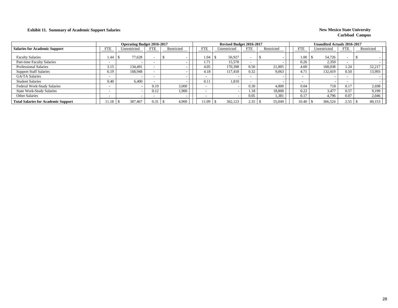### **Exhibit 11. Summary of Academic Support Salaries New Mexico State University New Mexico State University**

|                                            |            | <b>Operating Budget 2016-2017</b> |                          |            |            | Revised Budget 2016-2017 |            |            |                          |      | <b>Unaudited Actuals 2016-2017</b> |            |            |
|--------------------------------------------|------------|-----------------------------------|--------------------------|------------|------------|--------------------------|------------|------------|--------------------------|------|------------------------------------|------------|------------|
| <b>Salaries for Academic Support</b>       | <b>FTE</b> | Unrestricted                      | <b>FTE</b>               | Restricted | <b>FTE</b> | Unrestricted             | <b>FTE</b> | Restricted | FTE                      |      | Unrestricted                       | <b>FTE</b> | Restricted |
| <b>Faculty Salaries</b>                    | 1.44       | 77,628                            | $\overline{\phantom{a}}$ |            | 1.04       | 56,927                   |            |            |                          | 1.00 | 54,726                             |            |            |
| Part-time Faculty Salaries                 |            |                                   | $\overline{\phantom{a}}$ |            | . . 71     | 15.570                   |            |            | 0.26                     |      | 2,350                              |            |            |
| <b>Professional Salaries</b>               | 3.15       | 134.491                           | $\overline{\phantom{a}}$ |            | 4.05       | 170,398                  | 0.50       | 21,005     | 4.00                     |      | 168,038                            | 1.24       | 52,217     |
| <b>Support Staff Salaries</b>              | 6.19       | 168,948                           | $\overline{\phantom{a}}$ |            | 4.18       | 117,418                  | 0.32       | 9,063      | 4.71                     |      | 132.419                            | 0.50       | 13,993     |
| <b>GA/TA Salaries</b>                      |            |                                   | $\overline{\phantom{a}}$ |            |            |                          |            |            | $\overline{\phantom{0}}$ |      |                                    |            |            |
| <b>Student Salaries</b>                    | 0.40       | 6.400                             |                          |            | 0.11       | 1.810                    |            |            | $\overline{\phantom{0}}$ |      |                                    |            |            |
| Federal Work-Study Salaries                |            |                                   | 0.19                     | 3,000      |            |                          | 0.30       | 4.800      | 0.04                     |      | 718                                | 0.17       | 2,698      |
| <b>State Work-Study Salaries</b>           |            |                                   | 0.12                     | 1,900      |            |                          | 1.18       | 18,800     | 0.22                     |      | 3,477                              | 0.57       | 9,199      |
| Other Salaries                             |            |                                   | $\overline{\phantom{a}}$ |            |            |                          | 0.05       | 1,381      | 0.17                     |      | 4,796                              | 0.07       | 2,046      |
| <b>Total Salaries for Academic Support</b> | 11.18      | 387.467                           | 0.31                     | 4,900      | 11.09      | 362,123                  | 2.35       | 55,049     | 10.40                    |      | 366,524                            | 2.55       | 80,153     |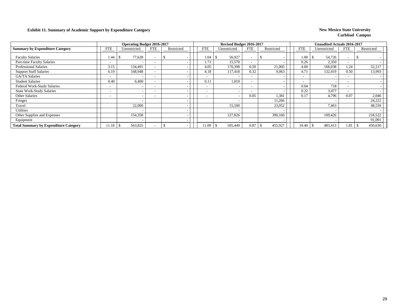### **Exhibit 11. Summary of Academic Support by Expenditure Category New Mexico State University**

|                                              |                          | <b>Operating Budget 2016-2017</b> |                          |            |                          | Revised Budget 2016-2017 |                          |                          |            |                          | <b>Unaudited Actuals 2016-2017</b> |                          |            |  |
|----------------------------------------------|--------------------------|-----------------------------------|--------------------------|------------|--------------------------|--------------------------|--------------------------|--------------------------|------------|--------------------------|------------------------------------|--------------------------|------------|--|
| <b>Summary by Expenditure Category</b>       | <b>FTE</b>               | Unrestricted                      | <b>FTE</b>               | Restricted | <b>FTE</b>               | Unrestricted             | <b>FTE</b>               | Restricted               | <b>FTE</b> |                          | Unrestricted                       | <b>FTE</b>               | Restricted |  |
| <b>Faculty Salaries</b>                      | 1.44                     | 77,628                            |                          |            | 1.04                     | 56,927                   |                          |                          |            | 1.00                     | 54,726                             | $\overline{\phantom{0}}$ |            |  |
| Part-time Faculty Salaries                   | $\overline{\phantom{0}}$ |                                   |                          |            | 1.71                     | 15,570                   | $\overline{\phantom{0}}$ |                          |            | 0.26                     | 2,350                              |                          |            |  |
| <b>Professional Salaries</b>                 | 3.15                     | 134,491                           |                          |            | 4.05                     | 170,398                  | 0.50                     | 21,005                   |            | 4.00                     | 168,038                            | 1.24                     | 52,217     |  |
| <b>Support Staff Salaries</b>                | 6.19                     | 168,948                           |                          |            | 4.18                     | 117,418                  | 0.32                     | 9,063                    |            | 4.71                     | 132,419                            | 0.50                     | 13,993     |  |
| <b>GA/TA Salaries</b>                        | $\overline{\phantom{0}}$ |                                   |                          |            | $\overline{\phantom{0}}$ |                          | $\overline{\phantom{0}}$ |                          |            | $\overline{\phantom{a}}$ |                                    | $\overline{\phantom{0}}$ |            |  |
| <b>Student Salaries</b>                      | 0.40                     | 6,400                             |                          |            | 0.11                     | 1,810                    |                          | $\overline{\phantom{a}}$ |            | $\overline{\phantom{0}}$ |                                    | $\overline{\phantom{a}}$ |            |  |
| Federal Work-Study Salaries                  | $\overline{\phantom{0}}$ | $\overline{\phantom{a}}$          | $\overline{\phantom{0}}$ |            | $\overline{\phantom{a}}$ |                          | $\overline{\phantom{0}}$ |                          |            | 0.04                     | 718                                | $\overline{\phantom{a}}$ |            |  |
| <b>State Work-Study Salaries</b>             | $\overline{\phantom{0}}$ | $\overline{\phantom{0}}$          | $\overline{\phantom{0}}$ |            | $\overline{\phantom{0}}$ |                          | $\overline{\phantom{0}}$ |                          |            | 0.22                     | 3,477                              | $\sim$                   |            |  |
| <b>Other Salaries</b>                        | $\overline{\phantom{a}}$ | $\overline{\phantom{a}}$          | $\overline{\phantom{a}}$ |            | $\overline{\phantom{a}}$ |                          | 0.05                     | 1,381                    |            | 0.17                     | 4,796                              | 0.07                     | 2,046      |  |
| Fringes                                      |                          | $\overline{\phantom{0}}$          |                          |            |                          |                          |                          | 11,266                   |            |                          |                                    |                          | 24,222     |  |
| Travel                                       |                          | 22,000                            |                          |            |                          | 15,500                   |                          | 23,052                   |            |                          | 7,463                              |                          | 48,539     |  |
| <b>Utilities</b>                             |                          |                                   |                          |            |                          |                          |                          |                          |            |                          |                                    |                          |            |  |
| Other Supplies and Expenses                  |                          | 154,358                           |                          |            |                          | 127,826                  |                          | 390,160                  |            |                          | 109,426                            |                          | 218,522    |  |
| Equipment                                    |                          |                                   |                          |            |                          |                          |                          |                          |            |                          |                                    |                          | 91,091     |  |
| <b>Total Summary by Expenditure Category</b> | 11.18                    | 563,825                           |                          |            | 11.09                    | 505,449                  | 0.87                     | 455,927                  |            | 10.40                    | 483,413                            | 1.81                     | 450,630    |  |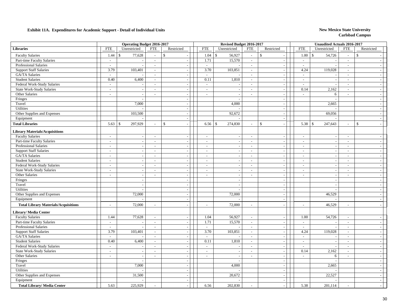|                                             |                             | <b>Operating Budget 2016-2017</b> |                             |                          |                          | Revised Budget 2016-2017 |                          |                             |                          | <b>Unaudited Actuals 2016-2017</b> |                          |                          |
|---------------------------------------------|-----------------------------|-----------------------------------|-----------------------------|--------------------------|--------------------------|--------------------------|--------------------------|-----------------------------|--------------------------|------------------------------------|--------------------------|--------------------------|
| <b>Libraries</b>                            | <b>FTE</b>                  | Unrestricted                      | <b>FTE</b>                  | Restricted               | <b>FTE</b>               | Unrestricted             | <b>FTE</b>               | Restricted                  | <b>FTE</b>               | Unrestricted                       | <b>FTE</b>               | Restricted               |
| <b>Faculty Salaries</b>                     | 1.44                        | 77,628<br>\$.                     | $\overline{\phantom{a}}$    | $\mathbb{S}$             | 1.04                     | 56,927<br>$\mathbb{S}$   | $\overline{\phantom{a}}$ | \$                          | 1.00                     | $\mathbf{\hat{S}}$<br>54,726       | $\sim$                   | $\mathbf{\hat{S}}$       |
| Part-time Faculty Salaries                  | $\overline{\phantom{a}}$    |                                   | $\mathbf{r}$                |                          | 1.71                     | 15,570                   | $\mathbb{L}$             | $\sim$                      | $\overline{\phantom{a}}$ |                                    | $\sim$                   |                          |
| <b>Professional Salaries</b>                | $\sim$                      |                                   | $\overline{\phantom{a}}$    | $\sim$                   | $\mathbb{L}^+$           |                          | $\sim$                   | $\overline{\phantom{a}}$    | $\overline{\phantom{a}}$ |                                    | $\overline{\phantom{a}}$ |                          |
| <b>Support Staff Salaries</b>               | 3.79                        | 103,401                           | $\mathcal{L}_{\mathcal{A}}$ | $\sim$                   | 3.70                     | 103,851                  | $\sim$                   | $\sim$                      | 4.24                     | 119,028                            | $\sim$                   |                          |
| GA/TA Salaries                              | $\sim$                      |                                   | $\overline{a}$              | $\sim$                   | $\sim$                   |                          | $\sim$                   | $\overline{a}$              | $\sim$                   |                                    | $\sim$                   |                          |
| <b>Student Salaries</b>                     | 0.40                        | 6,400                             | $\overline{\phantom{a}}$    | $\sim$                   | 0.11                     | 1,810                    | $\sim$                   | $\overline{\phantom{a}}$    | $\overline{\phantom{a}}$ |                                    | $\sim$                   |                          |
| Federal Work-Study Salaries                 | $\mathcal{L}_{\mathcal{A}}$ |                                   | $\sim$                      | $\sim$                   | $\sim$                   |                          | $\sim$                   | $\sim$                      | $\sim$                   |                                    | $\sim$                   |                          |
| <b>State Work-Study Salaries</b>            | $\sim$                      | $\sim$                            | $\sim$                      | $\sim$                   | $\sim$                   | $\overline{\phantom{a}}$ | $\sim$                   | $\sim$                      | 0.14                     | 2,162                              | $\sim$                   | $\sim$                   |
| Other Salaries                              | $\sim$                      | $\sim$                            | $\sim$                      | $\sim$                   | $\sim$                   | - 11                     | $\overline{\phantom{a}}$ | $\mathcal{L}$               | $\sim$                   | 6                                  | $\sim$                   | $\sim$                   |
| Fringes                                     |                             | $\blacksquare$                    |                             | $\sim$                   |                          |                          |                          | $\mathcal{L}_{\mathcal{A}}$ |                          |                                    |                          | $\sim$                   |
| Travel                                      |                             | 7,000                             |                             | $\sim$                   |                          | 4,000                    |                          | $\blacksquare$              |                          | 2,665                              |                          |                          |
| Utilities                                   |                             |                                   |                             |                          |                          |                          |                          | $\overline{\phantom{a}}$    |                          |                                    |                          |                          |
| Other Supplies and Expenses                 |                             | 103,500                           |                             |                          |                          | 92,672                   |                          | $\blacksquare$              |                          | 69,056                             |                          |                          |
| Equipment                                   |                             |                                   |                             | $\sim$                   |                          |                          |                          | $\blacksquare$              |                          |                                    |                          |                          |
| <b>Total Libraries</b>                      | 5.63                        | 297,929<br>-S                     | $\blacksquare$              | \$                       | 6.56                     | 274,830<br>\$            | $\sim$                   | \$<br>$\sim$                |                          | 247,643                            | $\sim$                   | $\mathbf{\hat{S}}$       |
| <b>Library Materials/Acquisitions</b>       |                             |                                   |                             |                          |                          |                          |                          |                             |                          |                                    |                          |                          |
| <b>Faculty Salaries</b>                     | $\sim$                      | $\sim$                            | $\overline{\phantom{a}}$    | $\sim$                   | $\sim$                   | $\overline{a}$           | $\sim$                   | $\sim$                      | $\sim$                   |                                    | $\sim$                   |                          |
| Part-time Faculty Salaries                  | $\sim$                      | $\sim$                            | $\overline{\phantom{a}}$    | $\sim$                   | $\sim$                   |                          | $\sim$                   | $\sim$                      | $\overline{a}$           | $\overline{\phantom{a}}$           | $\sim$                   |                          |
| Professional Salaries                       | $\mathcal{L}$               | $\sim$                            | $\sim$                      | $\sim$                   | $\sim$                   |                          | $\sim$                   | $\sim$                      | $\sim$                   |                                    | $\sim$                   |                          |
| <b>Support Staff Salaries</b>               | $\sim$                      | $\sim$                            | $\sim$                      | $\sim$                   | $\sim$                   |                          | $\overline{\phantom{a}}$ | $\sim$                      | $\bar{a}$                |                                    | $\sim$                   |                          |
| GA/TA Salaries                              | $\sim$                      | $\sim$                            | $\sim$                      | $\sim$                   | $\sim$                   | $\overline{\phantom{a}}$ | $\sim$                   | $\mathcal{L}$               | $\overline{\phantom{a}}$ | $\sim$                             | $\overline{\phantom{a}}$ | $\overline{\phantom{a}}$ |
| <b>Student Salaries</b>                     | $\sim$                      | $\sim$                            | $\sim$                      | $\sim$                   | $\sim$                   | $\overline{\phantom{a}}$ | $\sim$                   | $\mathbb{L}$                | $\bar{a}$                | $\overline{\phantom{a}}$           | $\sim$                   | $\overline{\phantom{a}}$ |
| Federal Work-Study Salaries                 | $\sim$                      | $\sim$                            | $\sim$                      | $\sim$                   | $\sim$                   | $\overline{\phantom{a}}$ | $\sim$                   | $\blacksquare$              | $\blacksquare$           | $\overline{\phantom{a}}$           | $\sim$                   | $\overline{\phantom{a}}$ |
| <b>State Work-Study Salaries</b>            | $\sim$                      | $\overline{\phantom{a}}$          | $\sim$                      | $\overline{\phantom{a}}$ | $\sim$                   |                          | $\sim$                   | $\blacksquare$              | $\bar{a}$                |                                    | $\overline{\phantom{a}}$ | $\overline{a}$           |
| Other Salaries                              | $\overline{\phantom{a}}$    | $\overline{\phantom{a}}$          | $\sim$                      | $\overline{\phantom{a}}$ | $\overline{a}$           | $\overline{\phantom{a}}$ | $\overline{\phantom{a}}$ | $\sim$                      | $\overline{a}$           | $\overline{\phantom{a}}$           | $\sim$                   |                          |
| Fringes                                     |                             |                                   |                             |                          |                          |                          |                          | $\overline{\phantom{a}}$    |                          |                                    |                          |                          |
| Travel                                      |                             | $\overline{\phantom{a}}$          |                             | $\sim$                   |                          | $\sim$                   |                          | $\blacksquare$              |                          | $\overline{\phantom{a}}$           |                          |                          |
| Utilities                                   |                             |                                   |                             | $\sim$                   |                          |                          |                          | $\sim$                      |                          |                                    |                          |                          |
| Other Supplies and Expenses                 |                             | 72,000                            |                             | $\sim$                   |                          | 72,000                   |                          | $\sim$                      |                          | 46,529                             |                          |                          |
| Equipment                                   |                             |                                   |                             | $\sim$                   |                          |                          |                          | $\sim$                      |                          |                                    |                          | $\sim$                   |
| <b>Total Library Materials/Acquisitions</b> |                             | 72,000                            | $\sim$                      |                          | $\overline{\phantom{a}}$ | 72,000                   | $\sim$                   |                             | $\overline{a}$           |                                    |                          |                          |
|                                             | $\overline{a}$              |                                   |                             |                          |                          |                          |                          | $\overline{\phantom{a}}$    |                          | 46,529                             | $\sim$                   |                          |
| <b>Library/ Media Center</b>                |                             |                                   |                             |                          |                          |                          |                          |                             |                          |                                    |                          |                          |
| <b>Faculty Salaries</b>                     | 1.44                        | 77,628                            | $\overline{\phantom{a}}$    | $\sim$                   | 1.04                     | 56,927                   | $\sim$                   | $\sim$                      | 1.00                     | 54,726                             | $\sim$                   |                          |
| Part-time Faculty Salaries                  | $\sim$                      | $\overline{\phantom{a}}$          | $\sim$                      | $\sim$                   | 1.71                     | 15,570                   | $\sim$                   | $\mathcal{L}_{\mathcal{A}}$ | $\sim$                   | $\overline{\phantom{a}}$           | $\sim$                   | $\sim$                   |
| <b>Professional Salaries</b>                | $\sim$                      |                                   | $\sim$                      | $\sim$                   | $\sim$                   |                          | $\sim$                   | $\mathcal{L}$               | $\sim$                   |                                    | $\sim$                   | $\sim$                   |
| <b>Support Staff Salaries</b>               | 3.79                        | 103,401                           | $\overline{\phantom{a}}$    | $\sim$                   | 3.70                     | 103,851                  | $\sim$                   | $\mathbb{L}$                | 4.24                     | 119,028                            | $\overline{\phantom{a}}$ | $\overline{\phantom{a}}$ |
| GA/TA Salaries                              | $\sim$                      |                                   | $\sim$                      | $\sim$                   | $\sim$                   |                          | $\sim$                   | $\overline{\phantom{a}}$    | $\blacksquare$           |                                    | $\sim$                   |                          |
| <b>Student Salaries</b>                     | 0.40                        | 6,400                             | $\mathcal{L}$               | $\sim$                   | 0.11                     | 1,810                    | $\sim$                   | $\overline{\phantom{a}}$    | $\overline{\phantom{a}}$ |                                    | $\sim$                   | $\overline{\phantom{a}}$ |
| Federal Work-Study Salaries                 | $\overline{\phantom{a}}$    |                                   | $\overline{\phantom{a}}$    |                          | $\mathbb{Z}^+$           |                          | $\overline{\phantom{a}}$ | $\blacksquare$              | $\overline{a}$           |                                    | $\sim$                   |                          |
| <b>State Work-Study Salaries</b>            | $\blacksquare$              | $\overline{\phantom{a}}$          | $\blacksquare$              | $\overline{\phantom{a}}$ | $\overline{\phantom{a}}$ |                          | $\overline{\phantom{a}}$ | $\overline{\phantom{a}}$    | 0.14                     | 2,162                              | $\blacksquare$           | $\sim$                   |
| Other Salaries                              | $\sim$                      | $\overline{a}$                    | $\mathcal{L}$               | $\overline{\phantom{a}}$ | $\sim$                   |                          | $\sim$                   | $\blacksquare$              | $\overline{\phantom{a}}$ | 6                                  | $\sim$                   |                          |
| Fringes                                     |                             | $\overline{a}$                    |                             | $\sim$                   |                          |                          |                          | $\sim$                      |                          |                                    |                          |                          |
| Travel                                      |                             | 7,000                             |                             | $\sim$                   |                          | 4,000                    |                          | $\sim$                      |                          | 2,665                              |                          |                          |
| Utilities                                   |                             |                                   |                             | $\sim$                   |                          |                          |                          | $\overline{\phantom{a}}$    |                          |                                    |                          |                          |
| Other Supplies and Expenses                 |                             | 31,500                            |                             |                          |                          | 20,672                   |                          | $\sim$                      |                          | 22,527                             |                          |                          |
| Equipment                                   |                             |                                   |                             | $\sim$                   |                          |                          |                          | $\sim$                      |                          |                                    |                          | $\sim$                   |
| <b>Total Library/ Media Center</b>          | 5.63                        | 225,929                           |                             |                          | 6.56                     | 202,830                  |                          | $\sim$                      | 5.38                     | 201,114                            |                          |                          |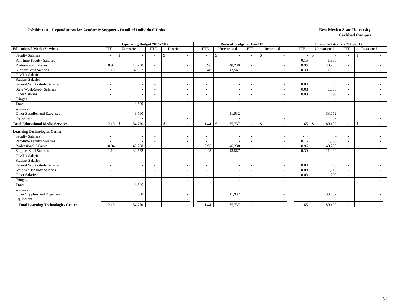|                                           |                          | Operating Budget 2016-2017 |                          |               |                          | Revised Budget 2016-2017     |                          |               |                          |                          | <b>Unaudited Actuals 2016-2017</b> |                          |              |  |
|-------------------------------------------|--------------------------|----------------------------|--------------------------|---------------|--------------------------|------------------------------|--------------------------|---------------|--------------------------|--------------------------|------------------------------------|--------------------------|--------------|--|
| <b>Educational Media Services</b>         | <b>FTE</b>               | Unrestricted               | <b>FTE</b>               | Restricted    | <b>FTE</b>               | Unrestricted                 | <b>FTE</b>               | Restricted    |                          | <b>FTE</b>               | Unrestricted                       | <b>FTE</b>               | Restricted   |  |
| <b>Faculty Salaries</b>                   | $\overline{\phantom{a}}$ | S                          |                          | -\$           | $\overline{\phantom{a}}$ | \$                           |                          | <sup>\$</sup> |                          |                          | -S                                 | $\overline{\phantom{a}}$ | \$           |  |
| Part-time Faculty Salaries                | $\tilde{\phantom{a}}$    |                            |                          |               | $\overline{\phantom{a}}$ |                              | $\overline{\phantom{a}}$ |               |                          | 0.15                     | 1,350                              | $\overline{\phantom{a}}$ |              |  |
| <b>Professional Salaries</b>              | 0.94                     | 40,238                     |                          |               | 0.96                     | 40,238                       |                          |               |                          | 0.96                     | 40,238                             |                          |              |  |
| <b>Support Staff Salaries</b>             | 1.19                     | 32,532                     |                          |               | 0.48                     | 13,567                       | $\sim$                   |               |                          | 0.39                     | 11,039                             | $\sim$                   |              |  |
| <b>GA/TA Salaries</b>                     | $\sim$                   |                            |                          |               | $\overline{\phantom{a}}$ |                              | $\overline{\phantom{a}}$ |               |                          |                          |                                    | $\overline{\phantom{a}}$ |              |  |
| <b>Student Salaries</b>                   |                          |                            |                          |               | ÷                        |                              |                          |               |                          |                          |                                    |                          |              |  |
| Federal Work-Study Salaries               | $\overline{\phantom{a}}$ |                            |                          |               | $\overline{\phantom{0}}$ |                              |                          |               |                          | 0.04                     | 718                                | $\sim$                   |              |  |
| <b>State Work-Study Salaries</b>          | $\sim$                   | $\overline{\phantom{a}}$   |                          |               | ٠                        |                              | $\overline{\phantom{a}}$ |               | $\overline{\phantom{a}}$ | 0.08                     | 1,315                              | $\sim$                   |              |  |
| Other Salaries                            |                          |                            |                          |               |                          |                              |                          |               |                          | 0.03                     | 790                                |                          |              |  |
| Fringes                                   |                          |                            |                          |               |                          |                              |                          |               |                          |                          |                                    |                          |              |  |
| Travel                                    |                          | 3,500                      |                          |               |                          |                              |                          |               | $\overline{\phantom{a}}$ |                          |                                    |                          |              |  |
| Utilities                                 |                          |                            |                          |               |                          |                              |                          |               |                          |                          |                                    |                          |              |  |
| Other Supplies and Expenses               |                          | 8,500                      |                          |               |                          | 11,932                       |                          |               |                          |                          | 33,652                             |                          |              |  |
| Equipment                                 |                          |                            |                          |               |                          |                              |                          |               | $\overline{\phantom{a}}$ |                          |                                    |                          |              |  |
| <b>Total Educational Media Services</b>   |                          | 84,770                     |                          | <sup>\$</sup> | 1.44                     | $\mathbf{\hat{S}}$<br>65,737 | $\sim$                   | $\mathbb{S}$  | $\overline{\phantom{a}}$ | 1.65                     | $\mathbf{\hat{s}}$<br>89,102       | $\sim$                   | $\mathbb{S}$ |  |
| <b>Learning Technologies Center</b>       |                          |                            |                          |               |                          |                              |                          |               |                          |                          |                                    |                          |              |  |
| <b>Faculty Salaries</b>                   |                          | $\overline{\phantom{a}}$   |                          |               | ٠                        |                              |                          |               |                          |                          |                                    | $\overline{\phantom{a}}$ |              |  |
| Part-time Faculty Salaries                | $\overline{\phantom{a}}$ |                            | $\overline{\phantom{a}}$ |               | $\overline{\phantom{a}}$ |                              | $\overline{\phantom{a}}$ |               |                          | 0.15                     | 1,350                              | $\sim$                   |              |  |
| <b>Professional Salaries</b>              | 0.94                     | 40,238                     |                          |               | 0.96                     | 40,238                       | $\sim$                   |               | $\overline{\phantom{a}}$ | 0.96                     | 40,238                             | $\overline{\phantom{a}}$ |              |  |
| <b>Support Staff Salaries</b>             | 1.19                     | 32,532                     |                          |               | 0.48                     | 13,567                       |                          |               |                          | 0.39                     | 11,039                             | $\overline{\phantom{a}}$ |              |  |
| <b>GA/TA Salaries</b>                     | $\overline{\phantom{a}}$ |                            |                          |               |                          |                              |                          |               |                          | $\overline{\phantom{a}}$ |                                    |                          |              |  |
| <b>Student Salaries</b>                   | $\overline{\phantom{a}}$ | $\overline{\phantom{a}}$   |                          |               | $\overline{\phantom{a}}$ |                              | $\overline{\phantom{a}}$ |               | $\overline{\phantom{a}}$ | $\overline{\phantom{a}}$ |                                    | $\sim$                   |              |  |
| Federal Work-Study Salaries               | $\overline{\phantom{a}}$ | $\overline{\phantom{a}}$   |                          |               | $\overline{\phantom{a}}$ |                              | $\overline{\phantom{a}}$ |               |                          | 0.04                     | 718                                | $\overline{\phantom{a}}$ |              |  |
| <b>State Work-Study Salaries</b>          | $\overline{\phantom{a}}$ |                            | $\overline{\phantom{0}}$ |               |                          |                              | $\overline{\phantom{a}}$ |               |                          | 0.08                     | 1,315                              |                          |              |  |
| Other Salaries                            |                          | $\overline{\phantom{a}}$   |                          |               | ۰                        |                              | $\overline{\phantom{0}}$ |               |                          | 0.03                     | 790                                | $\overline{\phantom{a}}$ |              |  |
| Fringes                                   |                          |                            |                          |               |                          |                              |                          |               |                          |                          |                                    |                          |              |  |
| Travel                                    |                          | 3,500                      |                          |               |                          |                              |                          |               |                          |                          |                                    |                          |              |  |
| Utilities                                 |                          |                            |                          |               |                          |                              |                          |               | $\overline{\phantom{a}}$ |                          |                                    |                          |              |  |
| Other Supplies and Expenses               |                          | 8,500                      |                          |               |                          | 11,932                       |                          |               |                          |                          | 33,652                             |                          |              |  |
| Equipment                                 |                          |                            |                          |               |                          |                              |                          |               |                          |                          |                                    |                          |              |  |
| <b>Total Learning Technologies Center</b> | 2.13                     | 84,770                     |                          |               | 1.44                     | 65,737                       |                          |               |                          | 1.65                     | 89,102                             |                          |              |  |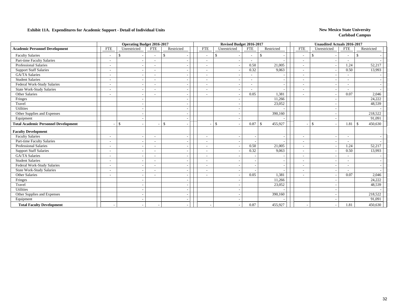|                                             |                          | <b>Operating Budget 2016-2017</b> |                          |               |                          | Revised Budget 2016-2017 |                          |                               |                          | <b>Unaudited Actuals 2016-2017</b> |                                           |            |
|---------------------------------------------|--------------------------|-----------------------------------|--------------------------|---------------|--------------------------|--------------------------|--------------------------|-------------------------------|--------------------------|------------------------------------|-------------------------------------------|------------|
| <b>Academic Personnel Development</b>       | <b>FTE</b>               | Unrestricted                      | <b>FTE</b>               | Restricted    | <b>FTE</b>               | Unrestricted             | <b>FTE</b>               | Restricted                    | <b>FTE</b>               | Unrestricted                       | <b>FTE</b>                                | Restricted |
| <b>Faculty Salaries</b>                     |                          | -S                                |                          | \$            | $\overline{\phantom{a}}$ | \$                       |                          | \$                            | $\overline{\phantom{a}}$ | \$                                 | <sup>\$</sup><br>$\overline{\phantom{a}}$ |            |
| Part-time Faculty Salaries                  | $\overline{\phantom{a}}$ | $\overline{\phantom{a}}$          | $\blacksquare$           |               | $\blacksquare$           |                          |                          |                               | $\overline{\phantom{a}}$ |                                    | $\overline{\phantom{a}}$                  |            |
| <b>Professional Salaries</b>                | $\overline{\phantom{a}}$ | $\overline{\phantom{a}}$          |                          |               | $\blacksquare$           |                          | 0.50                     | 21,005                        | $\blacksquare$           |                                    | 1.24                                      | 52,217     |
| <b>Support Staff Salaries</b>               | $\overline{\phantom{a}}$ | $\overline{\phantom{a}}$          | $\overline{\phantom{a}}$ |               | $\blacksquare$           |                          | 0.32                     | 9,063                         | $\overline{\phantom{a}}$ |                                    | 0.50                                      | 13,993     |
| GA/TA Salaries                              | $\overline{\phantom{a}}$ | $\overline{\phantom{a}}$          | $\overline{\phantom{a}}$ |               | $\overline{\phantom{a}}$ |                          | $\sim$                   |                               | $\overline{\phantom{a}}$ |                                    | $\overline{\phantom{a}}$                  |            |
| <b>Student Salaries</b>                     |                          | $\sim$                            |                          |               | $\blacksquare$           |                          | $\blacksquare$           |                               |                          |                                    |                                           |            |
| Federal Work-Study Salaries                 | $\overline{\phantom{a}}$ | $\overline{\phantom{a}}$          | $\blacksquare$           |               | $\tilde{\phantom{a}}$    |                          | $\sim$                   | $\overline{\phantom{a}}$      | $\overline{\phantom{a}}$ |                                    | $\overline{\phantom{a}}$                  |            |
| <b>State Work-Study Salaries</b>            | $\overline{\phantom{a}}$ | $\overline{\phantom{a}}$          | $\overline{\phantom{a}}$ |               | $\overline{\phantom{a}}$ |                          | $\overline{\phantom{a}}$ | $\overline{\phantom{a}}$      | $\overline{\phantom{a}}$ |                                    | $\overline{\phantom{a}}$                  |            |
| Other Salaries                              |                          | $\overline{\phantom{a}}$          |                          |               |                          |                          | 0.05                     | 1,381                         | $\overline{\phantom{a}}$ |                                    | 0.07                                      | 2,046      |
| Fringes                                     |                          | $\overline{\phantom{a}}$          |                          |               |                          |                          |                          | 11,266                        |                          |                                    |                                           | 24,222     |
| Travel                                      |                          | $\overline{\phantom{a}}$          |                          |               |                          |                          |                          | 23,052                        |                          |                                    |                                           | 48,539     |
| Utilities                                   |                          | $\sim$                            |                          |               |                          |                          |                          |                               |                          |                                    |                                           |            |
| Other Supplies and Expenses                 |                          | $\sim$                            |                          |               |                          |                          |                          | 390,160                       |                          |                                    |                                           | 218,522    |
| Equipment                                   |                          | $\overline{\phantom{a}}$          |                          |               |                          |                          |                          |                               |                          |                                    |                                           | 91,091     |
| <b>Total Academic Personnel Development</b> |                          | S.<br>$\overline{a}$              |                          | <sup>\$</sup> | $\blacksquare$           | $\mathbb{S}$             | 0.87                     | 455,927<br>$\mathbf{\hat{S}}$ |                          | $\mathcal{S}$                      | 1.81<br>$\mathcal{S}$                     | 450,630    |
| <b>Faculty Development</b>                  |                          |                                   |                          |               |                          |                          |                          |                               |                          |                                    |                                           |            |
| <b>Faculty Salaries</b>                     | $\overline{\phantom{a}}$ | $\overline{\phantom{a}}$          | $\overline{\phantom{a}}$ |               | $\sim$                   |                          |                          |                               | $\overline{\phantom{a}}$ |                                    | $\overline{\phantom{a}}$                  |            |
| Part-time Faculty Salaries                  | $\overline{\phantom{a}}$ | $\overline{\phantom{a}}$          | $\overline{\phantom{a}}$ |               | $\overline{\phantom{a}}$ |                          |                          |                               | $\overline{\phantom{a}}$ |                                    | $\sim$                                    |            |
| <b>Professional Salaries</b>                | $\overline{\phantom{a}}$ | $\overline{\phantom{a}}$          | $\overline{\phantom{a}}$ |               | $\overline{\phantom{a}}$ |                          | 0.50                     | 21,005                        | $\overline{\phantom{a}}$ |                                    | 1.24                                      | 52,217     |
| <b>Support Staff Salaries</b>               | $\overline{\phantom{a}}$ | $\overline{\phantom{a}}$          |                          |               | $\overline{\phantom{a}}$ |                          | 0.32                     | 9,063                         | $\overline{\phantom{a}}$ |                                    | 0.50                                      | 13,993     |
| <b>GA/TA Salaries</b>                       | $\overline{\phantom{a}}$ | $\overline{\phantom{a}}$          |                          |               |                          |                          |                          |                               | $\overline{\phantom{a}}$ |                                    |                                           |            |
| <b>Student Salaries</b>                     | $\overline{\phantom{a}}$ | $\overline{\phantom{a}}$          | $\blacksquare$           |               | $\blacksquare$           |                          |                          | $\overline{\phantom{a}}$      | $\blacksquare$           |                                    | $\overline{\phantom{a}}$                  |            |
| Federal Work-Study Salaries                 | $\overline{\phantom{a}}$ | $\sim$                            |                          |               |                          |                          |                          |                               | $\sim$                   |                                    |                                           |            |
| <b>State Work-Study Salaries</b>            | $\overline{\phantom{a}}$ | $\overline{\phantom{a}}$          | $\blacksquare$           |               |                          |                          |                          |                               | $\overline{\phantom{a}}$ |                                    |                                           |            |
| Other Salaries                              | $\overline{\phantom{a}}$ | $\overline{\phantom{a}}$          | $\overline{\phantom{a}}$ |               | $\blacksquare$           |                          | 0.05                     | 1,381                         | $\blacksquare$           |                                    | 0.07                                      | 2,046      |
| Fringes                                     |                          | $\overline{\phantom{a}}$          |                          |               |                          |                          |                          | 11,266                        |                          |                                    |                                           | 24,222     |
| Travel                                      |                          | $\overline{\phantom{a}}$          |                          |               |                          |                          |                          | 23,052                        |                          |                                    |                                           | 48,539     |
| <b>Utilities</b>                            |                          | $\sim$                            |                          |               |                          |                          |                          |                               |                          |                                    |                                           |            |
| Other Supplies and Expenses                 |                          | $\overline{\phantom{a}}$          |                          |               |                          |                          |                          | 390,160                       |                          |                                    |                                           | 218,522    |
| Equipment                                   |                          | $\overline{\phantom{a}}$          |                          |               |                          |                          |                          |                               |                          |                                    |                                           | 91,091     |
| <b>Total Faculty Development</b>            |                          | $\overline{\phantom{a}}$          | $\overline{\phantom{a}}$ |               |                          |                          | 0.87                     | 455,927                       |                          |                                    | 1.81                                      | 450,630    |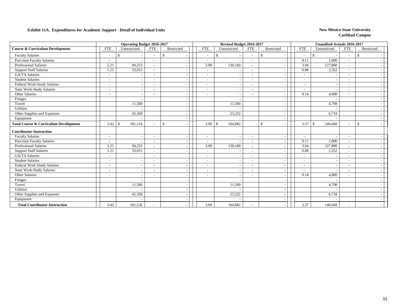|                                                  |                          | <b>Operating Budget 2016-2017</b> |                          |               |                          | Revised Budget 2016-2017      |                          |              |                          | <b>Unaudited Actuals 2016-2017</b> |                          |               |  |
|--------------------------------------------------|--------------------------|-----------------------------------|--------------------------|---------------|--------------------------|-------------------------------|--------------------------|--------------|--------------------------|------------------------------------|--------------------------|---------------|--|
| <b>Course &amp; Curriculum Development</b>       | <b>FTE</b>               | Unrestricted                      | <b>FTE</b>               | Restricted    | <b>FTE</b>               | Unrestricted                  | <b>FTE</b>               | Restricted   | <b>FTE</b>               | Unrestricted                       | <b>FTE</b>               | Restricted    |  |
| <b>Faculty Salaries</b>                          |                          | \$                                | $\overline{\phantom{a}}$ | £.            | $\sim$                   | -S                            | $\overline{\phantom{a}}$ | -S           | $\overline{\phantom{a}}$ |                                    | $\overline{\phantom{a}}$ | <sup>\$</sup> |  |
| Part-time Faculty Salaries                       | $\overline{\phantom{a}}$ |                                   | $\overline{\phantom{a}}$ |               | $\overline{\phantom{a}}$ |                               | $\overline{\phantom{a}}$ |              | 0.11                     | 1,000                              | $\tilde{\phantom{a}}$    |               |  |
| <b>Professional Salaries</b>                     | 2.21                     | 94,253                            |                          |               | 3.09                     | 130,160                       | $\overline{\phantom{a}}$ |              | 3.04                     | 127,800                            |                          |               |  |
| <b>Support Staff Salaries</b>                    | 1.21                     | 33,015                            | $\overline{\phantom{a}}$ |               | $\overline{\phantom{a}}$ |                               | $\sim$                   |              | 0.08                     | 2,352                              | $\overline{\phantom{a}}$ |               |  |
| <b>GA/TA Salaries</b>                            | $\overline{\phantom{a}}$ |                                   |                          |               | $\overline{\phantom{a}}$ |                               | $\overline{\phantom{a}}$ |              |                          |                                    | ۰                        |               |  |
| <b>Student Salaries</b>                          |                          |                                   |                          |               |                          |                               | $\overline{\phantom{a}}$ |              |                          |                                    |                          |               |  |
| Federal Work-Study Salaries                      | $\overline{\phantom{a}}$ |                                   |                          |               | $\overline{\phantom{a}}$ |                               | $\sim$                   |              |                          |                                    | ۰                        |               |  |
| <b>State Work-Study Salaries</b>                 | $\overline{\phantom{a}}$ |                                   | $\overline{\phantom{a}}$ |               | $\overline{\phantom{a}}$ |                               | $\overline{\phantom{a}}$ |              |                          |                                    | $\overline{a}$           |               |  |
| Other Salaries                                   | $\blacksquare$           |                                   |                          |               |                          |                               | $\overline{\phantom{a}}$ |              | 0.14                     | 4,000                              |                          |               |  |
| Fringes                                          |                          |                                   |                          |               |                          |                               |                          |              |                          |                                    |                          |               |  |
| Travel                                           |                          | 11,500                            |                          |               |                          | 11,500                        |                          |              |                          | 4,798                              |                          |               |  |
| Utilities                                        |                          |                                   |                          |               |                          |                               |                          |              |                          |                                    |                          |               |  |
| Other Supplies and Expenses                      |                          | 42,358                            |                          |               |                          | 23,222                        |                          |              |                          | 6,718                              |                          |               |  |
| Equipment                                        |                          |                                   |                          |               |                          |                               |                          |              |                          |                                    |                          |               |  |
| <b>Total Course &amp; Curriculum Development</b> | 3.42                     | 181,126<br>- \$                   | $\overline{\phantom{a}}$ | $\mathcal{S}$ | 3.09                     | $\mathbf{\hat{s}}$<br>164,882 |                          | $\mathbb{S}$ | $3.37 \, \text{S}$       | 146,668                            | $\overline{\phantom{a}}$ | $\mathbf{s}$  |  |
| <b>Coordinator-Instruction</b>                   |                          |                                   |                          |               |                          |                               |                          |              |                          |                                    |                          |               |  |
| <b>Faculty Salaries</b>                          | $\tilde{\phantom{a}}$    |                                   |                          |               | $\overline{\phantom{a}}$ |                               | $\overline{\phantom{a}}$ |              |                          |                                    |                          |               |  |
| Part-time Faculty Salaries                       | $\overline{\phantom{a}}$ |                                   |                          |               | $\overline{\phantom{a}}$ |                               | $\overline{\phantom{a}}$ |              | 0.11                     | 1,000                              | $\overline{\phantom{a}}$ |               |  |
| <b>Professional Salaries</b>                     | 2.21                     | 94,253                            | $\overline{\phantom{a}}$ |               | 3.09                     | 130,160                       | $\sim$                   |              | 3.04                     | 127,800                            | $\sim$                   |               |  |
| <b>Support Staff Salaries</b>                    | 1.21                     | 33,015                            | $\overline{\phantom{a}}$ |               | $\overline{\phantom{a}}$ |                               | $\overline{\phantom{a}}$ |              | 0.08                     | 2,352                              | $\overline{\phantom{a}}$ |               |  |
| <b>GA/TA Salaries</b>                            | $\overline{\phantom{a}}$ |                                   |                          |               | $\overline{\phantom{a}}$ |                               | $\overline{\phantom{a}}$ |              |                          |                                    | ۰                        |               |  |
| <b>Student Salaries</b>                          | $\overline{\phantom{a}}$ |                                   | $\overline{\phantom{a}}$ |               | $\overline{\phantom{a}}$ |                               | $\overline{\phantom{a}}$ |              | $\overline{\phantom{a}}$ |                                    | $\overline{\phantom{a}}$ |               |  |
| Federal Work-Study Salaries                      | $\overline{\phantom{a}}$ |                                   | $\overline{\phantom{a}}$ |               | $\overline{\phantom{a}}$ |                               | $\overline{\phantom{a}}$ |              | $\overline{\phantom{a}}$ |                                    | $\tilde{\phantom{a}}$    |               |  |
| <b>State Work-Study Salaries</b>                 | $\overline{\phantom{a}}$ |                                   | $\overline{\phantom{a}}$ |               | $\overline{\phantom{a}}$ |                               | $\overline{\phantom{a}}$ |              |                          |                                    | $\overline{\phantom{a}}$ |               |  |
| Other Salaries                                   | $\overline{\phantom{a}}$ |                                   | $\overline{\phantom{a}}$ |               | $\overline{\phantom{a}}$ |                               | $\overline{\phantom{a}}$ |              | 0.14                     | 4,000                              | $\sim$                   |               |  |
| Fringes                                          |                          |                                   |                          |               |                          |                               |                          |              |                          |                                    |                          |               |  |
| Travel                                           |                          | 11,500                            |                          |               |                          | 11,500                        |                          |              |                          | 4,798                              |                          |               |  |
| <b>Utilities</b>                                 |                          |                                   |                          |               |                          |                               |                          |              |                          |                                    |                          |               |  |
| Other Supplies and Expenses                      |                          | 42,358                            |                          |               |                          | 23,222                        |                          |              |                          | 6,718                              |                          |               |  |
| Equipment                                        |                          |                                   |                          |               |                          |                               |                          |              |                          |                                    |                          |               |  |
| <b>Total Coordinator-Instruction</b>             | 3.42                     | 181,126                           |                          |               | 3.09                     | 164,882                       |                          |              | 3.37                     | 146,668                            |                          |               |  |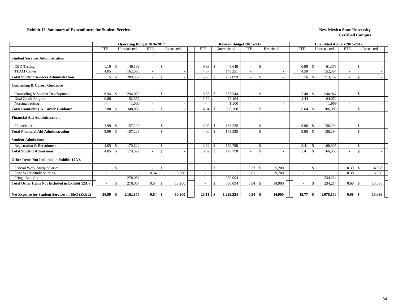#### **Exhibit 12. Summary of Expenditures for Student Services New Mexico State University New Mexico State University**

|                                                        |                          |               | <b>Operating Budget 2016-2017</b> |                          |                    |            |                          |     | Revised Budget 2016-2017 |                          |               |            |                          |                    | <b>Unaudited Actuals 2016-2017</b> |                          |                    |            |
|--------------------------------------------------------|--------------------------|---------------|-----------------------------------|--------------------------|--------------------|------------|--------------------------|-----|--------------------------|--------------------------|---------------|------------|--------------------------|--------------------|------------------------------------|--------------------------|--------------------|------------|
|                                                        | <b>FTE</b>               |               | Unrestricted                      | <b>FTE</b>               |                    | Restricted | <b>FTE</b>               |     | Unrestricted             | <b>FTE</b>               |               | Restricted | <b>FTE</b>               |                    | Unrestricted                       | <b>FTE</b>               |                    | Restricted |
| <b>Student Services Administration</b>                 |                          |               |                                   |                          |                    |            |                          |     |                          |                          |               |            |                          |                    |                                    |                          |                    |            |
| <b>GED</b> Testing                                     | 1.10                     | <sup>\$</sup> | 46,192                            | $\sim$                   | $\mathcal{S}$      |            | 0.98                     | -S  | 48,648                   |                          | $\mathcal{S}$ |            | 0.98                     | -\$                | 61,373                             | $\sim$                   | \$                 |            |
| <b>TEAM Center</b>                                     | 4.05                     |               | 162,690                           | $\sim$                   |                    |            | 4.57                     |     | 149,251                  |                          |               |            | 4.58                     |                    | 152,394                            | $\overline{\phantom{a}}$ |                    |            |
| <b>Total Student Services Administration</b>           | 5.15                     | $\mathcal{S}$ | 208,882                           | $\sim$                   | $\mathcal{S}$      |            | 5.55                     | -8  | 197,899                  |                          | $\mathcal{S}$ |            | 5.56                     | -\$                | 213,767                            | $\sim$                   | $\mathcal{S}$      |            |
| <b>Counseling &amp; Career Guidance</b>                |                          |               |                                   |                          |                    |            |                          |     |                          |                          |               |            |                          |                    |                                    |                          |                    |            |
| Counseling & Student Development                       | 6.94                     | -\$           | 294,025                           | $\overline{\phantom{a}}$ | $\mathcal{S}$      |            | 5.35                     |     | 233,544                  |                          | $\mathcal{S}$ |            | 5.40                     | -\$                | 240,947                            | $\sim$                   | $\mathcal{S}$      |            |
| Dual Credit Program                                    | 0.86                     |               | 52,557                            | $\sim$                   |                    |            | 1.59                     |     | 73,164                   | $\overline{\phantom{a}}$ |               |            | 1.44                     |                    | 64,072                             | $\sim$                   |                    |            |
| <b>Nursing Testing</b>                                 |                          |               | 1,500                             | $\overline{\phantom{a}}$ |                    |            |                          |     | 1,500                    |                          |               |            |                          |                    | 1,969                              |                          |                    |            |
| <b>Total Counseling &amp; Career Guidance</b>          | 7.80                     | -S            | 348,082                           | $\overline{\phantom{a}}$ | \$                 |            | 6.94                     | -S  | 308,208                  |                          | $\mathcal{S}$ |            | 6.84                     | -\$                | 306,988                            | $\sim$                   | \$                 |            |
| <b>Financial Aid Administration</b>                    |                          |               |                                   |                          |                    |            |                          |     |                          |                          |               |            |                          |                    |                                    |                          |                    |            |
| <b>Financial Aid</b>                                   | 3.99                     | -\$           | 157,223                           | $\overline{\phantom{a}}$ | <sup>\$</sup>      |            | 4.00                     | -S  | 163,525                  |                          | <sup>\$</sup> |            | 3.96                     | -\$                | 156,294                            | $\overline{\phantom{a}}$ | <sup>\$</sup>      |            |
| <b>Total Financial Aid Administration</b>              | 3.99                     | -S            | 157,223                           | $\sim$                   | $\mathcal{S}$      |            | 4.00                     | -8  | 163,525                  |                          | $\mathcal{S}$ |            | 3.96                     | -\$                | 156,294                            | $\sim$                   | $\mathbf{\hat{S}}$ |            |
| <b>Student Admissions</b>                              |                          |               |                                   |                          |                    |            |                          |     |                          |                          |               |            |                          |                    |                                    |                          |                    |            |
| Registration & Recruitment                             | 4.05                     | $\mathcal{S}$ | 170,622                           |                          | -\$                |            | 3.62                     | -\$ | 179,798                  |                          | <sup>\$</sup> |            | 3.41                     | <sup>\$</sup>      | 166,905                            | $\sim$                   | \$                 |            |
| <b>Total Student Admissions</b>                        | 4.05                     | <sup>\$</sup> | 170,622                           | $\sim$                   | $\mathbf{\hat{S}}$ |            | 3.62                     |     | 179,798                  |                          | $\mathcal{S}$ |            | 3.41                     | -\$                | 166,905                            | $\sim$                   | $\mathcal{S}$      |            |
| Other Items Not Included in Exhibit 12A's              |                          |               |                                   |                          |                    |            |                          |     |                          |                          |               |            |                          |                    |                                    |                          |                    |            |
| Federal Work-Study Salaries                            | $\overline{\phantom{a}}$ | $\mathcal{S}$ |                                   | $\overline{\phantom{a}}$ | $\mathcal{S}$      |            | $\overline{\phantom{a}}$ | £.  |                          | 0.33                     | -S            | 5,200      | $\sim$                   | -\$                |                                    | 0.30                     | -\$                | 4,828      |
| <b>State Work-Study Salaries</b>                       |                          |               |                                   | 0.64                     |                    | 10,200     |                          |     |                          | 0.61                     |               | 9,700      |                          |                    |                                    | 0.38                     |                    | 6,058      |
| Fringe Benefits                                        |                          |               | 278,067                           |                          |                    |            |                          |     | 380,094                  |                          |               |            |                          |                    | 234.214                            |                          |                    |            |
| <b>Total Other Items Not Included in Exhibit 12A's</b> |                          | <sup>\$</sup> | 278,067                           | 0.64                     | -\$                | 10,200     | $\overline{\phantom{a}}$ |     | 380,094                  | 0.94                     | -8            | 14,900     | $\overline{\phantom{0}}$ | $\mathbf{\hat{S}}$ | 234,214                            | 0.68                     | -8                 | 10,886     |
| Net Expense for Student Services in I&G (Exh 2)        | 20.99                    | \$            | 1,162,876                         | 0.64                     | -9                 | 10,200     | 20.11                    | -\$ | 1,229,524                | 0.94                     |               | 14,900     | 19.77                    |                    | 1,078,168                          | 0.68                     |                    | 10,886     |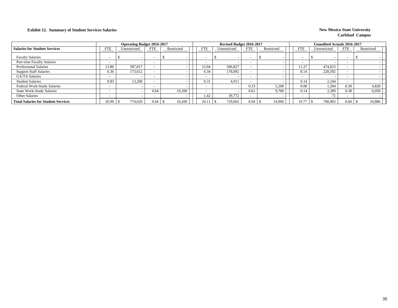### **Exhibit 12. Summary of Student Services Salaries New Mexico State University New Mexico State University**

|                                            |            | <b>Operating Budget 2016-2017</b> |                          |            |            | Revised Budget 2016-2017 |            |            |                          | <b>Unaudited Actuals 2016-2017</b> |            |            |
|--------------------------------------------|------------|-----------------------------------|--------------------------|------------|------------|--------------------------|------------|------------|--------------------------|------------------------------------|------------|------------|
| <b>Salaries for Student Services</b>       | <b>FTE</b> | Unrestricted                      | <b>FTE</b>               | Restricted | <b>FTE</b> | Unrestricted             | <b>FTE</b> | Restricted | FTE                      | Unrestricted                       | <b>FTE</b> | Restricted |
| <b>Faculty Salaries</b>                    |            |                                   | $\overline{\phantom{a}}$ |            |            |                          |            |            | $\overline{\phantom{0}}$ |                                    |            |            |
| Part-time Faculty Salaries                 |            |                                   | $\overline{\phantom{a}}$ |            |            |                          |            |            | $\overline{\phantom{0}}$ |                                    |            |            |
| <b>Professional Salaries</b>               | 13.80      | 587,817                           |                          |            | 12.04      | 506,827                  |            |            | 11.27                    | 474.623                            |            |            |
| <b>Support Staff Salaries</b>              | 6.36       | 173,612                           |                          |            | 6.34       | 178,092                  |            |            | 8.14                     | 228,392                            |            |            |
| <b>GA/TA Salaries</b>                      |            |                                   | $\overline{\phantom{0}}$ |            |            |                          |            |            | $\overline{\phantom{a}}$ |                                    |            |            |
| <b>Student Salaries</b>                    | 0.83       | 13.200                            | $\overline{\phantom{0}}$ |            | 0.31       | 4,911                    |            |            | 0.14                     | 2,244                              |            |            |
| Federal Work-Study Salaries                |            |                                   | <b>-</b>                 |            |            |                          | 0.33       | 5.200      | 0.08                     | 1.284                              | 0.30       | 4,828      |
| <b>State Work-Study Salaries</b>           |            |                                   | 0.64                     | 10,200     |            |                          | 0.61       | 9.700      | 0.14                     | 2,289                              | 0.38       | 6,058      |
| <b>Other Salaries</b>                      |            |                                   | $\overline{\phantom{a}}$ |            | 1.42       | 39,772                   |            |            | $\overline{\phantom{0}}$ |                                    |            |            |
| <b>Total Salaries for Student Services</b> | 20.99      | 774,629                           | 0.64                     | 10,200     | 20.11      | 729,602                  | 0.94       | 14,900     | 19.77                    | 708,903                            | 0.68       | 10,886     |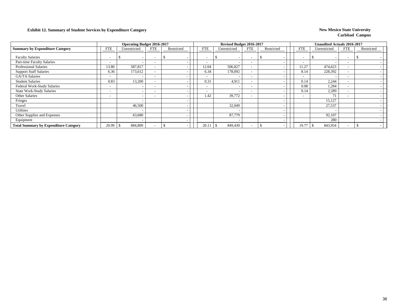### **Exhibit 12. Summary of Student Services by Expenditure Category New Mexico State University**

|                                              |                          | <b>Operating Budget 2016-2017</b> |                          |            |                          | Revised Budget 2016-2017 |                          |                          |                          | <b>Unaudited Actuals 2016-2017</b> |                          |            |  |
|----------------------------------------------|--------------------------|-----------------------------------|--------------------------|------------|--------------------------|--------------------------|--------------------------|--------------------------|--------------------------|------------------------------------|--------------------------|------------|--|
| <b>Summary by Expenditure Category</b>       | <b>FTE</b>               | Unrestricted                      | <b>FTE</b>               | Restricted | <b>FTE</b>               | Unrestricted             | <b>FTE</b>               | Restricted               | <b>FTE</b>               | Unrestricted                       | <b>FTE</b>               | Restricted |  |
| <b>Faculty Salaries</b>                      |                          | $\overline{\phantom{a}}$          |                          | J.         |                          | ъ                        | $\overline{\phantom{0}}$ |                          | $\overline{\phantom{a}}$ |                                    | $\overline{\phantom{0}}$ |            |  |
| Part-time Faculty Salaries                   | $\sim$                   | $\overline{\phantom{a}}$          | $\overline{\phantom{a}}$ |            | <b>-</b>                 |                          | $\overline{\phantom{0}}$ |                          | $\overline{\phantom{a}}$ |                                    | $\overline{\phantom{0}}$ |            |  |
| <b>Professional Salaries</b>                 | 13.80                    | 587,817                           | $\overline{\phantom{a}}$ |            | 12.04                    | 506,827                  | $\overline{\phantom{0}}$ |                          | 11.27                    | 474,623                            | $\overline{\phantom{0}}$ |            |  |
| <b>Support Staff Salaries</b>                | 6.36                     | 173,612                           |                          |            | 6.34                     | 178,092                  | $\overline{\phantom{a}}$ |                          | 8.14                     | 228,392                            | $\overline{\phantom{0}}$ |            |  |
| <b>GA/TA Salaries</b>                        | $\overline{\phantom{a}}$ | $\overline{\phantom{0}}$          | $\overline{\phantom{0}}$ |            |                          |                          | $\overline{\phantom{a}}$ |                          | $\overline{\phantom{0}}$ |                                    | $\sim$                   |            |  |
| <b>Student Salaries</b>                      | 0.83                     | 13,200                            |                          |            | 0.31                     | 4,911                    | $\overline{\phantom{a}}$ |                          | 0.14                     | 2,244                              | $\sim$                   |            |  |
| Federal Work-Study Salaries                  | $\overline{\phantom{0}}$ | $\overline{\phantom{a}}$          | $\overline{\phantom{0}}$ |            | $\overline{\phantom{a}}$ |                          | $\overline{\phantom{a}}$ |                          | 0.08                     | 1,284                              |                          |            |  |
| <b>State Work-Study Salaries</b>             | $\overline{\phantom{0}}$ | $\overline{\phantom{a}}$          | $\overline{\phantom{0}}$ |            | $\overline{\phantom{0}}$ |                          | $\overline{\phantom{a}}$ |                          | 0.14                     | 2,289                              | $\overline{\phantom{0}}$ |            |  |
| <b>Other Salaries</b>                        | $\overline{\phantom{0}}$ | $\overline{\phantom{a}}$          | $\overline{\phantom{a}}$ |            | 1.42                     | 39,772                   | $\overline{\phantom{0}}$ |                          | $\overline{\phantom{a}}$ | 71                                 | $\overline{\phantom{0}}$ |            |  |
| Fringes                                      |                          | $\overline{\phantom{a}}$          |                          |            |                          |                          |                          | $\overline{\phantom{a}}$ |                          | 15,127                             |                          |            |  |
| Travel                                       |                          | 46,500                            |                          |            |                          | 32,049                   |                          |                          |                          | 27,537                             |                          |            |  |
| <b>Utilities</b>                             |                          | $\overline{\phantom{a}}$          |                          |            |                          |                          |                          |                          |                          |                                    |                          |            |  |
| Other Supplies and Expenses                  |                          | 63,680                            |                          |            |                          | 87,779                   |                          |                          |                          | 92,107                             |                          |            |  |
| Equipment                                    |                          | $\overline{\phantom{a}}$          |                          |            |                          |                          |                          |                          |                          | 280                                |                          |            |  |
| <b>Total Summary by Expenditure Category</b> | 20.99                    | 884,809                           |                          |            | 20.1                     | 849,430<br>£.            | $\overline{\phantom{0}}$ |                          | 19.77                    | 843,954                            |                          |            |  |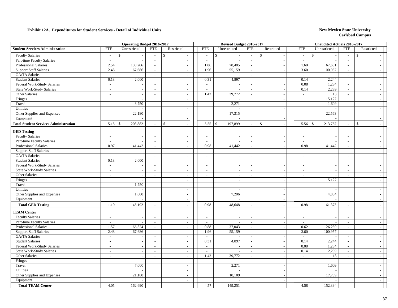|                                              |                             | <b>Operating Budget 2016-2017</b> |                          |               |                          | Revised Budget 2016-2017 |                             |                                 |                          | <b>Unaudited Actuals 2016-2017</b> |                          |                          |
|----------------------------------------------|-----------------------------|-----------------------------------|--------------------------|---------------|--------------------------|--------------------------|-----------------------------|---------------------------------|--------------------------|------------------------------------|--------------------------|--------------------------|
| <b>Student Services Administration</b>       | <b>FTE</b>                  | Unrestricted                      | <b>FTE</b>               | Restricted    | <b>FTE</b>               | Unrestricted             | <b>FTE</b>                  | Restricted                      | <b>FTE</b>               | Unrestricted                       | <b>FTE</b>               | Restricted               |
| <b>Faculty Salaries</b>                      | $\overline{\phantom{a}}$    | $\mathbf S$                       | $\sim$                   | $\mathbb{S}$  | $\mathbb{L}^+$           | $\mathsf{\$}$            | $\sim$                      | $\mathbb{S}$                    | $\sim$                   | $\mathbb{S}$                       | $\sim$                   | $\mathbb{S}$             |
| Part-time Faculty Salaries                   | $\sim$                      | $\sim$                            | $\sim$                   | $\sim$        | $\sim$                   | $\overline{a}$           | $\sim$                      | $\sim$                          | $\sim$                   | $\sim$                             | $\sim$                   |                          |
| Professional Salaries                        | 2.54                        | 108,266                           | $\sim$                   | $\sim$        | 1.86                     | 78,485                   | $\sim$                      | $\sim$                          | 1.60                     | 67,681                             | $\sim$                   |                          |
| <b>Support Staff Salaries</b>                | 2.48                        | 67,686                            | $\sim$                   | $\sim$        | 1.96                     | 55,159                   | $\sim$                      | $\overline{\phantom{a}}$        | 3.60                     | 100,957                            | $\sim$                   |                          |
| GA/TA Salaries                               | $\sim$                      |                                   | $\sim$                   | $\sim$        | $\sim$                   |                          | $\sim$                      | $\sim$                          | $\sim$                   |                                    | $\sim$                   |                          |
| <b>Student Salaries</b>                      | 0.13                        | 2,000                             | $\sim$                   | $-1$          | 0.31                     | 4,897                    | $\sim$                      | $\mathcal{L}_{\mathcal{A}}$     | 0.14                     | 2,244                              | $\sim$                   | $\sim$                   |
| Federal Work-Study Salaries                  | $\sim$                      | $\overline{\phantom{a}}$          | $\overline{\phantom{a}}$ | $\sim$        | $\sim$                   | $\overline{\phantom{a}}$ | $\sim$                      | $\overline{\phantom{a}}$        | 0.08                     | 1,284                              | $\sim$                   | $\overline{\phantom{a}}$ |
| <b>State Work-Study Salaries</b>             | $\omega$                    | $\mathcal{L}_{\mathcal{A}}$       | $\mathcal{L}$            | $\sim$        | $\mathcal{L}$            | $\sim$                   | $\mathcal{L}_{\mathcal{A}}$ | $\mathbb{L}$                    | 0.14                     | 2,289                              | $\sim$                   | $\sim$                   |
| Other Salaries                               | $\overline{\phantom{a}}$    | $\sim$                            | $\sim$                   | $\sim$        | 1.42                     | 39,772                   | $\sim$                      | $\sim$                          | $\overline{\phantom{a}}$ | 13                                 | $\sim$                   | $\overline{\phantom{a}}$ |
| Fringes                                      |                             |                                   |                          |               |                          |                          |                             | $\overline{\phantom{a}}$        |                          | 15,127                             |                          | $\overline{\phantom{a}}$ |
| Travel                                       |                             | 8,750                             |                          | $\sim$        |                          | 2,271                    |                             | $\blacksquare$                  |                          | 1,609                              |                          | $\overline{\phantom{a}}$ |
| Utilities                                    |                             |                                   |                          | $\sim$        |                          |                          |                             | $\bar{\phantom{a}}$             |                          |                                    |                          | $\sim$                   |
| Other Supplies and Expenses                  |                             | 22,180                            |                          | $\sim$        |                          | 17,315                   |                             | $\sim$                          |                          | 22,563                             |                          | $\overline{\phantom{a}}$ |
| Equipment                                    |                             |                                   |                          | $\sim$        |                          |                          |                             | $\sim$                          |                          |                                    |                          | $\overline{\phantom{a}}$ |
| <b>Total Student Services Administration</b> | 5.15                        | 208,882<br>$\mathsf{S}$           |                          | $\mathcal{S}$ | 5.55                     | \$<br>197,899            |                             | $\mathcal{S}$<br>$\overline{a}$ | 5.56                     | $\mathcal{S}$<br>213,767           | $\overline{a}$           | $\mathbf{s}$             |
| <b>GED Testing</b>                           |                             |                                   |                          |               |                          |                          |                             |                                 |                          |                                    |                          |                          |
| <b>Faculty Salaries</b>                      | $\sim$                      | $\sim$                            | $\sim$                   | $\sim$        | $\sim$                   | ÷.                       | $\mathcal{L}_{\mathcal{A}}$ | $\sim$                          | $\sim$                   | $\sim$                             | $\sim$                   | $\overline{a}$           |
| Part-time Faculty Salaries                   | $\sim$                      | $\sim$                            | $\sim$                   | $\sim$        | $\sim$                   |                          | $\sim$                      | $\overline{\phantom{a}}$        | $\sim$                   |                                    | $\sim$                   | $\sim$                   |
| <b>Professional Salaries</b>                 | 0.97                        | 41,442                            | $\sim$                   | $\sim$        | 0.98                     | 41,442                   | $\sim$                      | $\overline{\phantom{a}}$        | 0.98                     | 41,442                             | $\sim$                   | $\sim$                   |
| <b>Support Staff Salaries</b>                | $\mathcal{L}_{\mathcal{A}}$ | $\sim$                            | $\sim$                   | $\sim$        | $\sim$                   | $\overline{\phantom{a}}$ | $\sim$                      | $\sim$                          | $\overline{\phantom{a}}$ | $\sim$                             | $\overline{\phantom{a}}$ | $\sim$                   |
| <b>GA/TA</b> Salaries                        | $\overline{a}$              | $\overline{a}$                    | $\sim$                   | $\sim$        | $\sim$                   | $\overline{\phantom{a}}$ | $\sim$                      | $\sim$                          | $\sim$                   | $\sim$                             | $\sim$                   | $\sim$                   |
| <b>Student Salaries</b>                      | 0.13                        | 2,000                             | $\sim$                   | $\sim$        | $\sim$                   | $\overline{\phantom{a}}$ | $\sim$                      | $\overline{\phantom{a}}$        | $\overline{\phantom{a}}$ | $\sim$                             | $\sim$                   | $\overline{\phantom{a}}$ |
| Federal Work-Study Salaries                  | $\sim$                      |                                   | $\sim$                   | $\sim$        | $\overline{\phantom{a}}$ | $\overline{\phantom{a}}$ | $\sim$                      | $\overline{\phantom{a}}$        | $\overline{\phantom{a}}$ | $\sim$                             | $\overline{\phantom{a}}$ | $\overline{\phantom{a}}$ |
| State Work-Study Salaries                    | $\overline{\phantom{a}}$    |                                   | $\sim$                   | $\sim$        | $\mathbf{r}$             |                          | $\mathcal{L}_{\mathcal{A}}$ | $\sim$                          | $\sim$                   |                                    | $\overline{\phantom{a}}$ | $\overline{a}$           |
| Other Salaries                               | $\blacksquare$              | $\blacksquare$                    | $\overline{\phantom{a}}$ | $\sim$        | $\overline{\phantom{a}}$ | $\overline{\phantom{a}}$ | $\sim$                      | $\bar{\phantom{a}}$             | $\blacksquare$           | $\overline{\phantom{a}}$           | $\blacksquare$           | $\sim$                   |
| Fringes                                      |                             | $\sim$                            |                          | $\sim$        |                          | $\overline{\phantom{a}}$ |                             | $\sim$                          |                          | 15,127                             |                          | $\overline{\phantom{a}}$ |
| Travel                                       |                             | 1,750                             |                          | $\sim$        |                          | $\overline{\phantom{a}}$ |                             | $\sim$                          |                          |                                    |                          | $\overline{\phantom{a}}$ |
| Utilities                                    |                             |                                   |                          | $\sim$        |                          | $\overline{\phantom{a}}$ |                             | $\overline{a}$                  |                          |                                    |                          | $\sim$                   |
| Other Supplies and Expenses                  |                             | 1,000                             |                          | $\sim$        |                          | 7,206                    |                             | $\overline{\phantom{a}}$        |                          | 4,804                              |                          | $\sim$                   |
| Equipment                                    |                             | $\sim$                            |                          | $\sim$        |                          | $\overline{a}$           |                             | $\mathcal{L}_{\mathcal{A}}$     |                          |                                    |                          | $\sim$                   |
| <b>Total GED Testing</b>                     | 1.10                        | 46,192                            | $\sim$                   |               | 0.98                     | 48,648                   | $\sim$                      | $\overline{\phantom{a}}$        | 0.98                     | 61,373                             | $\sim$                   |                          |
| <b>TEAM Center</b>                           |                             |                                   |                          |               |                          |                          |                             |                                 |                          |                                    |                          |                          |
| <b>Faculty Salaries</b>                      | $\sim$                      | $\sim$                            | $\sim$                   | $\sim$        | $\sim$                   | $\overline{\phantom{a}}$ | $\sim$                      | $\overline{\phantom{a}}$        | $\sim$                   | $\sim$                             | $\sim$                   | $\sim$                   |
| Part-time Faculty Salaries                   | $\sim$                      | $\overline{\phantom{a}}$          | $\sim$                   | $\sim$        | $\sim$                   | $\sim$                   | $\sim$                      | $\sim$                          | $\sim$                   | $\overline{\phantom{a}}$           | $\sim$                   | $\sim$                   |
| <b>Professional Salaries</b>                 | 1.57                        | 66,824                            | $\sim$                   | $\sim$        | 0.88                     | 37,043                   | $\sim$                      | $\sim$                          | 0.62                     | 26,239                             | $\sim$                   | $\overline{\phantom{a}}$ |
| <b>Support Staff Salaries</b>                | 2.48                        | 67,686                            | $\sim$                   | $\sim$        | 1.96                     | 55,159                   | $\mathbb{L}^{\mathbb{N}}$   | $\overline{\phantom{a}}$        | 3.60                     | 100,957                            | $\mathbb{Z}^+$           | $\sim$                   |
| <b>GA/TA Salaries</b>                        | $\overline{\phantom{a}}$    |                                   | $\sim$                   | $\sim$        | $\mathcal{L}$            |                          | $\sim$                      | $\overline{\phantom{a}}$        | $\sim$                   |                                    | $\sim$                   |                          |
| <b>Student Salaries</b>                      | $\mathbf{r}$                | $\sim$                            | $\overline{\phantom{a}}$ | $\sim$        | 0.31                     | 4,897                    | $\sim$                      | $\blacksquare$                  | 0.14                     | 2,244                              | $\mathcal{L}$            |                          |
| Federal Work-Study Salaries                  | $\sim$                      | $\sim$                            | $\sim$                   | $\sim$        | $\sim$                   |                          | $\sim$                      | $\blacksquare$                  | 0.08                     | 1,284                              | $\mathcal{L}$            | $\sim$                   |
| <b>State Work-Study Salaries</b>             | $\sim$                      | $\overline{\phantom{a}}$          | $\sim$                   | $\sim$        | $\sim$                   | $\overline{\phantom{a}}$ | $\sim$                      | $\overline{\phantom{a}}$        | 0.14                     | 2,289                              | $\sim$                   | $\overline{\phantom{a}}$ |
| Other Salaries                               | $\sim$                      | $\overline{a}$                    | $\sim$                   | $\sim$        | 1.42                     | 39,772                   | $\sim$                      | $\sim$                          | $\sim$                   | 13                                 | $\sim$                   | $\sim$                   |
| Fringes                                      |                             | $\overline{a}$                    |                          | $\sim$        |                          |                          |                             | $\sim$                          |                          |                                    |                          | $\sim$                   |
| Travel                                       |                             | 7,000                             |                          | $\sim$        |                          | 2,271                    |                             | $\sim$                          |                          | 1,609                              |                          | $\sim$                   |
| Utilities                                    |                             |                                   |                          | $\sim$        |                          |                          |                             | $\sim$                          |                          |                                    |                          | $\overline{\phantom{a}}$ |
| Other Supplies and Expenses                  |                             | 21,180                            |                          | $\sim$        |                          | 10,109                   |                             | $\mathcal{L}$                   |                          | 17,759                             |                          | $\sim$                   |
| Equipment                                    |                             |                                   |                          | $\sim$        |                          |                          |                             | $\sim$                          |                          |                                    |                          | $\sim$                   |
| <b>Total TEAM Center</b>                     | 4.05                        | 162,690                           |                          |               | 4.57                     | 149,251                  |                             | $\overline{a}$                  | 4.58                     | 152,394                            | $\overline{a}$           |                          |
|                                              |                             |                                   |                          |               |                          |                          |                             |                                 |                          |                                    |                          |                          |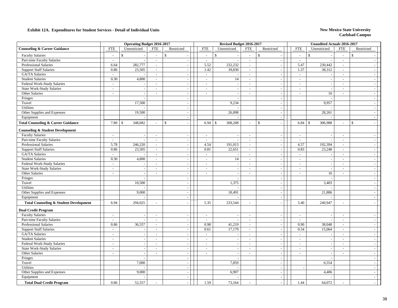|                                                           |                          | <b>Operating Budget 2016-2017</b> |                          |                                                      |                          | Revised Budget 2016-2017 |                  |                              |                                | <b>Unaudited Actuals 2016-2017</b> |                                    |                                    |  |
|-----------------------------------------------------------|--------------------------|-----------------------------------|--------------------------|------------------------------------------------------|--------------------------|--------------------------|------------------|------------------------------|--------------------------------|------------------------------------|------------------------------------|------------------------------------|--|
| <b>Counseling &amp; Career Guidance</b>                   | <b>FTE</b>               | Unrestricted                      | <b>FTE</b>               | Restricted                                           | <b>FTE</b>               | Unrestricted             | <b>FTE</b>       | Restricted                   | <b>FTE</b>                     | Unrestricted                       | <b>FTE</b>                         | Restricted                         |  |
| <b>Faculty Salaries</b>                                   | $\overline{\phantom{a}}$ | \$                                | $\overline{a}$           | $\mathsf{\$}$                                        | $\sim$                   | $\mathbb{S}$             | $\overline{a}$   | \$                           | $\mathbb{S}$<br>$\overline{a}$ |                                    | $\overline{a}$                     | $\mathbb{S}$                       |  |
| Part-time Faculty Salaries                                | $\sim$                   | $\sim$                            | $\sim$                   | $\sim$                                               | $\mathcal{L}$            | $\sim$                   | $\mathbf{r}$     | $\sim$                       | $\sim$                         |                                    | $\sim$                             |                                    |  |
| Professional Salaries                                     | 6.64                     | 282,777                           | $\sim$                   | $\overline{a}$                                       | 5.52                     | 232,232                  | $\omega$         | $\sim$                       | 5.47                           | 230,442                            | $\omega$                           |                                    |  |
| <b>Support Staff Salaries</b>                             | 0.86                     | 23,505                            | $\sim$                   | $\overline{\phantom{a}}$                             | 1.42                     | 39,830                   | $\mathbb{Z}^+$   | $\sim$                       | 1.37                           | 38,312                             | $\omega$                           |                                    |  |
| GA/TA Salaries                                            | $\sim$                   | $\sim$                            | $\blacksquare$           | $\sim$                                               | $\sim$                   |                          | $\sim$           | $\sim$                       | $\sim$                         |                                    | $\blacksquare$                     | $\sim$                             |  |
| <b>Student Salaries</b>                                   | 0.30                     | 4,800                             | $\sim$                   | $\sim$                                               | $\sim$                   | 14                       | $\sim$           | $\sim$                       | $\sim$                         | $\overline{\phantom{a}}$           | $\sim$                             | $\overline{\phantom{a}}$           |  |
| Federal Work-Study Salaries                               | $\sim$                   | $\sim$                            | $\sim$                   | $\sim$                                               | $\sim$                   | $\sim$                   | $\sim$           | $\sim$                       | $\sim$                         | $\overline{\phantom{a}}$           | $\sim$                             | $\sim$                             |  |
| State Work-Study Salaries                                 | $\omega$                 | $\sim$                            | $\overline{\phantom{a}}$ | $\overline{\phantom{a}}$                             | $\omega$                 | $\sim$                   | $\omega$         | $\sim$                       | $\sim$                         | $\overline{\phantom{a}}$           | $\omega$                           | $\overline{\phantom{a}}$           |  |
| Other Salaries                                            | $\sim$                   | $\sim$                            | $\blacksquare$           | $\sim$                                               |                          | $\overline{\phantom{a}}$ | $\blacksquare$   | $\sim$                       | $\blacksquare$                 | 16                                 | $\sim$                             | $\sim$                             |  |
| Fringes                                                   |                          | $\sim$                            |                          | $\overline{a}$                                       |                          | $\overline{\phantom{a}}$ |                  | $\sim$                       |                                |                                    |                                    | $\sim$                             |  |
| Travel                                                    |                          | 17,500                            |                          |                                                      |                          | 9,234                    |                  | $\sim$                       |                                | 9,957                              |                                    |                                    |  |
| <b>Utilities</b>                                          |                          |                                   |                          | $\overline{a}$                                       |                          |                          |                  | $\omega$                     |                                |                                    |                                    | $\sim$                             |  |
| Other Supplies and Expenses                               |                          | 19,500                            |                          | $\overline{\phantom{a}}$                             |                          | 26,898                   |                  | $\sim$                       |                                | 28,261                             |                                    | $\sim$                             |  |
| Equipment                                                 |                          |                                   |                          | $\overline{a}$                                       |                          |                          |                  | $\sim$                       |                                |                                    |                                    | $\sim$                             |  |
| <b>Total Counseling &amp; Career Guidance</b>             | 7.80                     | 348,082<br>$\mathbf{\hat{S}}$     | $\overline{a}$           | $\mathbb{S}$                                         | 6.94                     | $\mathbb{S}$<br>308,208  | $\overline{a}$   | $\mathbf{\hat{S}}$<br>$\sim$ | 6.84<br>$\mathbf{\hat{S}}$     | 306,988                            | $\sim$                             | $\mathbb{S}$<br>$\sim$             |  |
| <b>Counseling &amp; Student Development</b>               |                          |                                   |                          |                                                      |                          |                          |                  |                              |                                |                                    |                                    |                                    |  |
| <b>Faculty Salaries</b>                                   | $\sim$                   | $\sim$                            | $\sim$                   | $\sim$                                               | $\omega$                 | $\sim$                   | $\mathcal{L}$    | $\sim$                       | $\sim$                         |                                    | $\sim$                             | $\sim$                             |  |
| Part-time Faculty Salaries                                | $\sim$                   | $\sim$                            | $\sim$                   | $\sim$                                               | $\omega$                 | $\sim$                   | $\mathcal{L}$    | $\sim$                       | $\blacksquare$                 |                                    | $\sim$                             | $\sim$                             |  |
| <b>Professional Salaries</b>                              | 5.78                     | 246,220                           | $\sim$                   | $\sim$                                               | 4.54                     | 191,013                  | $\sim$           | $\sim$                       | 4.57                           | 192,394                            | $\sim$                             | $\sim$                             |  |
| <b>Support Staff Salaries</b>                             | 0.86                     | 23,505                            | $\blacksquare$           | $\overline{\phantom{a}}$                             | 0.81                     | 22,651                   | $\sim$           | $\sim$                       | 0.83                           | 23,248                             | $\blacksquare$                     | $\sim$                             |  |
| GA/TA Salaries                                            | $\sim$                   | $\sim$                            | $\sim$                   | $\blacksquare$                                       | $\omega$                 | $\overline{\phantom{a}}$ | $\sim$           | $\sim$                       | $\mathcal{L}_{\mathcal{A}}$    |                                    | $\blacksquare$                     | $\sim$                             |  |
| <b>Student Salaries</b>                                   | 0.30                     | 4,800                             | $\sim$                   | $\overline{\phantom{a}}$                             | $\sim$                   | 14                       | $\sim$           | $\sim$                       | $\sim$                         | $\overline{\phantom{a}}$           | $\blacksquare$                     | $\overline{\phantom{a}}$           |  |
| Federal Work-Study Salaries                               | $\sim$                   | $\sim$                            | $\sim$                   | $\sim$                                               | $\sim$                   | $\sim$                   | $\sim$           | $\blacksquare$               | $\sim$                         | $\overline{\phantom{a}}$           | $\sim$                             | $\overline{\phantom{a}}$           |  |
| <b>State Work-Study Salaries</b>                          | $\sim$                   | $\sim$                            | $\sim$                   | $\sim$                                               | $\sim$                   | $\overline{\phantom{a}}$ | $\sim$           | $\sim$                       | $\sim$                         | ÷.                                 | $\sim$                             | $\sim$                             |  |
| <b>Other Salaries</b>                                     | $\sim$                   | $\sim$                            | $\sim$                   | $\overline{\phantom{a}}$                             | $\overline{\phantom{a}}$ | $\overline{\phantom{a}}$ | $\overline{a}$   | $\sim$                       | $\sim$                         | 16                                 | $\overline{a}$                     | $\sim$                             |  |
| Fringes                                                   |                          |                                   |                          |                                                      |                          |                          |                  |                              |                                |                                    |                                    | $\sim$                             |  |
| Travel                                                    |                          | 10,500                            |                          | $\sim$                                               |                          | 1,375                    |                  | $\sim$                       |                                | 3,403                              |                                    | $\sim$                             |  |
| Utilities                                                 |                          |                                   |                          | $\sim$                                               |                          |                          |                  | $\mathbb{Z}^2$               |                                |                                    |                                    | $\sim$                             |  |
| Other Supplies and Expenses                               |                          | 9,000                             |                          | $\sim$                                               |                          | 18,491                   |                  | $\sim$                       |                                | 21,886                             |                                    | $\sim$                             |  |
| Equipment                                                 |                          |                                   |                          | $\overline{\phantom{a}}$                             |                          |                          |                  | $\sim$                       |                                |                                    |                                    | $\overline{\phantom{a}}$           |  |
| <b>Total Counseling &amp; Student Development</b>         | 6.94                     | 294,025                           | $\overline{a}$           | $\sim$                                               | 5.35                     | 233,544                  | $\overline{a}$   | $\overline{\phantom{a}}$     | 5.40                           | 240,947                            | $\overline{a}$                     | $\sim$                             |  |
|                                                           |                          |                                   |                          |                                                      |                          |                          |                  |                              |                                |                                    |                                    |                                    |  |
| <b>Dual Credit Program</b>                                |                          |                                   |                          |                                                      |                          |                          |                  |                              |                                |                                    |                                    |                                    |  |
| <b>Faculty Salaries</b>                                   | $\sim$                   | $\sim$                            | $\sim$                   |                                                      | $\sim$                   | $\sim$                   | $\sim$           |                              | $\sim$                         |                                    | $\sim$                             |                                    |  |
| Part-time Faculty Salaries<br>Professional Salaries       | $\omega$<br>0.86         | $\sim$<br>36,557                  | $\sim$<br>$\blacksquare$ | $\sim$<br>$\sim$                                     | $\omega$<br>0.98         | $\sim$<br>41,219         | $\mathcal{L}$    | $\sim$                       | $\sim$<br>0.90                 | 38,048                             | $\sim$                             | $\sim$<br>$\sim$                   |  |
| <b>Support Staff Salaries</b>                             | $\sim$                   |                                   |                          |                                                      | 0.61                     | 17,179                   | $\sim$           | $\sim$                       | 0.54                           | 15,064                             | $\blacksquare$                     |                                    |  |
|                                                           |                          | $\sim$                            | $\blacksquare$           | $\overline{\phantom{a}}$                             |                          |                          | $\blacksquare$   | $\sim$                       |                                |                                    | $\blacksquare$                     | $\sim$                             |  |
| GA/TA Salaries<br><b>Student Salaries</b>                 | $\sim$<br>$\sim$         | $\sim$                            | $\blacksquare$           | $\sim$                                               | $\sim$                   | $\overline{\phantom{a}}$ | $\sim$<br>$\sim$ | $\sim$                       | $\sim$                         |                                    | $\blacksquare$                     | $\overline{\phantom{a}}$           |  |
|                                                           | $\sim$                   | $\sim$<br>$\sim$                  | $\sim$                   | $\overline{\phantom{a}}$                             | $\sim$                   | $\sim$                   | $\sim$           | $\sim$                       | $\sim$<br>$\sim$               | $\overline{\phantom{a}}$           | $\sim$                             | $\overline{\phantom{a}}$<br>$\sim$ |  |
| Federal Work-Study Salaries                               |                          |                                   | $\sim$                   | $\overline{\phantom{a}}$                             | $\sim$                   | $\overline{\phantom{a}}$ | $\sim$           | $\sim$                       |                                |                                    | $\sim$                             |                                    |  |
| <b>State Work-Study Salaries</b><br><b>Other Salaries</b> | $\sim$                   | $\sim$<br>$\sim$                  | $\sim$<br>$\sim$         | $\sim$                                               | $\sim$                   | $\sim$<br>$\sim$         | $\blacksquare$   | $\sim$                       | $\sim$<br>$\blacksquare$       | $\sim$                             | $\overline{\phantom{a}}$<br>$\sim$ | $\overline{\phantom{a}}$           |  |
|                                                           |                          |                                   |                          |                                                      |                          |                          |                  | $\sim$                       |                                |                                    |                                    | $\sim$                             |  |
| Fringes                                                   |                          | $\sim$                            |                          | $\overline{\phantom{a}}$                             |                          | $\sim$                   |                  | $\overline{\phantom{a}}$     |                                |                                    |                                    | $\sim$                             |  |
| Travel                                                    |                          | 7,000                             |                          | $\overline{a}$                                       |                          | 7,859                    |                  | $\sim$                       | $\overline{\phantom{a}}$       | 6,554                              |                                    | $\sim$                             |  |
| Utilities<br>Other Supplies and Expenses                  |                          | 9,000                             |                          | $\overline{\phantom{a}}$<br>$\overline{\phantom{a}}$ |                          | 6,907                    |                  | $\blacksquare$<br>$\sim$     |                                | 4,406                              |                                    | $\sim$<br>$\sim$                   |  |
|                                                           |                          |                                   |                          | $\sim$                                               |                          |                          |                  | $\sim$                       |                                |                                    |                                    | $\sim$                             |  |
| Equipment                                                 |                          |                                   |                          |                                                      |                          |                          |                  |                              |                                |                                    |                                    |                                    |  |
| <b>Total Dual Credit Program</b>                          | 0.86                     | 52,557                            |                          |                                                      | 1.59                     | 73,164                   |                  |                              | 1.44                           | 64,072                             |                                    |                                    |  |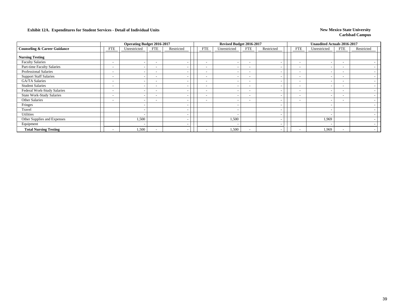|                                         |                          | <b>Operating Budget 2016-2017</b> |                          |            |                          | Revised Budget 2016-2017 |                          |                          |                          | <b>Unaudited Actuals 2016-2017</b> |                          |                          |  |
|-----------------------------------------|--------------------------|-----------------------------------|--------------------------|------------|--------------------------|--------------------------|--------------------------|--------------------------|--------------------------|------------------------------------|--------------------------|--------------------------|--|
| <b>Counseling &amp; Career Guidance</b> | <b>FTE</b>               | Unrestricted                      | FTE                      | Restricted | <b>FTE</b>               | Unrestricted             | <b>FTE</b>               | Restricted               | <b>FTE</b>               | Unrestricted                       | FTE                      | Restricted               |  |
| <b>Nursing Testing</b>                  |                          |                                   |                          |            |                          |                          |                          |                          |                          |                                    |                          |                          |  |
| <b>Faculty Salaries</b>                 | $\overline{\phantom{a}}$ |                                   | $\overline{\phantom{a}}$ |            | $\overline{\phantom{a}}$ | $\overline{\phantom{a}}$ | $\overline{\phantom{a}}$ | $\overline{\phantom{a}}$ | $\overline{\phantom{0}}$ |                                    | $\overline{\phantom{a}}$ |                          |  |
| Part-time Faculty Salaries              | $\overline{\phantom{a}}$ |                                   | $\overline{\phantom{0}}$ |            |                          |                          | $\overline{\phantom{a}}$ | $\overline{\phantom{a}}$ | $\overline{\phantom{0}}$ |                                    | $\overline{\phantom{a}}$ |                          |  |
| Professional Salaries                   | $\overline{\phantom{a}}$ |                                   | $\overline{\phantom{0}}$ |            | $\overline{\phantom{a}}$ |                          | $\overline{\phantom{a}}$ | $\overline{\phantom{a}}$ | $\overline{\phantom{a}}$ |                                    | $\overline{\phantom{0}}$ |                          |  |
| <b>Support Staff Salaries</b>           | $\overline{\phantom{a}}$ |                                   | $\overline{\phantom{a}}$ |            |                          |                          | $\overline{\phantom{a}}$ | -                        | $\overline{\phantom{0}}$ |                                    | -                        |                          |  |
| GA/TA Salaries                          | $\overline{\phantom{a}}$ |                                   | $\overline{\phantom{a}}$ |            | $\overline{\phantom{a}}$ | $\overline{\phantom{0}}$ | $\overline{\phantom{a}}$ | $\overline{\phantom{a}}$ | $\sim$                   |                                    | $\overline{\phantom{a}}$ |                          |  |
| <b>Student Salaries</b>                 | $\overline{\phantom{a}}$ |                                   | $\overline{\phantom{a}}$ |            | $\overline{\phantom{0}}$ | $\overline{\phantom{a}}$ |                          | $\overline{\phantom{a}}$ | $\overline{\phantom{a}}$ |                                    | -                        |                          |  |
| Federal Work-Study Salaries             | $\overline{\phantom{a}}$ |                                   | $\overline{\phantom{0}}$ |            | $\overline{\phantom{a}}$ | $\overline{\phantom{0}}$ | $\overline{\phantom{0}}$ | $\overline{\phantom{a}}$ | $\overline{\phantom{0}}$ |                                    | $\overline{\phantom{a}}$ |                          |  |
| <b>State Work-Study Salaries</b>        | $\overline{\phantom{a}}$ |                                   | $\overline{\phantom{0}}$ |            | $\overline{\phantom{a}}$ | $\overline{\phantom{a}}$ |                          | $\overline{\phantom{a}}$ | $\overline{\phantom{0}}$ |                                    | $\overline{\phantom{a}}$ |                          |  |
| Other Salaries                          | $\overline{\phantom{a}}$ |                                   | $\overline{\phantom{0}}$ |            | $\overline{\phantom{0}}$ | $\overline{\phantom{a}}$ | $\overline{\phantom{a}}$ | $\overline{\phantom{a}}$ | $\overline{\phantom{0}}$ |                                    | $\overline{\phantom{a}}$ |                          |  |
| Fringes                                 |                          |                                   |                          |            |                          |                          |                          | $\overline{\phantom{a}}$ |                          |                                    |                          |                          |  |
| Travel                                  |                          |                                   |                          |            |                          |                          |                          | $\overline{\phantom{a}}$ |                          |                                    |                          |                          |  |
| Utilities                               |                          |                                   |                          |            |                          |                          |                          | $\overline{\phantom{a}}$ |                          |                                    |                          |                          |  |
| Other Supplies and Expenses             |                          | 1,500                             |                          |            |                          | 1,500                    |                          | $\overline{\phantom{a}}$ |                          | 1,969                              |                          |                          |  |
| Equipment                               |                          |                                   |                          |            |                          | $\overline{\phantom{a}}$ |                          | $\overline{\phantom{a}}$ |                          |                                    |                          |                          |  |
| <b>Total Nursing Testing</b>            | $\sim$                   | 1,500                             |                          |            |                          | 1,500                    |                          | -                        | $\overline{\phantom{a}}$ | 1,969                              | $\overline{\phantom{0}}$ | $\overline{\phantom{a}}$ |  |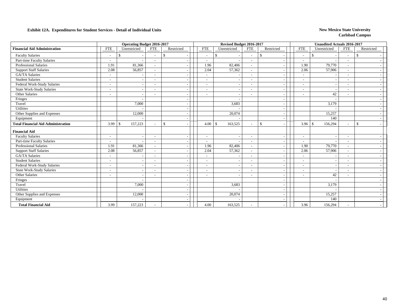|                                           |                          | Operating Budget 2016-2017                |                          |              |                          | Revised Budget 2016-2017 |                          |              |                          |                          | <b>Unaudited Actuals 2016-2017</b> |                          |               |  |
|-------------------------------------------|--------------------------|-------------------------------------------|--------------------------|--------------|--------------------------|--------------------------|--------------------------|--------------|--------------------------|--------------------------|------------------------------------|--------------------------|---------------|--|
| <b>Financial Aid Administration</b>       | <b>FTE</b>               | Unrestricted                              | <b>FTE</b>               | Restricted   | <b>FTE</b>               | Unrestricted             | <b>FTE</b>               | Restricted   |                          | <b>FTE</b>               | Unrestricted                       | <b>FTE</b>               | Restricted    |  |
| <b>Faculty Salaries</b>                   | $\overline{\phantom{a}}$ | <sup>\$</sup><br>$\overline{\phantom{a}}$ |                          | \$           | $\sim$                   | \$                       | $\overline{\phantom{a}}$ | $\mathbf{s}$ |                          | $\sim$                   | <sup>\$</sup>                      | $\sim$                   | \$.           |  |
| Part-time Faculty Salaries                | $\overline{\phantom{a}}$ |                                           |                          |              | $\overline{\phantom{a}}$ |                          | $\sim$                   |              |                          |                          |                                    | $\overline{\phantom{a}}$ |               |  |
| Professional Salaries                     | 1.91                     | 81,366                                    |                          |              | 1.96                     | 82,406                   | $\sim$                   |              |                          | 1.90                     | 79,770                             |                          |               |  |
| <b>Support Staff Salaries</b>             | 2.08                     | 56,857                                    | $\sim$                   |              | 2.04                     | 57,362                   | $\sim$                   |              | $\overline{\phantom{a}}$ | 2.06                     | 57,906                             | $\overline{\phantom{a}}$ |               |  |
| <b>GA/TA Salaries</b>                     | $\overline{\phantom{a}}$ |                                           |                          |              | $\overline{\phantom{a}}$ |                          |                          |              |                          | $\overline{\phantom{a}}$ |                                    | $\tilde{\phantom{a}}$    |               |  |
| <b>Student Salaries</b>                   |                          |                                           |                          |              |                          |                          |                          |              |                          | $\sim$                   |                                    |                          |               |  |
| Federal Work-Study Salaries               | $\overline{\phantom{a}}$ | $\overline{\phantom{a}}$                  | $\overline{\phantom{a}}$ |              | $\overline{\phantom{a}}$ |                          | $\sim$                   |              | $\overline{\phantom{a}}$ | $\sim$                   |                                    | $\sim$                   |               |  |
| <b>State Work-Study Salaries</b>          | $\overline{\phantom{a}}$ | $\overline{\phantom{a}}$                  |                          |              | $\overline{\phantom{a}}$ |                          | $\overline{\phantom{a}}$ |              | $\overline{\phantom{a}}$ | $\overline{\phantom{a}}$ |                                    | $\overline{\phantom{a}}$ |               |  |
| Other Salaries                            | $\overline{\phantom{a}}$ |                                           |                          |              |                          |                          | $\overline{\phantom{a}}$ |              |                          |                          | 42                                 |                          |               |  |
| Fringes                                   |                          |                                           |                          |              |                          |                          |                          |              | $\overline{\phantom{a}}$ |                          |                                    |                          |               |  |
| Travel                                    |                          | 7,000                                     |                          |              |                          | 3,683                    |                          |              | $\sim$                   |                          | 3,179                              |                          |               |  |
| Utilities                                 |                          |                                           |                          |              |                          |                          |                          |              | $\overline{a}$           |                          |                                    |                          |               |  |
| Other Supplies and Expenses               |                          | 12,000                                    |                          |              |                          | 20,074                   |                          |              | $\overline{a}$           |                          | 15,257                             |                          |               |  |
| Equipment                                 |                          |                                           |                          |              |                          |                          |                          |              | $\overline{\phantom{a}}$ |                          | 140                                |                          |               |  |
| <b>Total Financial Aid Administration</b> | 3.99                     | 157,223<br>\$                             |                          | $\mathbb{S}$ | 4.00                     | $\mathcal{S}$<br>163,525 | $\sim$                   | $\mathbb{S}$ |                          | 3.96                     | 156,294<br>-\$                     | $\sim$                   | <sup>\$</sup> |  |
| <b>Financial Aid</b>                      |                          |                                           |                          |              |                          |                          |                          |              |                          |                          |                                    |                          |               |  |
| <b>Faculty Salaries</b>                   | $\sim$                   | $\overline{\phantom{a}}$                  |                          |              | $\overline{\phantom{a}}$ |                          | $\overline{\phantom{a}}$ |              |                          |                          |                                    |                          |               |  |
| Part-time Faculty Salaries                | $\overline{\phantom{a}}$ |                                           | $\overline{\phantom{a}}$ |              | $\overline{\phantom{a}}$ |                          |                          |              |                          | $\overline{\phantom{a}}$ |                                    | $\overline{\phantom{a}}$ |               |  |
| <b>Professional Salaries</b>              | 1.91                     | 81,366                                    | $\sim$                   |              | 1.96                     | 82,406                   | $\overline{\phantom{a}}$ |              | $\overline{\phantom{a}}$ | 1.90                     | 79,770                             | $\sim$                   |               |  |
| <b>Support Staff Salaries</b>             | 2.08                     | 56,857                                    |                          |              | 2.04                     | 57,362                   | $\overline{\phantom{a}}$ |              | $\overline{a}$           | 2.06                     | 57,906                             | $\blacksquare$           |               |  |
| <b>GA/TA Salaries</b>                     | $\overline{\phantom{a}}$ |                                           |                          |              |                          |                          | $\overline{\phantom{a}}$ |              | $\overline{\phantom{a}}$ | $\sim$                   |                                    |                          |               |  |
| <b>Student Salaries</b>                   | $\overline{\phantom{a}}$ | $\overline{\phantom{a}}$                  |                          |              | $\overline{\phantom{a}}$ |                          | $\overline{\phantom{a}}$ |              | $\overline{\phantom{a}}$ | $\sim$                   |                                    | $\blacksquare$           |               |  |
| Federal Work-Study Salaries               | $\overline{\phantom{a}}$ | $\overline{a}$                            | $\overline{\phantom{a}}$ |              | $\overline{\phantom{a}}$ | $\overline{\phantom{a}}$ | $\overline{\phantom{a}}$ |              | $\sim$                   | $\overline{\phantom{a}}$ |                                    | $\tilde{\phantom{a}}$    |               |  |
| <b>State Work-Study Salaries</b>          | $\overline{\phantom{a}}$ | $\overline{\phantom{a}}$                  | $\overline{\phantom{a}}$ |              | $\overline{\phantom{a}}$ |                          | $\overline{\phantom{a}}$ |              |                          | $\overline{\phantom{a}}$ |                                    | $\overline{\phantom{a}}$ |               |  |
| Other Salaries                            | $\overline{\phantom{a}}$ | $\sim$                                    |                          |              | $\overline{\phantom{a}}$ |                          | $\overline{\phantom{a}}$ |              | $\overline{\phantom{a}}$ | $\overline{\phantom{a}}$ | 42                                 | $\overline{\phantom{a}}$ |               |  |
| Fringes                                   |                          |                                           |                          |              |                          |                          |                          |              |                          |                          |                                    |                          |               |  |
| Travel                                    |                          | 7.000                                     |                          |              |                          | 3.683                    |                          |              | $\overline{\phantom{a}}$ |                          | 3.179                              |                          |               |  |
| Utilities                                 |                          |                                           |                          |              |                          |                          |                          |              | $\overline{\phantom{a}}$ |                          |                                    |                          |               |  |
| Other Supplies and Expenses               |                          | 12,000                                    |                          |              |                          | 20,074                   |                          |              |                          |                          | 15,257                             |                          |               |  |
| Equipment                                 |                          |                                           |                          |              |                          |                          |                          |              |                          |                          | 140                                |                          |               |  |
| <b>Total Financial Aid</b>                | 3.99                     | 157,223                                   |                          |              | 4.00                     | 163,525                  |                          |              |                          | 3.96                     | 156,294                            | $\overline{\phantom{a}}$ |               |  |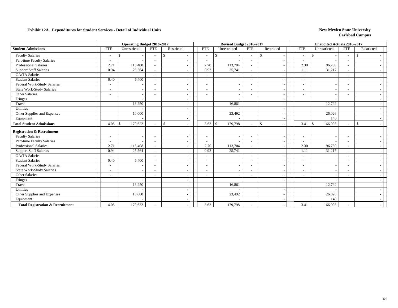|                                             |                          | <b>Operating Budget 2016-2017</b> |                          |               |                          | Revised Budget 2016-2017 |                          |                          |                          | <b>Unaudited Actuals 2016-2017</b> |                          |              |
|---------------------------------------------|--------------------------|-----------------------------------|--------------------------|---------------|--------------------------|--------------------------|--------------------------|--------------------------|--------------------------|------------------------------------|--------------------------|--------------|
| <b>Student Admissions</b>                   | <b>FTE</b>               | Unrestricted                      | <b>FTE</b>               | Restricted    | <b>FTE</b>               | Unrestricted             | <b>FTE</b>               | Restricted               | <b>FTE</b>               | Unrestricted                       | <b>FTE</b>               | Restricted   |
| <b>Faculty Salaries</b>                     | $\sim$                   | \$                                | $\overline{\phantom{a}}$ | <sup>\$</sup> | $\overline{\phantom{a}}$ | \$                       | $\overline{\phantom{a}}$ | -S                       | $\sim$                   | $\mathbf{\$}$                      | $\overline{\phantom{a}}$ | \$           |
| Part-time Faculty Salaries                  | $\sim$                   |                                   |                          |               | $\overline{\phantom{a}}$ |                          | $\overline{\phantom{a}}$ |                          | $\overline{\phantom{a}}$ |                                    | $\overline{\phantom{a}}$ |              |
| Professional Salaries                       | 2.71                     | 115,408                           | $\sim$                   |               | 2.70                     | 113,704                  | $\overline{\phantom{a}}$ | $\overline{\phantom{a}}$ | 2.30                     | 96,730                             | $\sim$                   |              |
| <b>Support Staff Salaries</b>               | 0.94                     | 25,564                            |                          |               | 0.92                     | 25,741                   | $\overline{\phantom{a}}$ | $\blacksquare$           | 1.11                     | 31,217                             | ۰                        |              |
| <b>GA/TA Salaries</b>                       | $\sim$                   |                                   |                          |               | $\overline{\phantom{a}}$ |                          | $\overline{\phantom{a}}$ | $\sim$                   | $\sim$                   |                                    | ٠                        |              |
| <b>Student Salaries</b>                     | 0.40                     | 6,400                             | $\overline{\phantom{a}}$ |               | $\overline{\phantom{a}}$ |                          | $\overline{\phantom{a}}$ | $\overline{\phantom{a}}$ | $\overline{\phantom{a}}$ |                                    | $\overline{\phantom{a}}$ |              |
| Federal Work-Study Salaries                 | $\blacksquare$           |                                   |                          |               | $\overline{\phantom{a}}$ |                          | $\overline{\phantom{a}}$ | $\overline{\phantom{a}}$ | $\overline{\phantom{a}}$ |                                    | $\overline{\phantom{a}}$ |              |
| <b>State Work-Study Salaries</b>            | $\overline{\phantom{0}}$ |                                   |                          |               | $\overline{\phantom{a}}$ |                          | $\overline{\phantom{a}}$ |                          |                          |                                    | $\overline{\phantom{a}}$ |              |
| Other Salaries                              | $\overline{\phantom{a}}$ |                                   | $\overline{\phantom{a}}$ |               |                          |                          | $\overline{\phantom{a}}$ | $\overline{\phantom{a}}$ | $\overline{\phantom{a}}$ |                                    | $\overline{\phantom{0}}$ |              |
| Fringes                                     |                          |                                   |                          |               |                          |                          |                          | $\overline{\phantom{a}}$ |                          |                                    |                          |              |
| Travel                                      |                          | 13,250                            |                          |               |                          | 16,861                   |                          | $\sim$                   |                          | 12,792                             |                          |              |
| Utilities                                   |                          |                                   |                          |               |                          |                          |                          | $\overline{\phantom{a}}$ |                          |                                    |                          |              |
| Other Supplies and Expenses                 |                          | 10,000                            |                          |               |                          | 23,492                   |                          | $\overline{\phantom{a}}$ |                          | 26,026                             |                          |              |
| Equipment                                   |                          |                                   |                          |               |                          |                          |                          | $\sim$                   |                          | 140                                |                          |              |
| <b>Total Student Admissions</b>             | 4.05                     | 170,622<br>l \$                   |                          | $\mathcal{S}$ | 3.62                     | 179,798<br>$\mathbf{s}$  | $\overline{\phantom{a}}$ | $\mathbf{\hat{S}}$       | 3.41                     | 166,905<br>$\mathcal{S}$           | $\sim$                   | $\mathbb{S}$ |
| <b>Registration &amp; Recruitment</b>       |                          |                                   |                          |               |                          |                          |                          |                          |                          |                                    |                          |              |
| <b>Faculty Salaries</b>                     | $\sim$                   | $\overline{\phantom{a}}$          | $\overline{\phantom{a}}$ |               | $\overline{\phantom{a}}$ |                          | $\overline{\phantom{a}}$ | ٠                        | $\overline{\phantom{a}}$ |                                    | $\overline{\phantom{a}}$ |              |
| Part-time Faculty Salaries                  |                          |                                   |                          |               | $\sim$                   |                          | $\overline{\phantom{a}}$ | $\overline{\phantom{a}}$ | $\overline{\phantom{a}}$ |                                    | $\overline{\phantom{a}}$ |              |
| <b>Professional Salaries</b>                | 2.71                     | 115,408                           |                          |               | 2.70                     | 113,704                  | $\overline{\phantom{a}}$ | $\tilde{\phantom{a}}$    | 2.30                     | 96,730                             | $\overline{\phantom{a}}$ |              |
| <b>Support Staff Salaries</b>               | 0.94                     | 25,564                            | $\sim$                   |               | 0.92                     | 25,741                   | $\overline{\phantom{a}}$ | $\sim$                   | 1.11                     | 31,217                             | $\overline{a}$           |              |
| <b>GA/TA Salaries</b>                       | $\overline{\phantom{a}}$ |                                   |                          |               |                          |                          | $\overline{\phantom{a}}$ | $\overline{\phantom{a}}$ | $\overline{\phantom{a}}$ |                                    | $\overline{\phantom{0}}$ |              |
| <b>Student Salaries</b>                     | 0.40                     | 6,400                             |                          |               | $\overline{\phantom{a}}$ |                          | $\overline{\phantom{a}}$ | $\blacksquare$           | $\overline{\phantom{a}}$ |                                    | $\overline{\phantom{a}}$ |              |
| Federal Work-Study Salaries                 | $\overline{\phantom{a}}$ |                                   |                          |               | $\blacksquare$           |                          | $\overline{\phantom{a}}$ | $\blacksquare$           | $\overline{\phantom{a}}$ |                                    | ۰                        |              |
| <b>State Work-Study Salaries</b>            | $\overline{\phantom{a}}$ | $\overline{\phantom{a}}$          | $\overline{\phantom{a}}$ |               | $\overline{\phantom{a}}$ |                          | $\sim$                   | $\overline{\phantom{a}}$ | $\overline{\phantom{a}}$ |                                    | $\overline{\phantom{a}}$ |              |
| Other Salaries                              | $\overline{\phantom{a}}$ | $\overline{\phantom{a}}$          |                          |               |                          |                          | $\overline{\phantom{a}}$ | $\sim$                   | $\overline{\phantom{a}}$ |                                    | ۰                        |              |
| Fringes                                     |                          |                                   |                          |               |                          |                          |                          | ٠                        |                          |                                    |                          |              |
| Travel                                      |                          | 13,250                            |                          |               |                          | 16,861                   |                          | $\overline{\phantom{a}}$ |                          | 12,792                             |                          |              |
| <b>Utilities</b>                            |                          |                                   |                          |               |                          |                          |                          | $\overline{\phantom{a}}$ |                          |                                    |                          |              |
| Other Supplies and Expenses                 |                          | 10,000                            |                          |               |                          | 23,492                   |                          |                          |                          | 26,026                             |                          |              |
| Equipment                                   |                          |                                   |                          |               |                          |                          |                          |                          |                          | 140                                |                          |              |
| <b>Total Registration &amp; Recruitment</b> | 4.05                     | 170,622                           |                          |               | 3.62                     | 179,798                  |                          |                          | 3.41                     | 166,905                            | $\overline{\phantom{0}}$ |              |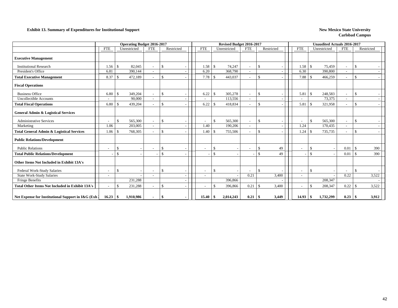#### **Exhibit 13. Summary of Expenditures for Institutional Support** New Mexico State University

|                                                        |                          | <b>Operating Budget 2016-2017</b> |                          |               |                          |               | Revised Budget 2016-2017 |                          |                          |                          |               | <b>Unaudited Actuals 2016-2017</b> |                          |              |       |
|--------------------------------------------------------|--------------------------|-----------------------------------|--------------------------|---------------|--------------------------|---------------|--------------------------|--------------------------|--------------------------|--------------------------|---------------|------------------------------------|--------------------------|--------------|-------|
|                                                        | <b>FTE</b>               | Unrestricted                      | <b>FTE</b>               | Restricted    | <b>FTE</b>               |               | Unrestricted             | <b>FTE</b>               | Restricted               | <b>FTE</b>               |               | Unrestricted                       | <b>FTE</b>               | Restricted   |       |
| <b>Executive Management</b>                            |                          |                                   |                          |               |                          |               |                          |                          |                          |                          |               |                                    |                          |              |       |
| <b>Institutional Research</b>                          | 1.56                     | 82,045<br>- \$                    |                          | $\mathbb{S}$  | 1.58                     | £.            | 74,247                   | $\overline{\phantom{a}}$ | \$                       | 1.58                     | \$            | 75,459                             | $\sim$                   | \$           |       |
| President's Office                                     | 6.81                     | 390,144                           | $\overline{\phantom{a}}$ |               | 6.20                     |               | 368,790                  |                          |                          | 6.30                     |               | 390,800                            | $\overline{\phantom{a}}$ |              |       |
| <b>Total Executive Management</b>                      | 8.37                     | -S<br>472,189                     | $\overline{\phantom{a}}$ | $\mathcal{S}$ | 7.78                     |               | 443,037                  |                          | <sup>\$</sup>            | 7.88                     | \$.           | 466,259                            | $\sim$                   | \$           |       |
| <b>Fiscal Operations</b>                               |                          |                                   |                          |               |                          |               |                          |                          |                          |                          |               |                                    |                          |              |       |
| <b>Business Office</b>                                 | 6.80                     | 349,204<br>-S                     | $\sim$                   | $\mathcal{S}$ | 6.22                     | -S            | 305,278                  | $\overline{\phantom{a}}$ | \$                       | 5.81                     | $\mathcal{S}$ | 248.583                            | $\overline{\phantom{a}}$ | $\mathbb{S}$ |       |
| <b>Uncollectible Accounts</b>                          |                          | 90,000                            | $\sim$                   |               |                          |               | 113,556                  | $\overline{\phantom{a}}$ |                          |                          |               | 73,375                             | $\sim$                   |              |       |
| <b>Total Fiscal Operations</b>                         | 6.80                     | - \$<br>439,204                   | $\overline{\phantom{a}}$ | $\mathcal{S}$ | 6.22                     | -S            | 418,834                  |                          | \$                       | 5.81                     | \$            | 321,958                            | $\overline{\phantom{a}}$ | \$           |       |
| <b>General Admin &amp; Logistical Services</b>         |                          |                                   |                          |               |                          |               |                          |                          |                          |                          |               |                                    |                          |              |       |
| <b>Administrative Services</b>                         | $\overline{\phantom{a}}$ | 565,300<br>$\mathbb{S}$           | $\overline{\phantom{a}}$ | $\sqrt{5}$    |                          | -S            | 565,300                  | $\overline{\phantom{a}}$ | \$                       | $\overline{\phantom{a}}$ | \$            | 565,300                            | $\overline{\phantom{a}}$ | \$           |       |
| Marketing                                              | 1.06                     | 203,005                           |                          |               | 1.40                     |               | 190,206                  |                          |                          | 1.24                     |               | 170,435                            |                          |              |       |
| <b>Total General Admin &amp; Logistical Services</b>   | 1.06                     | -\$<br>768,305                    | $\overline{\phantom{a}}$ | $\mathcal{S}$ | 1.40                     |               | 755,506                  |                          | <sup>\$</sup>            | 1.24                     | $\mathbb{S}$  | 735,735                            |                          | \$           |       |
| <b>Public Relations/Development</b>                    |                          |                                   |                          |               |                          |               |                          |                          |                          |                          |               |                                    |                          |              |       |
| <b>Public Relations</b>                                |                          | \$                                |                          | $\mathcal{S}$ |                          | $\mathcal{S}$ |                          |                          | \$<br>49                 | $\overline{\phantom{a}}$ | \$            |                                    | 0.01                     | \$           | 390   |
| <b>Total Public Relations/Development</b>              |                          | $\mathbf{\hat{s}}$                |                          | $\mathcal{S}$ |                          | $\mathcal{L}$ |                          |                          | 49<br>$\mathbf{\hat{S}}$ |                          | \$            |                                    | 0.01                     | \$           | 390   |
| Other Items Not Included in Exhibit 13A's              |                          |                                   |                          |               |                          |               |                          |                          |                          |                          |               |                                    |                          |              |       |
| Federal Work-Study Salaries                            | $\overline{\phantom{a}}$ | $\mathbb{S}$                      | $\overline{\phantom{a}}$ | \$            | $\overline{\phantom{a}}$ | <sup>\$</sup> |                          | $\overline{a}$           | \$                       | $\overline{\phantom{a}}$ | \$            |                                    | $\overline{\phantom{a}}$ | \$           |       |
| <b>State Work-Study Salaries</b>                       | $\overline{\phantom{a}}$ |                                   | $\overline{\phantom{a}}$ |               |                          |               |                          | 0.21                     | 3,400                    | $\sim$                   |               |                                    | 0.22                     |              | 3,522 |
| Fringe Benefits                                        |                          | 231,288                           |                          |               |                          |               | 396,866                  |                          |                          |                          |               | 208,347                            |                          |              |       |
| <b>Total Other Items Not Included in Exhibit 13A's</b> | $\overline{\phantom{a}}$ | $\mathbb{S}$<br>231,288           | $\overline{\phantom{0}}$ | $\mathcal{S}$ |                          |               | 396,866                  | 0.21                     | 3,400<br><sup>\$</sup>   | $\overline{\phantom{a}}$ | \$            | 208,347                            | 0.22                     | \$           | 3,522 |
| Net Expense for Institutional Support in I&G (Exh.)    | $16.23 \t{S}$            | 1,910,986                         | $\sim$                   | -\$           | 15.40                    | -S            | 2,014,243                | $0.21 \, \vert \, \$$    | 3,449                    | $14.93$ \$               |               | 1,732,299                          | $0.23 \, \vert \, \$$    |              | 3,912 |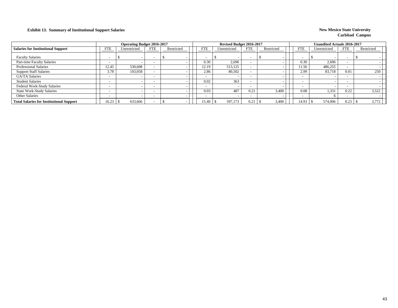### **Exhibit 13. Summary of Institutional Support Salaries New Mexico State University**

|                                                 |            | <b>Operating Budget 2016-2017</b> |     |            |            | Revised Budget 2016-2017 |            |            |                          | Unaudited Actuals 2016-2017 |            |            |
|-------------------------------------------------|------------|-----------------------------------|-----|------------|------------|--------------------------|------------|------------|--------------------------|-----------------------------|------------|------------|
| <b>Salaries for Institutional Support</b>       | <b>FTE</b> | Unrestricted                      | FTE | Restricted | <b>FTE</b> | Unrestricted             | <b>FTE</b> | Restricted | FTE                      | Unrestricted                | <b>FTE</b> | Restricted |
| <b>Faculty Salaries</b>                         |            |                                   |     |            |            |                          |            |            |                          |                             |            |            |
| Part-time Faculty Salaries                      |            |                                   |     |            | 0.30       | 2,696                    |            |            | 0.30                     | 2.696                       |            |            |
| <b>Professional Salaries</b>                    | 12.45      | 530,608                           |     |            | 12.19      | 513,125                  |            |            | 11.56                    | 486,255                     |            |            |
| <b>Support Staff Salaries</b>                   | 3.78       | 103.058                           |     |            | 2.86       | 80,502                   |            |            | 2.99                     | 83,718                      | 0.01       | 250        |
| <b>GA/TA Salaries</b>                           |            |                                   |     |            |            |                          |            |            | $\overline{\phantom{0}}$ |                             |            |            |
| <b>Student Salaries</b>                         |            |                                   |     |            | 0.02       | 363                      |            |            | $\overline{\phantom{a}}$ |                             |            |            |
| <b>Federal Work-Study Salaries</b>              |            |                                   |     |            |            |                          |            |            | $\overline{\phantom{0}}$ |                             |            |            |
| <b>State Work-Study Salaries</b>                |            |                                   |     |            | 0.03       | 487                      | 0.21       | 3.400      | 0.08                     | 1,331                       | 0.22       | 3,522      |
| Other Salaries                                  |            |                                   |     |            |            |                          |            |            | $\overline{\phantom{0}}$ |                             |            |            |
| <b>Total Salaries for Institutional Support</b> | 16.23      | 633,666                           |     |            | 15.40      | 597,173                  | 0.21       | 3,400      | 14.93                    | 574,006                     | 0.23       | 3,772      |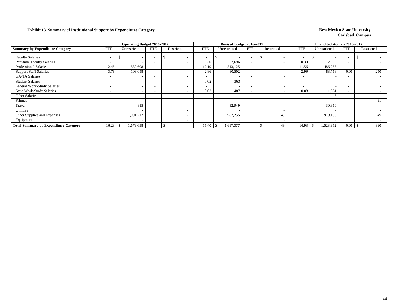### **Exhibit 13. Summary of Institutional Support by Expenditure Category New Mexico State University New Mexico State University**

|                                              |                          | <b>Operating Budget 2016-2017</b> |                          |            |                          | Revised Budget 2016-2017 |                          |                          |                          | <b>Unaudited Actuals 2016-2017</b> |                          |            |
|----------------------------------------------|--------------------------|-----------------------------------|--------------------------|------------|--------------------------|--------------------------|--------------------------|--------------------------|--------------------------|------------------------------------|--------------------------|------------|
| <b>Summary by Expenditure Category</b>       | <b>FTE</b>               | Unrestricted                      | <b>FTE</b>               | Restricted | <b>FTE</b>               | Unrestricted             | <b>FTE</b>               | Restricted               | <b>FTE</b>               | Unrestricted                       | <b>FTE</b>               | Restricted |
| <b>Faculty Salaries</b>                      |                          | $\overline{\phantom{a}}$          |                          |            |                          | ъ                        | $\overline{\phantom{a}}$ |                          | $\overline{\phantom{0}}$ |                                    | $\overline{\phantom{0}}$ |            |
| Part-time Faculty Salaries                   | $\sim$                   | $\overline{\phantom{a}}$          | $\overline{\phantom{0}}$ |            | 0.30                     | 2,696                    | $\overline{\phantom{0}}$ |                          | 0.30                     | 2,696                              | $\overline{\phantom{0}}$ |            |
| <b>Professional Salaries</b>                 | 12.45                    | 530,608                           |                          |            | 12.19                    | 513,125                  | $\overline{\phantom{a}}$ |                          | 11.56                    | 486,255                            | $\overline{\phantom{0}}$ |            |
| <b>Support Staff Salaries</b>                | 3.78                     | 103,058                           |                          |            | 2.86                     | 80,502                   | $\overline{\phantom{a}}$ |                          | 2.99                     | 83,718                             | 0.01                     | 250        |
| GA/TA Salaries                               | $\sim$                   |                                   | $\overline{\phantom{0}}$ |            |                          |                          | $\overline{\phantom{0}}$ |                          | $\overline{\phantom{0}}$ |                                    |                          |            |
| <b>Student Salaries</b>                      | $\sim$                   | $\overline{\phantom{a}}$          | $\overline{\phantom{0}}$ |            | 0.02                     | 363                      | $\overline{\phantom{0}}$ |                          | $\overline{\phantom{a}}$ |                                    | $\overline{\phantom{0}}$ |            |
| Federal Work-Study Salaries                  | $\sim$                   |                                   |                          |            |                          |                          | $\overline{\phantom{a}}$ |                          | $\overline{\phantom{0}}$ |                                    |                          |            |
| <b>State Work-Study Salaries</b>             | $\sim$                   |                                   | $\overline{\phantom{a}}$ |            | 0.03                     | 487                      | $\overline{\phantom{a}}$ |                          | 0.08                     | 1,331                              |                          |            |
| <b>Other Salaries</b>                        | $\overline{\phantom{0}}$ | $\overline{\phantom{a}}$          | $\overline{\phantom{0}}$ |            | $\overline{\phantom{a}}$ |                          | $\overline{\phantom{0}}$ |                          | $\overline{\phantom{a}}$ |                                    | $\overline{\phantom{0}}$ |            |
| Fringes                                      |                          |                                   |                          |            |                          |                          |                          |                          |                          |                                    |                          | 91         |
| Travel                                       |                          | 44,815                            |                          |            |                          | 32,949                   |                          |                          |                          | 30,810                             |                          |            |
| Utilities                                    |                          | $\overline{\phantom{a}}$          |                          |            |                          |                          |                          | $\overline{\phantom{a}}$ |                          |                                    |                          |            |
| Other Supplies and Expenses                  |                          | 1,001,217                         |                          |            |                          | 987,255                  |                          | 49                       |                          | 919.136                            |                          | 49         |
| Equipment                                    |                          |                                   |                          |            |                          |                          |                          | $\overline{\phantom{a}}$ |                          |                                    |                          |            |
| <b>Total Summary by Expenditure Category</b> | 16.23                    | 1,679,698                         |                          |            | 15.40                    | 1,617,377<br>-S          |                          | 49                       | 14.93                    | 1,523,952<br><sup>S</sup>          | 0.01                     | 390        |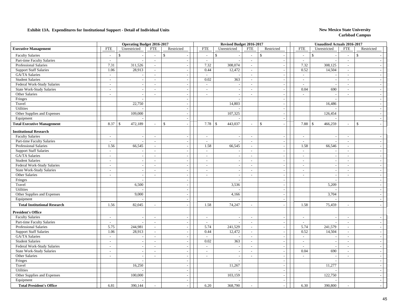|                                     |                             | <b>Operating Budget 2016-2017</b> |                             |                |                           | Revised Budget 2016-2017 |                          |                                |                          | <b>Unaudited Actuals 2016-2017</b> |                          |                          |
|-------------------------------------|-----------------------------|-----------------------------------|-----------------------------|----------------|---------------------------|--------------------------|--------------------------|--------------------------------|--------------------------|------------------------------------|--------------------------|--------------------------|
| <b>Executive Management</b>         | ${\rm FTE}$                 | Unrestricted                      | <b>FTE</b>                  | Restricted     | <b>FTE</b>                | Unrestricted             | <b>FTE</b>               | Restricted                     | <b>FTE</b>               | Unrestricted                       | <b>FTE</b>               | Restricted               |
| <b>Faculty Salaries</b>             | $\sim$                      | $\mathbf{s}$                      | $\sim$                      | $\mathbf{\$}$  | $\sim$                    | $\mathsf{\$}$            | $\sim$                   | $\mathbf S$                    | $\overline{\phantom{a}}$ | \$                                 | $\mathcal{L}$            | $\mathbf{s}$             |
| Part-time Faculty Salaries          | $\sim$                      | $\sim$                            | $\sim$                      | $\overline{a}$ | $\sim$                    |                          | $\mathbb{Z}^2$           | $\blacksquare$                 | $\sim$                   |                                    | $\mathbf{r}$             |                          |
| Professional Salaries               | 7.31                        | 311,526                           | $\sim$                      | $\sim$         | 7.32                      | 308,074                  | $\sim$                   | $\mathbf{r}$                   | 7.32                     | 308,125                            | $\sim$                   |                          |
| <b>Support Staff Salaries</b>       | 1.06                        | 28,913                            | $\sim$                      | $\sim$         | 0.44                      | 12,472                   | $\sim$                   | $\sim$                         | 0.52                     | 14,504                             | $\sim$                   |                          |
| GA/TA Salaries                      | $\mathbb{Z}^2$              |                                   | $\sim$                      | $\sim$         | $\sim$                    |                          | $\sim$                   | $\mathcal{L}$                  | $\sim$                   |                                    | $\sim$                   |                          |
| <b>Student Salaries</b>             | $\mathcal{L}^{\pm}$         | $\sim$                            | $\sim$                      | $\sim$         | 0.02                      | 363                      | $\sim$                   | $\mathcal{L}$                  | $\sim$                   | $\sim$                             | $\sim$                   |                          |
| Federal Work-Study Salaries         | $\sim$                      | $\overline{\phantom{a}}$          | $\overline{\phantom{a}}$    | $\sim$         | $\sim$                    |                          | $\overline{\phantom{a}}$ | $\overline{\phantom{a}}$       | $\sim$                   |                                    | $\overline{\phantom{a}}$ | $\overline{\phantom{a}}$ |
| <b>State Work-Study Salaries</b>    | $\sim$                      | $\sim$                            | $\sim$                      | $\sim$         | $\sim$                    | $\overline{a}$           | $\sim$                   | $\sim$                         | 0.04                     | 690                                | $\sim$                   | $\overline{\phantom{a}}$ |
| Other Salaries                      | $\sim$                      | $\sim$                            | $\sim$                      | $\sim$         | $\sim$                    | $\overline{\phantom{a}}$ | $\sim$                   | $\sim$                         | $\sim$                   | $\sim$                             | $\sim$                   | $\overline{\phantom{a}}$ |
| Fringes                             |                             | $\sim$                            |                             | $\sim$         |                           | $\overline{\phantom{a}}$ |                          | $\blacksquare$                 |                          | $\overline{\phantom{a}}$           |                          | $\overline{\phantom{a}}$ |
| Travel                              |                             | 22,750                            |                             |                |                           | 14,803                   |                          | $\overline{\phantom{a}}$       |                          | 16,486                             |                          |                          |
| <b>Utilities</b>                    |                             |                                   |                             | $\sim$         |                           |                          |                          | $\blacksquare$                 |                          |                                    |                          |                          |
| Other Supplies and Expenses         |                             | 109,000                           |                             | $\sim$         |                           | 107,325                  |                          | $\sim$                         |                          | 126,454                            |                          | $\overline{\phantom{a}}$ |
| Equipment                           |                             |                                   |                             | $\sim$         |                           |                          |                          | $\overline{\phantom{a}}$       |                          |                                    |                          | $\sim$                   |
| <b>Total Executive Management</b>   | 8.37                        | 472,189<br>$\mathbb{S}$           | $\overline{a}$              | \$             | 7.78                      | $\mathbb{S}$<br>443,037  | $\sim$                   | $\mathbb{S}$<br>$\overline{a}$ | 7.88                     | $\mathbf{\hat{S}}$<br>466,259      | $\sim$                   | \$                       |
| <b>Institutional Research</b>       |                             |                                   |                             |                |                           |                          |                          |                                |                          |                                    |                          |                          |
| <b>Faculty Salaries</b>             | $\sim$                      | $\overline{a}$                    | $\sim$                      | $\sim$         | $\sim$                    |                          | $\sim$                   | $\overline{\phantom{a}}$       | $\sim$                   |                                    | $\sim$                   |                          |
| Part-time Faculty Salaries          | $\mathcal{L}_{\mathcal{A}}$ | $\sim$                            | $\sim$                      | $\sim$         | $\sim$                    |                          | $\sim$                   | $\mathcal{L}_{\mathcal{A}}$    | $\sim$                   | $\sim$                             | $\sim$                   |                          |
| <b>Professional Salaries</b>        | 1.56                        | 66,545                            | $\sim$                      | $\sim$         | 1.58                      | 66,545                   | $\sim$                   | $\blacksquare$                 | 1.58                     | 66,546                             | $\sim$                   |                          |
| <b>Support Staff Salaries</b>       | $\sim$                      |                                   | $\sim$                      |                | $\sim$                    |                          | $\sim$                   | $\sim$                         | $\sim$                   |                                    | $\sim$                   | $\overline{\phantom{a}}$ |
| GA/TA Salaries                      | $\sim$                      | $\sim$                            | $\sim$                      | $\sim$         | $\sim$                    | $\overline{\phantom{a}}$ | $\sim$                   | $\mathbb{Z}^2$                 | $\sim$                   | $\overline{a}$                     | $\sim$                   | $\overline{\phantom{a}}$ |
| <b>Student Salaries</b>             | $\sim$                      | $\overline{\phantom{a}}$          | $\sim$                      | $\sim$         | $\sim$                    | $\overline{\phantom{a}}$ | $\sim$                   | $\sim$                         | $\overline{\phantom{a}}$ | $\overline{\phantom{a}}$           | $\sim$                   | $\overline{\phantom{a}}$ |
| Federal Work-Study Salaries         | $\sim$                      | $\sim$                            | $\sim$                      | $\sim$         | $\sim$                    | $\overline{\phantom{a}}$ | $\sim$                   | $\mathcal{L}_{\mathcal{A}}$    | $\overline{a}$           | $\sim$                             | $\sim$                   | $\overline{\phantom{a}}$ |
| <b>State Work-Study Salaries</b>    | $\overline{\phantom{a}}$    | $\sim$                            | $\sim$                      | $\sim$         | $\mathcal{L}$             |                          | $\sim$                   | $\blacksquare$                 | $\overline{\phantom{a}}$ | $\overline{\phantom{a}}$           | $\sim$                   | $\overline{\phantom{a}}$ |
| Other Salaries                      | $\overline{\phantom{a}}$    | $\overline{a}$                    | $\overline{a}$              |                | $\overline{\phantom{a}}$  |                          | $\sim$                   | $\blacksquare$                 | $\overline{a}$           |                                    | $\overline{\phantom{a}}$ |                          |
| Fringes                             |                             | $\sim$                            |                             | $\overline{a}$ |                           |                          |                          | $\overline{\phantom{a}}$       |                          |                                    |                          | ÷.                       |
| Travel                              |                             | 6,500                             |                             | $\sim$         |                           | 3,536                    |                          | $\blacksquare$                 |                          | 5,209                              |                          | $\overline{\phantom{a}}$ |
| Utilities                           |                             |                                   |                             | $\sim$         |                           |                          |                          | $\overline{\phantom{a}}$       |                          |                                    |                          | $\overline{\phantom{a}}$ |
| Other Supplies and Expenses         |                             | 9,000                             |                             | $\sim$         |                           | 4,166                    |                          | $\mathcal{L}$                  |                          | 3,704                              |                          |                          |
| Equipment                           |                             |                                   |                             | $\sim$         |                           |                          |                          | $\sim$                         |                          |                                    |                          | $\sim$                   |
| <b>Total Institutional Research</b> | 1.56                        | 82,045                            | $\sim$                      |                | 1.58                      | 74,247                   | $\sim$                   | $\sim$                         | 1.58                     | 75,459                             | $\sim$                   |                          |
| <b>President's Office</b>           |                             |                                   |                             |                |                           |                          |                          |                                |                          |                                    |                          |                          |
| <b>Faculty Salaries</b>             | $\sim$                      | $\overline{\phantom{a}}$          | $\sim$                      |                | $\sim$                    |                          | $\sim$                   | $\overline{\phantom{a}}$       | $\sim$                   | $\overline{\phantom{a}}$           | $\sim$                   |                          |
| Part-time Faculty Salaries          | $\overline{\phantom{a}}$    | $\overline{\phantom{a}}$          | $\sim$                      | $\sim$         | $\sim$                    | $\overline{a}$           | $\sim$                   | $\overline{\phantom{a}}$       | $\sim$                   | $\sim$                             | $\overline{\phantom{a}}$ | $\overline{\phantom{a}}$ |
| <b>Professional Salaries</b>        | 5.75                        | 244,981                           | $\sim$                      | $\sim$         | 5.74                      | 241,529                  | $\sim$                   | $\sim$                         | 5.74                     | 241,579                            | $\sim$                   | $\overline{\phantom{a}}$ |
| <b>Support Staff Salaries</b>       | 1.06                        | 28,913                            | $\sim$                      | $\sim$         | 0.44                      | 12,472                   | $\sim$                   | $\sim$                         | 0.52                     | 14,504                             | $\sim$                   | $\sim$                   |
| GA/TA Salaries                      | $\mathcal{L}_{\mathcal{A}}$ |                                   | $\sim$                      |                | $\sim$                    |                          | $\sim$                   | $\overline{\phantom{a}}$       | $\sim$                   |                                    | $\sim$                   | $\sim$                   |
| <b>Student Salaries</b>             | $\overline{\phantom{a}}$    | $\overline{\phantom{a}}$          | $\overline{\phantom{a}}$    | $\sim$         | 0.02                      | 363                      | $\sim$                   | $\overline{\phantom{a}}$       | $\overline{\phantom{a}}$ | $\overline{\phantom{a}}$           | $\sim$                   | $\overline{\phantom{a}}$ |
| Federal Work-Study Salaries         | $\mathcal{L}_{\mathcal{A}}$ |                                   | $\sim$                      | $\sim$         | $\mathbb{Z}^{\mathbb{Z}}$ |                          | $\sim$                   | $\overline{\phantom{a}}$       | $\overline{a}$           |                                    | $\mathcal{L}$            |                          |
| <b>State Work-Study Salaries</b>    | $\mathcal{L}_{\mathcal{A}}$ | $\overline{\phantom{a}}$          | $\mathcal{L}_{\mathcal{A}}$ | $\sim$         | $\overline{\phantom{a}}$  | $\overline{\phantom{a}}$ | $\overline{\phantom{a}}$ | $\overline{\phantom{a}}$       | 0.04                     | 690                                | $\mathbb{Z}^2$           | $\overline{a}$           |
| Other Salaries                      | $\sim$                      | $\sim$                            | $\sim$                      | $\sim$         | $\mathcal{L}$             |                          | $\sim$                   | $\overline{\phantom{a}}$       | $\overline{\phantom{a}}$ |                                    | $\sim$                   | $\overline{\phantom{a}}$ |
| Fringes                             |                             | $\overline{a}$                    |                             | $\sim$         |                           |                          |                          | $\sim$                         |                          |                                    |                          |                          |
| Travel                              |                             | 16,250                            |                             | $\sim$         |                           | 11,267                   |                          | $\sim$                         |                          | 11,277                             |                          | $\overline{\phantom{a}}$ |
| Utilities                           |                             |                                   |                             | $\sim$         |                           |                          |                          | $\overline{\phantom{a}}$       |                          |                                    |                          |                          |
| Other Supplies and Expenses         |                             | 100,000                           |                             | $\sim$         |                           | 103,159                  |                          | $\sim$                         |                          | 122,750                            |                          |                          |
| Equipment                           |                             |                                   |                             | $\sim$         |                           |                          |                          | $\overline{\phantom{a}}$       |                          |                                    |                          | $\overline{\phantom{a}}$ |
| <b>Total President's Office</b>     | 6.81                        | 390,144                           |                             |                | 6.20                      | 368,790                  |                          |                                | 6.30                     | 390,800                            |                          |                          |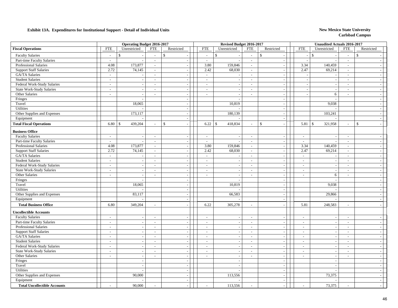|                                     |                             | <b>Operating Budget 2016-2017</b> |                          |                          |                           | Revised Budget 2016-2017 |                          |                             |                          | <b>Unaudited Actuals 2016-2017</b> |                             |                          |
|-------------------------------------|-----------------------------|-----------------------------------|--------------------------|--------------------------|---------------------------|--------------------------|--------------------------|-----------------------------|--------------------------|------------------------------------|-----------------------------|--------------------------|
| <b>Fiscal Operations</b>            | ${\rm FTE}$                 | Unrestricted                      | <b>FTE</b>               | Restricted               | <b>FTE</b>                | Unrestricted             | <b>FTE</b>               | Restricted                  | <b>FTE</b>               | Unrestricted                       | <b>FTE</b>                  | Restricted               |
| <b>Faculty Salaries</b>             | $\sim$                      | $\mathbf S$                       | $\sim$                   | $\mathcal{S}$            | $\mathsf{\$}$<br>$\sim$   |                          | $\sim$                   | $\mathbf S$                 | $\sim$                   | $\mathbf{\hat{S}}$                 | $\sim$                      | $\mathbf{s}$             |
| Part-time Faculty Salaries          | $\sim$                      | $\overline{a}$                    | $\sim$                   | $\sim$                   | $\sim$                    |                          | $\mathcal{L}$            | $\mathcal{L}$               | $\sim$                   |                                    | $\mathcal{L}$               |                          |
| Professional Salaries               | 4.08                        | 173,877                           | $\sim$                   | $\sim$                   | 3.80                      | 159,846                  | $\sim$                   | $\mathbf{r}$                | 3.34                     | 140,459                            | $\sim$                      |                          |
| <b>Support Staff Salaries</b>       | 2.72                        | 74,145                            | $\sim$                   | $\sim$                   | 2.42                      | 68,030                   | $\sim$                   | $\sim$                      | 2.47                     | 69,214                             | $\sim$                      |                          |
| <b>GA/TA Salaries</b>               | $\mathbb{Z}^2$              |                                   | $\sim$                   | $\sim$                   | $\sim$                    |                          | $\sim$                   | $\sim$                      |                          |                                    | $\sim$                      |                          |
| <b>Student Salaries</b>             | $\mathcal{L}_{\mathcal{A}}$ | $\overline{a}$                    | $\sim$                   | $\sim$                   | $\sim$                    | $\overline{\phantom{a}}$ | $\sim$                   | $\mathcal{L}$               |                          | $\sim$                             | $\sim$                      |                          |
| Federal Work-Study Salaries         | $\mathcal{L}_{\mathcal{A}}$ | $\sim$                            | $\overline{\phantom{a}}$ | $\sim$                   | $\overline{\phantom{a}}$  |                          | $\sim$                   | $\sim$                      |                          | $\overline{\phantom{a}}$           | $\overline{\phantom{a}}$    | $\overline{\phantom{a}}$ |
| <b>State Work-Study Salaries</b>    | $\sim$                      | $\sim$                            | $\sim$                   | $\sim$                   | $\sim$                    | $\overline{\phantom{a}}$ | $\sim$                   | $\sim$                      | $\overline{\phantom{a}}$ | $\sim$                             | $\sim$                      | $\overline{\phantom{a}}$ |
| Other Salaries                      | $\sim$                      | $\sim$                            | $\sim$                   | $\sim$                   | $\sim$                    | $\overline{\phantom{a}}$ | $\sim$                   | $\overline{\phantom{a}}$    |                          | 6                                  | $\overline{a}$              | $\overline{\phantom{a}}$ |
| Fringes                             |                             | $\sim$                            |                          | $\sim$                   |                           | $\overline{\phantom{a}}$ |                          | $\sim$                      |                          | $\overline{\phantom{a}}$           |                             | $\sim$                   |
| Travel                              |                             | 18,065                            |                          | $\sim$                   |                           | 10,819                   |                          | $\sim$                      |                          | 9,038                              |                             | $\overline{\phantom{a}}$ |
| Utilities                           |                             |                                   |                          |                          |                           |                          |                          | $\overline{\phantom{a}}$    |                          |                                    |                             |                          |
| Other Supplies and Expenses         |                             | 173,117                           |                          | $\sim$                   |                           | 180,139                  |                          | $\bar{\phantom{a}}$         |                          | 103,241                            |                             |                          |
| Equipment                           |                             |                                   |                          | $\sim$                   |                           |                          |                          | $\blacksquare$              |                          |                                    |                             | $\overline{\phantom{a}}$ |
| <b>Total Fiscal Operations</b>      | 6.80                        | 439,204<br><sup>\$</sup>          |                          | $\mathsf{\$}$            | 6.22<br>\$                | 418,834                  | $\sim$                   | $\mathbf S$<br>$\sim$       | 5.81                     | $\mathbb{S}$<br>321,958            | $\sim$                      | $\mathbf{\hat{S}}$       |
| <b>Business Office</b>              |                             |                                   |                          |                          |                           |                          |                          |                             |                          |                                    |                             |                          |
| <b>Faculty Salaries</b>             | $\sim$                      | $\overline{\phantom{a}}$          | $\overline{\phantom{a}}$ | $\overline{\phantom{a}}$ | $\sim$                    |                          | $\sim$                   | $\overline{\phantom{a}}$    | $\overline{\phantom{a}}$ |                                    | $\overline{\phantom{a}}$    |                          |
| Part-time Faculty Salaries          | $\sim$                      | $\overline{a}$                    | $\sim$                   | $\sim$                   | $\sim$                    |                          | $\sim$                   | $\sim$                      | $\sim$                   | $\overline{\phantom{a}}$           | $\sim$                      |                          |
| <b>Professional Salaries</b>        | 4.08                        | 173,877                           | $\sim$                   | $\sim$                   | 3.80                      | 159,846                  | $\sim$                   | $\overline{\phantom{a}}$    | 3.34                     | 140,459                            | $\sim$                      | $\overline{\phantom{a}}$ |
| <b>Support Staff Salaries</b>       | 2.72                        | 74,145                            | $\sim$                   | $\sim$                   | 2.42                      | 68,030                   | $\overline{\phantom{a}}$ | $\mathcal{L}_{\mathcal{A}}$ | 2.47                     | 69,214                             | $\sim$                      | $\overline{\phantom{a}}$ |
| GA/TA Salaries                      | $\omega$                    | $\overline{\phantom{a}}$          | $\overline{\phantom{a}}$ | $\overline{\phantom{a}}$ | $\mathbb{Z}^{\mathbb{Z}}$ |                          | $\overline{\phantom{a}}$ | $\overline{\phantom{a}}$    | $\mathbb{Z}^2$           |                                    | $\overline{\phantom{a}}$    | $\overline{\phantom{a}}$ |
| <b>Student Salaries</b>             | $\sim$                      | $\sim$                            | $\sim$                   | $\sim$                   | $\sim$                    |                          | $\sim$                   | $\blacksquare$              | $\overline{\phantom{a}}$ | $\overline{\phantom{a}}$           | $\overline{\phantom{a}}$    | $\overline{\phantom{a}}$ |
| Federal Work-Study Salaries         | $\sim$                      | $\mathbb{Z}^2$                    | $\sim$                   | $\sim$                   | $\sim$                    | $\overline{\phantom{a}}$ | $\sim$                   | $\mathbb{L}$                | $\sim$                   | $\overline{\phantom{a}}$           | $\sim$                      | $\overline{\phantom{a}}$ |
| State Work-Study Salaries           | $\sim$                      | $\overline{\phantom{a}}$          | $\sim$                   | $\sim$                   | $\sim$                    | $\overline{\phantom{a}}$ | $\sim$                   | $\sim$                      | $\sim$                   | $\overline{\phantom{a}}$           | $\sim$                      | $\overline{\phantom{a}}$ |
| Other Salaries                      | $\sim$                      | $\sim$                            | $\sim$                   | $\sim$                   | $\sim$                    | $\overline{a}$           | $\sim$                   | $\overline{\phantom{a}}$    | $\sim$                   | 6                                  | $\overline{\phantom{a}}$    | $\overline{\phantom{a}}$ |
| Fringes                             |                             |                                   |                          |                          |                           |                          |                          | $\overline{\phantom{a}}$    |                          |                                    |                             |                          |
| Travel                              |                             | 18,065                            |                          | $\sim$                   |                           | 10,819                   |                          | $\blacksquare$              |                          | 9,038                              |                             | $\overline{\phantom{a}}$ |
| Utilities                           |                             |                                   |                          | $\sim$                   |                           |                          |                          | $\overline{\phantom{a}}$    |                          |                                    |                             |                          |
| Other Supplies and Expenses         |                             | 83,117                            |                          | $\sim$                   |                           | 66,583                   |                          | $\overline{\phantom{a}}$    |                          | 29,866                             |                             | $\overline{\phantom{a}}$ |
| Equipment                           |                             |                                   |                          | $\sim$                   |                           |                          |                          | $\sim$                      |                          |                                    |                             | $\overline{\phantom{a}}$ |
| <b>Total Business Office</b>        | 6.80                        | 349,204                           | $\sim$                   | $\sim$                   | 6.22                      | 305,278                  | $\sim$                   | $\overline{\phantom{a}}$    | 5.81                     | 248,583                            | $\sim$                      |                          |
| <b>Uncollectible Accounts</b>       |                             |                                   |                          |                          |                           |                          |                          |                             |                          |                                    |                             |                          |
| <b>Faculty Salaries</b>             | $\overline{a}$              | $\sim$                            | $\sim$                   | $\sim$                   | $\sim$                    |                          | $\sim$                   | $\mathbf{r}$                | $\overline{a}$           | $\overline{\phantom{a}}$           | $\sim$                      |                          |
| Part-time Faculty Salaries          | $\sim$                      | $\sim$                            | $\sim$                   | $\overline{\phantom{a}}$ | $\sim$                    |                          | $\sim$                   | $\sim$                      | $\overline{\phantom{a}}$ | $\sim$                             | $\sim$                      |                          |
| <b>Professional Salaries</b>        | $\mathcal{L}_{\mathcal{A}}$ | $\sim$                            | $\sim$                   | $\sim$                   | $\sim$                    |                          | $\sim$                   | $\blacksquare$              | $\sim$                   | $\sim$                             | $\sim$                      |                          |
| <b>Support Staff Salaries</b>       | $\mathcal{L}_{\mathcal{A}}$ | $\sim$                            | $\sim$                   | $\sim$                   | $\sim$                    |                          | $\sim$                   | $\mathcal{L}_{\mathcal{A}}$ | $\sim$                   | $\overline{\phantom{a}}$           | $\sim$                      | $\sim$                   |
| GA/TA Salaries                      | $\sim$                      | $\overline{a}$                    | $\sim$                   | $\sim$                   | $\sim$                    | $\overline{\phantom{a}}$ | $\sim$                   | $\mathcal{L}_{\mathcal{A}}$ | $\overline{\phantom{a}}$ | $\sim$                             | $\sim$                      | $\sim$                   |
| <b>Student Salaries</b>             | $\sim$                      | $\sim$                            | $\sim$                   | $\sim$                   | $\sim$                    | $\overline{\phantom{a}}$ | $\sim$                   | $\blacksquare$              | $\overline{\phantom{a}}$ | $\overline{\phantom{a}}$           | $\sim$                      | $\overline{\phantom{a}}$ |
| Federal Work-Study Salaries         | $\overline{\phantom{a}}$    | $\sim$                            | $\sim$                   | $\overline{\phantom{a}}$ | $\sim$                    | $\overline{\phantom{a}}$ | $\sim$                   | $\overline{\phantom{a}}$    | $\sim$                   | $\sim$                             | $\sim$                      | $\overline{a}$           |
| State Work-Study Salaries           | $\sim$                      | $\sim$                            | $\sim$                   | $\sim$                   | $\mathcal{L}$             | $\overline{\phantom{a}}$ | $\sim$                   | $\blacksquare$              | $\sim$                   | $\overline{\phantom{a}}$           | $\mathcal{L}_{\mathcal{A}}$ | $\overline{\phantom{a}}$ |
| Other Salaries                      | $\overline{\phantom{a}}$    | $\overline{\phantom{a}}$          | $\sim$                   |                          | $\sim$                    |                          | $\overline{\phantom{a}}$ | $\overline{\phantom{a}}$    | $\sim$                   | $\overline{\phantom{a}}$           | $\sim$                      | $\overline{\phantom{a}}$ |
| Fringes                             |                             | $\blacksquare$                    |                          | $\sim$                   |                           |                          |                          | $\blacksquare$              |                          | $\sim$                             |                             |                          |
| Travel                              |                             | $\overline{a}$                    |                          | $\sim$                   |                           |                          |                          | $\mathcal{L}$               |                          | $\sim$                             |                             | $\sim$                   |
| Utilities                           |                             | $\overline{a}$                    |                          | $\sim$                   |                           |                          |                          | $\overline{\phantom{a}}$    |                          |                                    |                             |                          |
| Other Supplies and Expenses         |                             | 90,000                            |                          | $\sim$                   |                           | 113,556                  |                          | $\sim$                      |                          | 73,375                             |                             |                          |
| Equipment                           |                             |                                   |                          | $\sim$                   |                           |                          |                          | $\mathcal{L}$               |                          |                                    |                             |                          |
| <b>Total Uncollectible Accounts</b> |                             | 90,000                            |                          |                          |                           | 113,556                  |                          |                             |                          | 73,375                             |                             |                          |
|                                     |                             |                                   |                          |                          |                           |                          |                          |                             |                          |                                    |                             |                          |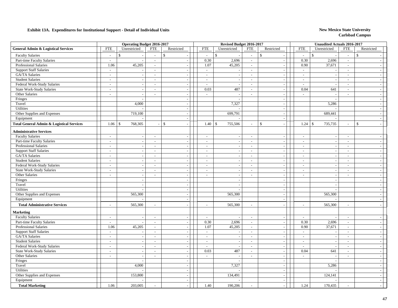|                                                      |                                    | <b>Operating Budget 2016-2017</b>                    |                          |                          |                          | Revised Budget 2016-2017                             |                          |                                               |                          | <b>Unaudited Actuals 2016-2017</b> |                             |                          |
|------------------------------------------------------|------------------------------------|------------------------------------------------------|--------------------------|--------------------------|--------------------------|------------------------------------------------------|--------------------------|-----------------------------------------------|--------------------------|------------------------------------|-----------------------------|--------------------------|
| <b>General Admin &amp; Logistical Services</b>       | <b>FTE</b>                         | Unrestricted                                         | <b>FTE</b>               | Restricted               | <b>FTE</b>               | Unrestricted                                         | <b>FTE</b>               | Restricted                                    | <b>FTE</b>               | Unrestricted                       | <b>FTE</b>                  | Restricted               |
| <b>Faculty Salaries</b>                              | $\overline{a}$                     | \$.                                                  | $\overline{\phantom{a}}$ | $\mathbb{S}$             | $\sim$                   | $\mathbb{S}$                                         | $\sim$                   | \$                                            | $\overline{a}$           | $\mathbf{\hat{S}}$                 | $\mathbb{Z}^2$              | $\mathbb{S}$             |
| Part-time Faculty Salaries                           | $\sim$                             | $\overline{\phantom{a}}$                             | $\sim$                   | $\sim$                   | 0.30                     | 2,696                                                | $\sim$                   | $\sim$                                        | 0.30                     | 2,696                              | $\sim$                      |                          |
| <b>Professional Salaries</b>                         | 1.06                               | 45,205                                               | $\sim$                   | $\sim$                   | 1.07                     | 45,205                                               | $\sim$                   | $\sim$                                        | 0.90                     | 37,671                             | $\sim$                      |                          |
| <b>Support Staff Salaries</b>                        | $\sim$                             |                                                      | $\overline{\phantom{a}}$ | $\sim$                   | $\sim$                   |                                                      | $\sim$                   | $\overline{\phantom{a}}$                      | $\sim$                   |                                    | $\sim$                      |                          |
| GA/TA Salaries                                       | $\sim$                             | $\sim$                                               | $\sim$                   | $\sim$                   | $\sim$                   |                                                      | $\sim$                   | $\sim$                                        | $\bar{a}$                |                                    | $\sim$                      |                          |
| <b>Student Salaries</b>                              | $\sim$                             | $\sim$                                               | $\sim$                   | $\sim$                   | $\sim$                   | $\overline{\phantom{a}}$                             | $\sim$                   | $\mathcal{L}$                                 | $\sim$                   | $\overline{\phantom{a}}$           | $\sim$                      | $\sim$                   |
| Federal Work-Study Salaries                          | $\sim$                             | $\sim$                                               | $\sim$                   | $\sim$                   | $\sim$                   |                                                      | $\sim$                   | $\mathbb{L}$                                  | $\overline{\phantom{a}}$ | $\sim$                             | $\sim$                      | $\sim$                   |
| <b>State Work-Study Salaries</b>                     | $\sim$                             | $\sim$                                               | $\overline{\phantom{a}}$ | $\sim$                   | 0.03                     | 487                                                  | $\sim$                   | $\mathcal{L}_{\mathcal{A}}$                   | 0.04                     | 641                                | $\sim$                      | $\overline{\phantom{a}}$ |
| Other Salaries                                       | $\overline{\phantom{a}}$           | $\blacksquare$                                       | $\sim$                   |                          | $\sim$                   | $\overline{\phantom{a}}$                             | $\sim$                   | $\overline{\phantom{a}}$                      | $\blacksquare$           |                                    | $\sim$                      | $\overline{\phantom{a}}$ |
| Fringes                                              |                                    | $\overline{\phantom{a}}$                             |                          | $\overline{\phantom{a}}$ |                          |                                                      |                          | $\sim$                                        |                          |                                    |                             |                          |
| Travel                                               |                                    | 4,000                                                |                          | $\overline{\phantom{a}}$ |                          | 7,327                                                |                          | $\overline{\phantom{a}}$                      |                          | 5,286                              |                             |                          |
| Utilities                                            |                                    |                                                      |                          | $\sim$                   |                          |                                                      |                          | $\blacksquare$                                |                          |                                    |                             |                          |
| Other Supplies and Expenses                          |                                    | 719,100                                              |                          | $\sim$                   |                          | 699,791                                              |                          | $\sim$                                        |                          | 689,441                            |                             |                          |
| Equipment                                            |                                    |                                                      |                          | $\sim$                   |                          |                                                      |                          | $\sim$                                        |                          |                                    |                             | $\overline{\phantom{a}}$ |
| <b>Total General Admin &amp; Logistical Services</b> | 1.06                               | 768,305<br>-S                                        |                          | $\mathcal{S}$            | 1.40                     | \$<br>755,506                                        | $\sim$                   | \$<br>$\sim$                                  | 1.24                     | 735,735<br>l \$                    | $\sim$                      | $\mathbf S$              |
| <b>Administrative Services</b>                       |                                    |                                                      |                          |                          |                          |                                                      |                          |                                               |                          |                                    |                             |                          |
| <b>Faculty Salaries</b>                              | $\overline{\phantom{a}}$           | $\sim$                                               | $\sim$                   | $\sim$                   | $\sim$                   | $\overline{\phantom{a}}$                             | $\sim$                   | $\sim$                                        | $\sim$                   | $\sim$                             | $\sim$                      |                          |
| Part-time Faculty Salaries                           | $\overline{\phantom{a}}$           | $\overline{\phantom{a}}$                             | $\overline{\phantom{a}}$ | $\sim$                   | $\sim$                   |                                                      | $\sim$                   | $\sim$                                        | $\overline{a}$           |                                    | $\sim$                      |                          |
| Professional Salaries                                | $\sim$                             | $\sim$                                               | $\overline{\phantom{a}}$ | $\overline{\phantom{a}}$ | $\overline{\phantom{a}}$ | $\overline{\phantom{a}}$                             | $\sim$                   | $\overline{\phantom{a}}$                      | $\sim$                   | $\overline{\phantom{a}}$           | $\mathcal{L}_{\mathcal{A}}$ |                          |
| <b>Support Staff Salaries</b>                        |                                    | $\overline{\phantom{a}}$                             | $\overline{\phantom{a}}$ | $\sim$                   | $\overline{\phantom{a}}$ |                                                      |                          | $\mathcal{L}_{\mathcal{A}}$                   | $\overline{a}$           |                                    | $\overline{\phantom{a}}$    |                          |
| GA/TA Salaries                                       | $\overline{\phantom{a}}$<br>$\sim$ |                                                      | $\sim$                   | $\sim$                   | $\sim$                   | $\overline{\phantom{a}}$                             | $\sim$<br>$\sim$         | $\sim$                                        | $\overline{\phantom{a}}$ | $\overline{\phantom{a}}$           | $\sim$                      | $\sim$                   |
| <b>Student Salaries</b>                              | $\sim$                             | $\sim$                                               | $\sim$                   | $\sim$                   | $\sim$                   | $\overline{\phantom{a}}$                             | $\sim$                   | $\sim$                                        | $\overline{a}$           | $\sim$                             | $\sim$                      | $\overline{\phantom{a}}$ |
| Federal Work-Study Salaries                          | $\sim$                             | $\overline{\phantom{a}}$                             | $\sim$                   | $\sim$                   | $\sim$                   |                                                      | $\sim$                   |                                               | $\overline{a}$           | $\overline{a}$                     | $\sim$                      |                          |
| <b>State Work-Study Salaries</b>                     | $\sim$                             | $\sim$                                               | $\sim$                   |                          | $\sim$                   | $\overline{\phantom{a}}$                             | $\sim$                   | $\mathcal{L}_{\mathcal{A}}$<br>$\blacksquare$ | $\bar{a}$                |                                    | $\sim$                      | $\overline{\phantom{a}}$ |
| Other Salaries                                       | $\overline{\phantom{a}}$           | $\overline{\phantom{a}}$                             | $\overline{a}$           | $\sim$                   | $\overline{\phantom{a}}$ |                                                      | $\sim$                   | $\blacksquare$                                | $\overline{a}$           | $\sim$                             | $\overline{\phantom{a}}$    |                          |
| Fringes                                              |                                    | $\overline{\phantom{a}}$<br>$\sim$                   |                          | $\sim$                   |                          | $\overline{\phantom{a}}$<br>$\overline{\phantom{a}}$ |                          | $\blacksquare$                                |                          |                                    |                             |                          |
| Travel                                               |                                    |                                                      |                          | $\sim$                   |                          | $\overline{\phantom{a}}$                             |                          | $\overline{\phantom{a}}$                      |                          | $\overline{\phantom{a}}$           |                             |                          |
| Utilities                                            |                                    | $\overline{\phantom{a}}$<br>$\overline{\phantom{a}}$ |                          | $\sim$                   |                          |                                                      |                          | $\sim$                                        |                          |                                    |                             |                          |
| Other Supplies and Expenses                          |                                    | 565,300                                              |                          | $\sim$                   |                          | 565,300                                              |                          | $\sim$                                        |                          | 565,300                            |                             |                          |
| Equipment                                            |                                    |                                                      |                          | $\sim$                   |                          |                                                      |                          | $\mathbb{L}$                                  |                          |                                    |                             |                          |
|                                                      |                                    |                                                      |                          |                          |                          |                                                      |                          |                                               |                          |                                    |                             |                          |
| <b>Total Administrative Services</b>                 | $\overline{a}$                     | 565,300                                              | $\overline{\phantom{a}}$ |                          | $\overline{a}$           | 565,300                                              | $\sim$                   | $\sim$                                        | $\overline{a}$           | 565,300                            | $\sim$                      |                          |
| <b>Marketing</b>                                     |                                    |                                                      |                          |                          |                          |                                                      |                          |                                               |                          |                                    |                             |                          |
| <b>Faculty Salaries</b>                              | $\sim$                             | $\overline{\phantom{a}}$                             | $\sim$                   | $\sim$                   | $\sim$                   |                                                      | $\overline{\phantom{a}}$ | $\sim$                                        | $\sim$                   |                                    | $\sim$                      |                          |
| Part-time Faculty Salaries                           | $\sim$                             | $\sim$                                               | $\mathbb{L}^+$           | $\sim$                   | 0.30                     | 2,696                                                | $\sim$                   | $\mathbb{Z}^2$                                | 0.30                     | 2,696                              | $\sim$                      | $\overline{\phantom{a}}$ |
| <b>Professional Salaries</b>                         | 1.06                               | 45,205                                               | $\sim$                   | $\sim$                   | 1.07                     | 45,205                                               | $\sim$                   | $\mathbb{Z}^2$                                | 0.90                     | 37,671                             | $\sim$                      | $\overline{\phantom{a}}$ |
| <b>Support Staff Salaries</b>                        | $\sim$                             | $\sim$                                               | $\sim$                   | $\sim$                   | $\sim$                   | $\overline{\phantom{a}}$                             | $\sim$                   | $\overline{\phantom{a}}$                      | $\overline{\phantom{a}}$ | $\overline{\phantom{a}}$           | $\sim$                      | $\sim$                   |
| GA/TA Salaries                                       | $\mathcal{L}$                      | $\overline{\phantom{a}}$                             | $\overline{\phantom{a}}$ | $\sim$                   | $\sim$                   |                                                      | $\sim$                   | $\sim$                                        | $\overline{\phantom{a}}$ |                                    | $\sim$                      |                          |
| <b>Student Salaries</b>                              | $\sim$                             | $\sim$                                               | $\sim$                   | $\overline{\phantom{a}}$ | $\overline{a}$           |                                                      | $\sim$                   | $\sim$                                        | $\overline{a}$           | $\overline{\phantom{a}}$           | $\sim$                      |                          |
| Federal Work-Study Salaries                          | $\overline{\phantom{a}}$           | $\overline{a}$                                       | $\mathbf{r}$             |                          | $\mathcal{L}$            |                                                      | $\sim$                   | $\overline{\phantom{a}}$                      | $\overline{a}$           |                                    | $\sim$                      |                          |
| <b>State Work-Study Salaries</b>                     | $\overline{\phantom{a}}$           | $\blacksquare$                                       | $\overline{\phantom{a}}$ | $\overline{\phantom{a}}$ | 0.03                     | 487                                                  | $\mathbb{Z}^2$           | $\sim$                                        | 0.04                     | 641                                | $\mathcal{L}$               | $\sim$                   |
| Other Salaries                                       | $\sim$                             | $\overline{\phantom{a}}$                             | $\overline{a}$           | $\sim$                   | $\mathbb{Z}^+$           |                                                      | $\sim$                   | $\overline{\phantom{a}}$                      | $\overline{\phantom{a}}$ |                                    | $\sim$                      |                          |
| Fringes                                              |                                    | $\overline{a}$                                       |                          | $\sim$                   |                          |                                                      |                          | $\sim$                                        |                          |                                    |                             |                          |
| Travel                                               |                                    | 4,000                                                |                          | $\sim$                   |                          | 7,327                                                |                          | $\sim$                                        |                          | 5,286                              |                             |                          |
| Utilities                                            |                                    |                                                      |                          | $\sim$                   |                          |                                                      |                          | $\sim$                                        |                          |                                    |                             |                          |
| Other Supplies and Expenses                          |                                    | 153,800                                              |                          | $\overline{\phantom{a}}$ |                          | 134,491                                              |                          | $\sim$                                        |                          | 124,141                            |                             |                          |
| Equipment                                            |                                    |                                                      |                          | $\sim$                   |                          |                                                      |                          | $\mathcal{L}_{\mathcal{A}}$                   |                          |                                    |                             | $\sim$                   |
| <b>Total Marketing</b>                               | 1.06                               | 203,005                                              |                          |                          | 1.40                     | 190,206                                              | $\overline{a}$           | $\sim$                                        | 1.24                     | 170,435                            |                             |                          |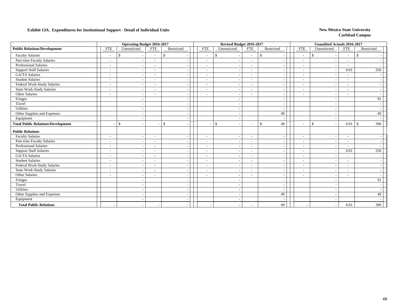|                                           | <b>Operating Budget 2016-2017</b><br><b>FTE</b><br>Unrestricted<br><b>FTE</b><br>Restricted |                          |                          |                          |  |                          | Revised Budget 2016-2017                 |                          |                                |                          | <b>Unaudited Actuals 2016-2017</b>       |                          |                      |
|-------------------------------------------|---------------------------------------------------------------------------------------------|--------------------------|--------------------------|--------------------------|--|--------------------------|------------------------------------------|--------------------------|--------------------------------|--------------------------|------------------------------------------|--------------------------|----------------------|
| <b>Public Relations/Development</b>       |                                                                                             |                          |                          |                          |  | <b>FTE</b>               | Unrestricted                             | <b>FTE</b>               | Restricted                     | <b>FTE</b>               | Unrestricted                             | <b>FTE</b>               | Restricted           |
| <b>Faculty Salaries</b>                   |                                                                                             |                          | $\overline{\phantom{a}}$ | \$                       |  | $\overline{\phantom{a}}$ | \$                                       | $\overline{\phantom{a}}$ | \$<br>$\overline{\phantom{a}}$ | $\overline{\phantom{a}}$ | \$                                       | $\overline{\phantom{a}}$ | <sup>\$</sup>        |
| Part-time Faculty Salaries                | $\overline{\phantom{a}}$                                                                    | $\sim$                   | $\overline{\phantom{a}}$ |                          |  | $\sim$                   |                                          | $\sim$                   | $\overline{\phantom{a}}$       | $\sim$                   |                                          | $\overline{\phantom{a}}$ |                      |
| <b>Professional Salaries</b>              | $\overline{\phantom{a}}$                                                                    | $\sim$                   | $\blacksquare$           |                          |  | $\overline{\phantom{a}}$ |                                          | $\sim$                   | $\overline{\phantom{a}}$       | $\sim$                   |                                          | $\overline{\phantom{a}}$ |                      |
| <b>Support Staff Salaries</b>             | $\overline{\phantom{a}}$                                                                    | $\overline{\phantom{a}}$ | $\overline{\phantom{a}}$ |                          |  | $\overline{\phantom{a}}$ |                                          | $\overline{\phantom{a}}$ | $\overline{\phantom{a}}$       | $\overline{\phantom{a}}$ |                                          | 0.01                     | 250                  |
| GA/TA Salaries                            | $\overline{\phantom{a}}$                                                                    | $\overline{\phantom{a}}$ | $\overline{\phantom{a}}$ |                          |  | $\overline{\phantom{a}}$ | $\overline{\phantom{a}}$                 | $\sim$                   | $\overline{\phantom{a}}$       | $\sim$                   |                                          | $\overline{\phantom{a}}$ |                      |
| <b>Student Salaries</b>                   | $\overline{\phantom{a}}$                                                                    | $\overline{\phantom{a}}$ | $\overline{a}$           |                          |  | $\overline{\phantom{a}}$ |                                          | $\overline{\phantom{0}}$ | $\overline{\phantom{a}}$       | $\overline{\phantom{a}}$ |                                          |                          |                      |
| Federal Work-Study Salaries               | $\sim$                                                                                      | $\overline{\phantom{a}}$ | $\overline{\phantom{a}}$ |                          |  | $\sim$                   |                                          | $\overline{\phantom{a}}$ | $\overline{\phantom{a}}$       | $\overline{\phantom{a}}$ |                                          | $\sim$                   |                      |
| State Work-Study Salaries                 | $\sim$                                                                                      | $\overline{\phantom{a}}$ | $\overline{\phantom{a}}$ |                          |  | $\overline{\phantom{a}}$ |                                          | $\sim$                   | $\overline{\phantom{a}}$       | $\overline{\phantom{a}}$ |                                          | $\overline{\phantom{a}}$ |                      |
| Other Salaries                            | $\overline{\phantom{a}}$                                                                    | $\overline{\phantom{a}}$ |                          |                          |  | $\sim$                   |                                          |                          |                                | $\overline{\phantom{a}}$ |                                          |                          |                      |
| Fringes                                   |                                                                                             | $\overline{\phantom{a}}$ |                          |                          |  |                          |                                          |                          | $\overline{\phantom{a}}$       |                          |                                          |                          | 91                   |
| Travel                                    |                                                                                             | $\overline{\phantom{a}}$ |                          |                          |  |                          | <b>.</b>                                 |                          | $\overline{\phantom{a}}$       |                          |                                          |                          |                      |
| Utilities                                 |                                                                                             | $\sim$                   |                          |                          |  |                          |                                          |                          | $\overline{\phantom{a}}$       |                          |                                          |                          |                      |
| Other Supplies and Expenses               |                                                                                             | $\sim$                   |                          |                          |  |                          |                                          |                          | 49                             |                          |                                          |                          | 49                   |
| Equipment                                 |                                                                                             | $\overline{\phantom{a}}$ |                          | $\overline{\phantom{a}}$ |  |                          |                                          |                          | $\sim$                         |                          |                                          |                          |                      |
| <b>Total Public Relations/Development</b> |                                                                                             | <sup>\$</sup><br>$\sim$  | $\overline{\phantom{a}}$ | <sup>\$</sup>            |  | $\sim$                   | $\mathbb{S}$<br>$\overline{\phantom{a}}$ | $\overline{\phantom{a}}$ | \$<br>49                       | $\overline{\phantom{a}}$ | $\mathbb{S}$<br>$\overline{\phantom{a}}$ | 0.01                     | 390<br>$\mathcal{S}$ |
| <b>Public Relations</b>                   |                                                                                             |                          |                          |                          |  |                          |                                          |                          |                                |                          |                                          |                          |                      |
| <b>Faculty Salaries</b>                   | $\overline{\phantom{a}}$                                                                    | $\overline{a}$           | $\overline{\phantom{a}}$ |                          |  | $\sim$                   |                                          | $\blacksquare$           |                                | $\overline{\phantom{a}}$ |                                          |                          |                      |
| Part-time Faculty Salaries                | $\sim$                                                                                      | $\overline{\phantom{a}}$ | $\overline{\phantom{a}}$ |                          |  | $\overline{\phantom{a}}$ |                                          | $\overline{\phantom{a}}$ | $\overline{\phantom{a}}$       | $\overline{\phantom{a}}$ |                                          | $\sim$                   |                      |
| <b>Professional Salaries</b>              | $\overline{\phantom{a}}$                                                                    | $\overline{\phantom{a}}$ | $\overline{\phantom{a}}$ |                          |  | $\overline{\phantom{a}}$ | $\overline{\phantom{a}}$                 | $\sim$                   | $\overline{\phantom{a}}$       | $\overline{\phantom{a}}$ |                                          | $\sim$                   |                      |
| <b>Support Staff Salaries</b>             | $\overline{\phantom{a}}$                                                                    | $\overline{\phantom{a}}$ |                          |                          |  | $\overline{\phantom{a}}$ |                                          | $\overline{\phantom{a}}$ | $\overline{\phantom{a}}$       | $\overline{\phantom{a}}$ |                                          | 0.01                     | 250                  |
| <b>GA/TA Salaries</b>                     | $\overline{\phantom{a}}$                                                                    |                          | ۰                        |                          |  |                          |                                          | $\overline{\phantom{a}}$ | $\overline{\phantom{a}}$       | $\overline{\phantom{a}}$ |                                          |                          |                      |
| <b>Student Salaries</b>                   | $\overline{\phantom{a}}$                                                                    | $\sim$                   | $\overline{\phantom{a}}$ |                          |  | $\sim$                   |                                          | $\sim$                   | $\overline{\phantom{a}}$       | $\sim$                   |                                          | $\overline{\phantom{a}}$ |                      |
| Federal Work-Study Salaries               | $\overline{\phantom{a}}$                                                                    | $\overline{a}$           | $\overline{\phantom{a}}$ |                          |  | $\blacksquare$           |                                          | $\overline{\phantom{a}}$ | $\overline{\phantom{a}}$       | $\overline{\phantom{a}}$ |                                          | $\overline{\phantom{a}}$ |                      |
| <b>State Work-Study Salaries</b>          | $\overline{\phantom{a}}$                                                                    | $\overline{\phantom{a}}$ | $\overline{\phantom{a}}$ |                          |  | $\blacksquare$           |                                          | $\overline{\phantom{a}}$ | $\overline{\phantom{a}}$       | $\overline{\phantom{a}}$ |                                          | $\overline{\phantom{a}}$ |                      |
| Other Salaries                            | $\overline{\phantom{a}}$                                                                    | $\overline{\phantom{a}}$ | $\overline{\phantom{a}}$ |                          |  | $\overline{\phantom{a}}$ |                                          | $\overline{\phantom{a}}$ | $\overline{\phantom{a}}$       | $\sim$                   |                                          | $\overline{\phantom{0}}$ |                      |
| Fringes                                   |                                                                                             | $\overline{\phantom{a}}$ |                          |                          |  |                          |                                          |                          | $\overline{\phantom{a}}$       |                          |                                          |                          | 91                   |
| Travel                                    |                                                                                             | $\overline{\phantom{a}}$ |                          |                          |  |                          |                                          |                          | $\overline{\phantom{a}}$       |                          |                                          |                          |                      |
| Utilities                                 |                                                                                             | $\overline{\phantom{a}}$ |                          |                          |  |                          |                                          |                          | $\overline{\phantom{a}}$       |                          |                                          |                          |                      |
| Other Supplies and Expenses               |                                                                                             | $\sim$                   |                          |                          |  |                          |                                          |                          | 49                             |                          |                                          |                          | 49                   |
| Equipment                                 |                                                                                             |                          |                          |                          |  |                          |                                          |                          |                                |                          |                                          |                          |                      |
| <b>Total Public Relations</b>             |                                                                                             |                          |                          |                          |  |                          | $\overline{\phantom{a}}$                 | $\overline{\phantom{a}}$ | 49                             |                          |                                          | 0.01                     | 390                  |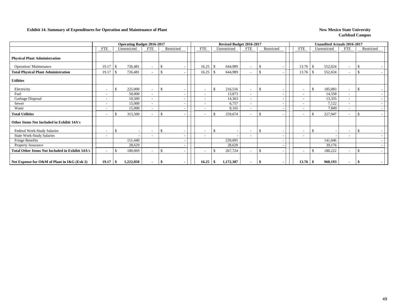#### **Exhibit 14. Summary of Expenditures for Operation and Maintenance of Plant New Mexico State University New Mexico State University**

|                                                        |                          | <b>Operating Budget 2016-2017</b> |                          |                    |                          |               | Revised Budget 2016-2017 |                          |               |            |                          |               | <b>Unaudited Actuals 2016-2017</b> |                          |               |            |
|--------------------------------------------------------|--------------------------|-----------------------------------|--------------------------|--------------------|--------------------------|---------------|--------------------------|--------------------------|---------------|------------|--------------------------|---------------|------------------------------------|--------------------------|---------------|------------|
|                                                        | FTE                      | Unrestricted                      | <b>FTE</b>               | Restricted         | <b>FTE</b>               |               | Unrestricted             | <b>FTE</b>               |               | Restricted | FTE                      |               | Unrestricted                       | FTE                      |               | Restricted |
| <b>Physical Plant Administration</b>                   |                          |                                   |                          |                    |                          |               |                          |                          |               |            |                          |               |                                    |                          |               |            |
| <b>Operation/Maintenance</b>                           | 19.17                    | 726,481<br>-\$                    | $\overline{\phantom{a}}$ | <sup>\$</sup>      | 16.25                    | -8            | 644,989                  | $\tilde{\phantom{a}}$    | <sup>\$</sup> |            | 13.76                    | <sup>\$</sup> | 552,024                            | $\overline{\phantom{a}}$ | -\$           |            |
| <b>Total Physical Plant Administration</b>             | 19.17                    | 726,481<br>-8                     | $\overline{\phantom{a}}$ | $\mathbf{\hat{S}}$ | 16.25                    | -8            | 644,989                  |                          | -\$           |            | 13.76                    | -\$           | 552,024                            | -                        | $\mathcal{S}$ |            |
| <b>Utilities</b>                                       |                          |                                   |                          |                    |                          |               |                          |                          |               |            |                          |               |                                    |                          |               |            |
| Electricity                                            | $\overline{\phantom{a}}$ | $\mathcal{S}$<br>225,000          | $\sim$                   | -S                 | $\overline{\phantom{a}}$ | $\mathcal{S}$ | 216,516                  | $\overline{\phantom{a}}$ | <sup>\$</sup> |            | $\sim$                   | $\mathcal{S}$ | 185,083                            | $\overline{\phantom{a}}$ | $\mathcal{S}$ |            |
| Fuel                                                   | $\overline{\phantom{a}}$ | 50,000                            | $\overline{\phantom{a}}$ |                    |                          |               | 13,873                   | $\overline{\phantom{a}}$ |               |            | $\overline{\phantom{a}}$ |               | 14,558                             | $\overline{\phantom{a}}$ |               |            |
| Garbage Disposal                                       |                          | 10,500                            | $\overline{\phantom{a}}$ |                    |                          |               | 14,363                   | $\overline{\phantom{a}}$ |               |            |                          |               | 13,335                             | $\tilde{\phantom{a}}$    |               |            |
| Sewer                                                  |                          | 15,000                            | $\overline{\phantom{a}}$ |                    |                          |               | 6,757                    | $\overline{\phantom{a}}$ |               |            | $\overline{\phantom{a}}$ |               | 7,122                              | $\overline{\phantom{a}}$ |               |            |
| Water                                                  |                          | 15,000                            | $\overline{\phantom{a}}$ |                    |                          |               | 8,165                    | $\overline{\phantom{a}}$ |               |            | $\overline{\phantom{a}}$ |               | 7,849                              | $\overline{\phantom{a}}$ |               |            |
| <b>Total Utilities</b>                                 |                          | 315,500<br><sup>\$</sup>          | $\overline{\phantom{a}}$ | \$                 |                          | $\mathcal{S}$ | 259,674                  | ۰                        | <sup>\$</sup> |            | $\overline{\phantom{a}}$ | -\$           | 227,947                            | $\overline{\phantom{a}}$ | $\mathcal{S}$ |            |
| Other Items Not Included in Exhibit 14A's              |                          |                                   |                          |                    |                          |               |                          |                          |               |            |                          |               |                                    |                          |               |            |
| Federal Work-Study Salaries                            | $\overline{\phantom{a}}$ | \$.                               | $\overline{\phantom{a}}$ | <sup>\$</sup>      |                          | $\mathcal{S}$ |                          | $\overline{\phantom{a}}$ | <sup>\$</sup> |            | $\overline{\phantom{a}}$ | -\$           |                                    | $\overline{\phantom{a}}$ | $\mathcal{S}$ |            |
| <b>State Work-Study Salaries</b>                       |                          |                                   | $\overline{\phantom{a}}$ |                    |                          |               |                          | $\overline{\phantom{a}}$ |               |            | ۰                        |               |                                    | $\overline{\phantom{a}}$ |               |            |
| Fringe Benefits                                        |                          | 151,440                           |                          |                    |                          |               | 239,095                  |                          |               |            |                          |               | 141,046                            |                          |               |            |
| <b>Property Insurance</b>                              |                          | 28,629                            |                          |                    |                          |               | 28,629                   |                          |               |            |                          |               | 39,176                             |                          |               |            |
| <b>Total Other Items Not Included in Exhibit 14A's</b> | $\overline{\phantom{a}}$ | -\$<br>180,069                    | $\overline{\phantom{a}}$ | <sup>\$</sup>      |                          | -\$           | 267,724                  |                          | <sup>\$</sup> |            | $\overline{\phantom{0}}$ | -\$           | 180,222                            | $\overline{\phantom{a}}$ | $\mathcal{S}$ |            |
| Net Expense for O&M of Plant in I&G (Exh 2)            | 19.17                    | -\$<br>1,222,050                  | $\blacksquare$           | -\$                | 16.25                    | -\$           | 1,172,387                |                          | -\$           |            | 13.76                    | -\$           | 960,193                            | $\blacksquare$           | -S            |            |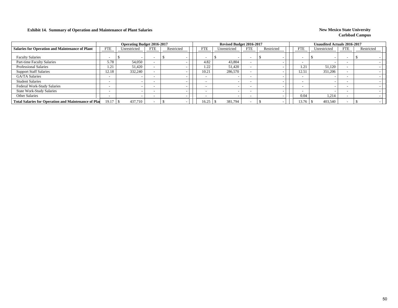### **Exhibit 14. Summary of Operation and Maintenance of Plant Salaries New Mexico State University New Mexico State University**

|                                                             |            | <b>Operating Budget 2016-2017</b> |                          |            |                          | Revised Budget 2016-2017 |                          |            |                          | <b>Unaudited Actuals 2016-2017</b> |                          |            |  |
|-------------------------------------------------------------|------------|-----------------------------------|--------------------------|------------|--------------------------|--------------------------|--------------------------|------------|--------------------------|------------------------------------|--------------------------|------------|--|
| <b>Salaries for Operation and Maintenance of Plant</b>      | <b>FTE</b> | Unrestricted                      | <b>FTE</b>               | Restricted | <b>FTE</b>               | Unrestricted             | <b>FTE</b>               | Restricted | <b>FTE</b>               | Unrestricted                       | <b>FTE</b>               | Restricted |  |
| <b>Faculty Salaries</b>                                     | -          |                                   | $\overline{\phantom{a}}$ |            |                          |                          |                          |            | $\overline{\phantom{a}}$ |                                    | $\overline{\phantom{a}}$ |            |  |
| Part-time Faculty Salaries                                  | 5.78       | 54,050                            | $\overline{\phantom{0}}$ |            | 4.82                     | 43,804                   |                          |            | $\overline{\phantom{0}}$ |                                    |                          |            |  |
| <b>Professional Salaries</b>                                | 1.21       | 51.420                            |                          |            | 1.22                     | 51,420                   |                          |            | 1.21                     | 51,120                             |                          |            |  |
| <b>Support Staff Salaries</b>                               | 12.18      | 332,240                           |                          |            | 10.21                    | 286,570                  |                          |            | 12.51                    | 351,206                            |                          |            |  |
| GA/TA Salaries                                              |            |                                   | $\overline{\phantom{0}}$ |            |                          |                          |                          |            | $\overline{\phantom{0}}$ |                                    |                          |            |  |
| <b>Student Salaries</b>                                     |            |                                   | $\overline{\phantom{0}}$ |            |                          |                          |                          |            | $\overline{\phantom{0}}$ |                                    |                          |            |  |
| Federal Work-Study Salaries                                 |            |                                   | $\overline{\phantom{a}}$ |            | $\overline{\phantom{0}}$ |                          | $\overline{\phantom{0}}$ |            | $\overline{\phantom{0}}$ |                                    |                          |            |  |
| <b>State Work-Study Salaries</b>                            |            |                                   | $\overline{\phantom{0}}$ |            |                          |                          |                          |            | $\overline{\phantom{0}}$ |                                    |                          |            |  |
| <b>Other Salaries</b>                                       |            |                                   | $\overline{\phantom{a}}$ |            |                          |                          |                          |            | 0.04                     | 1,214                              |                          |            |  |
| <b>Total Salaries for Operation and Maintenance of Plan</b> | 19.17      | 437,710                           | $\overline{\phantom{a}}$ |            | 16.25                    | 381,794                  |                          |            | 13.76                    | 403,540                            |                          |            |  |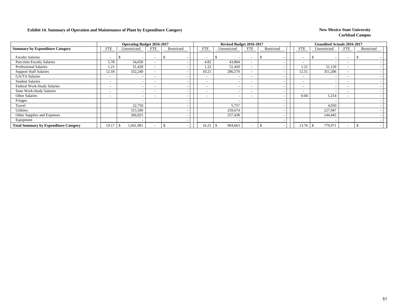### **Exhibit 14. Summary of Operation and Maintenance of Plant by Expenditure Category New Mexico State University**

|                                              |                          | <b>Operating Budget 2016-2017</b> |                          |            |                          | Revised Budget 2016-2017 |                          |            |                          | <b>Unaudited Actuals 2016-2017</b> |                          |            |  |
|----------------------------------------------|--------------------------|-----------------------------------|--------------------------|------------|--------------------------|--------------------------|--------------------------|------------|--------------------------|------------------------------------|--------------------------|------------|--|
| <b>Summary by Expenditure Category</b>       | <b>FTE</b>               | Unrestricted                      | <b>FTE</b>               | Restricted | <b>FTE</b>               | Unrestricted             | <b>FTE</b>               | Restricted | <b>FTE</b>               | Unrestricted                       | <b>FTE</b>               | Restricted |  |
| <b>Faculty Salaries</b>                      |                          | $\overline{\phantom{a}}$          | $\overline{\phantom{0}}$ |            | -                        |                          | $\overline{\phantom{a}}$ |            | $\overline{\phantom{0}}$ |                                    | $\overline{\phantom{a}}$ |            |  |
| Part-time Faculty Salaries                   | 5.78                     | 54,050                            |                          |            | 4.82                     | 43,804                   | $\overline{\phantom{a}}$ |            | $\overline{\phantom{0}}$ |                                    |                          |            |  |
| <b>Professional Salaries</b>                 | 1.21                     | 51,420                            | $\overline{\phantom{0}}$ |            | 1.22                     | 51,420                   | $\overline{\phantom{a}}$ |            | 1.21                     | 51,120                             | $\overline{\phantom{a}}$ |            |  |
| <b>Support Staff Salaries</b>                | 12.18                    | 332,240                           |                          |            | 10.21                    | 286,570                  | $\overline{\phantom{a}}$ |            | 12.51                    | 351,206                            | $\overline{\phantom{0}}$ |            |  |
| <b>GA/TA Salaries</b>                        | $\overline{\phantom{0}}$ |                                   |                          |            | $\overline{\phantom{a}}$ |                          | $\overline{\phantom{a}}$ |            | $\overline{\phantom{0}}$ |                                    | $\overline{\phantom{0}}$ |            |  |
| <b>Student Salaries</b>                      | $\overline{\phantom{0}}$ | $\overline{\phantom{0}}$          | $\overline{\phantom{0}}$ |            | $\overline{\phantom{0}}$ |                          | $\overline{\phantom{a}}$ |            | $\overline{\phantom{0}}$ |                                    | $\overline{\phantom{0}}$ |            |  |
| Federal Work-Study Salaries                  | $\overline{\phantom{0}}$ | $\overline{\phantom{0}}$          |                          |            | $\overline{\phantom{0}}$ |                          | $\overline{\phantom{a}}$ |            | <b>1</b>                 |                                    | $\overline{\phantom{a}}$ |            |  |
| <b>State Work-Study Salaries</b>             | $\overline{\phantom{0}}$ |                                   |                          |            | $\overline{\phantom{a}}$ |                          | $\overline{\phantom{a}}$ |            |                          |                                    | $\overline{\phantom{a}}$ |            |  |
| <b>Other Salaries</b>                        | $\overline{\phantom{0}}$ | $\overline{\phantom{a}}$          | $\overline{\phantom{0}}$ |            | $\overline{\phantom{a}}$ |                          | $\overline{\phantom{a}}$ |            | 0.04                     | 1,214                              | $\overline{\phantom{0}}$ |            |  |
| Fringes                                      |                          | $\overline{\phantom{a}}$          |                          |            |                          |                          |                          |            |                          |                                    |                          |            |  |
| Travel                                       |                          | 22,750                            |                          |            |                          | 5,757                    |                          |            |                          | 4,039                              |                          |            |  |
| Utilities                                    |                          | 315,500                           |                          |            |                          | 259,674                  |                          |            |                          | 227,947                            |                          |            |  |
| Other Supplies and Expenses                  |                          | 266,021                           |                          |            |                          | 257,438                  |                          |            |                          | 144,445                            |                          |            |  |
| Equipment                                    |                          |                                   |                          |            |                          |                          |                          |            |                          |                                    |                          |            |  |
| <b>Total Summary by Expenditure Category</b> | 19.17                    | 1,041,981                         |                          |            | 16.25                    | 904,663                  |                          |            | 13.76                    | 779,971<br>-5                      |                          |            |  |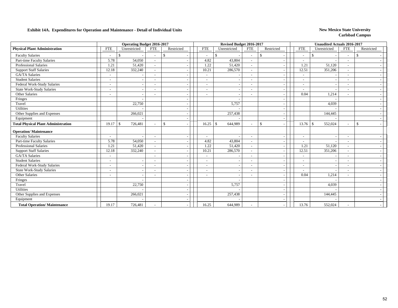### **Exhibit 14A. Expenditures for Operation and Maintenance - Detail of Individual Units** New Mexico State University

|                                            | <b>Operating Budget 2016-2017</b><br><b>FTE</b><br>Unrestricted<br>Restricted<br><b>FTE</b> |                          |                          |    |                          | Revised Budget 2016-2017 |                          |                                          |                          | <b>Unaudited Actuals 2016-2017</b> |                          |                    |  |
|--------------------------------------------|---------------------------------------------------------------------------------------------|--------------------------|--------------------------|----|--------------------------|--------------------------|--------------------------|------------------------------------------|--------------------------|------------------------------------|--------------------------|--------------------|--|
| <b>Physical Plant Administration</b>       |                                                                                             |                          |                          |    | <b>FTE</b>               | Unrestricted             | <b>FTE</b>               | Restricted                               | <b>FTE</b>               | Unrestricted                       | <b>FTE</b>               | Restricted         |  |
| <b>Faculty Salaries</b>                    |                                                                                             |                          |                          | \$ | $\overline{\phantom{a}}$ | \$                       | $\overline{\phantom{a}}$ | \$                                       | $\overline{\phantom{a}}$ | \$                                 | $\overline{\phantom{a}}$ | -\$                |  |
| Part-time Faculty Salaries                 | 5.78                                                                                        | 54,050                   |                          |    | 4.82                     | 43,804                   | $\overline{\phantom{a}}$ | $\overline{\phantom{a}}$                 | $\overline{\phantom{a}}$ |                                    | $\overline{\phantom{a}}$ |                    |  |
| <b>Professional Salaries</b>               | 1.21                                                                                        | 51,420                   |                          |    | 1.22                     | 51,420                   | $\sim$                   |                                          | 1.21                     | 51,120                             |                          |                    |  |
| <b>Support Staff Salaries</b>              | 12.18                                                                                       | 332,240                  | $\overline{\phantom{a}}$ |    | 10.21                    | 286,570                  | $\sim$                   |                                          | 12.51                    | 351,206                            | $\overline{\phantom{a}}$ |                    |  |
| <b>GA/TA Salaries</b>                      | $\overline{\phantom{a}}$                                                                    |                          | $\overline{\phantom{0}}$ |    | $\overline{\phantom{a}}$ |                          | $\sim$                   | $\overline{\phantom{a}}$                 | $\overline{\phantom{a}}$ |                                    | $\overline{\phantom{0}}$ |                    |  |
| <b>Student Salaries</b>                    |                                                                                             | $\sim$                   |                          |    |                          |                          | $\sim$                   |                                          | $\sim$                   |                                    |                          |                    |  |
| Federal Work-Study Salaries                | $\overline{\phantom{a}}$                                                                    |                          |                          |    |                          |                          | $\overline{\phantom{a}}$ | $\overline{\phantom{a}}$                 | $\overline{a}$           |                                    |                          |                    |  |
| <b>State Work-Study Salaries</b>           | $\overline{\phantom{a}}$                                                                    | $\overline{\phantom{a}}$ | $\overline{\phantom{a}}$ |    | $\overline{\phantom{a}}$ |                          | $\sim$                   | $\overline{\phantom{a}}$                 | $\overline{\phantom{a}}$ |                                    | $\overline{\phantom{0}}$ |                    |  |
| Other Salaries                             |                                                                                             | $\overline{\phantom{a}}$ |                          |    |                          |                          |                          |                                          | 0.04                     | 1,214                              |                          |                    |  |
| Fringes                                    |                                                                                             |                          |                          |    |                          |                          |                          | $\overline{\phantom{a}}$                 |                          |                                    |                          |                    |  |
| Travel                                     |                                                                                             | 22,750                   |                          |    |                          | 5,757                    |                          | $\overline{\phantom{a}}$                 |                          | 4,039                              |                          |                    |  |
| Utilities                                  |                                                                                             |                          |                          |    |                          |                          |                          |                                          |                          |                                    |                          |                    |  |
| Other Supplies and Expenses                |                                                                                             | 266,021                  |                          |    |                          | 257,438                  |                          | $\overline{\phantom{a}}$                 |                          | 144,445                            |                          |                    |  |
| Equipment                                  |                                                                                             |                          |                          |    |                          |                          |                          | $\overline{\phantom{a}}$                 |                          |                                    |                          |                    |  |
| <b>Total Physical Plant Administration</b> | 19.17                                                                                       | 726,481<br>S.            |                          | \$ | 16.25                    | 644,989<br>$\mathbb{S}$  | $\sim$                   | $\mathbb{S}$<br>$\overline{\phantom{a}}$ |                          | 552,024                            | $\overline{\phantom{a}}$ | $\mathbf{\hat{s}}$ |  |
| <b>Operation/Maintenance</b>               |                                                                                             |                          |                          |    |                          |                          |                          |                                          |                          |                                    |                          |                    |  |
| <b>Faculty Salaries</b>                    |                                                                                             |                          |                          |    | $\overline{\phantom{a}}$ |                          | $\sim$                   |                                          | $\overline{a}$           |                                    |                          |                    |  |
| Part-time Faculty Salaries                 | 5.78                                                                                        | 54,050                   | $\overline{\phantom{a}}$ |    | 4.82                     | 43,804                   | $\sim$                   | $\overline{\phantom{a}}$                 | $\overline{\phantom{a}}$ |                                    | $\overline{\phantom{a}}$ |                    |  |
| <b>Professional Salaries</b>               | 1.21                                                                                        | 51,420                   | $\overline{\phantom{a}}$ |    | 1.22                     | 51,420                   | $\overline{\phantom{a}}$ | $\overline{\phantom{a}}$                 | 1.21                     | 51,120                             | $\overline{\phantom{a}}$ |                    |  |
| <b>Support Staff Salaries</b>              | 12.18                                                                                       | 332,240                  |                          |    | 10.21                    | 286,570                  | $\sim$                   |                                          | 12.51                    | 351,206                            |                          |                    |  |
| <b>GA/TA Salaries</b>                      | $\overline{\phantom{a}}$                                                                    |                          |                          |    |                          |                          | $\overline{\phantom{a}}$ | $\overline{\phantom{a}}$                 | $\overline{\phantom{a}}$ |                                    |                          |                    |  |
| <b>Student Salaries</b>                    | $\overline{\phantom{a}}$                                                                    | $\overline{\phantom{a}}$ | $\overline{\phantom{a}}$ |    | $\sim$                   |                          | $\sim$                   | $\overline{\phantom{a}}$                 | $\overline{\phantom{a}}$ |                                    | $\overline{\phantom{a}}$ |                    |  |
| Federal Work-Study Salaries                | $\overline{a}$                                                                              | $\overline{\phantom{a}}$ | $\blacksquare$           |    | $\sim$                   |                          | $\overline{\phantom{a}}$ | $\overline{\phantom{a}}$                 | $\overline{\phantom{a}}$ |                                    |                          |                    |  |
| <b>State Work-Study Salaries</b>           | $\overline{\phantom{a}}$                                                                    | $\overline{\phantom{a}}$ | $\overline{\phantom{a}}$ |    |                          |                          | $\overline{\phantom{a}}$ | $\overline{\phantom{a}}$                 | $\overline{\phantom{a}}$ |                                    |                          |                    |  |
| Other Salaries                             | $\overline{\phantom{a}}$                                                                    | $\overline{\phantom{a}}$ | $\blacksquare$           |    | $\overline{\phantom{a}}$ |                          | $\overline{\phantom{a}}$ | $\overline{\phantom{a}}$                 | 0.04                     | 1,214                              | $\overline{\phantom{a}}$ |                    |  |
| Fringes                                    |                                                                                             |                          |                          |    |                          |                          |                          |                                          |                          |                                    |                          |                    |  |
| Travel                                     |                                                                                             | 22,750                   |                          |    |                          | 5,757                    |                          | $\overline{\phantom{a}}$                 |                          | 4,039                              |                          |                    |  |
| Utilities                                  |                                                                                             |                          |                          |    |                          |                          |                          | $\overline{\phantom{a}}$                 |                          |                                    |                          |                    |  |
| Other Supplies and Expenses                |                                                                                             | 266,021                  |                          |    |                          | 257,438                  |                          |                                          |                          | 144,445                            |                          |                    |  |
| Equipment                                  |                                                                                             |                          |                          |    |                          |                          |                          |                                          |                          |                                    |                          |                    |  |
| <b>Total Operation/Maintenance</b>         | 19.17                                                                                       | 726,481                  |                          |    | 16.25                    | 644,989                  |                          |                                          | 13.76                    | 552,024                            |                          |                    |  |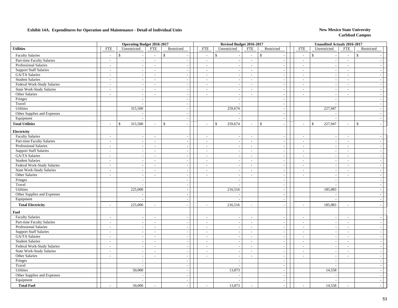### **Exhibit 14A. Expenditures for Operation and Maintenance - Detail of Individual Units** New Mexico State University

|                                  |                             | <b>Operating Budget 2016-2017</b> |                          |                          | Revised Budget 2016-2017    |                          |                          |                          |                          | <b>Unaudited Actuals 2016-2017</b> |                             |                          |
|----------------------------------|-----------------------------|-----------------------------------|--------------------------|--------------------------|-----------------------------|--------------------------|--------------------------|--------------------------|--------------------------|------------------------------------|-----------------------------|--------------------------|
| <b>Utilities</b>                 | <b>FTE</b>                  | Unrestricted                      | ${\rm FTE}$              | Restricted               | <b>FTE</b>                  | Unrestricted             | ${\rm FTE}$              | Restricted               | ${\rm FTE}$              | Unrestricted                       | ${\rm FTE}$                 | Restricted               |
| <b>Faculty Salaries</b>          | $\overline{a}$              | $\mathbb{S}$                      | $\overline{a}$           | $\mathbb{S}$             | $\sim$                      | $\mathsf{\$}$            | $\overline{a}$           | \$                       | $\sim$                   | $\mathcal{S}$                      | $\sim$                      | $\mathbb{S}$             |
| Part-time Faculty Salaries       | $\sim$                      | $\sim$                            | $\sim$                   | $\overline{\phantom{a}}$ | $\sim$                      | $\overline{\phantom{a}}$ | $\sim$                   | $\overline{a}$           | $\sim$                   | $\sim$                             | $\sim$                      |                          |
| <b>Professional Salaries</b>     | $\overline{\phantom{a}}$    | $\sim$                            | $\sim$                   | $\sim$                   | $\overline{\phantom{a}}$    |                          | $\sim$                   | $\sim$                   | $\sim$                   | $\overline{\phantom{a}}$           | $\overline{\phantom{a}}$    |                          |
| <b>Support Staff Salaries</b>    | $\sim$                      | $\sim$                            | $\sim$                   | $\sim$                   | $\sim$                      |                          | $\sim$                   | $\overline{a}$           | $\sim$                   | $\overline{\phantom{a}}$           | $\sim$                      | $\sim$                   |
| GA/TA Salaries                   | $\sim$                      | $\overline{\phantom{a}}$          | $\overline{\phantom{a}}$ | $\overline{\phantom{a}}$ | $\sim$                      |                          | $\sim$                   | $\overline{\phantom{a}}$ | $\overline{\phantom{a}}$ | $\overline{\phantom{a}}$           | $\sim$                      | $\sim$                   |
| <b>Student Salaries</b>          | $\sim$                      | $\sim$                            | $\sim$                   | $\sim$                   | $\overline{\phantom{a}}$    | $\overline{\phantom{a}}$ | $\sim$                   | $\sim$                   | $\sim$                   | $\sim$                             | $\sim$                      | $\sim$                   |
| Federal Work-Study Salaries      | $\sim$                      | $\overline{\phantom{a}}$          | $\sim$                   | $\overline{\phantom{a}}$ | $\sim$                      |                          | $\sim$                   | $\sim$                   | $\sim$                   | $\overline{\phantom{a}}$           | $\overline{a}$              | $\overline{a}$           |
| <b>State Work-Study Salaries</b> | $\sim$                      | $\sim$                            | $\mathcal{L}$            | $\sim$                   | $\sim$                      | . .                      | $\sim$                   | $\overline{\phantom{a}}$ | $\overline{\phantom{a}}$ | $\overline{\phantom{a}}$           | $\sim$                      | $\sim$                   |
| Other Salaries                   | $\sim$                      | $\overline{\phantom{a}}$          | $\sim$                   |                          | $\sim$                      |                          | $\overline{\phantom{a}}$ | $\overline{\phantom{a}}$ | $\overline{a}$           |                                    | $\sim$                      | $\sim$                   |
| Fringes                          |                             | $\overline{\phantom{a}}$          |                          | $\sim$                   |                             |                          |                          | $\overline{\phantom{a}}$ |                          | $\overline{\phantom{a}}$           |                             | $\sim$                   |
| Travel                           |                             | $\sim$                            |                          | $\sim$                   |                             |                          |                          | $\sim$                   |                          |                                    |                             | $\sim$                   |
| Utilities                        |                             | 315,500                           |                          | $\overline{\phantom{a}}$ |                             | 259,674                  |                          | $\sim$                   |                          | 227,947                            |                             | $\sim$                   |
| Other Supplies and Expenses      |                             |                                   |                          | $\sim$                   |                             |                          |                          | $\overline{\phantom{a}}$ |                          |                                    |                             | $\sim$                   |
| Equipment                        |                             |                                   |                          | $\sim$                   |                             |                          |                          | $\sim$                   |                          |                                    |                             | $\sim$                   |
| <b>Total Utilities</b>           |                             | 315,500<br>$\mathcal{S}$          | $\overline{a}$           | \$                       | $\overline{a}$              | $\mathbb{S}$<br>259,674  | $\overline{\phantom{a}}$ | \$                       | $\overline{a}$           | $\mathcal{S}$<br>227,947           | $\overline{a}$              | $\mathbb{S}$<br>$\sim$   |
| Electricity                      |                             |                                   |                          |                          |                             |                          |                          |                          |                          |                                    |                             |                          |
| <b>Faculty Salaries</b>          | $\sim$                      | $\sim$                            | $\sim$                   | $\sim$                   | $\sim$                      | $\overline{\phantom{a}}$ | $\sim$                   | $\overline{a}$           | $\sim$                   | $\overline{a}$                     | $\sim$                      | $\overline{a}$           |
| Part-time Faculty Salaries       | $\overline{\phantom{a}}$    | $\overline{\phantom{a}}$          | $\overline{a}$           | $\overline{a}$           | $\sim$                      |                          | $\sim$                   | $\overline{a}$           | $\sim$                   | $\overline{a}$                     | $\sim$                      | $\sim$                   |
| Professional Salaries            | $\sim$                      | $\sim$                            | $\sim$                   | $\sim$                   | $\sim$                      | ÷                        | $\sim$                   | $\sim$                   | $\sim$                   | $\overline{\phantom{a}}$           | $\mathcal{L}_{\mathcal{A}}$ | $\sim$                   |
| <b>Support Staff Salaries</b>    | $\sim$                      | $\overline{\phantom{a}}$          | $\overline{\phantom{a}}$ | $\sim$                   | $\sim$                      |                          | $\sim$                   | $\overline{\phantom{a}}$ | $\overline{\phantom{a}}$ | $\overline{\phantom{a}}$           | $\overline{\phantom{a}}$    | $\sim$                   |
| GA/TA Salaries                   | $\sim$                      | $\sim$                            | $\sim$                   | $\overline{a}$           | $\sim$                      | <b>.</b>                 | $\sim$                   | $\sim$                   | $\sim$                   | $\sim$                             | $\overline{\phantom{a}}$    | $\sim$                   |
| <b>Student Salaries</b>          | $\sim$                      | $\overline{\phantom{a}}$          | $\sim$                   | $\sim$                   | $\sim$                      |                          | $\sim$                   | $\sim$                   | $\sim$                   | $\overline{\phantom{a}}$           | $\sim$                      | $\sim$                   |
| Federal Work-Study Salaries      | $\sim$                      | $\sim$                            | $\sim$                   | $\sim$                   | $\sim$                      | $\overline{\phantom{a}}$ | $\sim$                   | $\sim$                   | $\sim$                   | $\sim$                             | $\sim$                      | $\sim$                   |
| <b>State Work-Study Salaries</b> | $\blacksquare$              | $\overline{\phantom{a}}$          | $\overline{\phantom{a}}$ |                          | $\sim$                      |                          | $\overline{\phantom{a}}$ | $\overline{\phantom{a}}$ | $\blacksquare$           |                                    | $\sim$                      | $\sim$                   |
| Other Salaries                   | $\overline{\phantom{a}}$    | $\overline{\phantom{a}}$          | $\overline{\phantom{a}}$ | $\sim$                   | $\mathcal{L}$               |                          | $\blacksquare$           | $\sim$                   | $\overline{\phantom{a}}$ | $\overline{\phantom{a}}$           | $\frac{1}{2}$               | $\sim$                   |
| Fringes                          |                             | $\overline{\phantom{a}}$          |                          | $\overline{\phantom{a}}$ |                             | ÷                        |                          | $\overline{\phantom{a}}$ |                          | $\overline{\phantom{a}}$           |                             | $\sim$                   |
| Travel                           |                             | $\overline{\phantom{a}}$          |                          | $\sim$                   |                             | $\overline{\phantom{a}}$ |                          | $\overline{a}$           |                          | $\overline{a}$                     |                             | $\sim$                   |
| Utilities                        |                             | 225,000                           |                          | $\sim$                   |                             | 216,516                  |                          | $\sim$                   |                          | 185,083                            |                             | $\overline{\phantom{a}}$ |
| Other Supplies and Expenses      |                             |                                   |                          | $\sim$                   |                             |                          |                          | $\sim$                   |                          |                                    |                             | $\overline{\phantom{a}}$ |
| Equipment                        |                             | $\overline{a}$                    |                          | $\overline{a}$           |                             |                          |                          | $\sim$                   |                          | $\overline{a}$                     |                             | $\sim$                   |
| <b>Total Electricity</b>         | $\sim$                      | 225,000                           | $\overline{\phantom{a}}$ |                          | $\sim$                      | 216,516                  | $\blacksquare$           | $\sim$                   | $\overline{a}$           | 185,083                            | $\overline{\phantom{a}}$    | $\sim$                   |
| <b>Fuel</b>                      |                             |                                   |                          |                          |                             |                          |                          |                          |                          |                                    |                             |                          |
| <b>Faculty Salaries</b>          | $\sim$                      | $\sim$                            | $\sim$                   | $\sim$                   | $\overline{\phantom{a}}$    |                          | $\sim$                   | $\overline{a}$           | $\sim$                   |                                    | $\overline{\phantom{a}}$    | $\overline{a}$           |
| Part-time Faculty Salaries       | $\overline{\phantom{a}}$    | $\sim$                            | $\sim$                   | $\sim$                   | $\sim$                      | ÷                        | $\sim$                   | $\sim$                   | $\overline{\phantom{a}}$ | $\overline{\phantom{a}}$           | $\sim$                      | $\sim$                   |
| Professional Salaries            | $\sim$                      | $\overline{\phantom{a}}$          | $\overline{\phantom{a}}$ | $\sim$                   | $\sim$                      |                          | $\sim$                   | $\sim$                   | $\overline{\phantom{a}}$ | $\overline{\phantom{a}}$           | $\sim$                      | $\sim$                   |
| <b>Support Staff Salaries</b>    | $\sim$                      | $\sim$                            | $\sim$                   | $\sim$                   | $\sim$                      | $\overline{\phantom{a}}$ | $\sim$                   | $\sim$                   | $\sim$                   | $\sim$                             | $\sim$                      | $\sim$                   |
| GA/TA Salaries                   | $\mathbb{Z}^2$              | $\overline{\phantom{a}}$          | $\sim$                   | $\overline{a}$           | $\sim$                      |                          | $\sim$                   | $\overline{\phantom{a}}$ | $\sim$                   | $\overline{a}$                     | $\overline{a}$              | $\sim$                   |
| <b>Student Salaries</b>          | $\sim$                      | $\mathcal{L}_{\mathcal{A}}$       | $\overline{\phantom{a}}$ | $\sim$                   | $\sim$                      |                          | $\sim$                   | $\sim$                   | $\sim$                   | $\sim$                             | $\sim$                      | $\overline{a}$           |
| Federal Work-Study Salaries      | $\sim$                      | $\sim$                            | $\overline{\phantom{a}}$ |                          | $\sim$                      |                          | $\overline{\phantom{a}}$ | $\overline{\phantom{a}}$ | $\overline{\phantom{a}}$ |                                    | $\sim$                      | $\sim$                   |
| <b>State Work-Study Salaries</b> | $\overline{\phantom{a}}$    | $\overline{\phantom{a}}$          | $\overline{\phantom{a}}$ |                          | $\mathcal{L}$               |                          | $\blacksquare$           | $\overline{\phantom{a}}$ | $\overline{\phantom{a}}$ |                                    | $\overline{\phantom{a}}$    | $\sim$                   |
| Other Salaries                   | $\mathcal{L}_{\mathcal{A}}$ | $\overline{\phantom{a}}$          | $\frac{1}{2}$            | $\sim$                   | $\mathcal{L}_{\mathcal{A}}$ |                          | $\mathbb{Z}^+$           | $\overline{\phantom{a}}$ | $\sim$                   | $\overline{a}$                     | $\overline{a}$              | $\sim$                   |
| Fringes                          |                             | $\overline{\phantom{a}}$          |                          | $\sim$                   |                             | $\overline{a}$           |                          | $\overline{\phantom{a}}$ |                          | $\overline{\phantom{a}}$           |                             | $\sim$                   |
| Travel                           |                             | $\overline{a}$                    |                          | $\sim$                   |                             |                          |                          | $\sim$                   |                          |                                    |                             | $\overline{a}$           |
| Utilities                        |                             | 50,000                            |                          | $\sim$                   |                             | 13,873                   |                          | $\sim$                   |                          | 14,558                             |                             | $\sim$                   |
| Other Supplies and Expenses      |                             |                                   |                          | $\overline{\phantom{a}}$ |                             |                          |                          | $\sim$                   |                          |                                    |                             | $\sim$                   |
| Equipment                        |                             |                                   |                          | $\sim$                   |                             |                          |                          | $\sim$                   |                          |                                    |                             | $\overline{\phantom{a}}$ |
| <b>Total Fuel</b>                |                             | 50,000                            |                          |                          | $\sim$                      | 13,873                   | $\overline{\phantom{a}}$ |                          | $\overline{a}$           | 14,558                             | $\overline{a}$              |                          |
|                                  |                             |                                   |                          |                          |                             |                          |                          |                          |                          |                                    |                             |                          |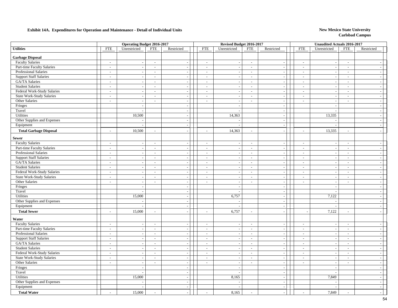### **Exhibit 14A. Expenditures for Operation and Maintenance - Detail of Individual Units** New Mexico State University

|                                  |                             | <b>Operating Budget 2016-2017</b> |                          |                          |                          | Revised Budget 2016-2017 |                             |                             |                          | <b>Unaudited Actuals 2016-2017</b> |                             |                |
|----------------------------------|-----------------------------|-----------------------------------|--------------------------|--------------------------|--------------------------|--------------------------|-----------------------------|-----------------------------|--------------------------|------------------------------------|-----------------------------|----------------|
| <b>Utilities</b>                 | <b>FTE</b>                  | Unrestricted                      | <b>FTE</b>               | Restricted               | <b>FTE</b>               | Unrestricted             | <b>FTE</b>                  | Restricted                  | <b>FTE</b>               | Unrestricted                       | <b>FTE</b>                  | Restricted     |
| <b>Garbage Disposal</b>          |                             |                                   |                          |                          |                          |                          |                             |                             |                          |                                    |                             |                |
| <b>Faculty Salaries</b>          | $\overline{\phantom{a}}$    | $\sim$                            | $\overline{\phantom{a}}$ | $\sim$                   | $\sim$                   | $\overline{\phantom{a}}$ | $\sim$                      | $\overline{\phantom{a}}$    | $\sim$                   | $\overline{\phantom{a}}$           | $\overline{\phantom{a}}$    |                |
| Part-time Faculty Salaries       | $\overline{\phantom{a}}$    | $\mathbb{Z}^2$                    | $\blacksquare$           | $\sim$                   | $\blacksquare$           | $\overline{\phantom{a}}$ | $\sim$                      | $\sim$                      | $\bar{\phantom{a}}$      | $\blacksquare$                     | $\blacksquare$              | $\sim$         |
| Professional Salaries            | $\sim$                      | $\blacksquare$                    | $\overline{\phantom{a}}$ | $\sim$                   | $\sim$                   |                          | $\sim$                      | $\sim$                      | $\bar{\phantom{a}}$      | $\overline{\phantom{a}}$           | $\sim$                      | $\sim$         |
| <b>Support Staff Salaries</b>    | $\sim$                      | $\sim$                            | $\sim$                   | $\sim$                   | $\sim$                   | $\overline{\phantom{a}}$ | $\sim$                      | $\overline{a}$              | $\overline{\phantom{a}}$ | $\sim$                             | $\sim$                      | $\sim$         |
| GA/TA Salaries                   | $\sim$                      | $\overline{\phantom{a}}$          | $\overline{\phantom{a}}$ | $\sim$                   | $\overline{\phantom{a}}$ | $\overline{\phantom{a}}$ | $\sim$                      | $\sim$                      | $\overline{\phantom{a}}$ | $\sim$                             | $\overline{\phantom{a}}$    | $\sim$         |
| <b>Student Salaries</b>          | $\blacksquare$              | $\overline{a}$                    | $\overline{\phantom{a}}$ | $\sim$                   | $\blacksquare$           |                          | $\mathcal{L}_{\mathcal{A}}$ | $\sim$                      | $\overline{a}$           | $\overline{\phantom{a}}$           | $\blacksquare$              | $\sim$         |
| Federal Work-Study Salaries      | $\sim$                      | $\sim$                            | $\sim$                   | $\sim$                   | $\overline{\phantom{a}}$ | $\overline{\phantom{a}}$ | $\sim$                      | $\mathcal{L}_{\mathcal{A}}$ | $\sim$                   | $\sim$                             | $\overline{\phantom{a}}$    | $\sim$         |
| State Work-Study Salaries        | $\sim$                      | $\sim$                            | $\sim$                   | $\sim$                   | $\sim$                   |                          | $\sim$                      | $\sim$                      | $\sim$                   | $\overline{\phantom{a}}$           | $\overline{\phantom{a}}$    | $\sim$         |
| Other Salaries                   | $\bar{\phantom{a}}$         | $\sim$                            | $\overline{\phantom{a}}$ | $\sim$                   | $\overline{\phantom{a}}$ | $\overline{\phantom{a}}$ | $\blacksquare$              | $\sim$                      | $\overline{\phantom{a}}$ | $\overline{\phantom{a}}$           | $\overline{\phantom{a}}$    | $\sim$         |
| Fringes                          |                             | $\sim$                            |                          | $\sim$                   |                          | $\sim$                   |                             | $\sim$                      |                          | $\overline{a}$                     |                             | $\sim$         |
| Travel                           |                             | $\overline{a}$                    |                          | $\sim$                   |                          | - 1                      |                             | $\sim$                      |                          | $\overline{a}$                     |                             | $\sim$         |
| Utilities                        |                             | 10,500                            |                          | $\sim$                   |                          | 14,363                   |                             | $\sim$                      |                          | 13,335                             |                             | $\sim$         |
| Other Supplies and Expenses      |                             | $\overline{\phantom{a}}$          |                          | $\sim$                   |                          |                          |                             | $\sim$                      |                          | $\overline{\phantom{a}}$           |                             | $\sim$         |
| Equipment                        |                             | $\overline{\phantom{a}}$          |                          | $\sim$                   |                          |                          |                             | $\overline{\phantom{a}}$    |                          | $\overline{a}$                     |                             | $\sim$         |
| <b>Total Garbage Disposal</b>    | $\sim$                      | 10,500                            | $\overline{\phantom{a}}$ |                          | $\overline{a}$           | 14,363                   | $\sim$                      | $\overline{\phantom{a}}$    | $\overline{a}$           | 13,335                             | $\overline{a}$              |                |
| <b>Sewer</b>                     |                             |                                   |                          |                          |                          |                          |                             |                             |                          |                                    |                             |                |
| <b>Faculty Salaries</b>          | $\overline{\phantom{a}}$    |                                   | $\overline{\phantom{a}}$ |                          | $\sim$                   |                          | $\sim$                      | $\overline{\phantom{a}}$    | $\overline{\phantom{a}}$ |                                    | $\overline{\phantom{a}}$    |                |
| Part-time Faculty Salaries       | $\equiv$                    | $\overline{\phantom{a}}$          | $\mathcal{L}$            | $\mathbb{Z}^2$           | $\overline{\phantom{a}}$ | $\overline{\phantom{a}}$ | $\mathcal{L}_{\mathcal{A}}$ | $\sim$                      | $\overline{\phantom{a}}$ | $\frac{1}{2}$                      | $\sim$                      | $\sim$         |
| Professional Salaries            | $\mathbb{Z}^2$              | $\sim$                            | $\mathcal{L}$            | $\sim$                   | $\mathcal{L}$            |                          | $\sim$                      | $\overline{a}$              | $\overline{a}$           | $\overline{a}$                     | $\sim$                      | $\sim$         |
| <b>Support Staff Salaries</b>    | $\overline{\phantom{a}}$    | $\sim$                            | $\overline{a}$           | $\sim$                   | $\sim$                   | $\overline{\phantom{a}}$ | $\sim$                      | $\sim$                      | $\overline{\phantom{a}}$ | $\sim$                             | $\sim$                      | $\sim$         |
| GA/TA Salaries                   | $\overline{\phantom{a}}$    | $\overline{\phantom{a}}$          | $\sim$                   | $\sim$                   | $\sim$                   | $\sim$                   | $\sim$                      | $\sim$                      | $\overline{\phantom{a}}$ | $\overline{\phantom{a}}$           | $\sim$                      | $\sim$         |
| <b>Student Salaries</b>          | $\sim$                      | $\overline{\phantom{a}}$          | $\blacksquare$           | $\sim$                   | $\sim$                   | $\overline{\phantom{a}}$ | $\sim$                      | $\sim$                      | $\overline{\phantom{a}}$ | $\overline{\phantom{a}}$           | $\overline{\phantom{a}}$    | $\sim$         |
| Federal Work-Study Salaries      | $\mathcal{L}_{\mathcal{A}}$ | $\mathcal{L}_{\mathcal{A}}$       | $\overline{\phantom{a}}$ | $\sim$                   | $\overline{\phantom{a}}$ | ÷.                       | $\sim$                      | $\sim$                      | $\blacksquare$           | $\blacksquare$                     | $\mathcal{L}_{\mathcal{A}}$ | $\sim$         |
| <b>State Work-Study Salaries</b> | $\overline{\phantom{a}}$    |                                   | $\overline{a}$           |                          | $\mathcal{L}$            |                          | $\sim$                      | $\sim$                      | $\overline{a}$           |                                    | $\sim$                      | $\sim$         |
| Other Salaries                   | $\mathcal{L}_{\mathcal{A}}$ | $\sim$                            | $\mathcal{L}$            | $\sim$                   | $\mathcal{L}$            | $\sim$                   | $\mathcal{L}$               | $\sim$                      | $\overline{\phantom{a}}$ | $\blacksquare$                     | $\overline{\phantom{a}}$    | $\sim$         |
| Fringes                          |                             | $\sim$                            |                          | $\sim$                   |                          | ÷.                       |                             | $\sim$                      |                          | $\overline{\phantom{a}}$           |                             | $\sim$         |
| Travel                           |                             | $\overline{\phantom{a}}$          |                          | $\sim$                   |                          |                          |                             | $\sim$                      |                          |                                    |                             | $\sim$         |
| Utilities                        |                             | 15,000                            |                          | $\sim$                   |                          | 6,757                    |                             | $\blacksquare$              |                          | 7,122                              |                             | $\sim$         |
| Other Supplies and Expenses      |                             | $\overline{\phantom{a}}$          |                          | $\sim$                   |                          |                          |                             | $\sim$                      |                          | $\overline{\phantom{a}}$           |                             | $\sim$         |
| Equipment                        |                             |                                   |                          | $\sim$                   |                          |                          |                             | $\sim$                      |                          | $\overline{a}$                     |                             | $\sim$         |
| <b>Total Sewer</b>               | $\overline{a}$              | 15,000                            | $\overline{a}$           |                          | $\overline{a}$           | 6,757                    | $\sim$                      |                             |                          | 7,122                              |                             | $\sim$         |
| Water                            |                             |                                   |                          |                          |                          |                          |                             |                             |                          |                                    |                             |                |
| <b>Faculty Salaries</b>          | $\sim$                      | $\overline{\phantom{a}}$          | $\sim$                   | $\overline{\phantom{a}}$ | $\sim$                   |                          | $\sim$                      | $\sim$                      | $\overline{\phantom{a}}$ |                                    | $\sim$                      | $\sim$         |
| Part-time Faculty Salaries       | $\sim$                      | $\mathcal{L}_{\mathcal{A}}$       | $\sim$                   | $\sim$                   | $\mathcal{L}$            | $\sim$                   | $\sim$                      | $\sim$                      | $\overline{\phantom{a}}$ | $\overline{\phantom{a}}$           | $\sim$                      | $\sim$         |
| Professional Salaries            | $\mathcal{L}_{\mathcal{A}}$ | $\overline{\phantom{a}}$          | $\sim$                   | $\sim$                   | $\sim$                   |                          | $\sim$                      | $\sim$                      | $\overline{\phantom{a}}$ | $\sim$                             | $\sim$                      | $\sim$         |
| <b>Support Staff Salaries</b>    | $\overline{\phantom{a}}$    | $\sim$                            | $\sim$                   | $\sim$                   | $\sim$                   |                          | $\sim$                      | $\sim$                      | $\sim$                   | $\overline{\phantom{a}}$           | $\overline{\phantom{a}}$    | $\sim$         |
| <b>GA/TA Salaries</b>            | $\sim$                      | $\sim$                            | $\sim$                   | $\sim$                   | $\sim$                   | $\overline{\phantom{a}}$ | $\sim$                      | $\sim$                      | $\sim$                   | $\sim$                             | $\overline{a}$              | $\sim$         |
| <b>Student Salaries</b>          | $\overline{\phantom{a}}$    | $\sim$                            | $\overline{\phantom{a}}$ | $\overline{\phantom{a}}$ | $\overline{\phantom{a}}$ |                          | $\sim$                      | $\overline{\phantom{a}}$    | $\overline{\phantom{a}}$ |                                    | $\sim$                      | $\sim$         |
| Federal Work-Study Salaries      | $\mathcal{L}_{\mathcal{A}}$ | $\overline{\phantom{a}}$          | L,                       | $\sim$                   | $\overline{\phantom{a}}$ | $\overline{\phantom{a}}$ | $\sim$                      | $\sim$                      | $\frac{1}{2}$            | $\overline{\phantom{a}}$           | $\mathcal{L}$               | $\sim$         |
| <b>State Work-Study Salaries</b> | $\mathcal{L}$               | $\overline{\phantom{a}}$          | $\sim$                   | $\sim$                   | $\mathbb{Z}^+$           | $\overline{\phantom{a}}$ | $\sim$                      | $\sim$                      | $\overline{a}$           | $\overline{\phantom{a}}$           | $\sim$                      | $\sim$         |
| Other Salaries                   | $\sim$                      | $\overline{a}$                    | $\sim$                   | $\sim$                   | $\mathcal{L}$            | $\overline{a}$           | $\sim$                      | $\sim$                      | $\overline{\phantom{a}}$ | $\sim$                             | $\sim$                      | $\sim$         |
| Fringes                          |                             | $\sim$                            |                          | $\sim$                   |                          | $\sim$                   |                             | $\sim$                      |                          | $\overline{\phantom{a}}$           |                             | $\overline{a}$ |
| Travel                           |                             | $\sim$                            |                          | $\sim$                   |                          |                          |                             | $\overline{\phantom{a}}$    |                          |                                    |                             | $\sim$         |
| Utilities                        |                             | 15,000                            |                          | $\sim$                   |                          | 8,165                    |                             | $\sim$                      |                          | 7,849                              |                             | $\sim$         |
| Other Supplies and Expenses      |                             |                                   |                          | $\sim$                   |                          |                          |                             | $\sim$                      |                          |                                    |                             | $\sim$         |
| Equipment                        |                             |                                   |                          | $\sim$                   |                          |                          |                             | $\sim$                      |                          |                                    |                             | $\sim$         |
| <b>Total Water</b>               |                             | 15,000                            |                          |                          | $\overline{a}$           | 8,165                    | $\sim$                      |                             |                          | 7,849                              |                             | $\sim$         |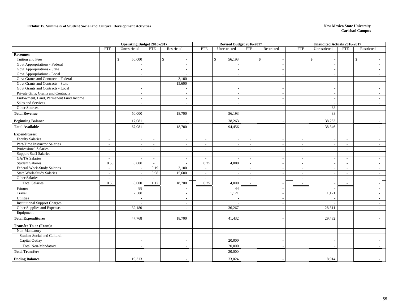#### **Exhibit 15. Summary of Student Social and Cultural Development Activities New Mexico State University New Mexico State University**

|                                        |                          | <b>Operating Budget 2016-2017</b> |                          |                          |                | Revised Budget 2016-2017 |                          |                          |                          | <b>Unaudited Actuals 2016-2017</b> |                          |                |  |
|----------------------------------------|--------------------------|-----------------------------------|--------------------------|--------------------------|----------------|--------------------------|--------------------------|--------------------------|--------------------------|------------------------------------|--------------------------|----------------|--|
|                                        | <b>FTE</b>               | Unrestricted                      | <b>FTE</b>               | Restricted               | <b>FTE</b>     | Unrestricted             | <b>FTE</b>               | Restricted               | <b>FTE</b>               | Unrestricted                       | <b>FTE</b>               | Restricted     |  |
| <b>Revenues:</b>                       |                          |                                   |                          |                          |                |                          |                          |                          |                          |                                    |                          |                |  |
| Tuition and Fees                       |                          | \$<br>50,000                      |                          | $\mathbb{S}$             |                | $\mathbb{S}$<br>56,193   |                          | $\mathbb{S}$<br>$\sim$   |                          | $\mathbb{S}$                       |                          | $\mathbb{S}$   |  |
| Govt Appropriations - Federal          |                          |                                   |                          |                          |                |                          |                          | $\sim$                   |                          |                                    |                          |                |  |
| Govt Appropriations - State            |                          |                                   |                          |                          |                |                          |                          | $\overline{\phantom{a}}$ |                          |                                    |                          |                |  |
| Govt Appropriations - Local            |                          |                                   |                          |                          |                |                          |                          | $\overline{\phantom{a}}$ |                          |                                    |                          |                |  |
| Govt Grants and Contracts - Federal    |                          |                                   |                          | 3,100                    |                |                          |                          | $\sim$                   |                          |                                    |                          |                |  |
| Govt Grants and Contracts - State      |                          | $\overline{\phantom{a}}$          |                          | 15,600                   |                |                          |                          | $\sim$                   |                          |                                    |                          |                |  |
| Govt Grants and Contracts - Local      |                          |                                   |                          |                          |                |                          |                          | $\overline{\phantom{a}}$ |                          |                                    |                          |                |  |
| Private Gifts, Grants and Contracts    |                          | $\sim$                            |                          | $\overline{\phantom{a}}$ |                | $\tilde{\phantom{a}}$    |                          | $\sim$                   |                          | $\overline{\phantom{a}}$           |                          | $\sim$         |  |
| Endowment, Land, Permanent Fund Income |                          |                                   |                          |                          |                |                          |                          | $\overline{\phantom{a}}$ |                          |                                    |                          |                |  |
| Sales and Services                     |                          |                                   |                          |                          |                |                          |                          | $\overline{a}$           |                          | . –                                |                          |                |  |
| Other Sources                          |                          |                                   |                          |                          |                |                          |                          | $\overline{\phantom{a}}$ |                          | 83                                 |                          |                |  |
| <b>Total Revenue</b>                   |                          | 50,000                            |                          | 18,700                   |                | 56,193                   |                          |                          |                          | 83                                 |                          |                |  |
| <b>Beginning Balance</b>               |                          | 17,081                            |                          |                          |                | 38,263                   |                          |                          |                          | 38,263                             |                          |                |  |
| <b>Total Available</b>                 |                          | 67,081                            |                          | 18,700                   |                | 94,456                   |                          |                          |                          | 38,346                             |                          |                |  |
| <b>Expenditures:</b>                   |                          |                                   |                          |                          |                |                          |                          |                          |                          |                                    |                          |                |  |
| <b>Faculty Salaries</b>                | $\overline{\phantom{a}}$ |                                   | $\overline{\phantom{a}}$ |                          | $\sim$         |                          | $\overline{\phantom{a}}$ | $\sim$                   | $\overline{\phantom{a}}$ |                                    | $\sim$                   |                |  |
| Part-Time Instructor Salaries          | $\sim$                   |                                   | $\overline{\phantom{a}}$ |                          | $\sim$         |                          | $\sim$                   | $\overline{\phantom{a}}$ | $\sim$                   | $\overline{\phantom{a}}$           | $\sim$                   |                |  |
| <b>Professional Salaries</b>           | $\sim$                   |                                   |                          | $\overline{\phantom{a}}$ | $\overline{a}$ | $\overline{\phantom{a}}$ | ÷.                       | $\overline{\phantom{a}}$ | $\sim$                   | $\overline{\phantom{a}}$           | $\overline{\phantom{a}}$ | $\sim$         |  |
| <b>Support Staff Salaries</b>          | $\overline{\phantom{a}}$ |                                   | $\overline{\phantom{a}}$ | $\overline{\phantom{a}}$ | $\sim$         |                          | $\overline{\phantom{a}}$ | $\sim$                   | $\sim$                   |                                    | $\sim$                   |                |  |
| GA/TA Salaries                         | $\sim$                   |                                   | $\sim$                   |                          | $\overline{a}$ |                          | $\mathbf{r}$             | $\sim$                   | $\sim$                   |                                    | $\sim$                   |                |  |
| <b>Student Salaries</b>                | 0.50                     | 8,000                             | $\overline{\phantom{a}}$ |                          | 0.25           | 4,000                    | $\mathbf{r}$             | $\overline{\phantom{a}}$ | $\sim$                   | $\sim$                             | $\sim$                   | $\overline{a}$ |  |
| Federal Work-Study Salaries            | $\sim$                   |                                   | 0.19                     | 3,100                    | $\sim$         |                          | $\overline{a}$           | $\overline{\phantom{a}}$ | $\sim$                   |                                    | $\sim$                   |                |  |
| <b>State Work-Study Salaries</b>       | $\sim$                   |                                   | 0.98                     | 15,600                   | $\sim$         | $\overline{a}$           | $\overline{\phantom{a}}$ | $\sim$                   | $\sim$                   | $\sim$                             | $\sim$                   | $\sim$         |  |
| Other Salaries                         | $\overline{a}$           |                                   |                          |                          | $\overline{a}$ |                          | $\overline{a}$           | $\blacksquare$           | $\sim$                   | $\overline{\phantom{a}}$           | $\sim$                   |                |  |
| <b>Total Salaries</b>                  | 0.50                     | 8,000                             | 1.17                     | 18,700                   | 0.25           | 4,000                    | $\overline{a}$           | $\overline{\phantom{a}}$ | $\sim$                   |                                    | $\overline{\phantom{a}}$ |                |  |
| Fringes                                |                          | 88                                |                          |                          |                | 44                       |                          | $\overline{\phantom{a}}$ |                          |                                    |                          |                |  |
| Travel                                 |                          | 7,500                             |                          | $\overline{\phantom{a}}$ |                | 1,121                    |                          | $\sim$                   |                          | 1,121                              |                          |                |  |
| Utilities                              |                          |                                   |                          |                          |                |                          |                          | $\overline{\phantom{a}}$ |                          |                                    |                          |                |  |
| <b>Institutional Support Charges</b>   |                          |                                   |                          |                          |                |                          |                          | $\overline{\phantom{a}}$ |                          |                                    |                          |                |  |
| Other Supplies and Expenses            |                          | 32,180                            |                          | $\overline{\phantom{a}}$ |                | 36,267                   |                          | $\sim$ $\alpha$          |                          | 28,311                             |                          |                |  |
| Equipment                              |                          |                                   |                          |                          |                |                          |                          | $\overline{\phantom{a}}$ |                          |                                    |                          |                |  |
| <b>Total Expenditures</b>              |                          | 47,768                            |                          | 18,700                   |                | 41,432                   |                          | $\overline{a}$           |                          | 29,432                             |                          |                |  |
| <b>Transfer To or (From):</b>          |                          |                                   |                          |                          |                |                          |                          |                          |                          |                                    |                          |                |  |
| Non-Mandatory                          |                          |                                   |                          |                          |                |                          |                          |                          |                          |                                    |                          |                |  |
| Student Social and Cultural            |                          |                                   |                          |                          |                |                          |                          |                          |                          |                                    |                          |                |  |
| Capital Outlay                         |                          | $\sim$                            |                          | $\sim$                   |                | 20,000                   |                          | $\sim$                   |                          | $\overline{\phantom{a}}$           |                          |                |  |
| <b>Total Non-Mandatory</b>             |                          |                                   |                          |                          |                | 20,000                   |                          |                          |                          |                                    |                          |                |  |
| <b>Total Transfers</b>                 |                          |                                   |                          |                          |                | 20,000                   |                          |                          |                          |                                    |                          |                |  |
| <b>Ending Balance</b>                  |                          | 19,313                            |                          |                          |                | 33,024                   |                          |                          |                          | 8,914                              |                          |                |  |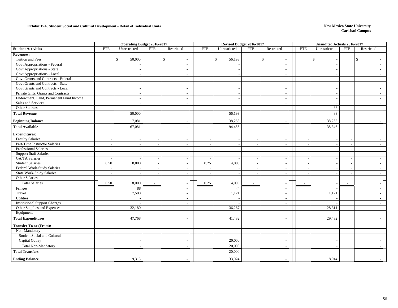#### **Exhibit 15A. Student Social and Cultural Development - Detail of Individual Units New Mexico State University**

|                                        |                          | <b>Operating Budget 2016-2017</b> |                          |                    |                          |                          | Revised Budget 2016-2017 |                          | Unaudited Actuals 2016-2017 |                |                          |
|----------------------------------------|--------------------------|-----------------------------------|--------------------------|--------------------|--------------------------|--------------------------|--------------------------|--------------------------|-----------------------------|----------------|--------------------------|
| <b>Student Activities</b>              | <b>FTE</b>               | Unrestricted                      | <b>FTE</b>               | Restricted         | <b>FTE</b>               | Unrestricted             | <b>FTE</b><br>Restricted | <b>FTE</b>               | Unrestricted                | <b>FTE</b>     | Restricted               |
| <b>Revenues:</b>                       |                          |                                   |                          |                    |                          |                          |                          |                          |                             |                |                          |
| Tuition and Fees                       |                          | 50,000<br>$\mathbb{S}$            |                          | $\mathbf{\hat{S}}$ |                          | \$<br>56,193             | $\mathcal{S}$            | $\mathbb{S}$             |                             |                | $\mathbb{S}$             |
| Govt Appropriations - Federal          |                          |                                   |                          |                    |                          |                          |                          |                          |                             |                |                          |
| Govt Appropriations - State            |                          |                                   |                          |                    |                          | $\overline{\phantom{a}}$ |                          |                          |                             |                |                          |
| Govt Appropriations - Local            |                          |                                   |                          |                    |                          |                          |                          |                          |                             |                |                          |
| Govt Grants and Contracts - Federal    |                          |                                   |                          |                    |                          |                          |                          |                          |                             |                |                          |
| Govt Grants and Contracts - State      |                          |                                   |                          |                    |                          |                          |                          |                          |                             |                |                          |
| Govt Grants and Contracts - Local      |                          |                                   |                          |                    |                          |                          |                          |                          |                             |                |                          |
| Private Gifts, Grants and Contracts    |                          |                                   |                          |                    |                          | $\overline{\phantom{a}}$ |                          |                          |                             |                |                          |
| Endowment, Land, Permanent Fund Income |                          |                                   |                          |                    |                          |                          |                          |                          |                             |                |                          |
| Sales and Services                     |                          |                                   |                          |                    |                          |                          |                          |                          |                             |                |                          |
| Other Sources                          |                          |                                   |                          |                    |                          |                          |                          |                          | 83                          |                |                          |
| <b>Total Revenue</b>                   |                          | 50,000                            |                          |                    |                          | 56,193                   |                          |                          | 83                          |                |                          |
| <b>Beginning Balance</b>               |                          | 17,081                            |                          |                    |                          | 38,263                   |                          |                          | 38,263                      |                |                          |
| <b>Total Available</b>                 |                          | 67,081                            |                          |                    |                          | 94,456                   |                          |                          | 38,346                      |                |                          |
| <b>Expenditures:</b>                   |                          |                                   |                          |                    |                          |                          |                          |                          |                             |                |                          |
| <b>Faculty Salaries</b>                | $\sim$                   |                                   |                          |                    |                          |                          | $\overline{\phantom{a}}$ |                          |                             |                | $\sim$                   |
| Part-Time Instructor Salaries          |                          |                                   |                          |                    |                          |                          |                          |                          |                             |                |                          |
| Professional Salaries                  | $\overline{\phantom{a}}$ |                                   |                          |                    | $\blacksquare$           | $\overline{a}$           |                          | $\overline{\phantom{a}}$ |                             |                |                          |
| <b>Support Staff Salaries</b>          | $\overline{\phantom{a}}$ |                                   |                          |                    | $\overline{\phantom{a}}$ |                          |                          |                          |                             |                |                          |
| <b>GA/TA Salaries</b>                  | $\overline{\phantom{a}}$ |                                   |                          |                    |                          |                          |                          |                          |                             |                |                          |
| Student Salaries                       | 0.50                     | 8,000                             | $\sim$                   |                    | 0.25                     | 4,000                    | $\sim$                   | ÷,                       |                             |                |                          |
| Federal Work-Study Salaries            |                          |                                   |                          |                    |                          |                          |                          |                          |                             |                |                          |
| <b>State Work-Study Salaries</b>       | $\overline{\phantom{a}}$ |                                   | $\overline{\phantom{a}}$ |                    | $\overline{\phantom{a}}$ | $\overline{\phantom{a}}$ | $\sim$                   | $\sim$                   |                             |                | $\overline{\phantom{a}}$ |
| Other Salaries                         |                          |                                   |                          |                    |                          |                          |                          |                          |                             |                |                          |
| <b>Total Salaries</b>                  | 0.50                     | 8,000                             | $\overline{\phantom{a}}$ |                    | 0.25                     | 4,000                    | $\overline{\phantom{a}}$ | $\overline{\phantom{a}}$ |                             | $\overline{a}$ |                          |
| Fringes                                |                          | 88                                |                          |                    |                          | 44                       |                          |                          |                             |                |                          |
| Travel                                 |                          | 7,500                             |                          |                    |                          | 1,121                    | $\overline{\phantom{a}}$ |                          | 1,121                       |                | $\overline{\phantom{a}}$ |
| Utilities                              |                          |                                   |                          |                    |                          |                          |                          |                          |                             |                |                          |
| <b>Institutional Support Charges</b>   |                          |                                   |                          |                    |                          |                          |                          |                          |                             |                |                          |
| Other Supplies and Expenses            |                          | 32,180                            |                          |                    |                          | 36,267                   | $\overline{\phantom{a}}$ |                          | 28,311                      |                | $\overline{\phantom{a}}$ |
| Equipment                              |                          |                                   |                          |                    |                          |                          |                          |                          |                             |                |                          |
| <b>Total Expenditures</b>              |                          | 47,768                            |                          |                    |                          | 41,432                   |                          |                          | 29,432                      |                |                          |
| <b>Transfer To or (From):</b>          |                          |                                   |                          |                    |                          |                          |                          |                          |                             |                |                          |
| Non-Mandatory                          |                          |                                   |                          |                    |                          |                          |                          |                          |                             |                |                          |
| Student Social and Cultural            |                          |                                   |                          |                    |                          |                          |                          |                          |                             |                |                          |
| Capital Outlay                         |                          |                                   |                          |                    |                          | 20,000                   | $\overline{\phantom{a}}$ |                          |                             |                |                          |
| <b>Total Non-Mandatory</b>             |                          |                                   |                          |                    |                          | 20,000                   |                          |                          |                             |                |                          |
| <b>Total Transfers</b>                 |                          |                                   |                          |                    |                          | 20,000                   |                          |                          |                             |                |                          |
| <b>Ending Balance</b>                  |                          | 19,313                            |                          |                    |                          | 33,024                   |                          |                          | 8,914                       |                |                          |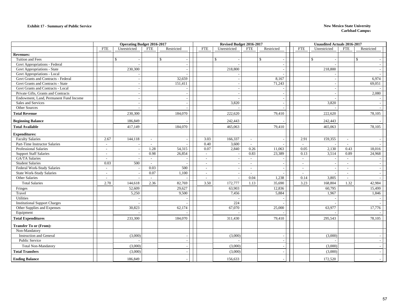|                                        |                | <b>Operating Budget 2016-2017</b> |            |              |                          | Revised Budget 2016-2017 |            |                          |                          | <b>Unaudited Actuals 2016-2017</b> |                          |              |  |
|----------------------------------------|----------------|-----------------------------------|------------|--------------|--------------------------|--------------------------|------------|--------------------------|--------------------------|------------------------------------|--------------------------|--------------|--|
|                                        | <b>FTE</b>     | Unrestricted                      | <b>FTE</b> | Restricted   | <b>FTE</b>               | Unrestricted             | <b>FTE</b> | Restricted               | <b>FTE</b>               | Unrestricted                       | <b>FTE</b>               | Restricted   |  |
| <b>Revenues:</b>                       |                |                                   |            |              |                          |                          |            |                          |                          |                                    |                          |              |  |
| Tuition and Fees                       |                | $\mathbb{S}$                      |            | $\mathbb{S}$ |                          | $\mathbb{S}$             |            | $\mathbb{S}$             |                          | $\mathbb{S}$                       |                          | $\mathbb{S}$ |  |
| Govt Appropriations - Federal          |                |                                   |            |              |                          |                          |            |                          |                          |                                    |                          |              |  |
| Govt Appropriations - State            |                | 230,300                           |            |              |                          | 218,800                  |            |                          |                          | 218,800                            |                          |              |  |
| Govt Appropriations - Local            |                |                                   |            |              |                          |                          |            |                          |                          |                                    |                          |              |  |
| Govt Grants and Contracts - Federal    |                | $\overline{\phantom{a}}$          |            | 32,659       |                          | $\sim$                   |            | 8,167                    |                          |                                    |                          | 6.974        |  |
| Govt Grants and Contracts - State      |                | $\overline{\phantom{a}}$          |            | 151,411      |                          | $\overline{\phantom{a}}$ |            | 71,243                   |                          |                                    |                          | 69,051       |  |
| Govt Grants and Contracts - Local      |                |                                   |            |              |                          | $\overline{\phantom{a}}$ |            |                          |                          |                                    |                          |              |  |
| Private Gifts, Grants and Contracts    |                | $\overline{\phantom{a}}$          |            |              |                          | $\overline{\phantom{a}}$ |            | $\overline{\phantom{a}}$ |                          |                                    |                          | 2,080        |  |
| Endowment, Land, Permanent Fund Income |                |                                   |            |              |                          | $\overline{a}$           |            |                          |                          |                                    |                          |              |  |
| Sales and Services                     |                |                                   |            |              |                          | 3,820                    |            |                          |                          | 3,820                              |                          |              |  |
| Other Sources                          |                | $\sim$                            |            |              |                          |                          |            | $\overline{\phantom{a}}$ |                          |                                    |                          |              |  |
| <b>Total Revenue</b>                   |                | 230,300                           |            | 184,070      |                          | 222,620                  |            | 79,410                   |                          | 222,620                            |                          | 78,105       |  |
| <b>Beginning Balance</b>               |                | 186,849                           |            |              |                          | 242,443                  |            |                          |                          | 242,443                            |                          |              |  |
| <b>Total Available</b>                 |                | 417,149                           |            | 184,070      |                          | 465,063                  |            | 79,410                   |                          | 465,063                            |                          | 78,105       |  |
| <b>Expenditures:</b>                   |                |                                   |            |              |                          |                          |            |                          |                          |                                    |                          |              |  |
| <b>Faculty Salaries</b>                | 2.67           | 144,118                           | $\sim$     |              | 3.03                     | 166,337                  | $\sim$     |                          | 2.91                     | 159,355                            | $\sim$                   |              |  |
| Part-Time Instructor Salaries          | $\sim$         |                                   | $\sim$     |              | 0.40                     | 3,600                    | $\sim$     |                          | $\sim$                   |                                    | $\sim$                   |              |  |
| Professional Salaries                  | $\sim$         | $\overline{\phantom{a}}$          | 1.28       | 54,315       | 0.07                     | 2,840                    | 0.26       | 11,063                   | 0.05                     | 2,130                              | 0.43                     | 18,016       |  |
| <b>Support Staff Salaries</b>          | $\overline{a}$ | $\overline{\phantom{a}}$          | 0.98       | 26,854       | $\sim$                   | $\overline{\phantom{a}}$ | 0.83       | 23,389                   | 0.13                     | 3,514                              | 0.89                     | 24,968       |  |
| GA/TA Salaries                         | $\overline{a}$ |                                   | $\sim$     |              | $\sim$                   | $\overline{a}$           | $\sim$     |                          | $\sim$                   |                                    | $\sim$                   |              |  |
| <b>Student Salaries</b>                | 0.03           | 500                               | $\sim$     |              |                          | $\sim$                   | $\sim$     |                          | $\overline{\phantom{a}}$ |                                    | $\sim$                   |              |  |
| Federal Work-Study Salaries            | $\sim$         | $\overline{\phantom{a}}$          | 0.03       | 500          | $\overline{\phantom{a}}$ | $\overline{\phantom{a}}$ | $\sim$     |                          | $\overline{\phantom{a}}$ |                                    | $\overline{\phantom{a}}$ |              |  |
| <b>State Work-Study Salaries</b>       | $\sim$         | $\sim$                            | 0.07       | 1,100        | $\sim$                   | $\sim$                   | $\sim$     |                          | $\sim$                   |                                    | $\sim$                   |              |  |
| Other Salaries                         | $\sim$         | $\overline{\phantom{a}}$          | $\sim$     |              | $\sim$                   | $\sim$                   | 0.04       | 1,238                    | 0.14                     | 3,805                              | $\overline{\phantom{a}}$ |              |  |
| <b>Total Salaries</b>                  | 2.70           | 144,618                           | 2.36       | 82,769       | 3.50                     | 172,777                  | 1.13       | 35,690                   | 3.23                     | 168,804                            | 1.32                     | 42,984       |  |
| Fringes                                |                | 52,609                            |            | 29,627       |                          | 63,903                   |            | 12,836                   |                          | 60,795                             |                          | 15,499       |  |
| Travel                                 |                | 5,250                             |            | 9,500        |                          | 7,456                    |            | 5,884                    |                          | 1,967                              |                          | 1,846        |  |
| Utilities                              |                |                                   |            |              |                          |                          |            |                          |                          |                                    |                          |              |  |
| <b>Institutional Support Charges</b>   |                |                                   |            |              |                          | 224                      |            |                          |                          |                                    |                          |              |  |
| Other Supplies and Expenses            |                | 30,823                            |            | 62,174       |                          | 67,070                   |            | 25,000                   |                          | 63,977                             |                          | 17,776       |  |
| Equipment                              |                |                                   |            |              |                          |                          |            |                          |                          |                                    |                          |              |  |
| <b>Total Expenditures</b>              |                | 233,300                           |            | 184,070      |                          | 311,430                  |            | 79,410                   |                          | 295,543                            |                          | 78,105       |  |
| <b>Transfer To or (From):</b>          |                |                                   |            |              |                          |                          |            |                          |                          |                                    |                          |              |  |
| Non-Mandatory                          |                |                                   |            |              |                          |                          |            |                          |                          |                                    |                          |              |  |
| <b>Instruction and General</b>         |                | (3,000)                           |            |              |                          | (3,000)                  |            |                          |                          | (3,000)                            |                          |              |  |
| <b>Public Service</b>                  |                |                                   |            | $\sim$       |                          |                          |            | $\sim$                   |                          |                                    |                          |              |  |
| <b>Total Non-Mandatory</b>             |                | (3,000)                           |            |              |                          | (3,000)                  |            |                          |                          | (3,000)                            |                          |              |  |
| <b>Total Transfers</b>                 |                | (3,000)                           |            |              |                          | (3,000)                  |            |                          |                          | (3,000)                            |                          |              |  |
| <b>Ending Balance</b>                  |                | 186,849                           |            |              |                          | 156,633                  |            |                          |                          | 172,520                            |                          |              |  |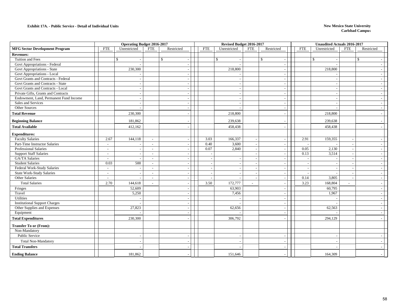|                                        |                          | Operating Budget 2016-2017 |                          |                          |            |                          | Revised Budget 2016-2017 |                          |              |                          | <b>Unaudited Actuals 2016-2017</b> |                |                          |
|----------------------------------------|--------------------------|----------------------------|--------------------------|--------------------------|------------|--------------------------|--------------------------|--------------------------|--------------|--------------------------|------------------------------------|----------------|--------------------------|
| <b>MFG Sector Development Program</b>  | <b>FTE</b>               | Unrestricted               | <b>FTE</b>               | Restricted               | <b>FTE</b> |                          | Unrestricted             | <b>FTE</b>               | Restricted   | <b>FTE</b>               | Unrestricted                       | <b>FTE</b>     | Restricted               |
| <b>Revenues:</b>                       |                          |                            |                          |                          |            |                          |                          |                          |              |                          |                                    |                |                          |
| Tuition and Fees                       |                          | $\mathcal{S}$              | \$                       |                          |            |                          | $\mathbb{S}$             |                          | $\mathbb{S}$ |                          | $\mathbf{\hat{S}}$                 |                | $\mathbb{S}$             |
| Govt Appropriations - Federal          |                          |                            |                          |                          |            |                          |                          |                          |              |                          |                                    |                |                          |
| Govt Appropriations - State            |                          | 230,300                    |                          | $\sim$                   |            |                          | 218,800                  |                          |              |                          | 218,800                            |                | $\sim$                   |
| Govt Appropriations - Local            |                          |                            |                          |                          |            |                          |                          |                          |              |                          |                                    |                |                          |
| Govt Grants and Contracts - Federal    |                          |                            |                          |                          |            |                          |                          |                          |              |                          |                                    |                |                          |
| Govt Grants and Contracts - State      |                          |                            |                          |                          |            |                          | $\overline{\phantom{a}}$ |                          |              |                          |                                    |                | $\overline{\phantom{a}}$ |
| Govt Grants and Contracts - Local      |                          |                            |                          |                          |            |                          |                          |                          |              |                          |                                    |                |                          |
| Private Gifts, Grants and Contracts    |                          |                            |                          |                          |            |                          | $\overline{\phantom{a}}$ |                          |              |                          |                                    |                |                          |
| Endowment, Land, Permanent Fund Income |                          |                            |                          |                          |            |                          |                          |                          |              |                          |                                    |                |                          |
| Sales and Services                     |                          |                            |                          |                          |            |                          |                          |                          |              |                          |                                    |                |                          |
| Other Sources                          |                          |                            |                          |                          |            |                          |                          |                          |              |                          |                                    |                |                          |
| <b>Total Revenue</b>                   |                          | 230,300                    |                          |                          |            |                          | 218,800                  |                          |              |                          | 218,800                            |                |                          |
| <b>Beginning Balance</b>               |                          | 181,862                    |                          |                          |            |                          | 239,638                  |                          |              |                          | 239,638                            |                |                          |
| <b>Total Available</b>                 |                          | 412,162                    |                          |                          |            |                          | 458,438                  |                          |              |                          | 458,438                            |                |                          |
| <b>Expenditures:</b>                   |                          |                            |                          |                          |            |                          |                          |                          |              |                          |                                    |                |                          |
| <b>Faculty Salaries</b>                | 2.67                     | 144,118                    | $\sim$                   |                          |            | 3.03                     | 166,337                  |                          |              | 2.91                     | 159,355                            |                |                          |
| Part-Time Instructor Salaries          | $\blacksquare$           |                            | $\overline{\phantom{a}}$ | $\overline{\phantom{a}}$ |            | 0.40                     | 3,600                    | $\overline{\phantom{a}}$ | ÷,           | $\overline{\phantom{a}}$ |                                    |                | $\overline{\phantom{a}}$ |
| <b>Professional Salaries</b>           | $\blacksquare$           |                            | $\sim$                   |                          |            | 0.07                     | 2,840                    |                          |              | 0.05                     | 2,130                              |                |                          |
| <b>Support Staff Salaries</b>          | $\overline{\phantom{a}}$ |                            | $\overline{\phantom{a}}$ |                          |            |                          |                          |                          |              | 0.13                     | 3,514                              |                |                          |
| GA/TA Salaries                         | $\overline{\phantom{a}}$ |                            | $\overline{a}$           |                          |            |                          |                          |                          |              |                          |                                    |                |                          |
| <b>Student Salaries</b>                | 0.03                     | 500                        | $\overline{a}$           |                          |            | $\overline{\phantom{a}}$ |                          |                          |              |                          |                                    |                |                          |
| Federal Work-Study Salaries            | $\overline{\phantom{a}}$ |                            | $\overline{\phantom{a}}$ |                          |            |                          |                          |                          |              |                          |                                    |                |                          |
| State Work-Study Salaries              | $\overline{\phantom{a}}$ |                            | $\sim$                   |                          |            |                          |                          |                          |              |                          |                                    |                |                          |
| <b>Other Salaries</b>                  | $\overline{\phantom{a}}$ |                            | $\overline{\phantom{a}}$ |                          |            |                          |                          |                          |              | 0.14                     | 3,805                              |                |                          |
| <b>Total Salaries</b>                  | 2.70                     | 144,618                    | $\sim$                   |                          |            | 3.50                     | 172,777                  | $\sim$                   |              | 3.23                     | 168,804                            | $\overline{a}$ |                          |
| Fringes                                |                          | 52,609                     |                          |                          |            |                          | 63,903                   |                          |              |                          | 60,795                             |                |                          |
| Travel                                 |                          | 5,250                      |                          |                          |            |                          | 7,456                    |                          |              |                          | 1,967                              |                |                          |
| Utilities                              |                          |                            |                          | $\overline{\phantom{a}}$ |            |                          |                          |                          |              |                          |                                    |                |                          |
| <b>Institutional Support Charges</b>   |                          |                            |                          |                          |            |                          |                          |                          |              |                          |                                    |                |                          |
| Other Supplies and Expenses            |                          | 27,823                     |                          |                          |            |                          | 62,656                   |                          |              |                          | 62,563                             |                |                          |
| Equipment                              |                          |                            |                          | $\overline{\phantom{a}}$ |            |                          |                          |                          |              |                          |                                    |                | $\overline{\phantom{a}}$ |
| <b>Total Expenditures</b>              |                          | 230,300                    |                          |                          |            |                          | 306,792                  |                          |              |                          | 294,129                            |                |                          |
| <b>Transfer To or (From):</b>          |                          |                            |                          |                          |            |                          |                          |                          |              |                          |                                    |                |                          |
| Non-Mandatory                          |                          |                            |                          |                          |            |                          |                          |                          |              |                          |                                    |                |                          |
| Public Service                         |                          |                            |                          | $\overline{\phantom{a}}$ |            |                          |                          |                          |              |                          |                                    |                |                          |
| <b>Total Non-Mandatory</b>             |                          |                            |                          |                          |            |                          |                          |                          |              |                          |                                    |                |                          |
| <b>Total Transfers</b>                 |                          |                            |                          |                          |            |                          |                          |                          |              |                          |                                    |                |                          |
| <b>Ending Balance</b>                  |                          | 181,862                    |                          |                          |            |                          | 151,646                  |                          |              |                          | 164,309                            |                |                          |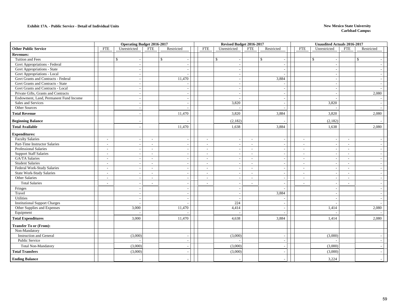#### **Exhibit 17A. - Public Service - Detail of Individual Units**

#### **New Mexico State University Carlsbad Campu**<sup>s</sup>

|                                        |                          | <b>Operating Budget 2016-2017</b> |                          |                          |                          | Revised Budget 2016-2017 |                          |                          |                          | Unaudited Actuals 2016-2017 |                          |                          |  |
|----------------------------------------|--------------------------|-----------------------------------|--------------------------|--------------------------|--------------------------|--------------------------|--------------------------|--------------------------|--------------------------|-----------------------------|--------------------------|--------------------------|--|
| <b>Other Public Service</b>            | <b>FTE</b>               | Unrestricted                      | <b>FTE</b>               | Restricted               | <b>FTE</b>               | Unrestricted             | <b>FTE</b>               | Restricted               | <b>FTE</b>               | Unrestricted                | <b>FTE</b>               | Restricted               |  |
| <b>Revenues:</b>                       |                          |                                   |                          |                          |                          |                          |                          |                          |                          |                             |                          |                          |  |
| Tuition and Fees                       |                          | $\mathbb{S}$                      | $\mathbb{S}$             |                          |                          | $\mathbb{S}$             |                          | \$                       |                          | $\mathbb{S}$                |                          | $\mathbb{S}$             |  |
| Govt Appropriations - Federal          |                          |                                   |                          |                          |                          |                          |                          |                          |                          |                             |                          |                          |  |
| Govt Appropriations - State            |                          |                                   |                          | $\blacksquare$           |                          |                          |                          | $\overline{\phantom{a}}$ |                          |                             |                          |                          |  |
| Govt Appropriations - Local            |                          |                                   |                          | $\overline{\phantom{a}}$ |                          |                          |                          |                          |                          |                             |                          |                          |  |
| Govt Grants and Contracts - Federal    |                          |                                   |                          | 11,470                   |                          |                          |                          | 3,884                    |                          |                             |                          |                          |  |
| Govt Grants and Contracts - State      |                          |                                   |                          |                          |                          |                          |                          |                          |                          |                             |                          |                          |  |
| Govt Grants and Contracts - Local      |                          |                                   |                          |                          |                          |                          |                          |                          |                          |                             |                          |                          |  |
| Private Gifts, Grants and Contracts    |                          | $\overline{\phantom{a}}$          |                          | $\sim$                   |                          |                          |                          | $\overline{\phantom{a}}$ |                          |                             |                          | 2,080                    |  |
| Endowment, Land, Permanent Fund Income |                          |                                   |                          |                          |                          |                          |                          |                          |                          |                             |                          |                          |  |
| Sales and Services                     |                          |                                   |                          |                          |                          | 3,820                    |                          |                          |                          | 3,820                       |                          |                          |  |
| Other Sources                          |                          |                                   |                          |                          |                          |                          |                          |                          |                          |                             |                          |                          |  |
| <b>Total Revenue</b>                   |                          |                                   |                          | 11,470                   |                          | 3,820                    |                          | 3,884                    |                          | 3,820                       |                          | 2,080                    |  |
| <b>Beginning Balance</b>               |                          |                                   |                          |                          |                          | (2,182)                  |                          |                          |                          | (2,182)                     |                          |                          |  |
| <b>Total Available</b>                 |                          |                                   |                          | 11,470                   |                          | 1,638                    |                          | 3,884                    |                          | 1,638                       |                          | 2,080                    |  |
| <b>Expenditures:</b>                   |                          |                                   |                          |                          |                          |                          |                          |                          |                          |                             |                          |                          |  |
| <b>Faculty Salaries</b>                | $\sim$                   |                                   | $\sim$                   | $\sim$                   | $\sim$                   |                          | $\sim$                   | $\overline{\phantom{a}}$ | $\sim$                   |                             | $\sim$                   |                          |  |
| Part-Time Instructor Salaries          | $\sim$                   |                                   | $\sim$                   | $\sim$                   | $\sim$                   |                          | $\mathcal{L}$            |                          | $\sim$                   |                             | $\overline{a}$           |                          |  |
| <b>Professional Salaries</b>           | $\overline{a}$           |                                   | $\sim$                   | $\overline{\phantom{a}}$ | $\overline{\phantom{a}}$ |                          | $\sim$                   | $\overline{\phantom{a}}$ | $\overline{\phantom{a}}$ | $\blacksquare$              | $\sim$                   |                          |  |
| <b>Support Staff Salaries</b>          | $\overline{\phantom{a}}$ |                                   | $\sim$                   | $\sim$                   | $\sim$                   |                          | $\sim$                   | $\overline{\phantom{a}}$ | $\overline{\phantom{a}}$ | $\overline{\phantom{a}}$    | $\overline{\phantom{a}}$ |                          |  |
| GA/TA Salaries                         | $\sim$                   |                                   | $\sim$                   |                          | $\sim$                   |                          | $\sim$                   | $\sim$                   | $\sim$                   |                             | $\sim$                   |                          |  |
| <b>Student Salaries</b>                | $\blacksquare$           |                                   | $\sim$                   | $\sim$                   | $\overline{\phantom{a}}$ |                          | $\sim$                   | $\overline{a}$           | $\overline{\phantom{a}}$ | $\overline{\phantom{a}}$    | $\overline{\phantom{a}}$ | $\sim$                   |  |
| Federal Work-Study Salaries            | $\overline{\phantom{a}}$ |                                   | $\overline{\phantom{a}}$ | $\sim$                   | $\sim$                   |                          | $\sim$                   | $\sim$                   | $\overline{a}$           |                             | $\overline{a}$           |                          |  |
| <b>State Work-Study Salaries</b>       | $\sim$                   |                                   | $\sim$                   | $\sim$                   | $\sim$                   |                          | $\sim$                   | $\sim$                   | $\overline{\phantom{a}}$ | $\sim$                      | $\sim$                   | $\sim$                   |  |
| Other Salaries                         | $\overline{\phantom{a}}$ |                                   | $\sim$                   | $\sim$                   | $\sim$                   |                          | $\sim$                   | $\overline{\phantom{a}}$ | $\overline{\phantom{a}}$ | $\sim$                      | $\overline{\phantom{a}}$ |                          |  |
| <b>Total Salaries</b>                  | $\overline{a}$           |                                   |                          | $\overline{a}$           | $\overline{a}$           |                          | $\overline{\phantom{a}}$ |                          | $\overline{\phantom{a}}$ | $\overline{\phantom{a}}$    |                          |                          |  |
| Fringes                                |                          |                                   |                          |                          |                          |                          |                          |                          |                          |                             |                          |                          |  |
| Travel                                 |                          |                                   |                          | $\sim$                   |                          | $\overline{\phantom{a}}$ |                          | 3,884                    |                          | $\overline{\phantom{a}}$    |                          | $\sim$                   |  |
| Utilities                              |                          |                                   |                          | $\sim$                   |                          |                          |                          |                          |                          |                             |                          |                          |  |
| <b>Institutional Support Charges</b>   |                          |                                   |                          |                          |                          | 224                      |                          |                          |                          |                             |                          |                          |  |
| Other Supplies and Expenses            |                          | 3,000                             |                          | 11,470                   |                          | 4,414                    |                          | $\overline{\phantom{a}}$ |                          | 1,414                       |                          | 2,080                    |  |
| Equipment                              |                          |                                   |                          |                          |                          |                          |                          | $\overline{\phantom{a}}$ |                          |                             |                          |                          |  |
| <b>Total Expenditures</b>              |                          | 3,000                             |                          | 11,470                   |                          | 4,638                    |                          | 3,884                    |                          | 1,414                       |                          | 2,080                    |  |
| <b>Transfer To or (From):</b>          |                          |                                   |                          |                          |                          |                          |                          |                          |                          |                             |                          |                          |  |
| Non-Mandatory                          |                          |                                   |                          |                          |                          |                          |                          |                          |                          |                             |                          |                          |  |
| <b>Instruction and General</b>         |                          | (3,000)                           |                          |                          |                          | (3,000)                  |                          | $\overline{\phantom{a}}$ |                          | (3,000)                     |                          |                          |  |
| Public Service                         |                          |                                   |                          | $\sim$                   |                          |                          |                          | $\overline{\phantom{a}}$ |                          |                             |                          | $\overline{\phantom{0}}$ |  |
| <b>Total Non-Mandatory</b>             |                          | (3,000)                           |                          |                          |                          | (3,000)                  |                          |                          |                          | (3,000)                     |                          |                          |  |
| <b>Total Transfers</b>                 |                          | (3,000)                           |                          |                          |                          | (3,000)                  |                          |                          |                          | (3,000)                     |                          |                          |  |
| <b>Ending Balance</b>                  |                          |                                   |                          |                          |                          |                          |                          |                          |                          | 3,224                       |                          |                          |  |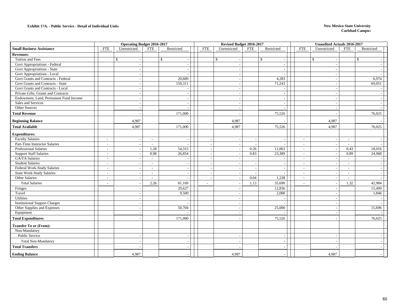#### **Exhibit 17A. - Public Service - Detail of Individual Units**

#### **New Mexico State University Carlsbad Campu**<sup>s</sup>

|                                        |                          | <b>Operating Budget 2016-2017</b> |                          |                          |                          | Revised Budget 2016-2017 |            |                          |                          | <b>Unaudited Actuals 2016-2017</b> |                          |              |
|----------------------------------------|--------------------------|-----------------------------------|--------------------------|--------------------------|--------------------------|--------------------------|------------|--------------------------|--------------------------|------------------------------------|--------------------------|--------------|
| <b>Small Business Assistance</b>       | <b>FTE</b>               | Unrestricted                      | <b>FTE</b>               | Restricted               | <b>FTE</b>               | Unrestricted             | <b>FTE</b> | Restricted               | <b>FTE</b>               | Unrestricted                       | <b>FTE</b>               | Restricted   |
| <b>Revenues:</b>                       |                          |                                   |                          |                          |                          |                          |            |                          |                          |                                    |                          |              |
| Tuition and Fees                       |                          | $\mathbf{\hat{S}}$                |                          | $\mathbb{S}$             |                          | $\mathbb{S}$             |            | \$                       |                          | $\mathbf{\hat{S}}$                 |                          | $\mathbb{S}$ |
| Govt Appropriations - Federal          |                          |                                   |                          |                          |                          |                          |            |                          |                          |                                    |                          |              |
| Govt Appropriations - State            |                          | $\sim$                            |                          | $\sim$                   |                          |                          |            | $\overline{\phantom{a}}$ |                          | $\sim$                             |                          |              |
| Govt Appropriations - Local            |                          |                                   |                          |                          |                          |                          |            |                          |                          |                                    |                          |              |
| Govt Grants and Contracts - Federal    |                          |                                   |                          | 20,689                   |                          |                          |            | 4,283                    |                          |                                    |                          | 6,974        |
| Govt Grants and Contracts - State      |                          |                                   |                          | 150,311                  |                          |                          |            | 71,243                   |                          |                                    |                          | 69,051       |
| Govt Grants and Contracts - Local      |                          |                                   |                          |                          |                          |                          |            |                          |                          |                                    |                          |              |
| Private Gifts, Grants and Contracts    |                          |                                   |                          | $\sim$                   |                          |                          |            |                          |                          |                                    |                          |              |
| Endowment, Land, Permanent Fund Income |                          |                                   |                          |                          |                          |                          |            |                          |                          |                                    |                          |              |
| Sales and Services                     |                          |                                   |                          | $\overline{\phantom{a}}$ |                          |                          |            |                          |                          |                                    |                          |              |
| Other Sources                          |                          |                                   |                          | $\overline{\phantom{a}}$ |                          |                          |            |                          |                          |                                    |                          |              |
| <b>Total Revenue</b>                   |                          |                                   |                          | 171,000                  |                          |                          |            | 75,526                   |                          |                                    |                          | 76,025       |
| <b>Beginning Balance</b>               |                          | 4,987                             |                          |                          |                          | 4,987                    |            |                          |                          | 4,987                              |                          |              |
| <b>Total Available</b>                 |                          | 4,987                             |                          | 171,000                  |                          | 4,987                    |            | 75,526                   |                          | 4,987                              |                          | 76,025       |
| <b>Expenditures:</b>                   |                          |                                   |                          |                          |                          |                          |            |                          |                          |                                    |                          |              |
| <b>Faculty Salaries</b>                | $\overline{a}$           |                                   | $\sim$                   |                          |                          |                          |            |                          | $\overline{a}$           |                                    | $\overline{a}$           |              |
| Part-Time Instructor Salaries          | $\overline{\phantom{a}}$ | $\overline{\phantom{a}}$          | $\sim$                   |                          | $\overline{\phantom{a}}$ |                          |            |                          | $\sim$                   | $\overline{\phantom{a}}$           | $\sim$                   |              |
| <b>Professional Salaries</b>           | $\overline{\phantom{a}}$ |                                   | 1.28                     | 54,315                   | $\overline{\phantom{a}}$ |                          | 0.26       | 11,063                   | $\overline{\phantom{a}}$ |                                    | 0.43                     | 18,016       |
| <b>Support Staff Salaries</b>          | $\overline{a}$           |                                   | 0.98                     | 26,854                   |                          |                          | 0.83       | 23,389                   | $\overline{a}$           |                                    | 0.89                     | 24,968       |
| GA/TA Salaries                         | $\sim$                   |                                   | $\sim$                   |                          | $\overline{a}$           |                          |            |                          | $\blacksquare$           | $\overline{a}$                     | $\sim$                   |              |
| <b>Student Salaries</b>                | $\sim$                   |                                   | $\sim$                   |                          | $\overline{\phantom{a}}$ |                          |            |                          | $\blacksquare$           |                                    | $\blacksquare$           |              |
| Federal Work-Study Salaries            | $\overline{\phantom{a}}$ |                                   | $\sim$                   | $\overline{\phantom{a}}$ |                          |                          |            |                          | $\overline{\phantom{a}}$ |                                    | $\overline{\phantom{a}}$ |              |
| <b>State Work-Study Salaries</b>       | $\overline{a}$           |                                   | $\overline{\phantom{a}}$ |                          |                          |                          |            |                          | $\overline{a}$           |                                    | $\sim$                   |              |
| Other Salaries                         | $\blacksquare$           |                                   | $\overline{\phantom{a}}$ | $\sim$                   | $\sim$                   |                          | 0.04       | 1,238                    | $\blacksquare$           | $\overline{a}$                     | $\blacksquare$           |              |
| <b>Total Salaries</b>                  | $\overline{a}$           |                                   | 2.26                     | 81,169                   |                          |                          | 1.13       | 35,690                   | $\sim$                   |                                    | 1.32                     | 42,984       |
| Fringes                                |                          |                                   |                          | 29,627                   |                          |                          |            | 12,836                   |                          |                                    |                          | 15,499       |
| Travel                                 |                          |                                   |                          | 9,500                    |                          |                          |            | 2,000                    |                          |                                    |                          | 1,846        |
| Utilities                              |                          |                                   |                          |                          |                          |                          |            |                          |                          |                                    |                          |              |
| <b>Institutional Support Charges</b>   |                          |                                   |                          |                          |                          |                          |            |                          |                          |                                    |                          |              |
| Other Supplies and Expenses            |                          |                                   |                          | 50,704                   |                          |                          |            | 25,000                   |                          |                                    |                          | 15,696       |
| Equipment                              |                          |                                   |                          |                          |                          |                          |            |                          |                          |                                    |                          |              |
| <b>Total Expenditures</b>              |                          |                                   |                          | 171,000                  |                          |                          |            | 75,526                   |                          |                                    |                          | 76,025       |
| <b>Transfer To or (From):</b>          |                          |                                   |                          |                          |                          |                          |            |                          |                          |                                    |                          |              |
| Non-Mandatory                          |                          |                                   |                          |                          |                          |                          |            |                          |                          |                                    |                          |              |
| Public Service                         |                          |                                   |                          |                          |                          |                          |            |                          |                          |                                    |                          |              |
| <b>Total Non-Mandatory</b>             |                          |                                   |                          |                          |                          |                          |            |                          |                          |                                    |                          |              |
| <b>Total Transfers</b>                 |                          |                                   |                          |                          |                          |                          |            |                          |                          |                                    |                          |              |
| <b>Ending Balance</b>                  |                          | 4,987                             |                          |                          |                          | 4,987                    |            |                          |                          | 4,987                              |                          |              |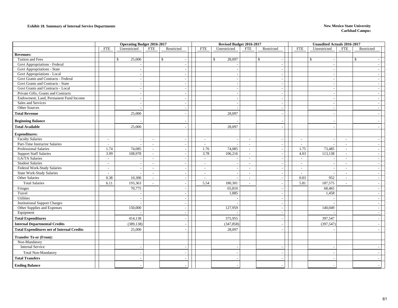#### **Exhibit 18. Summary of Internal Service Departments New Mexico State University**

|                                                   |                          | <b>Operating Budget 2016-2017</b> |                          |                          |                          | Revised Budget 2016-2017 |                          |                          |            | <b>Unaudited Actuals 2016-2017</b> |                          |                          |  |
|---------------------------------------------------|--------------------------|-----------------------------------|--------------------------|--------------------------|--------------------------|--------------------------|--------------------------|--------------------------|------------|------------------------------------|--------------------------|--------------------------|--|
|                                                   | <b>FTE</b>               | Unrestricted                      | <b>FTE</b>               | Restricted               | <b>FTE</b>               | Unrestricted             | <b>FTE</b>               | Restricted               | <b>FTE</b> | Unrestricted                       | <b>FTE</b>               | Restricted               |  |
| <b>Revenues:</b>                                  |                          |                                   |                          |                          |                          |                          |                          |                          |            |                                    |                          |                          |  |
| Tuition and Fees                                  |                          | \$<br>25,000                      |                          | $\mathbb{S}$             |                          | $\mathbb{S}$<br>28,097   |                          | $\mathbb{S}$<br>$\sim$   |            | \$<br>$\overline{\phantom{a}}$     |                          | $\mathbb{S}$             |  |
| Govt Appropriations - Federal                     |                          |                                   |                          |                          |                          |                          |                          | $\overline{\phantom{a}}$ |            | $\sim$                             |                          |                          |  |
| Govt Appropriations - State                       |                          |                                   |                          |                          |                          |                          |                          | $\sim$                   |            | $\overline{\phantom{a}}$           |                          |                          |  |
| Govt Appropriations - Local                       |                          |                                   |                          |                          |                          |                          |                          | $\overline{\phantom{a}}$ |            |                                    |                          |                          |  |
| Govt Grants and Contracts - Federal               |                          |                                   |                          |                          |                          |                          |                          | $\overline{\phantom{a}}$ |            | $\overline{\phantom{a}}$           |                          |                          |  |
| Govt Grants and Contracts - State                 |                          |                                   |                          |                          |                          |                          |                          | $\overline{\phantom{a}}$ |            | ٠.                                 |                          |                          |  |
| Govt Grants and Contracts - Local                 |                          | $\sim$                            |                          | $\overline{\phantom{a}}$ |                          |                          |                          | $\sim$                   |            | $\overline{\phantom{a}}$           |                          | $\sim$                   |  |
| Private Gifts, Grants and Contracts               |                          |                                   |                          | $\overline{\phantom{a}}$ |                          |                          |                          | $\sim$                   |            |                                    |                          |                          |  |
| Endowment, Land, Permanent Fund Income            |                          |                                   |                          |                          |                          |                          |                          | $\overline{\phantom{a}}$ |            |                                    |                          |                          |  |
| Sales and Services                                |                          |                                   |                          | $\overline{a}$           |                          |                          |                          | $\sim$                   |            | $\overline{\phantom{a}}$           |                          | $\sim$                   |  |
| Other Sources                                     |                          |                                   |                          |                          |                          |                          |                          | $\overline{\phantom{a}}$ |            |                                    |                          |                          |  |
| <b>Total Revenue</b>                              |                          | 25,000                            |                          |                          |                          | 28,097                   |                          | $\overline{a}$           |            |                                    |                          |                          |  |
| <b>Beginning Balance</b>                          |                          |                                   |                          |                          |                          |                          |                          |                          |            |                                    |                          |                          |  |
| <b>Total Available</b>                            |                          | 25,000                            |                          |                          |                          | 28,097                   |                          |                          |            |                                    |                          |                          |  |
| <b>Expenditures:</b>                              |                          |                                   |                          |                          |                          |                          |                          |                          |            |                                    |                          |                          |  |
| <b>Faculty Salaries</b>                           | $\blacksquare$           |                                   | $\overline{\phantom{a}}$ |                          | $\sim$                   |                          | $\sim$                   | $\overline{\phantom{a}}$ | $\sim$     |                                    | $\sim$                   |                          |  |
| Part-Time Instructor Salaries                     | $\overline{\phantom{a}}$ |                                   | $\overline{a}$           |                          | $\sim$                   |                          | $\overline{\phantom{a}}$ | $\overline{\phantom{a}}$ | $\sim$     |                                    | $\overline{\phantom{a}}$ | $\overline{\phantom{a}}$ |  |
| <b>Professional Salaries</b>                      | 1.74                     | 74,085                            | $\sim$                   |                          | 1.76                     | 74,085                   | $\sim$                   | $\sim$                   | 1.75       | 73,485                             | $\sim$                   | $\sim$                   |  |
| <b>Support Staff Salaries</b>                     | 3.99                     | 108,978                           | $\overline{\phantom{a}}$ |                          | 3.78                     | 106,216                  | $\sim$                   | $\sim$                   | 4.03       | 113,138                            | $\sim$                   | $\sim$                   |  |
| GA/TA Salaries                                    | $\sim$                   |                                   | $\sim$                   |                          | $\sim$                   | $\sim$                   | $\sim$                   | $\sim$                   | $\sim$     | $\overline{a}$                     | $\sim$                   | $\sim$                   |  |
| <b>Student Salaries</b>                           | $\overline{\phantom{a}}$ |                                   | $\sim$                   |                          | $\sim$                   |                          | $\sim$                   | $\overline{\phantom{a}}$ | $\sim$     | $\overline{\phantom{a}}$           | $\sim$                   | $\overline{a}$           |  |
| Federal Work-Study Salaries                       | $\sim$                   |                                   | $\sim$                   |                          | $\sim$                   |                          | $\sim$                   | $\overline{\phantom{a}}$ | $\sim$     | $\sim$                             | $\sim$                   | $\sim$                   |  |
| <b>State Work-Study Salaries</b>                  | $\overline{a}$           |                                   | $\sim$                   | $\overline{\phantom{a}}$ | $\sim$                   |                          | $\sim$                   | $\overline{\phantom{a}}$ | $\sim$     | $\overline{\phantom{a}}$           | $\sim$                   | $\sim$                   |  |
| Other Salaries                                    | 0.38                     | 10,300                            | $\overline{\phantom{a}}$ |                          | $\overline{\phantom{a}}$ |                          | $\overline{\phantom{a}}$ | $\overline{\phantom{a}}$ | 0.03       | 952                                | $\sim$                   | $\overline{\phantom{a}}$ |  |
| <b>Total Salaries</b>                             | 6.11                     | 193,363                           | $\sim$                   |                          | 5.54                     | 180,301                  | $\sim$                   | $\overline{\phantom{a}}$ | 5.81       | 187,575                            | $\sim$                   |                          |  |
| Fringes                                           |                          | 70,775                            |                          | $\overline{\phantom{a}}$ |                          | 65,810                   |                          | $\sim$                   |            | 68,465                             |                          | $\overline{\phantom{a}}$ |  |
| Travel                                            |                          |                                   |                          |                          |                          | 1,885                    |                          | $\sim$                   |            | 1,458                              |                          | $\sim$                   |  |
| Utilities                                         |                          |                                   |                          |                          |                          |                          |                          | $\overline{\phantom{a}}$ |            |                                    |                          |                          |  |
| <b>Institutional Support Charges</b>              |                          |                                   |                          |                          |                          |                          |                          | $\overline{\phantom{a}}$ |            |                                    |                          | $\overline{a}$           |  |
| Other Supplies and Expenses                       |                          | 150,000                           |                          |                          |                          | 127,959                  |                          | $\overline{a}$           |            | 140,049                            |                          |                          |  |
| Equipment                                         |                          |                                   |                          |                          |                          |                          |                          | $\overline{\phantom{a}}$ |            |                                    |                          | $\overline{\phantom{a}}$ |  |
| <b>Total Expenditures</b>                         |                          | 414,138                           |                          |                          |                          | 375,955                  |                          |                          |            | 397,547                            |                          |                          |  |
| <b>Internal Departmental Credits</b>              |                          | (389, 138)                        |                          |                          |                          | (347, 858)               |                          |                          |            | (397, 547)                         |                          |                          |  |
| <b>Total Expenditures net of Internal Credits</b> |                          | 25,000                            |                          |                          |                          | 28,097                   |                          |                          |            |                                    |                          |                          |  |
| <b>Transfer To or (From):</b>                     |                          |                                   |                          |                          |                          |                          |                          |                          |            |                                    |                          |                          |  |
| Non-Mandatory                                     |                          |                                   |                          |                          |                          |                          |                          |                          |            |                                    |                          |                          |  |
| <b>Internal Service</b>                           |                          |                                   |                          |                          |                          |                          |                          | $\overline{\phantom{a}}$ |            |                                    |                          |                          |  |
| <b>Total Non-Mandatory</b>                        |                          |                                   |                          |                          |                          |                          |                          |                          |            |                                    |                          |                          |  |
| <b>Total Transfers</b>                            |                          |                                   |                          |                          |                          |                          |                          |                          |            |                                    |                          |                          |  |
| <b>Ending Balance</b>                             |                          |                                   |                          |                          |                          |                          |                          |                          |            |                                    |                          |                          |  |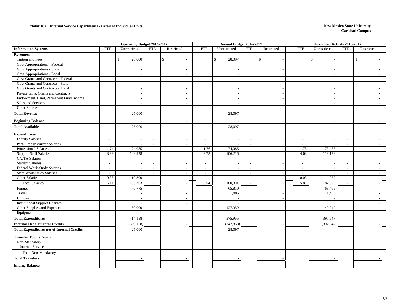#### **Exhibit 18A. Internal Service Departments - Detail of Individual Units New Mexico State University New Mexico State University**

|                                                   |                          | <b>Operating Budget 2016-2017</b> |                          |                          |                          | Revised Budget 2016-2017 |                             |                          |            | <b>Unaudited Actuals 2016-2017</b> |                          |              |                          |
|---------------------------------------------------|--------------------------|-----------------------------------|--------------------------|--------------------------|--------------------------|--------------------------|-----------------------------|--------------------------|------------|------------------------------------|--------------------------|--------------|--------------------------|
| <b>Information Systems</b>                        | <b>FTE</b>               | Unrestricted                      | <b>FTE</b>               | Restricted               | <b>FTE</b>               | Unrestricted             | <b>FTE</b>                  | Restricted               | <b>FTE</b> | Unrestricted                       | FTE                      | Restricted   |                          |
| <b>Revenues:</b>                                  |                          |                                   |                          |                          |                          |                          |                             |                          |            |                                    |                          |              |                          |
| Tuition and Fees                                  |                          | \$<br>25,000                      |                          | $\mathbb{S}$             |                          | 28,097<br>\$             |                             | $\mathbb{S}$             |            | $\mathbb{S}$                       |                          | $\mathbb{S}$ |                          |
| Govt Appropriations - Federal                     |                          |                                   |                          | $\overline{\phantom{a}}$ |                          |                          |                             | $\overline{\phantom{a}}$ |            | $\overline{\phantom{a}}$           |                          |              |                          |
| Govt Appropriations - State                       |                          |                                   |                          | $\overline{\phantom{a}}$ |                          |                          |                             | $\sim$                   |            |                                    |                          |              |                          |
| Govt Appropriations - Local                       |                          |                                   |                          | $\sim$                   |                          |                          |                             |                          |            |                                    |                          |              |                          |
| Govt Grants and Contracts - Federal               |                          |                                   |                          | $\sim$                   |                          |                          |                             | $\sim$                   |            |                                    |                          |              |                          |
| Govt Grants and Contracts - State                 |                          |                                   |                          |                          |                          |                          |                             | $\overline{\phantom{a}}$ |            |                                    |                          |              |                          |
| Govt Grants and Contracts - Local                 |                          | $\sim$                            |                          | $\overline{\phantom{a}}$ |                          |                          |                             | $\sim$                   |            | $\overline{\phantom{a}}$           |                          |              | $\overline{\phantom{a}}$ |
| Private Gifts, Grants and Contracts               |                          | $\overline{\phantom{a}}$          |                          | $\sim$                   |                          |                          |                             | $\sim$                   |            | $\overline{\phantom{a}}$           |                          |              |                          |
| Endowment, Land, Permanent Fund Income            |                          |                                   |                          | $\overline{a}$           |                          |                          |                             | $\sim$                   |            |                                    |                          |              |                          |
| Sales and Services                                |                          |                                   |                          |                          |                          |                          |                             | $\sim$                   |            |                                    |                          |              |                          |
| Other Sources                                     |                          |                                   |                          | $\sim$                   |                          |                          |                             | $\sim$                   |            |                                    |                          |              |                          |
| <b>Total Revenue</b>                              |                          | 25,000                            |                          |                          |                          | 28,097                   |                             |                          |            |                                    |                          |              |                          |
| <b>Beginning Balance</b>                          |                          |                                   |                          |                          |                          |                          |                             |                          |            |                                    |                          |              |                          |
| <b>Total Available</b>                            |                          | 25,000                            |                          |                          |                          | 28,097                   |                             |                          |            |                                    |                          |              |                          |
| <b>Expenditures:</b>                              |                          |                                   |                          |                          |                          |                          |                             |                          |            |                                    |                          |              |                          |
| <b>Faculty Salaries</b>                           | $\overline{\phantom{a}}$ |                                   | $\overline{\phantom{a}}$ | $\overline{\phantom{a}}$ | $\sim$                   |                          | $\blacksquare$              | $\overline{\phantom{a}}$ | $\sim$     |                                    | $\sim$                   |              |                          |
| Part-Time Instructor Salaries                     | $\sim$                   |                                   | $\overline{\phantom{a}}$ | $\overline{\phantom{a}}$ | $\sim$                   |                          | $\overline{\phantom{a}}$    | $\overline{\phantom{a}}$ | $\sim$     |                                    | $\sim$                   |              |                          |
| Professional Salaries                             | 1.74                     | 74,085                            |                          | $\sim$                   | 1.76                     | 74,085                   | $\overline{\phantom{a}}$    | $\overline{\phantom{a}}$ | 1.75       | 73,485                             | $\overline{\phantom{a}}$ |              | $\sim$                   |
| <b>Support Staff Salaries</b>                     | 3.99                     | 108,978                           | $\overline{\phantom{a}}$ |                          | 3.78                     | 106,216                  | $\overline{\phantom{a}}$    | $\sim$                   | 4.03       | 113,138                            | $\sim$                   |              | $\sim$                   |
| GA/TA Salaries                                    | $\sim$                   |                                   | $\overline{\phantom{a}}$ | $\overline{\phantom{a}}$ | $\sim$                   |                          | $\sim$                      | $\sim$                   | $\sim$     |                                    | $\overline{\phantom{a}}$ |              | $\sim$                   |
| <b>Student Salaries</b>                           | $\sim$                   |                                   |                          |                          | $\overline{\phantom{a}}$ |                          | $\sim$                      | $\overline{a}$           | $\sim$     |                                    | $\sim$                   |              |                          |
| Federal Work-Study Salaries                       | $\sim$                   |                                   | $\overline{\phantom{0}}$ |                          | $\overline{\phantom{a}}$ |                          | $\sim$                      | $\sim$                   | $\sim$     |                                    | $\sim$                   |              |                          |
| <b>State Work-Study Salaries</b>                  |                          |                                   |                          |                          | $\overline{a}$           |                          | $\blacksquare$              | $\overline{\phantom{a}}$ | $\sim$     |                                    | $\overline{\phantom{a}}$ |              | $\blacksquare$           |
| Other Salaries                                    | 0.38                     | 10,300                            |                          |                          |                          |                          | $\overline{a}$              | $\overline{a}$           | 0.03       | 952                                | $\overline{\phantom{a}}$ |              |                          |
| <b>Total Salaries</b>                             | 6.11                     | 193,363                           | $\sim$                   |                          | 5.54                     | 180,301                  | $\mathcal{L}_{\mathcal{A}}$ | $\sim$                   | 5.81       | 187,575                            | $\sim$                   |              |                          |
| Fringes                                           |                          | 70,775                            |                          | $\sim$                   |                          | 65,810                   |                             | $\overline{\phantom{a}}$ |            | 68,465                             |                          |              |                          |
| Travel                                            |                          |                                   |                          | $\overline{\phantom{a}}$ |                          | 1,885                    |                             | $\sim$                   |            | 1,458                              |                          |              |                          |
| Utilities                                         |                          |                                   |                          | $\overline{a}$           |                          |                          |                             | $\sim$                   |            |                                    |                          |              |                          |
| <b>Institutional Support Charges</b>              |                          |                                   |                          | $\overline{\phantom{a}}$ |                          |                          |                             | $\overline{\phantom{a}}$ |            |                                    |                          |              |                          |
| Other Supplies and Expenses                       |                          | 150,000                           |                          | $\overline{\phantom{a}}$ |                          | 127,959                  |                             | $\overline{\phantom{a}}$ |            | 140,049                            |                          |              |                          |
| Equipment                                         |                          |                                   |                          | $\overline{a}$           |                          |                          |                             | $\overline{\phantom{a}}$ |            |                                    |                          |              |                          |
| <b>Total Expenditures</b>                         |                          | 414,138                           |                          |                          |                          | 375,955                  |                             |                          |            | 397,547                            |                          |              |                          |
| <b>Internal Departmental Credits</b>              |                          | (389, 138)                        |                          |                          |                          | (347, 858)               |                             |                          |            | (397, 547)                         |                          |              |                          |
| <b>Total Expenditures net of Internal Credits</b> |                          | 25,000                            |                          |                          |                          | 28,097                   |                             |                          |            |                                    |                          |              |                          |
| <b>Transfer To or (From):</b>                     |                          |                                   |                          |                          |                          |                          |                             |                          |            |                                    |                          |              |                          |
| Non-Mandatory                                     |                          |                                   |                          |                          |                          |                          |                             |                          |            |                                    |                          |              |                          |
| <b>Internal Service</b>                           |                          |                                   |                          |                          |                          |                          |                             | $\overline{a}$           |            |                                    |                          |              |                          |
| <b>Total Non-Mandatory</b>                        |                          |                                   |                          |                          |                          |                          |                             |                          |            |                                    |                          |              |                          |
| <b>Total Transfers</b>                            |                          |                                   |                          |                          |                          |                          |                             |                          |            |                                    |                          |              |                          |
| <b>Ending Balance</b>                             |                          |                                   |                          |                          |                          |                          |                             |                          |            |                                    |                          |              |                          |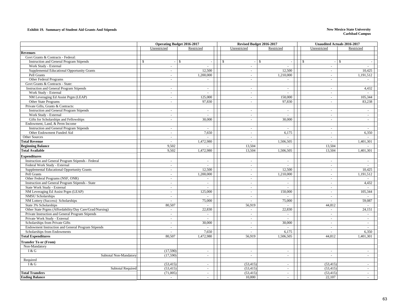#### **Exhibit 19. Summary of Student Aid Grants And Stipends New Mexico State University**

|                                                         |                      | Operating Budget 2016-2017 | Revised Budget 2016-2017 |                  | Unaudited Actuals 2016-2017 |                  |
|---------------------------------------------------------|----------------------|----------------------------|--------------------------|------------------|-----------------------------|------------------|
|                                                         | Unrestricted         | Restricted                 | Unrestricted             | Restricted       | Unrestricted                | Restricted       |
| <b>Revenues</b>                                         |                      |                            |                          |                  |                             |                  |
| Govt Grants & Contracts - Federal:                      |                      |                            |                          |                  |                             |                  |
| <b>Instruction and General Program Stipends</b>         | $\mathbb{S}$         | $\mathbb{S}$               | $\mathbb{S}$<br>$\sim$   | $\mathbb{S}$     | \$<br>$\omega$              | $\mathbb{S}$     |
| Work Study - External                                   | $\sim$               | $\sim$                     | $\sim$                   | $\sim$           | $\equiv$                    | $\sim$           |
| Supplemental Educational Opportunity Grants             | $\sim$               | 12,500                     | $\sim$                   | 12,500           | $\sim$                      | 10,425           |
| Pell Grants                                             | $\omega$             | 1,200,000                  | $\omega$                 | 1,210,000        | $\omega$                    | 1,191,512        |
| Other Federal Programs                                  | $\sim$               |                            | $\sim$                   |                  | $\sim$                      |                  |
| Govt Grants & Contracts - State:                        |                      |                            |                          |                  |                             |                  |
| <b>Instruction and General Program Stipends</b>         | $\sim$               | $\sim$                     | $\sim$                   | $\sim$           | $\sim$                      | 4,432            |
| Work Study - External                                   | $\sim$               |                            | $\sim$                   |                  | $\sim$                      |                  |
| NM Leveraging Ed Assist Prgm (LEAP)                     | $\sim$               | 125,000                    | $\omega$                 | 150,000          | $\sim$                      | 105,344          |
| Other State Programs                                    | $\omega$             | 97,830                     | $\omega$                 | 97,830           | $\omega$                    | 83,238           |
| Private Gifts, Grants & Contracts:                      |                      |                            |                          |                  |                             |                  |
| <b>Instruction and General Program Stipends</b>         | $\sim$               | $\sim$                     | $\blacksquare$           | $\sim$           | $\sim$                      | $\sim$           |
| Work Study - External                                   | $\sim$               |                            | $\sim$                   |                  | $\sim$                      | $\sim$           |
| Gifts for Scholarships and Fellowships                  | ä,                   | 30,000                     | ä,                       | 30,000           | $\omega$                    | $\sim$           |
| Endowment, Land, & Perm Income                          |                      |                            |                          |                  |                             |                  |
| <b>Instruction and General Program Stipends</b>         | $\sim$               | $\sim$                     | $\sim$                   | $\sim$           | $\sim$                      | $\sim$           |
| Other Endowment Funded Aid                              | $\sim$               | 7,650                      | $\blacksquare$           | 6,175            | $\sim$                      | 6,350            |
| Other Sources                                           | $\sim$               |                            |                          |                  | $\sim$                      |                  |
| <b>Total Revenue</b>                                    | $\sim$               | 1,472,980                  | $\overline{a}$           | 1,506,505        | ÷.                          | 1,401,301        |
| <b>Beginning Balance</b>                                | 9,502                |                            | 13,504                   | $\blacksquare$   | 13,504                      |                  |
| <b>Total Available</b>                                  | 9,502                | 1,472,980                  | 13,504                   | 1,506,505        | 13,504                      | 1,401,301        |
| <b>Expenditures</b>                                     |                      |                            |                          |                  |                             |                  |
| Instruction and General Program Stipends - Federal      | $\sim$               | $\sim$                     | $\omega$                 | $\sim$           | $\equiv$                    | $\sim$           |
| Federal Work Study - External                           | $\sim$               | $\sim$                     | $\sim$                   | $\sim$           | $\omega$                    | $\sim$           |
| Supplemental Educational Opportunity Grants             | $\sim$               | 12,500                     | $\sim$                   | 12,500           | $\omega$                    | 10,425           |
| Pell Grants                                             | $\sim$               | 1,200,000                  | $\sim$                   | 1,210,000        | $\omega$ .                  | 1,191,512        |
| Other Federal Programs (NSF, ONR)                       | $\sim$               |                            | $\sim$                   |                  | $\equiv$                    |                  |
| Instruction and General Program Stipends - State        | $\sim$               | $\sim$                     | $\sim$                   | $\sim$           | $\omega$                    | 4,432            |
| State Work Study - External                             | $\sim$               | $\sim$                     | $\sim$                   | $\sim$           | $\sim$                      | $\sim$           |
| NM Leveraging Ed Assist Prgm (LEAP)                     | $\sim$               | 125,000                    | $\sim$                   | 150,000          | $\omega$                    | 105,344          |
| <b>NMSU Scholarships</b>                                | $\sim$               | $\omega$                   | $\bar{a}$                |                  | $\omega$                    |                  |
| NM Lottery (Success) Scholarships                       | $\sim$               | 75,000                     |                          | 75,000           | $\omega$                    | 59,087           |
| State 3% Scholarships                                   | 80,507               | $\sim$                     | 56,919                   | $\sim$           | 44,812                      | $\sim$           |
| Other State Prgms (Affordability/Day Care/Grad/Nursing) | $\sim$               | 22,830                     | $\sim$                   | 22,830           | $\omega$                    | 24,151           |
| Private Instruction and General Program Stipends        | $\sim$               | $\sim$                     | $\sim$                   | $\sim$           | $\omega$                    | $\sim$           |
| Private Work Study - External                           | $\sim$               | $\sim$                     | $\bar{a}$                | $\overline{a}$   | $\sim$                      | $\sim$           |
| Scholarships from Private Gifts                         | $\sim$               | 30,000                     | $\sim$                   | 30,000           | $\sim$                      | $\sim$           |
| Endowment Instruction and General Program Stipends      | $\sim$               | $\sim$                     | $\sim$                   | $\blacksquare$   | $\equiv$                    | $\sim$           |
| Scholarships from Endowments                            | ÷.                   | 7,650                      |                          | 6,175            | $\sim$                      | 6,350            |
| <b>Total Expenditures</b>                               | 80,507               | 1,472,980                  | 56,919                   | 1,506,505        | 44,812                      | 1,401,301        |
|                                                         |                      |                            |                          |                  |                             |                  |
| <b>Transfer To or (From)</b>                            |                      |                            |                          |                  |                             |                  |
| Non-Mandatory                                           |                      |                            |                          |                  |                             |                  |
| I & G                                                   | (17,590)<br>(17,590) | $\overline{\phantom{a}}$   | $\overline{\phantom{a}}$ | $\sim$           | $\sim$                      | $\sim$           |
| Subtotal Non-Mandatory                                  |                      | $\sim$                     | ÷,                       | $\sim$           | $\sim$                      | $\sim$           |
| Required<br>I & G                                       | (53, 415)            |                            | (53, 415)                |                  | (53, 415)                   |                  |
| <b>Subtotal Required</b>                                | (53, 415)            | $\blacksquare$<br>$\sim$   | (53, 415)                | $\sim$<br>$\sim$ | (53, 415)                   | $\sim$<br>$\sim$ |
| <b>Total Transfers</b>                                  | (71,005)             | $\sim$                     | (53, 415)                | $\sim$           | (53, 415)                   | $\sim$           |
| <b>Ending Balance</b>                                   |                      | $\overline{a}$             | 10,000                   | $\sim$           | 22,107                      | $\overline{a}$   |
|                                                         |                      |                            |                          |                  |                             |                  |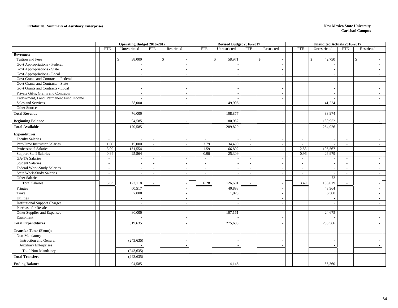#### **Exhibit 20. Summary of Auxiliary Enterprises New Mexico State University**

|                                                        |                          | <b>Operating Budget 2016-2017</b> |                          |                          |                          |              |                  | Revised Budget 2016-2017 |                                    |                          |              | <b>Unaudited Actuals 2016-2017</b> |                          |              |  |
|--------------------------------------------------------|--------------------------|-----------------------------------|--------------------------|--------------------------|--------------------------|--------------|------------------|--------------------------|------------------------------------|--------------------------|--------------|------------------------------------|--------------------------|--------------|--|
|                                                        | <b>FTE</b>               | Unrestricted                      | <b>FTE</b>               | Restricted               | <b>FTE</b>               | Unrestricted |                  | <b>FTE</b>               | Restricted                         | <b>FTE</b>               |              | Unrestricted                       | <b>FTE</b>               | Restricted   |  |
| <b>Revenues:</b>                                       |                          |                                   |                          |                          |                          |              |                  |                          |                                    |                          |              |                                    |                          |              |  |
| Tuition and Fees                                       |                          | $\mathbb{S}$<br>38,000            |                          | $\mathbb{S}$             |                          | $\mathbb{S}$ | 58,971           |                          | $\mathbb{S}$<br>$\overline{a}$     |                          |              | $\mathbb{S}$<br>42,750             |                          | $\mathbb{S}$ |  |
| Govt Appropriations - Federal                          |                          |                                   |                          |                          |                          |              |                  |                          |                                    |                          |              |                                    |                          |              |  |
| Govt Appropriations - State                            |                          | $\sim$                            |                          |                          |                          |              |                  |                          | $\sim$                             |                          |              |                                    |                          |              |  |
| Govt Appropriations - Local                            |                          |                                   |                          |                          |                          |              |                  |                          |                                    |                          |              |                                    |                          |              |  |
| Govt Grants and Contracts - Federal                    |                          | $\sim$                            |                          |                          |                          |              |                  |                          | $\overline{a}$                     |                          |              |                                    |                          |              |  |
| Govt Grants and Contracts - State                      |                          | $\overline{a}$                    |                          |                          |                          |              |                  |                          | $\overline{\phantom{a}}$           |                          |              |                                    |                          |              |  |
| Govt Grants and Contracts - Local                      |                          |                                   |                          |                          |                          |              |                  |                          | $\sim$                             |                          |              |                                    |                          |              |  |
| Private Gifts, Grants and Contracts                    |                          | $\sim$                            |                          |                          |                          |              |                  |                          | $\sim$                             |                          |              |                                    |                          |              |  |
| Endowment, Land, Permanent Fund Income                 |                          |                                   |                          |                          |                          |              |                  |                          |                                    |                          |              |                                    |                          |              |  |
| Sales and Services                                     |                          | 38,000                            |                          |                          |                          |              | 49,906           |                          | $\sim$                             |                          |              | 41,224                             |                          |              |  |
| Other Sources                                          |                          |                                   |                          |                          |                          |              |                  |                          | $\overline{\phantom{a}}$           |                          |              |                                    |                          |              |  |
| <b>Total Revenue</b>                                   |                          | 76,000                            |                          |                          |                          |              | 108,877          |                          | $\overline{\phantom{a}}$           |                          |              | 83,974                             |                          |              |  |
| <b>Beginning Balance</b>                               |                          | 94,585                            |                          |                          |                          |              | 180,952          |                          |                                    |                          |              | 180,952                            |                          |              |  |
| <b>Total Available</b>                                 |                          | 170,585                           |                          |                          |                          |              | 289,829          |                          |                                    |                          |              | 264,926                            |                          |              |  |
|                                                        |                          |                                   |                          |                          |                          |              |                  |                          |                                    |                          |              |                                    |                          |              |  |
| <b>Expenditures:</b>                                   |                          |                                   |                          |                          |                          |              |                  |                          |                                    |                          |              |                                    |                          |              |  |
| <b>Faculty Salaries</b>                                | $\overline{\phantom{a}}$ |                                   | $\overline{\phantom{a}}$ |                          | $\sim$<br>3.79           |              |                  | $\sim$                   | $\sim$                             | $\sim$                   |              |                                    | $\sim$                   |              |  |
| Part-Time Instructor Salaries                          | 1.60                     | 15,000                            | $\sim$                   |                          |                          |              | 34,490           | $\overline{\phantom{a}}$ | $\overline{\phantom{a}}$           | $\overline{\phantom{a}}$ |              |                                    | $\overline{\phantom{a}}$ |              |  |
| Professional Salaries<br><b>Support Staff Salaries</b> | 3.09<br>0.94             | 131,554<br>25,564                 | $\sim$<br>$\sim$         |                          | 1.59<br>0.90             |              | 66,802<br>25,309 | $\sim$<br>$\sim$         | $\sim$                             |                          | 2.53<br>0.96 | 106,567<br>26,979                  | $\sim$<br>$\sim$         |              |  |
| <b>GA/TA Salaries</b>                                  |                          |                                   | $\sim$                   |                          | $\overline{a}$           |              |                  | $\sim$                   | $\sim$<br>$\overline{\phantom{a}}$ | $\overline{a}$           |              |                                    | $\overline{a}$           |              |  |
| <b>Student Salaries</b>                                | $\sim$                   | $\sim$                            | $\sim$                   |                          | $\overline{\phantom{a}}$ |              |                  | $\sim$                   | $\overline{\phantom{a}}$           |                          | $\sim$       | $\overline{\phantom{a}}$           | $\sim$                   |              |  |
| Federal Work-Study Salaries                            | $\sim$                   | $\sim$                            | $\overline{\phantom{a}}$ |                          | $\sim$                   |              |                  | $\sim$                   | $\sim$                             | $\sim$                   |              |                                    | $\sim$                   |              |  |
| <b>State Work-Study Salaries</b>                       | $\overline{\phantom{a}}$ |                                   | $\sim$                   |                          | $\sim$                   |              |                  | $\sim$                   | $\sim$                             | $\sim$                   |              |                                    | $\overline{\phantom{a}}$ |              |  |
| Other Salaries                                         | $\overline{\phantom{a}}$ | $\sim$                            | $\blacksquare$           |                          | $\overline{\phantom{a}}$ |              | $\sim$           | $\sim$                   | $\overline{\phantom{a}}$           | $\sim$                   |              | 73                                 | $\sim$                   |              |  |
| <b>Total Salaries</b>                                  | 5.63                     | 172,118                           | $\overline{a}$           |                          | 6.28                     |              | 126,601          | $\sim$                   | $\sim$                             |                          | 3.49         | 133,619                            | $\overline{a}$           |              |  |
| Fringes                                                |                          | 60,517                            |                          |                          |                          |              | 40,898           |                          |                                    |                          |              | 43,964                             |                          |              |  |
| Travel                                                 |                          | 7,000                             |                          | $\overline{\phantom{a}}$ |                          |              | 1,023            |                          | $\overline{\phantom{a}}$           |                          |              | 6,308                              |                          |              |  |
| Utilities                                              |                          |                                   |                          |                          |                          |              |                  |                          | $\overline{\phantom{a}}$           |                          |              |                                    |                          |              |  |
| <b>Institutional Support Charges</b>                   |                          |                                   |                          |                          |                          |              |                  |                          | $\sim$                             |                          |              |                                    |                          |              |  |
| <b>Purchase for Resale</b>                             |                          |                                   |                          |                          |                          |              |                  |                          | $\sim$                             |                          |              |                                    |                          |              |  |
| Other Supplies and Expenses                            |                          | 80,000                            |                          |                          |                          |              | 107,161          |                          | $\sim$                             |                          |              | 24,675                             |                          |              |  |
| Equipment                                              |                          |                                   |                          |                          |                          |              |                  |                          | $\sim$                             |                          |              |                                    |                          |              |  |
| <b>Total Expenditures</b>                              |                          | 319,635                           |                          |                          |                          |              | 275,683          |                          |                                    |                          |              | 208,566                            |                          |              |  |
|                                                        |                          |                                   |                          |                          |                          |              |                  |                          |                                    |                          |              |                                    |                          |              |  |
| <b>Transfer To or (From):</b>                          |                          |                                   |                          |                          |                          |              |                  |                          |                                    |                          |              |                                    |                          |              |  |
| Non-Mandatory                                          |                          |                                   |                          |                          |                          |              |                  |                          |                                    |                          |              |                                    |                          |              |  |
| <b>Instruction and General</b>                         |                          | (243, 635)                        |                          |                          |                          |              |                  |                          |                                    |                          |              |                                    |                          |              |  |
| <b>Auxiliary Enterprises</b>                           |                          |                                   |                          |                          |                          |              |                  |                          | $\overline{\phantom{a}}$           |                          |              |                                    |                          |              |  |
| Total Non-Mandatory                                    |                          | (243, 635)                        |                          |                          |                          |              |                  |                          |                                    |                          |              |                                    |                          |              |  |
| <b>Total Transfers</b>                                 |                          | (243, 635)                        |                          |                          |                          |              |                  |                          |                                    |                          |              |                                    |                          |              |  |
| <b>Ending Balance</b>                                  |                          | 94,585                            |                          |                          |                          |              | 14,146           |                          |                                    |                          |              | 56,360                             |                          |              |  |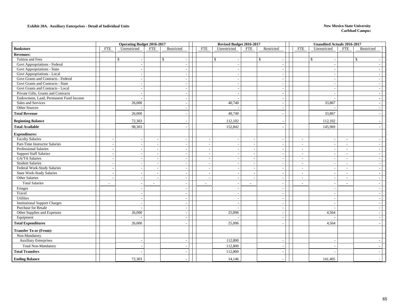#### **Exhibit 20A. Auxiliary Enterprises - Detail of Individual Units New Mexico State University**

|                                        |                          | <b>Operating Budget 2016-2017</b> |                          |                          |                          | Revised Budget 2016-2017 |            |                                |                | <b>Unaudited Actuals 2016-2017</b> |                          |                          |  |
|----------------------------------------|--------------------------|-----------------------------------|--------------------------|--------------------------|--------------------------|--------------------------|------------|--------------------------------|----------------|------------------------------------|--------------------------|--------------------------|--|
| <b>Bookstore</b>                       | <b>FTE</b>               | Unrestricted                      | <b>FTE</b>               | Restricted               | <b>FTE</b>               | Unrestricted             | <b>FTE</b> | Restricted                     | <b>FTE</b>     | Unrestricted                       | <b>FTE</b>               | Restricted               |  |
| <b>Revenues:</b>                       |                          |                                   |                          |                          |                          |                          |            |                                |                |                                    |                          |                          |  |
| Tuition and Fees                       |                          | $\mathsf{\$}$                     |                          | $\mathbf{\hat{s}}$       |                          | $\mathbf{s}$             |            | $\mathbb{S}$<br>$\overline{a}$ |                | $\mathbb{S}$                       |                          | $\mathbf S$              |  |
| Govt Appropriations - Federal          |                          |                                   |                          |                          |                          |                          |            | $\overline{\phantom{a}}$       |                |                                    |                          |                          |  |
| Govt Appropriations - State            |                          | $\sim$                            |                          |                          |                          |                          |            | $\overline{\phantom{a}}$       |                | $\sim$                             |                          | $\overline{\phantom{a}}$ |  |
| Govt Appropriations - Local            |                          | $\overline{\phantom{a}}$          |                          |                          |                          |                          |            | $\sim$                         |                | $\sim$                             |                          | $\overline{\phantom{a}}$ |  |
| Govt Grants and Contracts - Federal    |                          |                                   |                          |                          |                          |                          |            | $\sim$                         |                |                                    |                          | $\sim$                   |  |
| Govt Grants and Contracts - State      |                          | $\sim$                            |                          |                          |                          |                          |            | $\overline{\phantom{a}}$       |                |                                    |                          | $\overline{\phantom{a}}$ |  |
| Govt Grants and Contracts - Local      |                          |                                   |                          |                          |                          |                          |            | $\sim$                         |                | $\overline{\phantom{a}}$           |                          | $\overline{\phantom{a}}$ |  |
| Private Gifts, Grants and Contracts    |                          | $\sim$                            |                          | $\overline{\phantom{a}}$ |                          | $\overline{\phantom{a}}$ |            | $\sim$                         |                | $\sim$                             |                          | $\overline{a}$           |  |
| Endowment, Land, Permanent Fund Income |                          |                                   |                          | $\overline{\phantom{a}}$ |                          |                          |            | $\overline{\phantom{a}}$       |                |                                    |                          | $\overline{\phantom{a}}$ |  |
| Sales and Services                     |                          | 26,000                            |                          |                          |                          | 40,740                   |            | $\overline{\phantom{a}}$       |                | 33,867                             |                          | $\overline{\phantom{a}}$ |  |
| Other Sources                          |                          |                                   |                          | $\overline{\phantom{a}}$ |                          |                          |            | $\overline{\phantom{a}}$       |                |                                    |                          | $\overline{a}$           |  |
| <b>Total Revenue</b>                   |                          | 26,000                            |                          |                          |                          | 40,740                   |            | $\overline{a}$                 |                | 33,867                             |                          | $\overline{\phantom{a}}$ |  |
| <b>Beginning Balance</b>               |                          | 72,303                            |                          |                          |                          | 112,102                  |            |                                |                | 112,102                            |                          |                          |  |
| <b>Total Available</b>                 |                          | 98,303                            |                          |                          |                          | 152,842                  |            |                                |                | 145,969                            |                          |                          |  |
| <b>Expenditures:</b>                   |                          |                                   |                          |                          |                          |                          |            |                                |                |                                    |                          |                          |  |
| <b>Faculty Salaries</b>                | $\sim$                   |                                   |                          | $\overline{\phantom{a}}$ |                          |                          |            | $\overline{a}$                 | $\sim$         |                                    | $\sim$                   |                          |  |
| Part-Time Instructor Salaries          | $\sim$                   |                                   |                          |                          |                          |                          |            | $\overline{\phantom{a}}$       | $\sim$         | $\overline{\phantom{a}}$           | $\overline{\phantom{a}}$ | $\overline{\phantom{a}}$ |  |
| Professional Salaries                  | $\sim$                   | $\overline{a}$                    | $\overline{\phantom{a}}$ | $\overline{\phantom{a}}$ |                          | $\overline{\phantom{a}}$ |            | $\sim$ $\sim$                  | $\sim$         | $\sim$                             | $\sim$                   | $\sim$                   |  |
| <b>Support Staff Salaries</b>          | $\sim$                   | $\overline{\phantom{a}}$          | $\overline{\phantom{a}}$ | $\overline{\phantom{a}}$ |                          |                          |            | $\overline{\phantom{a}}$       | $\overline{a}$ | $\overline{\phantom{a}}$           | $\sim$                   | $\sim$                   |  |
| <b>GA/TA Salaries</b>                  | $\sim$                   |                                   |                          |                          |                          |                          |            | $\overline{\phantom{a}}$       | $\sim$         | $\overline{\phantom{a}}$           | $\sim$                   | $\sim$                   |  |
| <b>Student Salaries</b>                | $\overline{\phantom{a}}$ | $\sim$                            |                          |                          |                          |                          |            | $\overline{\phantom{a}}$       | $\sim$         | $\sim$                             | $\sim$                   | $\sim$                   |  |
| Federal Work-Study Salaries            | $\sim$                   | $\overline{\phantom{a}}$          | $\overline{\phantom{a}}$ |                          |                          |                          |            | $\overline{\phantom{a}}$       | $\overline{a}$ | $\overline{\phantom{a}}$           | $\overline{\phantom{a}}$ | $\overline{\phantom{a}}$ |  |
| <b>State Work-Study Salaries</b>       | $\sim$                   | $\sim$                            | $\sim$                   | $\sim$                   |                          |                          |            | $\sim$                         | $\sim$         | $\sim$                             | $\sim$                   | $\sim$                   |  |
| Other Salaries                         | $\sim$                   |                                   |                          |                          |                          | $\overline{\phantom{a}}$ |            | $\overline{\phantom{a}}$       | $\sim$         | $\overline{\phantom{a}}$           | $\sim$                   | $\overline{\phantom{a}}$ |  |
| <b>Total Salaries</b>                  | $\blacksquare$           |                                   | $\overline{\phantom{a}}$ |                          | $\overline{\phantom{a}}$ | $\overline{\phantom{a}}$ | $\sim$     | $\sim$                         | $\sim$         |                                    | $\sim$                   |                          |  |
| Fringes                                |                          |                                   |                          |                          |                          |                          |            | $\sim$                         |                |                                    |                          |                          |  |
| Travel                                 |                          | $\sim$                            |                          | $\overline{\phantom{a}}$ |                          | $\overline{\phantom{a}}$ |            | $\sim$                         |                | $\sim$                             |                          | $\overline{\phantom{a}}$ |  |
| Utilities                              |                          | $\overline{\phantom{a}}$          |                          |                          |                          |                          |            | $\overline{\phantom{a}}$       |                |                                    |                          | $\overline{\phantom{a}}$ |  |
| <b>Institutional Support Charges</b>   |                          |                                   |                          |                          |                          |                          |            | $\overline{\phantom{a}}$       |                |                                    |                          | $\overline{\phantom{a}}$ |  |
| Purchase for Resale                    |                          |                                   |                          | $\overline{\phantom{a}}$ |                          |                          |            | $\sim$                         |                |                                    |                          | $\overline{a}$           |  |
| Other Supplies and Expenses            |                          | 26,000                            |                          | $\sim$                   |                          | 25,896                   |            | $\overline{\phantom{a}}$       |                | 4,564                              |                          | $\overline{a}$           |  |
| Equipment                              |                          |                                   |                          |                          |                          |                          |            | $\overline{\phantom{a}}$       |                |                                    |                          |                          |  |
| <b>Total Expenditures</b>              |                          | 26,000                            |                          |                          |                          | 25,896                   |            | $\overline{a}$                 |                | 4,564                              |                          |                          |  |
| <b>Transfer To or (From):</b>          |                          |                                   |                          |                          |                          |                          |            |                                |                |                                    |                          |                          |  |
| Non-Mandatory                          |                          |                                   |                          |                          |                          |                          |            |                                |                |                                    |                          |                          |  |
| <b>Auxiliary Enterprises</b>           |                          | $\sim$                            |                          | $\overline{\phantom{a}}$ |                          | 112,800                  |            | $\overline{\phantom{a}}$       |                | $\sim$                             |                          |                          |  |
| <b>Total Non-Mandatory</b>             |                          |                                   |                          |                          |                          | 112,800                  |            |                                |                |                                    |                          |                          |  |
| <b>Total Transfers</b>                 |                          |                                   |                          |                          |                          | 112,800                  |            |                                |                |                                    |                          |                          |  |
| <b>Ending Balance</b>                  |                          | 72,303                            |                          |                          |                          | 14,146                   |            |                                |                | 141,405                            |                          |                          |  |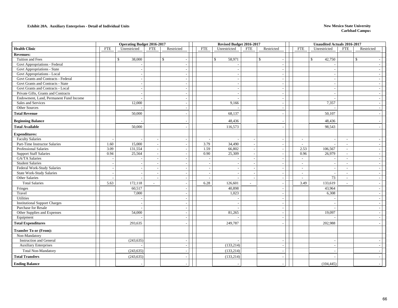#### **Exhibit 20A. Auxiliary Enterprises - Detail of Individual Units New Mexico State University**

|                                        |                          | <b>Operating Budget 2016-2017</b> |                          |                          |            | Revised Budget 2016-2017 |                |                                          |            | <b>Unaudited Actuals 2016-2017</b> |                          |              |                          |
|----------------------------------------|--------------------------|-----------------------------------|--------------------------|--------------------------|------------|--------------------------|----------------|------------------------------------------|------------|------------------------------------|--------------------------|--------------|--------------------------|
| <b>Health Clinic</b>                   | <b>FTE</b>               | Unrestricted                      | <b>FTE</b>               | Restricted               | <b>FTE</b> | Unrestricted             | <b>FTE</b>     | Restricted                               | <b>FTE</b> | Unrestricted                       | <b>FTE</b>               | Restricted   |                          |
| <b>Revenues:</b>                       |                          |                                   |                          |                          |            |                          |                |                                          |            |                                    |                          |              |                          |
| Tuition and Fees                       |                          | $\mathsf{\$}$<br>38,000           |                          | $\mathbb{S}$             |            | 58,971<br>$\mathbb{S}$   |                | $\mathbb{S}$<br>$\overline{\phantom{a}}$ |            | $\mathbb{S}$<br>42,750             |                          | $\mathbb{S}$ |                          |
| Govt Appropriations - Federal          |                          |                                   |                          | $\overline{\phantom{a}}$ |            |                          |                | $\sim$                                   |            |                                    |                          |              |                          |
| <b>Govt Appropriations - State</b>     |                          |                                   |                          | $\overline{\phantom{a}}$ |            |                          |                | $\sim$                                   |            |                                    |                          |              |                          |
| Govt Appropriations - Local            |                          |                                   |                          |                          |            |                          |                | $\overline{\phantom{a}}$                 |            |                                    |                          |              |                          |
| Govt Grants and Contracts - Federal    |                          |                                   |                          | $\overline{a}$           |            |                          |                | $\sim$                                   |            |                                    |                          |              |                          |
| Govt Grants and Contracts - State      |                          |                                   |                          | $\overline{\phantom{a}}$ |            |                          |                | $\sim$                                   |            | $\overline{\phantom{a}}$           |                          |              |                          |
| Govt Grants and Contracts - Local      |                          |                                   |                          | $\overline{a}$           |            |                          |                | $\sim$                                   |            | $\overline{\phantom{a}}$           |                          |              |                          |
| Private Gifts, Grants and Contracts    |                          |                                   |                          |                          |            |                          |                | $\overline{\phantom{a}}$                 |            |                                    |                          |              |                          |
| Endowment, Land, Permanent Fund Income |                          |                                   |                          |                          |            |                          |                | $\overline{\phantom{a}}$                 |            |                                    |                          |              |                          |
| Sales and Services                     |                          | 12,000                            |                          | $\sim$                   |            | 9,166                    |                | $\overline{\phantom{a}}$                 |            | 7,357                              |                          |              | $\overline{\phantom{a}}$ |
| Other Sources                          |                          |                                   |                          | $\overline{\phantom{a}}$ |            |                          |                | $\sim$                                   |            |                                    |                          |              |                          |
| <b>Total Revenue</b>                   |                          | 50,000                            |                          |                          |            | 68,137                   |                |                                          |            | 50,107                             |                          |              |                          |
| <b>Beginning Balance</b>               |                          |                                   |                          |                          |            | 48,436                   |                |                                          |            | 48,436                             |                          |              |                          |
| <b>Total Available</b>                 |                          | 50,000                            |                          |                          |            | 116,573                  |                |                                          |            | 98,543                             |                          |              |                          |
| <b>Expenditures:</b>                   |                          |                                   |                          |                          |            |                          |                |                                          |            |                                    |                          |              |                          |
| <b>Faculty Salaries</b>                | $\overline{\phantom{a}}$ |                                   | $\overline{\phantom{a}}$ | $\overline{\phantom{a}}$ |            |                          | $\sim$         | $\overline{\phantom{a}}$                 | $\sim$     | $\overline{\phantom{a}}$           | $\sim$                   |              | $\overline{\phantom{a}}$ |
| Part-Time Instructor Salaries          | 1.60                     | 15,000                            | $\overline{\phantom{a}}$ | $\overline{\phantom{a}}$ | 3.79       | 34,490                   |                | $\sim$                                   | $\sim$     |                                    | $\sim$                   |              |                          |
| Professional Salaries                  | 3.09                     | 131,554                           | $\overline{a}$           | $\sim$                   | 1.59       | 66,802                   |                | $\sim$                                   | 2.53       | 106,567                            | $\sim$                   |              |                          |
| <b>Support Staff Salaries</b>          | 0.94                     | 25,564                            | $\sim$                   | $\overline{a}$           | 0.90       | 25,309                   |                | $\blacksquare$                           | 0.96       | 26,979                             | $\sim$                   |              |                          |
| GA/TA Salaries                         |                          |                                   |                          |                          |            |                          |                | $\overline{\phantom{a}}$                 | $\sim$     |                                    | $\sim$                   |              |                          |
| <b>Student Salaries</b>                | $\overline{\phantom{a}}$ |                                   | $\overline{\phantom{a}}$ | $\overline{\phantom{a}}$ |            |                          |                | $\sim$                                   | $\sim$     | $\overline{\phantom{a}}$           | $\sim$                   |              | $\overline{\phantom{a}}$ |
| Federal Work-Study Salaries            | $\overline{\phantom{a}}$ |                                   |                          |                          |            |                          |                | $\overline{\phantom{a}}$                 | $\sim$     | $\overline{\phantom{a}}$           | $\overline{\phantom{a}}$ |              |                          |
| <b>State Work-Study Salaries</b>       | $\overline{\phantom{a}}$ |                                   |                          |                          |            |                          |                | $\overline{\phantom{a}}$                 | $\sim$     |                                    | $\sim$                   |              |                          |
| Other Salaries                         | $\overline{a}$           |                                   |                          | $\overline{\phantom{a}}$ |            |                          |                | $\sim$                                   | $\sim$     | 73                                 | $\overline{\phantom{a}}$ |              |                          |
| <b>Total Salaries</b>                  | 5.63                     | 172,118                           |                          |                          | 6.28       | 126,601                  | $\overline{a}$ | $\sim$                                   | 3.49       | 133,619                            | $\sim$                   |              |                          |
| Fringes                                |                          | 60,517                            |                          |                          |            | 40,898                   |                |                                          |            | 43,964                             |                          |              |                          |
| Travel                                 |                          | 7,000                             |                          | $\overline{\phantom{a}}$ |            | 1,023                    |                | $\sim$                                   |            | 6,308                              |                          |              | $\overline{\phantom{a}}$ |
| Utilities                              |                          |                                   |                          | $\overline{a}$           |            |                          |                | $\sim$                                   |            |                                    |                          |              |                          |
| <b>Institutional Support Charges</b>   |                          |                                   |                          |                          |            |                          |                | $\overline{a}$                           |            |                                    |                          |              |                          |
| Purchase for Resale                    |                          |                                   |                          |                          |            |                          |                | $\overline{\phantom{a}}$                 |            |                                    |                          |              |                          |
| Other Supplies and Expenses            |                          | 54,000                            |                          | $\sim$                   |            | 81,265                   |                | $\overline{a}$                           |            | 19,097                             |                          |              |                          |
| Equipment                              |                          |                                   |                          |                          |            |                          |                | $\overline{\phantom{a}}$                 |            |                                    |                          |              |                          |
| <b>Total Expenditures</b>              |                          | 293,635                           |                          |                          |            | 249,787                  |                |                                          |            | 202,988                            |                          |              |                          |
| <b>Transfer To or (From):</b>          |                          |                                   |                          |                          |            |                          |                |                                          |            |                                    |                          |              |                          |
| Non-Mandatory                          |                          |                                   |                          |                          |            |                          |                |                                          |            |                                    |                          |              |                          |
| <b>Instruction and General</b>         |                          | (243, 635)                        |                          |                          |            |                          |                | $\overline{\phantom{a}}$                 |            |                                    |                          |              |                          |
| <b>Auxiliary Enterprises</b>           |                          |                                   |                          | $\overline{a}$           |            | (133, 214)               |                | $\overline{\phantom{a}}$                 |            |                                    |                          |              |                          |
| <b>Total Non-Mandatory</b>             |                          | (243, 635)                        |                          |                          |            | (133, 214)               |                |                                          |            |                                    |                          |              |                          |
| <b>Total Transfers</b>                 |                          | (243, 635)                        |                          |                          |            | (133, 214)               |                |                                          |            |                                    |                          |              |                          |
| <b>Ending Balance</b>                  |                          |                                   |                          |                          |            |                          |                |                                          |            | (104, 445)                         |                          |              |                          |
|                                        |                          |                                   |                          |                          |            |                          |                |                                          |            |                                    |                          |              |                          |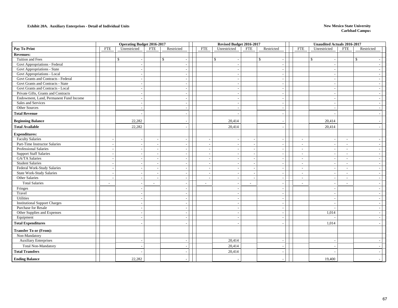#### **Exhibit 20A. Auxiliary Enterprises - Detail of Individual Units New Mexico State University**

|                                        |                          | <b>Operating Budget 2016-2017</b> |                          |              |                          |                          |                          | Revised Budget 2016-2017 |                                          |                          | <b>Unaudited Actuals 2016-2017</b> |                          |              |                          |  |
|----------------------------------------|--------------------------|-----------------------------------|--------------------------|--------------|--------------------------|--------------------------|--------------------------|--------------------------|------------------------------------------|--------------------------|------------------------------------|--------------------------|--------------|--------------------------|--|
| Pay To Print                           | <b>FTE</b>               | Unrestricted                      | <b>FTE</b>               | Restricted   |                          | <b>FTE</b>               | Unrestricted             | <b>FTE</b>               | Restricted                               | <b>FTE</b>               | Unrestricted                       | <b>FTE</b>               |              | Restricted               |  |
| <b>Revenues:</b>                       |                          |                                   |                          |              |                          |                          |                          |                          |                                          |                          |                                    |                          |              |                          |  |
| Tuition and Fees                       |                          | \$                                |                          | $\mathbb{S}$ |                          | $\mathbb{S}$             |                          |                          | $\mathbb{S}$<br>$\overline{\phantom{a}}$ |                          | $\mathbb{S}$                       |                          | $\mathbb{S}$ |                          |  |
| Govt Appropriations - Federal          |                          |                                   |                          |              |                          |                          |                          |                          | $\sim$                                   |                          |                                    |                          |              |                          |  |
| <b>Govt Appropriations - State</b>     |                          | $\overline{a}$                    |                          |              | $\sim$                   |                          |                          |                          | $\sim$                                   |                          | $\overline{\phantom{a}}$           |                          |              |                          |  |
| Govt Appropriations - Local            |                          | $\overline{\phantom{a}}$          |                          |              | $\overline{a}$           |                          |                          |                          | $\sim$                                   |                          |                                    |                          |              |                          |  |
| Govt Grants and Contracts - Federal    |                          |                                   |                          |              |                          |                          |                          |                          | $\sim$                                   |                          |                                    |                          |              |                          |  |
| Govt Grants and Contracts - State      |                          | $\sim$                            |                          |              | $\overline{a}$           |                          |                          |                          | $\sim$                                   |                          | $\overline{\phantom{a}}$           |                          |              |                          |  |
| Govt Grants and Contracts - Local      |                          | $\overline{\phantom{a}}$          |                          |              | $\overline{\phantom{a}}$ |                          |                          |                          | $\sim$                                   |                          |                                    |                          |              |                          |  |
| Private Gifts, Grants and Contracts    |                          | $\sim$                            |                          |              | $\sim$                   |                          | $\overline{a}$           |                          | $\sim$                                   |                          | $\sim$                             |                          |              | $\sim$                   |  |
| Endowment, Land, Permanent Fund Income |                          | $\overline{\phantom{a}}$          |                          |              | $\overline{\phantom{a}}$ |                          |                          |                          | $\overline{\phantom{a}}$                 |                          | $\overline{\phantom{a}}$           |                          |              |                          |  |
| Sales and Services                     |                          |                                   |                          |              | $\overline{a}$           |                          |                          |                          | $\sim$                                   |                          |                                    |                          |              |                          |  |
| Other Sources                          |                          |                                   |                          |              | $\overline{a}$           |                          |                          |                          | $\sim$                                   |                          | $\overline{\phantom{a}}$           |                          |              | $\sim$                   |  |
| <b>Total Revenue</b>                   |                          |                                   |                          |              |                          |                          |                          |                          | $\overline{\phantom{a}}$                 |                          |                                    |                          |              |                          |  |
| <b>Beginning Balance</b>               |                          | 22,282                            |                          |              |                          |                          | 20,414                   |                          |                                          |                          | 20,414                             |                          |              |                          |  |
| <b>Total Available</b>                 |                          | 22,282                            |                          |              |                          |                          | 20,414                   |                          |                                          |                          | 20,414                             |                          |              |                          |  |
| <b>Expenditures:</b>                   |                          |                                   |                          |              |                          |                          |                          |                          |                                          |                          |                                    |                          |              |                          |  |
| <b>Faculty Salaries</b>                | $\overline{\phantom{a}}$ |                                   |                          |              | $\overline{\phantom{a}}$ |                          |                          |                          | $\overline{a}$                           | $\sim$                   | $\overline{\phantom{a}}$           | $\sim$                   |              |                          |  |
| Part-Time Instructor Salaries          | $\overline{a}$           |                                   | $\overline{\phantom{a}}$ |              | $\overline{\phantom{a}}$ |                          |                          |                          | $\overline{\phantom{a}}$                 | $\sim$                   | $\overline{\phantom{a}}$           | $\overline{\phantom{a}}$ |              |                          |  |
| <b>Professional Salaries</b>           | $\overline{\phantom{a}}$ | $\sim$                            | $\overline{\phantom{a}}$ |              | $\sim$                   |                          |                          | $\overline{\phantom{a}}$ | $\sim$                                   | $\sim$                   | $\overline{\phantom{a}}$           | $\sim$                   |              | $\sim$                   |  |
| <b>Support Staff Salaries</b>          | $\overline{\phantom{a}}$ | $\overline{\phantom{a}}$          | $\overline{\phantom{a}}$ |              | $\sim$                   |                          |                          | $\overline{\phantom{a}}$ | $\sim$                                   | $\sim$                   | $\overline{\phantom{a}}$           | $\sim$                   |              | $\overline{\phantom{a}}$ |  |
| GA/TA Salaries                         | $\sim$                   |                                   |                          |              | $\overline{\phantom{a}}$ |                          |                          |                          | $\sim$                                   | $\sim$                   | $\overline{\phantom{a}}$           | $\sim$                   |              |                          |  |
| <b>Student Salaries</b>                | $\overline{\phantom{a}}$ | $\sim$                            |                          |              | $\overline{\phantom{a}}$ |                          |                          |                          | $\overline{\phantom{a}}$                 | $\sim$                   | $\overline{\phantom{a}}$           | $\overline{\phantom{a}}$ |              |                          |  |
| Federal Work-Study Salaries            | $\overline{\phantom{a}}$ | $\overline{\phantom{a}}$          | $\overline{\phantom{a}}$ |              | $\overline{\phantom{a}}$ |                          |                          |                          | $\sim$                                   | $\overline{\phantom{a}}$ | $\overline{\phantom{a}}$           | $\overline{\phantom{a}}$ |              |                          |  |
| <b>State Work-Study Salaries</b>       |                          |                                   | $\sim$                   |              |                          |                          |                          |                          | $\sim$                                   | $\sim$                   |                                    | $\sim$                   |              |                          |  |
| Other Salaries                         | $\overline{\phantom{a}}$ | $\overline{\phantom{a}}$          | $\overline{\phantom{a}}$ |              | $\overline{\phantom{a}}$ |                          | $\overline{\phantom{a}}$ |                          | $\overline{\phantom{a}}$                 | $\sim$                   | $\overline{\phantom{a}}$           | $\sim$                   |              |                          |  |
| <b>Total Salaries</b>                  | $\overline{\phantom{a}}$ |                                   |                          |              | $\overline{\phantom{a}}$ | $\overline{\phantom{a}}$ | $\overline{a}$           | $\blacksquare$           | $\sim$                                   | $\sim$                   |                                    | $\sim$                   |              |                          |  |
| Fringes                                |                          |                                   |                          |              | $\overline{\phantom{a}}$ |                          |                          |                          | $\overline{\phantom{a}}$                 |                          |                                    |                          |              |                          |  |
| Travel                                 |                          | $\overline{\phantom{a}}$          |                          |              | $\overline{\phantom{a}}$ |                          | $\overline{\phantom{a}}$ |                          | $\sim$                                   |                          | $\sim$                             |                          |              | $\sim$                   |  |
| Utilities                              |                          | $\overline{\phantom{a}}$          |                          |              | $\overline{a}$           |                          |                          |                          | $\sim$                                   |                          | $\overline{\phantom{a}}$           |                          |              |                          |  |
| <b>Institutional Support Charges</b>   |                          |                                   |                          |              | $\overline{\phantom{a}}$ |                          |                          |                          | $\overline{\phantom{a}}$                 |                          |                                    |                          |              |                          |  |
| Purchase for Resale                    |                          | $\overline{\phantom{a}}$          |                          |              | $\overline{\phantom{a}}$ |                          | $\overline{\phantom{a}}$ |                          | $\sim$                                   |                          |                                    |                          |              |                          |  |
| Other Supplies and Expenses            |                          | $\overline{\phantom{a}}$          |                          |              | $\sim$                   |                          | $\sim$                   |                          | $\sim$                                   |                          | 1,014                              |                          |              | $\sim$                   |  |
| Equipment                              |                          |                                   |                          |              |                          |                          |                          |                          | $\overline{\phantom{a}}$                 |                          |                                    |                          |              |                          |  |
| <b>Total Expenditures</b>              |                          |                                   |                          |              |                          |                          |                          |                          |                                          |                          | 1,014                              |                          |              |                          |  |
| <b>Transfer To or (From):</b>          |                          |                                   |                          |              |                          |                          |                          |                          |                                          |                          |                                    |                          |              |                          |  |
| Non-Mandatory                          |                          |                                   |                          |              |                          |                          |                          |                          |                                          |                          |                                    |                          |              |                          |  |
| <b>Auxiliary Enterprises</b>           |                          | $\sim$                            |                          |              | $\overline{\phantom{a}}$ |                          | 20,414                   |                          | $\sim$                                   |                          |                                    |                          |              |                          |  |
| <b>Total Non-Mandatory</b>             |                          |                                   |                          |              |                          |                          | 20,414                   |                          |                                          |                          |                                    |                          |              |                          |  |
| <b>Total Transfers</b>                 |                          |                                   |                          |              |                          |                          | 20,414                   |                          |                                          |                          |                                    |                          |              |                          |  |
| <b>Ending Balance</b>                  |                          | 22,282                            |                          |              |                          |                          |                          |                          |                                          |                          | 19,400                             |                          |              |                          |  |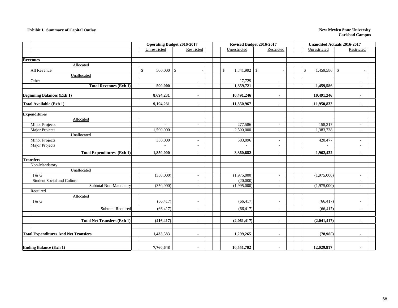#### **Exhibit I. Summary of Capital Outlay** New Mexico State University

|                                             | <b>Operating Budget 2016-2017</b> |                          | Revised Budget 2016-2017       |                          | Unaudited Actuals 2016-2017 |                          |
|---------------------------------------------|-----------------------------------|--------------------------|--------------------------------|--------------------------|-----------------------------|--------------------------|
|                                             | Unrestricted                      | Restricted               | Unrestricted                   | Restricted               | Unrestricted                | Restricted               |
|                                             |                                   |                          |                                |                          |                             |                          |
| <b>Revenues</b>                             |                                   |                          |                                |                          |                             |                          |
| Allocated                                   |                                   |                          |                                |                          |                             |                          |
| All Revenue                                 | $500,000$ \$<br>$\mathbb{S}$      |                          | $1,341,992$ \$<br>$\mathbb{S}$ | $\overline{\phantom{a}}$ | $1,459,586$ \$<br>\$        | $\sim$                   |
| Unallocated                                 |                                   |                          |                                |                          |                             |                          |
| Other                                       | $\bar{\phantom{a}}$               |                          | 17,729                         | $\overline{\phantom{a}}$ |                             |                          |
| <b>Total Revenues (Exh 1)</b>               | 500,000                           | $\blacksquare$           | 1,359,721                      | $\blacksquare$           | 1,459,586                   |                          |
| <b>Beginning Balances (Exh 1)</b>           | 8,694,231                         | $\overline{\phantom{a}}$ | 10,491,246                     | $\blacksquare$           | 10,491,246                  | $\blacksquare$           |
| <b>Total Available (Exh 1)</b>              | 9,194,231                         | $\blacksquare$           | 11,850,967                     | $\blacksquare$           | 11,950,832                  | $\blacksquare$           |
| <b>Expenditures</b>                         |                                   |                          |                                |                          |                             |                          |
| Allocated                                   |                                   |                          |                                |                          |                             |                          |
| <b>Minor Projects</b>                       | ÷.                                | $\sim$                   | 277,586                        | $\sim$                   | 158,217                     | ٠                        |
| Major Projects                              | 1,500,000                         | $\sim$                   | 2,500,000                      | $\sim$                   | 1,383,738                   | ٠                        |
| Unallocated                                 |                                   |                          |                                |                          |                             |                          |
| <b>Minor Projects</b>                       | 350,000                           | $\sim$                   | 583,096                        | $\overline{\phantom{a}}$ | 420,477                     | $\overline{\phantom{a}}$ |
| Major Projects                              | $\sim$                            |                          | $\sim$                         | ÷.                       | $\sim$                      | $\overline{\phantom{a}}$ |
| <b>Total Expenditures (Exh 1)</b>           | 1,850,000                         | $\blacksquare$           | 3,360,682                      | $\blacksquare$           | 1,962,432                   | $\blacksquare$           |
| <b>Transfers</b>                            |                                   |                          |                                |                          |                             |                          |
| Non-Mandatory                               |                                   |                          |                                |                          |                             |                          |
| Unallocated                                 |                                   |                          |                                |                          |                             |                          |
| I & G                                       | (350,000)                         | $\sim$                   | (1,975,000)                    | $\overline{\phantom{a}}$ | (1,975,000)                 | ÷,                       |
| <b>Student Social and Cultural</b>          |                                   |                          | (20,000)                       |                          |                             |                          |
| Subtotal Non-Mandatory                      | (350,000)                         | $\sim$                   | (1,995,000)                    | $\sim$                   | (1,975,000)                 | $\sim$                   |
| Required                                    |                                   |                          |                                |                          |                             |                          |
| Allocated                                   |                                   |                          |                                |                          |                             |                          |
| I & G                                       | (66, 417)                         | $\sim$                   | (66, 417)                      | $\sim$                   | (66, 417)                   | $\overline{\phantom{a}}$ |
| Subtotal Required                           | (66, 417)                         | $\sim$                   | (66, 417)                      | $\overline{\phantom{a}}$ | (66, 417)                   | $\overline{a}$           |
|                                             |                                   |                          |                                |                          |                             |                          |
| <b>Total Net Transfers (Exh 1)</b>          | (416, 417)                        |                          | (2,061,417)                    | $\overline{\phantom{a}}$ | (2,041,417)                 |                          |
|                                             |                                   |                          |                                |                          |                             |                          |
| <b>Total Expenditures And Net Transfers</b> | 1,433,583                         | $\blacksquare$           | 1,299,265                      | $\blacksquare$           | (78,985)                    | $\blacksquare$           |
|                                             |                                   |                          |                                |                          |                             |                          |
| <b>Ending Balance (Exh 1)</b>               | 7,760,648                         | $\overline{\phantom{a}}$ | 10,551,702                     | ٠                        | 12,029,817                  | $\overline{\phantom{a}}$ |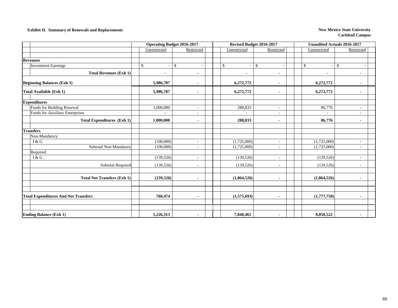### **Exhibit II. Summary of Renewals and Replacements New Mexico State University New Mexico State University**

|                                             | <b>Operating Budget 2016-2017</b> |                          |              | Revised Budget 2016-2017 | <b>Unaudited Actuals 2016-2017</b> |                          |
|---------------------------------------------|-----------------------------------|--------------------------|--------------|--------------------------|------------------------------------|--------------------------|
|                                             | Unrestricted                      | Restricted               | Unrestricted | Restricted               | Unrestricted                       | Restricted               |
| <b>Revenues</b>                             |                                   |                          |              |                          |                                    |                          |
| <b>Investment Earnings</b>                  | $\mathbb{S}$                      | $\mathbb{S}$             | \$           | $\mathbb{S}$             | $\mathbb{S}$                       | $\mathbb S$              |
|                                             |                                   |                          |              |                          |                                    |                          |
| <b>Total Revenues (Exh 1)</b>               |                                   |                          |              |                          | $\blacksquare$                     |                          |
| <b>Beginning Balances (Exh 1)</b>           | 5,986,787                         |                          | 6,272,772    |                          | 6,272,772                          |                          |
| Total Available (Exh 1)                     | 5,986,787                         | $\blacksquare$           | 6,272,772    | $\blacksquare$           | 6,272,772                          |                          |
| <b>Expenditures</b>                         |                                   |                          |              |                          |                                    |                          |
| Funds for Building Renewal                  | 1,000,000                         | $\sim$                   | 288,833      | $\sim$                   | 86,776                             | $\sim$                   |
| Funds for Auxiliary Enterprises             |                                   | $\overline{\phantom{a}}$ |              |                          |                                    |                          |
| <b>Total Expenditures (Exh 1)</b>           | 1,000,000                         | ۰                        | 288,833      | $\blacksquare$           | 86,776                             |                          |
| <b>Transfers</b>                            |                                   |                          |              |                          |                                    |                          |
| Non-Mandatory                               |                                   |                          |              |                          |                                    |                          |
| I & G                                       | (100,000)                         | ÷.                       | (1,725,000)  | $\overline{\phantom{a}}$ | (1,725,000)                        | $\overline{\phantom{a}}$ |
| Subtotal Non-Mandatory                      | (100,000)                         | $\overline{\phantom{a}}$ | (1,725,000)  | $\overline{\phantom{a}}$ | (1,725,000)                        | $\sim$                   |
| Required                                    |                                   |                          |              |                          |                                    |                          |
| I & G                                       | (139, 526)                        | $\overline{\phantom{a}}$ | (139, 526)   | $\overline{\phantom{a}}$ | (139, 526)                         |                          |
| <b>Subtotal Required</b>                    | (139, 526)                        | $\sim$                   | (139, 526)   | $\overline{\phantom{a}}$ | (139, 526)                         | $\sim$                   |
| <b>Total Net Transfers (Exh 1)</b>          | (239,526)                         | $\blacksquare$           | (1,864,526)  | $\blacksquare$           | (1,864,526)                        |                          |
|                                             |                                   |                          |              |                          |                                    |                          |
| <b>Total Expenditures And Net Transfers</b> | 760,474                           | $\blacksquare$           | (1,575,693)  | $\blacksquare$           | (1,777,750)                        | $\blacksquare$           |
| <b>Ending Balance (Exh 1)</b>               | 5,226,313                         |                          | 7,848,465    |                          | 8,050,522                          |                          |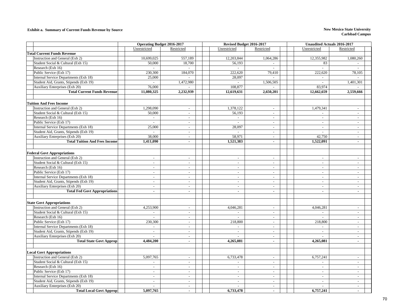### **Exhibit a. Summary of Current Funds Revenue by Source New Mexico State University**

|                                        | <b>Operating Budget 2016-2017</b> |                             | Revised Budget 2016-2017 |                             | Unaudited Actuals 2016-2017 |                          |  |
|----------------------------------------|-----------------------------------|-----------------------------|--------------------------|-----------------------------|-----------------------------|--------------------------|--|
|                                        | Unrestricted                      | Restricted                  | Unrestricted             | Restricted                  | Unrestricted                | Restricted               |  |
| <b>Total Current Funds Revenue</b>     |                                   |                             |                          |                             |                             |                          |  |
| Instruction and General (Exh 2)        | 10,699,025                        | 557,189                     | 12,203,844               | 1,064,286                   | 12,355,982                  | 1,080,260                |  |
| Student Social & Cultural (Exh 15)     | 50,000                            | 18,700                      | 56,193                   |                             | 83                          |                          |  |
| Research (Exh 16)                      |                                   |                             |                          |                             |                             |                          |  |
| Public Service (Exh 17)                | 230,300                           | 184,070                     | 222,620                  | 79,410                      | 222,620                     | 78,105                   |  |
| Internal Service Departments (Exh 18)  | 25,000                            | $\mathcal{L}^{\mathcal{A}}$ | 28.097                   | $\overline{a}$              | $\mathcal{L}$               |                          |  |
| Student Aid, Grants, Stipends (Exh 19) | $\sim$                            | 1,472,980                   | $\sim$                   | 1,506,505                   | $\overline{\phantom{a}}$    | 1,401,301                |  |
| Auxiliary Enterprises (Exh 20)         | 76,000                            |                             | 108,877                  |                             | 83,974                      |                          |  |
| <b>Total Current Funds Revenue</b>     | 11,080,325                        | 2,232,939                   | 12,619,631               | 2,650,201                   | 12,662,659                  | 2,559,666                |  |
|                                        |                                   |                             |                          |                             |                             |                          |  |
| <b>Tuition And Fees Income</b>         |                                   |                             |                          |                             |                             |                          |  |
| Instruction and General (Exh 2)        | 1,298,090                         | $\sim$                      | 1,378,122                | $\overline{a}$              | 1,479,341                   | $\sim$                   |  |
| Student Social & Cultural (Exh 15)     | 50,000                            | $\mathcal{L}$               | 56,193                   | $\sim$                      | $\sim$                      | $\sim$                   |  |
| Research (Exh 16)                      | $\mathcal{L}_{\mathcal{A}}$       | $\overline{\phantom{a}}$    | $\mathcal{L}$            | $\overline{\phantom{a}}$    | $\sim$                      | $\overline{\phantom{a}}$ |  |
| Public Service (Exh 17)                | $\sim$                            | $\sim$                      |                          | $\blacksquare$              | $\sim$                      | $\sim$                   |  |
| Internal Service Departments (Exh 18)  | 25,000                            | $\overline{\phantom{a}}$    | 28,097                   | $\overline{\phantom{a}}$    | $\sim$                      | $\overline{\phantom{a}}$ |  |
| Student Aid, Grants, Stipends (Exh 19) |                                   | $\overline{\phantom{a}}$    |                          | $\overline{\phantom{a}}$    | $\overline{a}$              | $\mathbb{L}$             |  |
| Auxiliary Enterprises (Exh 20)         | 38,000                            | $\overline{a}$              | 58,971                   | $\overline{a}$              | 42,750                      | $\sim$                   |  |
| <b>Total Tuition And Fees Income</b>   | 1,411,090                         | $\mathbf{r}$                | 1,521,383                | $\mathbf{r}$                | 1,522,091                   | $\sim$                   |  |
|                                        |                                   |                             |                          |                             |                             |                          |  |
| <b>Federal Govt Appropriations</b>     |                                   |                             |                          |                             |                             |                          |  |
| Instruction and General (Exh 2)        | $\overline{\phantom{a}}$          | $\sim$                      | $\sim$                   | $\overline{\phantom{a}}$    | $\sim$                      | $\sim$                   |  |
| Student Social & Cultural (Exh 15)     | $\sim$                            | $\overline{\phantom{a}}$    | $\sim$                   | $\blacksquare$              | $\overline{\phantom{a}}$    |                          |  |
| Research (Exh 16)                      | $\sim$                            | $\blacksquare$              | $\mathbb{L}$             | $\blacksquare$              | $\overline{\phantom{a}}$    | $\mathbb{L}$             |  |
| Public Service (Exh 17)                | $\overline{a}$                    | $\mathcal{L}$               | $\sim$                   | $\mathcal{L}$               | $\sim$                      | $\sim$                   |  |
| Internal Service Departments (Exh 18)  | $\sim$                            | $\overline{a}$              | $\sim$                   | $\sim$                      | $\sim$                      | $\sim$                   |  |
| Student Aid, Grants, Stipends (Exh 19) | $\overline{\phantom{a}}$          | $\overline{\phantom{a}}$    | $\sim$                   | $\overline{\phantom{a}}$    | $\sim$                      | $\overline{\phantom{a}}$ |  |
| Auxiliary Enterprises (Exh 20)         | $\overline{\phantom{a}}$          | $\sim$                      | $\overline{\phantom{a}}$ | $\sim$                      | $\sim$                      | $\overline{\phantom{a}}$ |  |
| <b>Total Fed Govt Appropriations</b>   | $\blacksquare$                    | $\mathbf{r}$                | $\mathbf{r}$             | $\blacksquare$              | $\blacksquare$              | $\sim$                   |  |
|                                        |                                   |                             |                          |                             |                             |                          |  |
| <b>State Govt Appropriations</b>       |                                   |                             |                          |                             |                             |                          |  |
| Instruction and General (Exh 2)        | 4,253,900                         | $\overline{a}$              | 4,046,281                | $\sim$                      | 4,046,281                   | $\sim$                   |  |
| Student Social & Cultural (Exh 15)     | $\sim$                            | $\blacksquare$              | $\sim$                   | $\sim$                      | $\sim$                      | $\sim$                   |  |
| Research (Exh 16)                      | $\blacksquare$                    | $\blacksquare$              |                          | $\blacksquare$              | $\blacksquare$              | $\sim$                   |  |
| Public Service (Exh 17)                | 230,300                           | $\mathcal{L}_{\mathcal{A}}$ | 218,800                  | $\sim$                      | 218,800                     | $\sim$                   |  |
| Internal Service Departments (Exh 18)  | $\sim$                            | $\sim$                      |                          | $\overline{\phantom{a}}$    | $\sim$                      | $\sim$                   |  |
| Student Aid, Grants, Stipends (Exh 19) | $\sim$                            | $\overline{\phantom{a}}$    | $\sim$                   | $\overline{\phantom{a}}$    | $\overline{\phantom{a}}$    | $\sim$                   |  |
| Auxiliary Enterprises (Exh 20)         | $\overline{a}$                    | $\mathcal{L}$               |                          | $\overline{a}$              | $\overline{a}$              | $\sim$                   |  |
| <b>Total State Govt Approp</b>         | 4,484,200                         | $\blacksquare$              | 4,265,081                | $\blacksquare$              | 4,265,081                   | $\sim$                   |  |
|                                        |                                   |                             |                          |                             |                             |                          |  |
|                                        |                                   |                             |                          |                             |                             |                          |  |
| <b>Local Govt Appropriations</b>       |                                   |                             |                          |                             |                             |                          |  |
| Instruction and General (Exh 2)        | 5,097,765                         | $\sim$                      | 6,733,478                | $\overline{\phantom{a}}$    | 6,757,241                   | $\sim$                   |  |
| Student Social & Cultural (Exh 15)     | $\sim$                            | $\blacksquare$              |                          | $\overline{\phantom{a}}$    | $\sim$                      | $\sim$                   |  |
| Research (Exh 16)                      | $\overline{\phantom{a}}$          | $\overline{\phantom{a}}$    | $\mathbb{L}$             | $\blacksquare$              | $\mathcal{L}_{\mathcal{A}}$ | $\mathbb{L}$             |  |
| Public Service (Exh 17)                | $\sim$                            | $\mathcal{L}^{\mathcal{A}}$ | $\sim$                   | $\overline{\phantom{a}}$    | $\mathcal{L}$               | $\sim$                   |  |
| Internal Service Departments (Exh 18)  | $\overline{a}$                    | $\sim$                      | $\sim$                   | $\overline{a}$              | $\sim$                      | $\sim$                   |  |
| Student Aid, Grants, Stipends (Exh 19) | $\overline{\phantom{a}}$          | $\overline{\phantom{a}}$    | $\sim$                   | $\sim$                      | $\sim$                      | $\sim$                   |  |
| Auxiliary Enterprises (Exh 20)         | $\sim$                            | $\mathcal{L}_{\mathcal{A}}$ | $\mathcal{L}$            | $\mathcal{L}_{\mathcal{A}}$ | $\mathcal{L}_{\mathcal{A}}$ | $\sim$                   |  |
| <b>Total Local Govt Approp</b>         | 5,097,765                         | $\blacksquare$              | 6,733,478                | $\blacksquare$              | 6,757,241                   | $\sim$                   |  |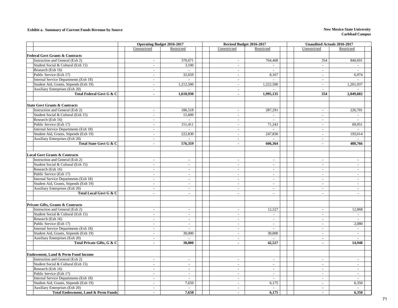### **Exhibit a. Summary of Current Funds Revenue by Source New Mexico State University**

|                                               | <b>Operating Budget 2016-2017</b> |                          | Revised Budget 2016-2017    |                             | <b>Unaudited Actuals 2016-2017</b> |                             |
|-----------------------------------------------|-----------------------------------|--------------------------|-----------------------------|-----------------------------|------------------------------------|-----------------------------|
|                                               | Unrestricted                      | Restricted               | Unrestricted                | Restricted                  | Unrestricted                       | Restricted                  |
| <b>Federal Govt Grants &amp; Contracts</b>    |                                   |                          |                             |                             |                                    |                             |
| Instruction and General (Exh 2)               | $\sim$                            | 370,671                  | $\blacksquare$              | 764,468                     | 354                                | 840,691                     |
| Student Social & Cultural (Exh 15)            | $\sim$                            | 3,100                    | $\blacksquare$              |                             | $\sim$                             |                             |
| Research (Exh 16)                             | $\overline{\phantom{a}}$          | $\mathbb{Z}^2$           | $\mathcal{L}$               | $\overline{a}$              | $\mathcal{L}_{\mathcal{A}}$        |                             |
| Public Service (Exh 17)                       | $\mathbf{r}$                      | 32,659                   | $\mathcal{L}$               | 8,167                       | $\mathcal{L}$                      | 6.974                       |
| Internal Service Departments (Exh 18)         | $\overline{\phantom{a}}$          | $\sim$                   | $\overline{\phantom{a}}$    | $\sim$                      | $\overline{\phantom{a}}$           |                             |
| Student Aid, Grants, Stipends (Exh 19)        | $\overline{\phantom{a}}$          | 1,212,500                | $\overline{\phantom{a}}$    | 1,222,500                   | $\sim$                             | 1,201,937                   |
| Auxiliary Enterprises (Exh 20)                | $\sim$                            |                          | $\sim$                      |                             | $\sim$                             |                             |
| Total Federal Govt G & C                      | $\blacksquare$                    | 1,618,930                | $\mathbf{r}$                | 1,995,135                   | 354                                | 2,049,602                   |
|                                               |                                   |                          |                             |                             |                                    |                             |
| <b>State Govt Grants &amp; Contracts</b>      |                                   |                          |                             |                             |                                    |                             |
| Instruction and General (Exh 2)               | $\sim$                            | 186,518                  | $\sim$                      | 287,291                     | $\sim$                             | 226,701                     |
| Student Social & Cultural (Exh 15)            | $\overline{\phantom{a}}$          | 15,600                   | $\mathcal{L}_{\mathcal{A}}$ | $\mathcal{L}_{\mathcal{A}}$ | $\sim$                             | $\mathcal{L}_{\mathcal{A}}$ |
| Research (Exh 16)                             | $\sim$                            | $\omega$                 | $\blacksquare$              |                             | $\sim$                             |                             |
| Public Service (Exh 17)                       | $\overline{\phantom{a}}$          | 151,411                  | $\mathcal{L}$               | 71,243                      | $\mathcal{L}_{\mathcal{A}}$        | 69,051                      |
| Internal Service Departments (Exh 18)         | $\sim$                            | $\mathbb{Z}^2$           | $\sim$                      |                             | $\sim$                             |                             |
| Student Aid, Grants, Stipends (Exh 19)        | $\sim$                            | 222,830                  | $\sim$                      | 247,830                     | $\mathbb{Z}^2$                     | 193,014                     |
| Auxiliary Enterprises (Exh 20)                | $\blacksquare$                    |                          | $\overline{\phantom{a}}$    | $\overline{a}$              | $\overline{\phantom{a}}$           |                             |
| Total State Govt G & C                        | $\overline{\phantom{a}}$          | 576,359                  | $\sim$                      | 606,364                     | $\sim$                             | 488,766                     |
|                                               |                                   |                          |                             |                             |                                    |                             |
| <b>Local Govt Grants &amp; Contracts</b>      |                                   |                          |                             |                             |                                    |                             |
| Instruction and General (Exh 2)               | $\blacksquare$                    | $\mathcal{L}$            | $\mathbb{Z}^+$              | $\blacksquare$              | $\mathbb{Z}^2$                     | $\mathbb{Z}^2$              |
| Student Social & Cultural (Exh 15)            | $\mathbf{r}$                      | $\mathbb{Z}^2$           | $\mathcal{L}$               | $\overline{\phantom{a}}$    | $\sim$                             | $\overline{a}$              |
| Research (Exh 16)                             | $\overline{\phantom{a}}$          | $\overline{\phantom{a}}$ | $\overline{\phantom{a}}$    | $\overline{\phantom{a}}$    | $\overline{\phantom{a}}$           | $\sim$                      |
| Public Service (Exh 17)                       | $\sim$                            | $\sim$                   | $\sim$                      | $\sim$                      | $\sim$                             | $\sim$                      |
| Internal Service Departments (Exh 18)         | $\overline{\phantom{a}}$          | $\omega$                 | $\blacksquare$              | $\overline{\phantom{a}}$    | $\sim$                             | $\mathbb{L}$                |
| Student Aid, Grants, Stipends (Exh 19)        | $\overline{\phantom{a}}$          | $\omega$                 | $\blacksquare$              | $\overline{\phantom{a}}$    | $\mathcal{L}$                      | $\mathbb{L}$                |
| Auxiliary Enterprises (Exh 20)                | $\mathbf{r}$                      | $\sim$                   | $\mathbb{Z}^+$              | $\overline{\phantom{a}}$    | $\sim$                             | $\mathcal{L}$               |
| Total Local Govt G & C                        | $\blacksquare$                    | $\blacksquare$           | $\blacksquare$              | $\blacksquare$              | $\blacksquare$                     | $\blacksquare$              |
|                                               |                                   |                          |                             |                             |                                    |                             |
| Private Gifts, Grants & Contracts             |                                   |                          |                             |                             |                                    |                             |
| Instruction and General (Exh 2)               | $\sim$                            | $\blacksquare$           | $\blacksquare$              | 12,527                      | $\mathcal{L}_{\mathcal{A}}$        | 12,868                      |
| Student Social & Cultural (Exh 15)            | $\overline{\phantom{a}}$          | $\omega$                 | $\blacksquare$              |                             | $\mathbb{Z}^2$                     |                             |
| Research (Exh 16)                             | $\overline{\phantom{a}}$          | $\sim$                   | $\sim$                      | $\overline{\phantom{a}}$    | $\sim$                             |                             |
| Public Service (Exh 17)                       | $\sim$                            | $\omega$                 | $\overline{\phantom{a}}$    | $\sim$                      | $\mathcal{L}_{\mathcal{A}}$        | 2,080                       |
| Internal Service Departments (Exh 18)         | $\sim$                            | $\sim$                   | $\sim$                      | $\sim$                      | $\sim$                             | $\sim$                      |
| Student Aid, Grants, Stipends (Exh 19)        | $\overline{\phantom{a}}$          | 30,000                   | $\blacksquare$              | 30,000                      | $\sim$                             | $\omega$                    |
| Auxiliary Enterprises (Exh 20)                | $\bar{a}$                         |                          | $\sim$                      |                             | $\sim$                             |                             |
| Total Private Gifts, G & C                    | $\mathbf{r}$                      | 30,000                   | $\mathcal{L}^{\mathcal{L}}$ | 42,527                      | $\blacksquare$                     | 14,948                      |
|                                               |                                   |                          |                             |                             |                                    |                             |
| <b>Endowment, Land &amp; Perm Fund Income</b> |                                   |                          |                             |                             |                                    |                             |
| Instruction and General (Exh 2)               | $\sim$                            | $\sim$                   | $\sim$                      | $\sim$                      | $\sim$                             | $\sim$                      |
| Student Social & Cultural (Exh 15)            | $\sim$                            | $\sim$                   | $\sim$                      | $\sim$                      | $\sim$                             | $\sim$                      |
| Research (Exh 16)                             | $\bar{a}$                         | $\sim$                   | $\sim$                      | $\bar{a}$                   | $\sim$                             |                             |
| Public Service (Exh 17)                       | $\sim$                            | $\mathcal{L}$            | $\sim$                      | $\mathbb{Z}^+$              | $\sim$                             | $\mathbb{L}$                |
| Internal Service Departments (Exh 18)         | $\mathcal{L}$                     | $\mathbb{Z}^2$           | $\mathbb{Z}^+$              | $\omega$                    | $\sim$                             | $\sim$                      |
| Student Aid, Grants, Stipends (Exh 19)        | $\blacksquare$                    | 7,650                    | $\overline{\phantom{a}}$    | 6,175                       | $\overline{\phantom{a}}$           | 6,350                       |
| Auxiliary Enterprises (Exh 20)                | $\sim$                            | $\sim$                   | $\sim$                      | $\sim$                      | $\sim$                             |                             |
| <b>Total Endowment, Land &amp; Perm Funds</b> | ä,                                | 7,650                    |                             | 6,175                       | $\tilde{\phantom{a}}$              | 6,350                       |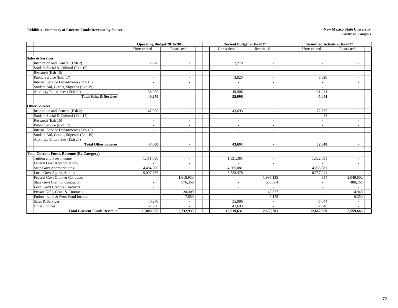### **Exhibit a. Summary of Current Funds Revenue by Source New Mexico State University**

|                                                  | <b>Operating Budget 2016-2017</b> |                          | Revised Budget 2016-2017 |                          | <b>Unaudited Actuals 2016-2017</b> |                          |  |  |
|--------------------------------------------------|-----------------------------------|--------------------------|--------------------------|--------------------------|------------------------------------|--------------------------|--|--|
|                                                  | Unrestricted                      | Restricted               | Unrestricted             | Restricted               | Unrestricted                       | Restricted               |  |  |
|                                                  |                                   |                          |                          |                          |                                    |                          |  |  |
| <b>Sales &amp; Services</b>                      |                                   |                          |                          |                          |                                    |                          |  |  |
| Instruction and General (Exh 2)                  | 2,270                             | $\sim$                   | 2,270                    | $\overline{\phantom{a}}$ | $\sim$                             | $\sim$                   |  |  |
| Student Social & Cultural (Exh 15)               |                                   | $\sim$                   |                          |                          | ÷.                                 |                          |  |  |
| Research (Exh 16)                                | $\overline{\phantom{a}}$          | $\overline{\phantom{a}}$ |                          |                          | $\overline{a}$                     |                          |  |  |
| Public Service (Exh 17)                          | $\overline{\phantom{a}}$          | $\overline{\phantom{a}}$ | 3,820                    | $\overline{\phantom{a}}$ | 3,820                              | $\overline{\phantom{a}}$ |  |  |
| Internal Service Departments (Exh 18)            | $\blacksquare$                    | $\overline{\phantom{a}}$ | $\overline{a}$           |                          | $\sim$                             | $\overline{\phantom{a}}$ |  |  |
| Student Aid, Grants, Stipends (Exh 19)           |                                   | $\sim$                   |                          |                          | $\overline{\phantom{a}}$           | $\sim$                   |  |  |
| Auxiliary Enterprises (Exh 20)                   | 38,000                            | $\overline{\phantom{a}}$ | 49.906                   |                          | 41,224                             |                          |  |  |
| <b>Total Sales &amp; Services</b>                | 40,270                            | $\blacksquare$           | 55,996                   |                          | 45,044                             |                          |  |  |
|                                                  |                                   |                          |                          |                          |                                    |                          |  |  |
| <b>Other Sources</b>                             |                                   |                          |                          |                          |                                    |                          |  |  |
| Instruction and General (Exh 2)                  | 47,000                            | $\sim$                   | 43,693                   | $\overline{\phantom{a}}$ | 72,765                             | $\sim$                   |  |  |
| Student Social & Cultural (Exh 15)               | $\overline{\phantom{a}}$          | $\overline{\phantom{a}}$ | $\overline{\phantom{a}}$ |                          | 83                                 | $\overline{\phantom{a}}$ |  |  |
| Research (Exh 16)                                |                                   | $\overline{\phantom{a}}$ | $\overline{\phantom{a}}$ |                          | $\overline{\phantom{a}}$           |                          |  |  |
| Public Service (Exh 17)                          | $\blacksquare$                    | $\overline{\phantom{a}}$ | $\overline{\phantom{a}}$ | $\overline{\phantom{a}}$ | $\sim$                             | $\overline{\phantom{a}}$ |  |  |
| Internal Service Departments (Exh 18)            | $\blacksquare$                    | $\sim$                   | $\sim$                   | $\overline{\phantom{a}}$ | $\sim$                             | $\overline{\phantom{a}}$ |  |  |
| Student Aid, Grants, Stipends (Exh 19)           |                                   | $\overline{\phantom{a}}$ | $\sim$                   |                          | $\overline{\phantom{0}}$           | ۰                        |  |  |
| <b>Auxiliary Enterprises (Exh 20)</b>            | $\sim$                            | $\overline{\phantom{a}}$ |                          |                          | $\overline{\phantom{a}}$           | $\blacksquare$           |  |  |
| <b>Total Other Sources</b>                       | 47,000                            | $\blacksquare$           | 43,693                   |                          | 72,848                             | $\blacksquare$           |  |  |
|                                                  |                                   |                          |                          |                          |                                    |                          |  |  |
| <b>Total Current Funds Revenue (By Category)</b> |                                   |                          |                          |                          |                                    |                          |  |  |
| Tuition and Fees Income                          | 1,411,090                         | $\overline{\phantom{a}}$ | 1,521,383                |                          | 1,522,091                          |                          |  |  |
| <b>Federal Govt Appropriations</b>               |                                   | $\overline{\phantom{a}}$ |                          | $\overline{\phantom{a}}$ |                                    | $\blacksquare$           |  |  |
| <b>State Govt Appropriations</b>                 | 4,484,200                         | $\sim$                   | 4,265,081                |                          | 4,265,081                          | $\overline{\phantom{a}}$ |  |  |
| <b>Local Govt Appropriations</b>                 | 5,097,765                         |                          | 6,733,478                |                          | 6,757,241                          |                          |  |  |
| Federal Govt Grant & Contracts                   |                                   | 1,618,930                | $\overline{\phantom{a}}$ | 1,995,135                | 354                                | 2,049,602                |  |  |
| State Govt Grant & Contracts                     |                                   | 576,359                  | $\blacksquare$           | 606,364                  | ÷.                                 | 488,766                  |  |  |
| Local Govt Grant & Contracts                     |                                   |                          | $\overline{a}$           |                          | ÷                                  |                          |  |  |
| Private Gifts, Grant & Contracts                 | $\overline{\phantom{a}}$          | 30,000                   | $\overline{\phantom{a}}$ | 42,527                   | $\sim$                             | 14,948                   |  |  |
| Endow, Land & Perm Fund Income                   |                                   | 7,650                    |                          | 6,175                    | ÷                                  | 6,350                    |  |  |
| Sales & Services                                 | 40,270                            | $\overline{\phantom{a}}$ | 55,996                   | $\overline{\phantom{a}}$ | 45,044                             |                          |  |  |
| <b>Other Sources</b>                             | 47,000                            |                          | 43,693                   |                          | 72,848                             |                          |  |  |
| <b>Total Current Funds Revenue</b>               | 11,080,325                        | 2,232,939                | 12,619,631               | 2,650,201                | 12,662,659                         | 2,559,666                |  |  |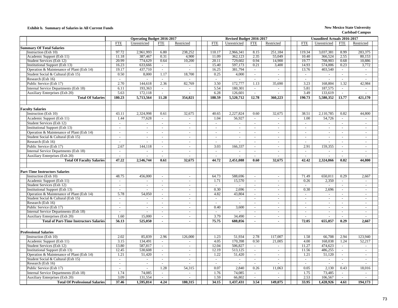### **Exhibit b. Summary of Salaries in All Current Funds New Mexico State University**

|                                                                                  |                                          | <b>Operating Budget 2016-2017</b>     |                            |                                    |                                  | Revised Budget 2016-2017    |                                    |                                  |            | <b>Unaudited Actuals 2016-2017</b>                                         |                          |                  |
|----------------------------------------------------------------------------------|------------------------------------------|---------------------------------------|----------------------------|------------------------------------|----------------------------------|-----------------------------|------------------------------------|----------------------------------|------------|----------------------------------------------------------------------------|--------------------------|------------------|
|                                                                                  | <b>FTE</b>                               | Unrestricted                          | <b>FTE</b>                 | Restricted                         | <b>FTE</b>                       | Unrestricted                | <b>FTE</b>                         | Restricted                       | <b>FTE</b> | Unrestricted                                                               | <b>FTE</b>               | Restricted       |
| <b>Summary Of Total Salaries</b>                                                 |                                          |                                       |                            |                                    |                                  |                             |                                    |                                  |            |                                                                            |                          |                  |
| Instruction (Exh 10)                                                             | 97.72                                    | 2,961,993                             | 6.80                       | 238,252                            | 110.17                           | 2,966,341                   | 8.15                               | 251,184                          | 119.34     | 3,037,381                                                                  | 8.99                     | 283,375          |
| Academic Support (Exh 11)                                                        | 11.18                                    | 387,467                               | 0.31                       | 4,900                              | 11.09                            | 362,123                     | 2.35                               | 55,049                           |            | 10.40<br>366,524                                                           | 2.55                     | 80,153           |
| Student Services (Exh 12)                                                        | 20.99                                    | 774,629                               | 0.64                       | 10,200                             | 20.11                            | 729,602                     | 0.94                               | 14,900                           |            | 19.77<br>708,903                                                           | 0.68                     | 10,886           |
| Institutional Support (Exh 13)                                                   | 16.23                                    | 633,666                               | $\omega$                   | $\blacksquare$                     | 15.40                            | 597,173                     | 0.21                               | 3,400                            |            | 14.93<br>574,006                                                           | 0.23                     | 3,772            |
| Operation & Maintenance of Plant (Exh 14)                                        | 19.17                                    | 437,710                               | $\omega$                   | $\overline{\phantom{a}}$           | 16.25                            | 381,794                     | $\sim$                             |                                  |            | 13.76<br>403,540                                                           | $\mathbb{Z}^2$           | $\sim$           |
| Student Social & Cultural (Exh 15)                                               | 0.50                                     | 8,000                                 | 1.17                       | 18,700                             | 0.25                             | 4.000                       | $\sim$                             | $\omega$                         |            | $\sim$<br>$\sim$                                                           | $\sim$                   | $\sim$           |
| Research (Exh 16)                                                                | $\omega$                                 | $\blacksquare$                        | $\omega$                   | $\overline{a}$                     | $\omega$                         | $\sim$                      | $\mathbb{Z}^2$                     | $\sim$                           |            | $\blacksquare$<br>$\sim$                                                   | $\omega$                 | $\sim$           |
| Public Service (Exh 17)                                                          | 2.70                                     | 144,618                               | 2.36                       | 82,769                             | 3.50                             | 172,777                     | 1.13                               | 35,690                           |            | 3.23<br>168,804                                                            | 1.32                     | 42,984           |
| Internal Service Departments (Exh 18)                                            | 6.11                                     | 193,363                               | $\omega$                   | $\overline{\phantom{a}}$           | 5.54                             | 180.301                     | $\omega$                           |                                  |            | 5.81<br>187,575                                                            | $\omega$                 |                  |
| Auxiliary Enterprises (Exh 20)                                                   | 5.63                                     | 172,118                               | $\sim$                     | $\overline{\phantom{a}}$           | 6.28                             | 126,601                     | $\sim$                             | $\omega$                         |            | 3.49<br>133,619                                                            | $\sim$                   | $\sim$           |
| <b>Total Of Salaries</b>                                                         | 180.23                                   | 5,713,564                             | 11.28                      | 354,821                            | 188.59                           | 5,520,712                   | 12.78                              | 360,223                          | 190.73     | 5,580,352                                                                  | 13.77                    | 421,170          |
|                                                                                  |                                          |                                       |                            |                                    |                                  |                             |                                    |                                  |            |                                                                            |                          |                  |
| <b>Faculty Salaries</b>                                                          |                                          |                                       |                            |                                    |                                  |                             |                                    |                                  |            |                                                                            |                          |                  |
| Instruction (Exh 10)                                                             | 43.11                                    | 2,324,998                             | 0.61                       | 32,675                             | 40.65                            | 2,227,824                   | 0.60                               | 32,675                           |            | 38.51<br>2,110,785                                                         | 0.82                     | 44,800           |
| Academic Support (Exh 11)                                                        | 1.44                                     | 77,628                                | $\omega$                   |                                    | 1.04                             | 56,927                      | $\omega$                           | $\sim$                           |            | 1.00<br>54,726                                                             | $\overline{\phantom{a}}$ |                  |
| Student Services (Exh 12)                                                        | $\mathbf{r}$                             | $\sim$                                | $\sim$                     | $\overline{\phantom{a}}$           | $\sim$                           | $\mathcal{L}^{\mathcal{A}}$ | $\sim$                             | $\overline{a}$                   |            | $\mathcal{L}$<br>$\overline{a}$                                            | $\overline{a}$           | $\sim$           |
| Institutional Support (Exh 13)                                                   | $\omega$                                 | $\sim$                                | $\overline{\phantom{a}}$   | $\overline{\phantom{a}}$           | $\blacksquare$                   | $\omega$                    | $\sim$                             | $\sim$                           |            | $\sim$<br>$\mathbb{Z}^2$                                                   | $\blacksquare$           | $\omega$         |
| Operation & Maintenance of Plant (Exh 14)                                        | $\overline{\phantom{a}}$                 |                                       |                            | $\blacksquare$                     |                                  |                             |                                    |                                  |            | $\blacksquare$<br>$\sim$                                                   | $\sim$                   | $\sim$           |
| Student Social & Cultural (Exh 15)                                               | $\overline{\phantom{a}}$                 | $\blacksquare$<br>$\omega$            | $\blacksquare$<br>$\omega$ | $\sim$                             | $\sim$<br>$\sim$                 | $\blacksquare$<br>$\equiv$  | $\sim$<br>$\overline{\phantom{a}}$ | $\blacksquare$<br>$\overline{a}$ |            | $\mathcal{L}$<br>$\overline{\phantom{a}}$                                  | ÷,                       | $\sim$           |
| Research (Exh 16)                                                                | $\overline{a}$                           |                                       | $\sim$                     |                                    | $\sim$                           |                             | $\overline{\phantom{a}}$           | $\sim$                           |            | $\overline{a}$                                                             | $\frac{1}{2}$            | $\overline{a}$   |
|                                                                                  |                                          |                                       | $\sim$                     | $\overline{\phantom{a}}$           |                                  |                             |                                    | $\overline{a}$                   |            |                                                                            | $\sim$                   | $\sim$           |
| Public Service (Exh 17)                                                          | 2.67                                     | 144,118                               |                            | $\sim$                             | 3.03                             | 166,337                     | $\sim$                             | $\overline{a}$                   |            | 2.91<br>159,355<br>$\sim$                                                  |                          |                  |
| Internal Service Departments (Exh 18)                                            | $\sim$                                   | $\omega$                              | $\sim$                     | $\overline{\phantom{a}}$           | $\sim$                           | $\omega$                    | $\sim$                             |                                  |            | $\omega$                                                                   | $\sim$                   | $\sim$           |
| Auxiliary Enterprises (Exh 20)                                                   | $\overline{\phantom{a}}$<br>47.22        | $\overline{\phantom{a}}$<br>2,546,744 | $\blacksquare$<br>0.61     | $\overline{\phantom{a}}$<br>32,675 | $\sim$<br>44.72                  | $\sim$<br>2,451,088         | $\sim$<br>0.60                     | $\sim$<br>32,675                 |            | $\overline{\phantom{a}}$<br>$\overline{\phantom{a}}$<br>42.42<br>2,324,866 | $\blacksquare$<br>0.82   | $\sim$<br>44.800 |
| <b>Total Of Faculty Salaries</b>                                                 |                                          |                                       |                            |                                    |                                  |                             |                                    |                                  |            |                                                                            |                          |                  |
|                                                                                  |                                          |                                       |                            |                                    |                                  |                             |                                    |                                  |            |                                                                            |                          |                  |
| <b>Part-Time Instructors Salaries</b>                                            |                                          |                                       |                            |                                    |                                  |                             |                                    |                                  |            |                                                                            |                          |                  |
| Instruction (Exh 10)                                                             | 48.75                                    | 456,000                               | $\sim$                     | $\overline{\phantom{a}}$           | 64.73                            | 588.696                     | $\sim$                             | $\overline{a}$                   |            | 71.49<br>650.011                                                           | 0.29                     | 2.667            |
| Academic Support (Exh 11)                                                        | $\overline{\phantom{a}}$                 | $\sim$                                | $\blacksquare$             | $\overline{\phantom{a}}$           | 1.71                             | 15,570                      | $\sim$                             | $\sim$                           |            | 0.26<br>2,350                                                              | $\blacksquare$           | $\sim$           |
| Student Services (Exh 12)                                                        | $\blacksquare$                           | $\sim$                                | $\omega$                   | $\blacksquare$                     |                                  | $\mathcal{L}$               | $\blacksquare$                     | $\sim$                           |            | $\overline{a}$                                                             | $\mathbb{Z}^2$           | $\sim$           |
| Institutional Support (Exh 13)                                                   | $\sim$                                   | $\overline{a}$                        | $\sim$                     | $\overline{\phantom{a}}$           | 0.30                             | 2.696                       | $\sim$                             | $\omega$                         |            | 0.30<br>2,696                                                              | $\omega$                 | $\sim$           |
| Operation & Maintenance of Plant (Exh 14)                                        | 5.78                                     | 54,050                                | $\sim$                     | $\sim$                             | 4.82                             | 43,804                      | $\mathbb{Z}^2$                     | $\sim$                           |            | $\omega$<br>$\sim$                                                         | $\sim$                   | $\sim$           |
| Student Social & Cultural (Exh 15)                                               | $\overline{a}$                           |                                       | $\sim$                     | $\sim$                             | $\blacksquare$                   | $\equiv$                    | $\blacksquare$                     | $\overline{a}$                   |            | $\overline{a}$<br>$\blacksquare$                                           | ÷,                       | $\sim$           |
| Research (Exh 16)                                                                | $\overline{\phantom{a}}$                 | $\sim$                                | $\sim$                     | $\sim$                             | $\sim$                           | $\sim$                      | $\sim$                             | $\sim$                           |            | $\blacksquare$<br>$\sim$                                                   | $\sim$                   | $\sim$           |
| Public Service (Exh 17)                                                          | $\mathbf{r}$<br>$\overline{\phantom{a}}$ | $\sim$                                | $\sim$<br>$\omega$         | $\sim$<br>$\overline{\phantom{a}}$ | 0.40<br>$\overline{\phantom{a}}$ | 3,600                       | $\sim$<br>$\overline{\phantom{a}}$ | $\sim$<br>$\sim$                 |            | $\sim$<br>$\sim$<br>$\overline{\phantom{a}}$<br>$\sim$                     | $\sim$<br>$\sim$         | $\sim$<br>$\sim$ |
| Internal Service Departments (Exh 18)                                            | 1.60                                     | 15,000                                | $\sim$                     | $\overline{\phantom{a}}$           | 3.79                             | 34,490                      | $\sim$                             | $\omega$                         |            | $\sim$<br>$\overline{a}$                                                   | $\sim$                   | $\sim$           |
| Auxiliary Enterprises (Exh 20)<br><b>Total of Part-Time Instructors Salaries</b> | 56.13                                    | 525,050                               | $\sim$                     | $\blacksquare$                     | 75.75                            | 688.856                     | $\sim$                             | $\sim$                           |            | 72.05<br>655,057                                                           | 0.29                     | 2,667            |
|                                                                                  |                                          |                                       |                            |                                    |                                  |                             |                                    |                                  |            |                                                                            |                          |                  |
|                                                                                  |                                          |                                       |                            |                                    |                                  |                             |                                    |                                  |            |                                                                            |                          |                  |
| <b>Professional Salaries</b>                                                     |                                          |                                       |                            |                                    |                                  |                             |                                    |                                  |            |                                                                            |                          |                  |
| Instruction (Exh 10)                                                             | 2.02                                     | 85.839                                | 2.96                       | 126,000                            | 1.23                             | 51.934                      | 2.78                               | 117,007                          |            | 1.58<br>66,708                                                             | 2.94                     | 123.940          |
| Academic Support (Exh 11)                                                        | 3.15                                     | 134,491                               | $\sim$                     | $\overline{a}$                     | 4.05                             | 170,398                     | 0.50                               | 21,005                           |            | 4.00<br>168,038                                                            | 1.24                     | 52,217           |
| Student Services (Exh 12)                                                        | 13.80                                    | 587,817                               | $\sim$                     | $\blacksquare$                     | 12.04                            | 506,827                     | $\sim$                             | $\sim$                           |            | 11.27<br>474,623                                                           | $\omega$                 | $\sim$           |
| Institutional Support (Exh 13)                                                   | 12.45                                    | 530,608                               | $\omega$                   | $\blacksquare$                     | 12.19                            | 513,125                     | $\mathbb{Z}^2$                     | $\sim$                           |            | 11.56<br>486,255                                                           | $\omega$                 | $\sim$           |
| Operation & Maintenance of Plant (Exh 14)                                        | 1.21                                     | 51,420                                | $\omega$                   | $\overline{\phantom{a}}$           | 1.22                             | 51,420                      | $\sim$                             | $\overline{a}$                   |            | 1.21<br>51,120                                                             | $\omega$                 | $\sim$           |
| Student Social & Cultural (Exh 15)                                               | $\mathcal{L}$                            | $\sim$                                | $\overline{\phantom{a}}$   | $\overline{a}$                     | $\blacksquare$                   | $\sim$                      | $\sim$                             | $\overline{a}$                   |            | $\omega$<br>$\mathcal{L}_{\mathcal{A}}$                                    | $\omega$                 | $\sim$           |
| Research (Exh 16)                                                                | $\blacksquare$                           | $\overline{\phantom{a}}$              | $\sim$                     | $\overline{\phantom{a}}$           | $\sim$                           | $\blacksquare$              | $\blacksquare$                     | $\sim$                           |            | $\blacksquare$<br>$\sim$                                                   | $\omega$                 | $\sim$           |
| Public Service (Exh 17)                                                          | $\sim$                                   | $\overline{a}$                        | 1.28                       | 54,315                             | 0.07                             | 2,840                       | 0.26                               | 11,063                           |            | 0.05<br>2,130                                                              | 0.43                     | 18,016           |
| Internal Service Departments (Exh 18)                                            | 1.74                                     | 74,085                                | $\sim$                     | $\blacksquare$                     | 1.76                             | 74,085                      | $\sim$                             | $\overline{a}$                   |            | 1.75<br>73,485                                                             | $\mathbb{Z}^2$           | $\sim$           |
| Auxiliary Enterprises (Exh 20)                                                   | 3.09                                     | 131,554                               | $\sim$                     | $\sim$                             | 1.59                             | 66,802                      | $\sim$                             | $\overline{a}$                   |            | 2.53<br>106,567                                                            | $\sim$                   | $\sim$           |
| <b>Total Of Professional Salaries</b>                                            | 37.46                                    | 1,595,814                             | 4.24                       | 180,315                            | 34.15                            | 1,437,431                   | 3.54                               | 149,075                          |            | 33.95<br>1,428,926                                                         | 4.61                     | 194,173          |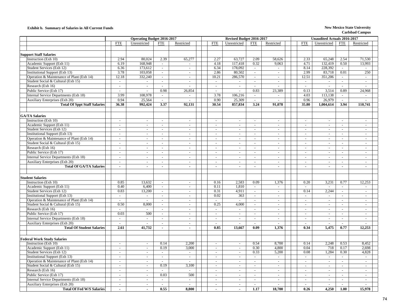### **Exhibit b. Summary of Salaries in All Current Funds New Mexico State University**

|                                           |                          | <b>Operating Budget 2016-2017</b> |                             |                          |  |                             | Revised Budget 2016-2017    |                             |                |                             | <b>Unaudited Actuals 2016-2017</b> |                          |                |
|-------------------------------------------|--------------------------|-----------------------------------|-----------------------------|--------------------------|--|-----------------------------|-----------------------------|-----------------------------|----------------|-----------------------------|------------------------------------|--------------------------|----------------|
|                                           | <b>FTE</b>               | Unrestricted                      | <b>FTE</b>                  | Restricted               |  | <b>FTE</b>                  | Unrestricted                | <b>FTE</b>                  | Restricted     | <b>FTE</b>                  | Unrestricted                       | <b>FTE</b>               | Restricted     |
|                                           |                          |                                   |                             |                          |  |                             |                             |                             |                |                             |                                    |                          |                |
| <b>Support Staff Salaries</b>             |                          |                                   |                             |                          |  |                             |                             |                             |                |                             |                                    |                          |                |
| Instruction (Exh 10)                      | 2.94                     | 80.024                            | 2.39                        | 65,277                   |  | 2.27                        | 63,727                      | 2.09                        | 58.626         | 2.33                        | 65,248                             | 2.54                     | 71,530         |
| Academic Support (Exh 11)                 | 6.19                     | 168,948                           | $\sim$                      | $\sim$                   |  | 4.18                        | 117,418                     | 0.32                        | 9.063          | 4.71                        | 132,419                            | 0.50                     | 13,993         |
| Student Services (Exh 12)                 | 6.36                     | 173,612                           | $\sim$                      | $\blacksquare$           |  | 6.34                        | 178,092                     | $\omega$                    | $\omega$       | 8.14                        | 228,392                            | $\sim$                   | $\sim$         |
| Institutional Support (Exh 13)            | 3.78                     | 103,058                           | $\sim$                      | $\mathcal{L}$            |  | 2.86                        | 80,502                      | $\sim$                      | $\omega$       | 2.99                        | 83,718                             | 0.01                     | 250            |
| Operation & Maintenance of Plant (Exh 14) | 12.18                    | 332,240                           | $\mathcal{L}_{\mathcal{A}}$ | $\sim$                   |  | 10.21                       | 286,570                     | $\blacksquare$              | $\sim$         | 12.51                       | 351,206                            | $\omega$                 | $\sim$         |
| Student Social & Cultural (Exh 15)        | $\overline{\phantom{a}}$ | $\overline{a}$                    | $\mathbf{u}$                | $\sim$                   |  | $\omega$                    | $\mathcal{L}$               | $\mathcal{L}$               | $\sim$         | $\mathcal{L}^{\mathcal{A}}$ | $\overline{a}$                     | $\mathbb{Z}^+$           | $\sim$         |
| Research (Exh 16)                         | $\overline{\phantom{a}}$ | $\overline{a}$                    | $\sim$                      | $\sim$                   |  | $\sim$                      | $\omega$                    | $\sim$                      |                | $\sim$                      | $\sim$                             | $\overline{a}$           | $\sim$         |
| Public Service (Exh 17)                   | $\sim$                   | $\overline{\phantom{a}}$          | 0.98                        | 26,854                   |  | $\sim$                      | $\sim$                      | 0.83                        | 23,389         | 0.13                        | 3,514                              | 0.89                     | 24,968         |
| Internal Service Departments (Exh 18)     | 3.99                     | 108.978                           | $\sim$                      | $\sim$                   |  | 3.78                        | 106,216                     | $\mathcal{L}$               | $\sim$         | 4.03                        | 113,138                            | $\overline{a}$           | $\sim$         |
| Auxiliary Enterprises (Exh 20)            | 0.94                     | 25,564                            | $\sim$                      | $\overline{a}$           |  | 0.90                        | 25,309                      | $\sim$                      | $\overline{a}$ | 0.96                        | 26,979                             | $\sim$                   | $\sim$         |
| <b>Total Of Sppt Staff Salaries</b>       | 36.38                    | 992,424                           | 3.37                        | 92,131                   |  | 30.54                       | 857,834                     | 3.24                        | 91.078         | 35.80                       | 1,004,614                          | 3.94                     | 110,741        |
|                                           |                          |                                   |                             |                          |  |                             |                             |                             |                |                             |                                    |                          |                |
|                                           |                          |                                   |                             |                          |  |                             |                             |                             |                |                             |                                    |                          |                |
| <b>GA/TA Salaries</b>                     |                          |                                   |                             |                          |  |                             |                             |                             |                |                             |                                    |                          |                |
| Instruction (Exh 10)                      | $\sim$                   | $\omega$                          | $\sim$                      | $\mathbf{r}$             |  | $\sim$                      | $\sim$                      | $\sim$                      | $\sim$         | $\omega$                    | $\sim$                             | $\sim$                   | $\sim$         |
| Academic Support (Exh 11)                 | $\sim$                   | $\overline{\phantom{a}}$          | $\sim$                      | $\blacksquare$           |  | $\sim$                      | $\sim$                      | $\sim$                      | $\sim$         | $\blacksquare$              | $\overline{\phantom{a}}$           | $\overline{\phantom{a}}$ | $\sim$         |
| Student Services (Exh 12)                 | $\overline{\phantom{a}}$ | $\bar{a}$                         | $\sim$                      | $\sim$                   |  | $\mathcal{L}$               | $\equiv$                    | $\overline{\phantom{a}}$    | $\sim$         | $\sim$                      | $\sim$                             | $\overline{a}$           | $\sim$         |
| Institutional Support (Exh 13)            | $\blacksquare$           | $\omega$                          | $\mathbb{Z}^2$              | $\blacksquare$           |  | $\mathcal{L}_{\mathcal{A}}$ | $\mathcal{L}_{\mathcal{A}}$ | $\omega$                    | $\sim$         | $\mathcal{L}_{\mathcal{A}}$ | $\blacksquare$                     | $\blacksquare$           | $\omega$       |
| Operation & Maintenance of Plant (Exh 14) | $\sim$                   | $\sim$                            | $\sim$                      | $\blacksquare$           |  | $\sim$                      | $\sim$                      | $\sim$                      | $\sim$         | $\sim$                      | $\sim$                             | $\sim$                   | $\sim$         |
| Student Social & Cultural (Exh 15)        | $\blacksquare$           | $\overline{\phantom{a}}$          | ÷,                          | $\blacksquare$           |  | $\sim$                      | $\equiv$                    | ÷,                          | $\blacksquare$ | $\overline{\phantom{a}}$    | $\blacksquare$                     | $\overline{a}$           | $\blacksquare$ |
| Research (Exh 16)                         | $\sim$                   | $\omega$                          | $\sim$                      | $\omega$                 |  | $\sim$                      | $\sim$                      | $\sim$                      | $\sim$         | $\overline{a}$              | $\sim$                             | $\sim$                   | $\sim$         |
| Public Service (Exh 17)                   | $\blacksquare$           | $\blacksquare$                    | $\sim$                      | $\sim$                   |  | $\sim$                      | $\sim$                      | $\blacksquare$              | $\sim$         | $\sim$                      | $\blacksquare$                     | $\overline{\phantom{a}}$ | $\sim$         |
| Internal Service Departments (Exh 18)     | $\sim$                   | $\mathcal{L}$                     | $\sim$                      | $\sim$                   |  | $\sim$                      | $\omega$                    | $\mathcal{L}_{\mathcal{A}}$ | $\sim$         | $\sim$                      | $\mathcal{L}$                      | ÷,                       | $\sim$         |
| Auxiliary Enterprises (Exh 20)            | $\mathbf{r}$             | $\overline{\phantom{a}}$          | $\sim$                      | $\sim$                   |  | $\sim$                      | $\mathcal{L}$               | $\overline{\phantom{a}}$    | $\sim$         | $\sim$                      | $\overline{a}$                     | $\overline{a}$           | $\sim$         |
| <b>Total Of GA/TA Salaries</b>            | $\blacksquare$           | $\overline{a}$                    | $\sim$                      | $\blacksquare$           |  | $\sim$                      | $\blacksquare$              | $\mathbf{r}$                | $\sim$         | $\overline{a}$              | $\mathbf{r}$                       | $\overline{\phantom{a}}$ | $\sim$         |
|                                           |                          |                                   |                             |                          |  |                             |                             |                             |                |                             |                                    |                          |                |
| <b>Student Salaries</b>                   |                          |                                   |                             |                          |  |                             |                             |                             |                |                             |                                    |                          |                |
| Instruction (Exh 10)                      | 0.85                     | 13,632                            | $\sim$                      | $\sim$                   |  | 0.16                        | 2,583                       | 0.09                        | 1,376          | 0.20                        | 3,231                              | 0.77                     | 12,253         |
| Academic Support (Exh 11)                 | 0.40                     | 6,400                             | $\mathcal{L}_{\mathcal{A}}$ | $\blacksquare$           |  | 0.11                        | 1,810                       | $\sim$                      | $\sim$         | $\sim$                      | $\sim$                             | $\sim$                   | $\sim$         |
| Student Services (Exh 12)                 | 0.83                     | 13,200                            | $\omega$                    | $\blacksquare$           |  | 0.31                        | 4,911                       | $\blacksquare$              | $\blacksquare$ | 0.14                        | 2,244                              | $\frac{1}{2}$            | $\blacksquare$ |
| <b>Institutional Support (Exh 13)</b>     | $\omega$                 | $\sim$                            | $\sim$                      | $\sim$                   |  | 0.02                        | 363                         | $\sim$                      | $\sim$         | $\mathcal{L}_{\mathcal{A}}$ | $\mathcal{L}$                      | $\sim$                   | $\sim$         |
| Operation & Maintenance of Plant (Exh 14) | $\overline{a}$           |                                   | $\sim$                      | $\sim$                   |  |                             | $\overline{a}$              | $\sim$                      | $\sim$         | $\mathcal{L}$               | $\sim$                             | $\overline{a}$           | $\sim$         |
| Student Social & Cultural (Exh 15)        | 0.50                     | 8,000                             | $\sim$                      | $\sim$                   |  | 0.25                        | 4,000                       | $\mathcal{L}$               | $\sim$         | $\sim$                      | $\overline{a}$                     | $\overline{a}$           | $\mathcal{L}$  |
| Research (Exh 16)                         | $\blacksquare$           | $\sim$                            | $\sim$                      | $\sim$                   |  | $\sim$                      | $\sim$                      | $\sim$                      | $\sim$         | $\sim$                      | $\sim$                             | $\sim$                   | $\sim$         |
| Public Service (Exh 17)                   | 0.03                     | 500                               | $\sim$                      | $\sim$                   |  | $\sim$                      | $\sim$                      | $\omega$                    | $\sim$         | $\omega$                    | $\sim$                             | $\sim$                   | $\sim$         |
| Internal Service Departments (Exh 18)     | $\mathbf{r}$             | $\overline{\phantom{a}}$          | $\sim$                      | $\sim$                   |  | $\sim$                      | $\omega_{\rm c}$            | $\omega$                    | $\sim$         | $\mathcal{L}$               | $\mathcal{L}$                      | $\mathbf{r}$             | $\blacksquare$ |
| Auxiliary Enterprises (Exh 20)            | $\sim$                   | $\overline{a}$                    | $\sim$                      | $\omega$                 |  | $\sim$                      | $\omega$                    | $\sim$                      | $\sim$         | $\sim$                      | $\overline{a}$                     | $\sim$                   | $\sim$         |
| <b>Total Of Student Salaries</b>          | 2.61                     | 41.732                            | $\sim$                      | $\blacksquare$           |  | 0.85                        | 13.667                      | 0.09                        | 1.376          | 0.34                        | 5,475                              | 0.77                     | 12,253         |
|                                           |                          |                                   |                             |                          |  |                             |                             |                             |                |                             |                                    |                          |                |
| <b>Federal Work Study Salaries</b>        |                          |                                   |                             |                          |  |                             |                             |                             |                |                             |                                    |                          |                |
| Instruction (Exh 10)                      | $\sim$                   | $\sim$                            | 0.14                        | 2,200                    |  | $\sim$                      | $\sim$                      | 0.54                        | 8,700          | 0.14                        | 2,248                              | 0.53                     | 8,452          |
| Academic Support (Exh 11)                 | $\omega$                 | $\blacksquare$                    | 0.19                        | 3,000                    |  | $\omega$                    | $\omega$                    | 0.30                        | 4,800          | 0.04                        | 718                                | 0.17                     | 2.698          |
| Student Services (Exh 12)                 | $\mathcal{L}$            | $\mathcal{L}$                     | $\sim$                      | $\overline{\phantom{a}}$ |  | $\sim$                      | $\mathcal{L}_{\mathcal{A}}$ | 0.33                        | 5,200          | 0.08                        | 1,284                              | 0.30                     | 4,828          |
| <b>Institutional Support (Exh 13)</b>     | $\mathcal{L}$            | $\sim$                            | $\mathbb{Z}^2$              | $\blacksquare$           |  | $\omega$                    | $\blacksquare$              | $\overline{\phantom{a}}$    | $\omega$ .     | $\mathcal{L}_{\mathcal{A}}$ | $\mathbb{Z}^2$                     | $\mathbf{r}$             | $\omega$ .     |
| Operation & Maintenance of Plant (Exh 14) | $\sim$                   | $\sim$                            | $\sim$                      | $\sim$                   |  | $\sim$                      | $\sim$                      | $\sim$                      | $\sim$         | $\sim$                      | $\sim$                             | $\sim$                   | $\sim$         |
| Student Social & Cultural (Exh 15)        | $\sim$                   | $\blacksquare$                    | 0.19                        | 3,100                    |  | $\sim$                      | $\sim$                      | $\sim$                      | $\sim$         | $\sim$                      | $\sim$                             | $\blacksquare$           | $\sim$         |
| Research (Exh 16)                         | $\mathcal{L}$            | $\sim$                            | $\sim$                      | $\sim$                   |  | $\sim$                      | $\omega$                    | $\sim$                      | $\sim$         | $\sim$                      | $\blacksquare$                     | $\overline{\phantom{a}}$ | $\sim$         |
| Public Service (Exh 17)                   | $\sim$                   | $\mathcal{L}$                     | 0.03                        | 500                      |  | $\omega$                    | $\mathcal{L}$               | $\sim$                      | $\sim$         | $\sim$                      | $\sim$                             | $\sim$                   | $\sim$         |
| Internal Service Departments (Exh 18)     | $\sim$                   | $\sim$                            | $\sim$                      | $\sim$                   |  | $\sim$                      | $\sim$                      | $\sim$                      | $\sim$         | $\sim$                      | $\blacksquare$                     | $\sim$                   | $\sim$         |
| Auxiliary Enterprises (Exh 20)            | $\mathbf{r}$             | $\sim$                            | $\sim$                      | $\sim$                   |  | $\sim$                      | $\blacksquare$              | $\sim$                      | $\sim$         | $\sim$                      | $\blacksquare$                     | $\overline{\phantom{a}}$ | $\sim$         |
| <b>Total Of Fed W/S Salaries</b>          |                          | $\blacksquare$                    | 0.55                        | 8,800                    |  |                             | $\blacksquare$              | 1.17                        | 18,700         | 0.26                        | 4,250                              | 1.00                     | 15,978         |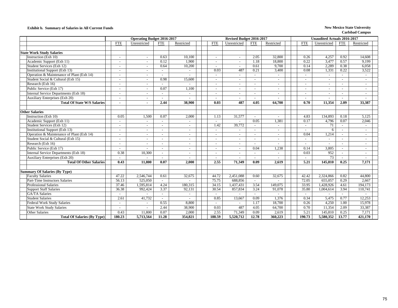### **Exhibit b. Summary of Salaries in All Current Funds New Mexico State University**

|                                           |                          | <b>Operating Budget 2016-2017</b> |                          |                          | Revised Budget 2016-2017 |                |            | <b>Unaudited Actuals 2016-2017</b> |                          |                          |              |            |  |
|-------------------------------------------|--------------------------|-----------------------------------|--------------------------|--------------------------|--------------------------|----------------|------------|------------------------------------|--------------------------|--------------------------|--------------|------------|--|
|                                           | <b>FTE</b>               | Unrestricted                      | <b>FTE</b>               | Restricted               | <b>FTE</b>               | Unrestricted   | <b>FTE</b> | Restricted                         | <b>FTE</b>               | Unrestricted             | <b>FTE</b>   | Restricted |  |
|                                           |                          |                                   |                          |                          |                          |                |            |                                    |                          |                          |              |            |  |
| <b>State Work Study Salaries</b>          |                          |                                   |                          |                          |                          |                |            |                                    |                          |                          |              |            |  |
| Instruction (Exh 10)                      |                          |                                   | 0.63                     | 10,100                   |                          |                | 2.05       | 32,800                             | 0.26                     | 4,257                    | 0.92         | 14,608     |  |
| Academic Support (Exh 11)                 | $\overline{\phantom{a}}$ | $\sim$                            | 0.12                     | 1,900                    | $\sim$                   | $\sim$         | 1.18       | 18,800                             | 0.22                     | 3,477                    | 0.57         | 9.199      |  |
| Student Services (Exh 12)                 | $\sim$                   | $\sim$                            | 0.64                     | 10,200                   | $\sim$                   | $\sim$         | 0.61       | 9.700                              | 0.14                     | 2,289                    | 0.38         | 6,058      |  |
| <b>Institutional Support (Exh 13)</b>     | $\sim$                   | $\sim$                            |                          | $\overline{a}$           | 0.03                     | 487            | 0.21       | 3,400                              | 0.08                     | 1,331                    | 0.22         | 3,522      |  |
| Operation & Maintenance of Plant (Exh 14) | $\sim$                   | $\sim$                            | $\sim$                   | $\sim$                   | $\sim$                   | $\sim$         | $\sim$     | $\sim$                             | $\overline{\phantom{a}}$ | $\overline{\phantom{a}}$ | $\sim$       | $\sim$     |  |
| Student Social & Cultural (Exh 15)        | $\overline{\phantom{a}}$ | $\sim$                            | 0.98                     | 15,600                   | $\sim$                   | $\blacksquare$ | $\sim$     | $\sim$                             | $\overline{\phantom{a}}$ |                          | $\sim$       | $\sim$     |  |
| Research (Exh 16)                         | ÷.                       | $\sim$                            |                          |                          | $\sim$                   | $\sim$         |            | $\sim$                             |                          | $\sim$                   |              | $\sim$     |  |
| Public Service (Exh 17)                   | ÷.                       | $\sim$                            | 0.07                     | 1,100                    | $\sim$                   | $\sim$         | $\sim$     | $\sim$                             | $\overline{a}$           | $\sim$                   | $\sim$       | $\sim$     |  |
| Internal Service Departments (Exh 18)     |                          | $\sim$                            | $\sim$                   | $\overline{a}$           | $\sim$                   | $\sim$         | $\sim$     | $\sim$                             | $\overline{\phantom{a}}$ | $\sim$                   |              | $\sim$     |  |
| Auxiliary Enterprises (Exh 20)            | $\overline{\phantom{a}}$ | $\sim$                            | $\sim$                   |                          |                          | $\sim$         | $\sim$     |                                    | $\overline{\phantom{a}}$ |                          |              | $\sim$     |  |
| <b>Total Of State W/S Salaries</b>        | ٠                        |                                   | 2.44                     | 38,900                   | 0.03                     | 487            | 4.05       | 64,700                             | 0.70                     | 11,354                   | 2.09         | 33,387     |  |
|                                           |                          |                                   |                          |                          |                          |                |            |                                    |                          |                          |              |            |  |
| <b>Other Salaries</b>                     |                          |                                   |                          |                          |                          |                |            |                                    |                          |                          |              |            |  |
| Instruction (Exh 10)                      | 0.05                     | 1,500                             | 0.07                     | 2,000                    | 1.13                     | 31,577         | $\sim$     | $\sim$                             | 4.83                     | 134,893                  | 0.18         | 5,125      |  |
| Academic Support (Exh 11)                 | $\sim$                   |                                   | $\sim$                   |                          |                          |                | 0.05       | 1,381                              | 0.17                     | 4,796                    | 0.07         | 2,046      |  |
| Student Services (Exh 12)                 | ÷.                       | $\sim$                            | $\sim$                   | $\blacksquare$           | 1.42                     | 39,772         | $\sim$     | $\sim$                             | $\sim$                   | 71                       | $\sim$       | $\sim$     |  |
| Institutional Support (Exh 13)            | $\sim$                   | $\sim$                            | $\sim$                   | $\overline{\phantom{a}}$ | $\sim$                   | $\omega$       |            | $\sim$                             |                          | 6                        |              | $\sim$     |  |
| Operation & Maintenance of Plant (Exh 14) | $\overline{a}$           | $\sim$                            |                          |                          |                          | $\sim$         |            |                                    | 0.04                     | 1,214                    |              | $\sim$     |  |
| Student Social & Cultural (Exh 15)        | $\overline{\phantom{a}}$ | $\sim$                            | $\sim$                   | $\overline{\phantom{a}}$ | $\sim$                   | $\omega$       | $\sim$     | $\sim$                             | $\overline{\phantom{a}}$ | $\sim$                   | ÷.           | $\sim$     |  |
| Research (Exh 16)                         | ۰                        | $\sim$                            | $\sim$                   | $\sim$                   | $\sim$                   | ٠              | $\sim$     | $\sim$                             | $\overline{\phantom{a}}$ |                          |              | $\sim$     |  |
| Public Service (Exh 17)                   |                          |                                   | $\overline{\phantom{a}}$ |                          |                          |                | 0.04       | 1,238                              | 0.14                     | 3,805                    |              | $\sim$     |  |
| Internal Service Departments (Exh 18)     | 0.38                     | 10,300                            | $\sim$                   |                          |                          |                |            |                                    | 0.03                     | 952                      |              | $\sim$     |  |
| Auxiliary Enterprises (Exh 20)            |                          |                                   |                          |                          |                          |                |            |                                    |                          | 73                       |              |            |  |
| <b>Total Of Other Salaries</b>            | 0.43                     | 11.800                            | 0.07                     | 2.000                    | 2.55                     | 71.349         | 0.09       | 2.619                              | 5.21                     | 145,810                  | 0.25         | 7.171      |  |
|                                           |                          |                                   |                          |                          |                          |                |            |                                    |                          |                          |              |            |  |
| <b>Summary Of Salaries (By Type)</b>      |                          |                                   |                          |                          |                          |                |            |                                    |                          |                          |              |            |  |
| <b>Faculty Salaries</b>                   | $\overline{47.22}$       | 2,546,744                         | 0.61                     | 32,675                   | 44.72                    | 2,451,088      | 0.60       | 32,675                             | 42.42                    | 2,324,866                | 0.82         | 44,800     |  |
| Part-Time Instructors Salaries            | 56.13                    | 525,050                           | $\sim$                   | $\overline{a}$           | 75.75                    | 688,856        | $\sim$     | $\sim$                             | 72.05                    | 655,057                  | 0.29         | 2.667      |  |
| <b>Professional Salaries</b>              | 37.46                    | 1,595,814                         | 4.24                     | 180,315                  | 34.15                    | 1,437,431      | 3.54       | 149,075                            | 33.95                    | 1,428,926                | 4.61         | 194,173    |  |
| <b>Support Staff Salaries</b>             | 36.38                    | 992,424                           | 3.37                     | 92,131                   | 30.54                    | 857,834        | 3.24       | 91,078                             | 35.80                    | 1,004,614                | 3.94         | 110,741    |  |
| <b>GA/TA Salaries</b>                     | $\blacksquare$           |                                   | $\sim$                   | $\omega$                 | $\sim$                   |                | $\sim$     | $\sim$                             | $\blacksquare$           | $\sim$                   | $\mathbf{r}$ | $\sim$     |  |
| <b>Student Salaries</b>                   | 2.61                     | 41,732                            | $\sim$                   |                          | 0.85                     | 13,667         | 0.09       | 1,376                              | 0.34                     | 5,475                    | 0.77         | 12,253     |  |
| <b>Federal Work Study Salaries</b>        | ÷.                       |                                   | 0.55                     | 8,800                    |                          |                | 1.17       | 18,700                             | 0.26                     | 4,250                    | 1.00         | 15,978     |  |
| <b>State Work Study Salaries</b>          | $\sim$                   |                                   | 2.44                     | 38,900                   | 0.03                     | 487            | 4.05       | 64,700                             | 0.70                     | 11,354                   | 2.09         | 33,387     |  |
| Other Salaries                            | 0.43                     | 11,800                            | 0.07                     | 2,000                    | 2.55                     | 71,349         | 0.09       | 2,619                              | 5.21                     | 145,810                  | 0.25         | 7,171      |  |
| <b>Total Of Salaries (By Type)</b>        | 180.23                   | 5,713,564                         | 11.28                    | 354,821                  | 188.59                   | 5,520,712      | 12.78      | 360,223                            | 190.73                   | 5,580,352                | 13.77        | 421,170    |  |